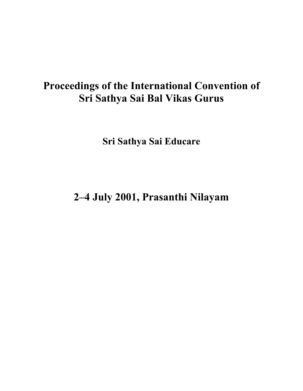# **Proceedings of the International Convention of Sri Sathya Sai Bal Vikas Gurus**

**Sri Sathya Sai Educare**

**2–4 July 2001, Prasanthi Nilayam**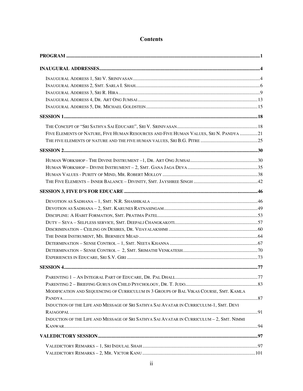| FIVE ELEMENTS OF NATURE, FIVE HUMAN RESOURCES AND FIVE HUMAN VALUES, SRI N. PANDYA 21    |  |
|------------------------------------------------------------------------------------------|--|
|                                                                                          |  |
|                                                                                          |  |
|                                                                                          |  |
|                                                                                          |  |
|                                                                                          |  |
|                                                                                          |  |
|                                                                                          |  |
|                                                                                          |  |
|                                                                                          |  |
|                                                                                          |  |
|                                                                                          |  |
|                                                                                          |  |
|                                                                                          |  |
|                                                                                          |  |
|                                                                                          |  |
|                                                                                          |  |
|                                                                                          |  |
|                                                                                          |  |
|                                                                                          |  |
|                                                                                          |  |
| MODIFICATION AND SEQUENCING OF CURRICULUM IN 3 GROUPS OF BAL VIKAS COURSE, SMT. KAMLA    |  |
|                                                                                          |  |
| INDUCTION OF THE LIFE AND MESSAGE OF SRI SATHYA SAI AVATAR IN CURRICULUM-1, SMT. DEVI    |  |
|                                                                                          |  |
| INDUCTION OF THE LIFE AND MESSAGE OF SRI SATHYA SAI AVATAR IN CURRICULUM - 2, SMT. NIMMI |  |
|                                                                                          |  |
|                                                                                          |  |
|                                                                                          |  |
|                                                                                          |  |

# **Contents**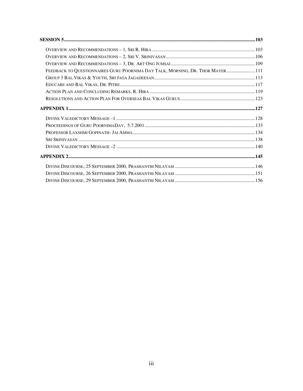| FEEDBACK TO QUESTIONNAIRES GURU POORNIMA DAY TALK, MORNING, DR. THOR MAYER111 |  |
|-------------------------------------------------------------------------------|--|
| ${\it GROUP\ 3 \ BAL \ VIKAS\ \&\ YOUTH,\ SRI\ JAGA\ JAGADEESAN}$             |  |
|                                                                               |  |
|                                                                               |  |
|                                                                               |  |
|                                                                               |  |
|                                                                               |  |
|                                                                               |  |
|                                                                               |  |
|                                                                               |  |
|                                                                               |  |
|                                                                               |  |
|                                                                               |  |
|                                                                               |  |
|                                                                               |  |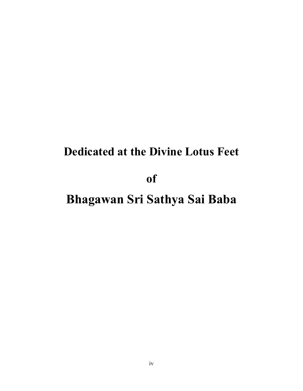# **Dedicated at the Divine Lotus Feet**

**of**

# **Bhagawan Sri Sathya Sai Baba**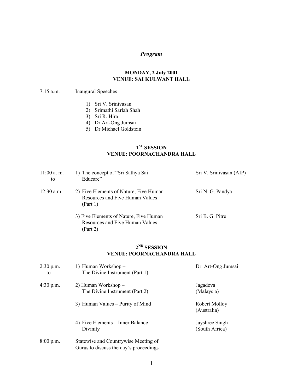## *Program*

#### **MONDAY, 2 July 2001 VENUE: SAI KULWANT HALL**

#### 7:15 a.m. Inaugural Speeches

- 1) Sri V. Srinivasan
- 2) Srimathi Sarlah Shah
- 3) Sri R. Hira
- 4) Dr Art-Ong Jumsai
- 5) Dr Michael Goldstein

## **1ST SESSION VENUE: POORNACHANDRA HALL**

| $11:00$ a.m.<br>to | 1) The concept of "Sri Sathya Sai<br>Educare"                                         | Sri V. Srinivasan (AIP) |
|--------------------|---------------------------------------------------------------------------------------|-------------------------|
| $12:30$ a.m.       | 2) Five Elements of Nature, Five Human<br>Resources and Five Human Values<br>(Part 1) | Sri N. G. Pandya        |
|                    | 3) Five Elements of Nature, Five Human<br>Resources and Five Human Values<br>(Part 2) | Sri B. G. Pitre         |

## **2ND SESSION VENUE: POORNACHANDRA HALL**

| $2:30$ p.m.<br>to | 1) Human Workshop –<br>The Divine Instrument (Part 1)                          | Dr. Art-Ong Jumsai               |
|-------------------|--------------------------------------------------------------------------------|----------------------------------|
| $4:30$ p.m.       | 2) Human Workshop –<br>The Divine Instrument (Part 2)                          | Jagadeva<br>(Malaysia)           |
|                   | 3) Human Values – Purity of Mind                                               | Robert Molloy<br>(Australia)     |
|                   | 4) Five Elements – Inner Balance<br>Divinity                                   | Jayshree Singh<br>(South Africa) |
| $8:00$ p.m.       | Statewise and Countrywise Meeting of<br>Gurus to discuss the day's proceedings |                                  |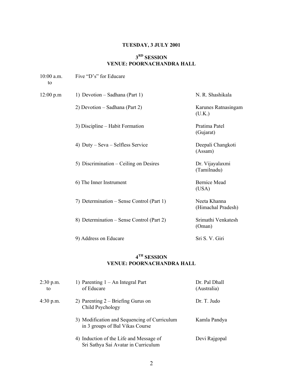# **TUESDAY, 3 JULY 2001**

# **3RD SESSION VENUE: POORNACHANDRA HALL**

| $10:00$ a.m.<br>to | Five "D's" for Educare                    |                                    |
|--------------------|-------------------------------------------|------------------------------------|
| 12:00 p.m          | 1) Devotion – Sadhana (Part 1)            | N. R. Shashikala                   |
|                    | 2) Devotion – Sadhana (Part 2)            | Karunes Ratnasingam<br>(U.K.)      |
|                    | 3) Discipline – Habit Formation           | Pratima Patel<br>(Gujarat)         |
|                    | 4) Duty – Seva – Selfless Service         | Deepali Changkoti<br>(Assam)       |
|                    | 5) Discrimination – Ceiling on Desires    | Dr. Vijayalaxmi<br>(Tamilnadu)     |
|                    | 6) The Inner Instrument                   | <b>Bernice Mead</b><br>(USA)       |
|                    | 7) Determination – Sense Control (Part 1) | Neeta Khanna<br>(Himachal Pradesh) |
|                    | 8) Determination – Sense Control (Part 2) | Srimathi Venkatesh<br>(Oman)       |
|                    | 9) Address on Educare                     | Sri S. V. Giri                     |

# **4TH SESSION VENUE: POORNACHANDRA HALL**

| $2:30$ p.m.<br>to | 1) Parenting $1 - An$ Integral Part<br>of Educare                               | Dr. Pal Dhall<br>(Australia) |
|-------------------|---------------------------------------------------------------------------------|------------------------------|
| $4:30$ p.m.       | 2) Parenting $2 - B$ riefing Gurus on<br>Child Psychology                       | Dr. T. Judo                  |
|                   | 3) Modification and Sequencing of Curriculum<br>in 3 groups of Bal Vikas Course | Kamla Pandya                 |
|                   | 4) Induction of the Life and Message of<br>Sri Sathya Sai Avatar in Curriculum  | Devi Rajgopal                |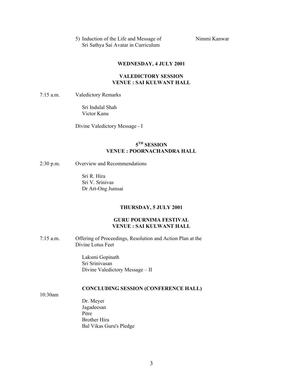| 5) Induction of the Life and Message of | Nimmi Kanwar |
|-----------------------------------------|--------------|
| Sri Sathya Sai Avatar in Curriculum     |              |

#### **WEDNESDAY, 4 JULY 2001**

#### **VALEDICTORY SESSION VENUE : SAI KULWANT HALL**

7:15 a.m. Valedictory Remarks

Sri Indulal Shah Victor Kanu

Divine Valedictory Message - I

#### **5TH SESSION VENUE : POORNACHANDRA HALL**

#### 2:30 p.m. Overview and Recommendations

Sri R. Hira Sri V. Srinivas Dr Art-Ong Jumsai

#### **THURSDAY, 5 JULY 2001**

#### **GURU POURNIMA FESTIVAL VENUE : SAI KULWANT HALL**

7:15 a.m. Offering of Proceedings, Resolution and Action Plan at the Divine Lotus Feet

> Laksmi Gopinath Sri Srinivasan Divine Valedictory Message – II

#### **CONCLUDING SESSION (CONFERENCE HALL)**

10:30am

Dr. Meyer Jagadeesan Pitre Brother Hira Bal Vikas Guru's Pledge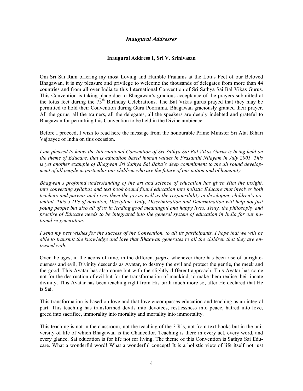#### *Inaugural Addresses*

#### **Inaugural Address 1, Sri V. Srinivasan**

Om Sri Sai Ram offering my most Loving and Humble Pranams at the Lotus Feet of our Beloved Bhagawan, it is my pleasure and privilege to welcome the thousands of delegates from more than 44 countries and from all over India to this International Convention of Sri Sathya Sai Bal Vikas Gurus. This Convention is taking place due to Bhagawan's gracious acceptance of the prayers submitted at the lotus feet during the  $75<sup>th</sup>$  Birthday Celebrations. The Bal Vikas gurus prayed that they may be permitted to hold their Convention during Guru Poornima. Bhagawan graciously granted their prayer. All the gurus, all the trainers, all the delegates, all the speakers are deeply indebted and grateful to Bhagawan for permitting this Convention to be held in the Divine ambience.

Before I proceed, I wish to read here the message from the honourable Prime Minister Sri Atal Bihari Vajbayee of India on this occasion.

*I am pleased to know the International Convention of Sri Sathya Sai Bal Vikas Gurus is being held on the theme of Educare, that is education based human values in Prasanthi Nilayam in July 2001. This is yet another example of Bhagwan Sri Sathya Sai Baba's deep commitment to the all round development of all people in particular our children who are the future of our nation and of humanity.*

*Bhagwan's profound understanding of the art and science of education has given Him the insight, into converting syllabus and text book bound found education into holistic Educare that involves both teachers and parents and gives them the joy as well as the responsibility in developing children's potential. This 5 D's of devotion, Discipline, Duty, Discrimination and Determination will help not just young people but also all of us in leading good meaningful and happy lives. Truly, the philosophy and practise of Educare needs to be integrated into the general system of education in India for our national re-generation.*

*I send my best wishes for the success of the Convention, to all its participants. I hope that we will be able to transmit the knowledge and love that Bhagwan generates to all the children that they are entrusted with.*

Over the ages, in the aeons of time, in the different *yugas*, whenever there has been rise of unrighteousness and evil, Divinity descends as Avatar, to destroy the evil and protect the gentle, the meek and the good. This Avatar has also come but with the slightly different approach. This Avatar has come not for the destruction of evil but for the transformation of mankind, to make them realise their innate divinity. This Avatar has been teaching right from His birth much more so, after He declared that He is Sai.

This transformation is based on love and that love encompasses education and teaching as an integral part. This teaching has transformed devils into devotees, restlessness into peace, hatred into love, greed into sacrifice, immorality into morality and mortality into immortality.

This teaching is not in the classroom, not the teaching of the  $3 \text{ R's}$ , not from text books but in the university of life of which Bhagawan is the Chancellor. Teaching is there in every act, every word, and every glance. Sai education is for life not for living. The theme of this Convention is Sathya Sai Educare. What a wonderful word! What a wonderful concept! It is a holistic view of life itself not just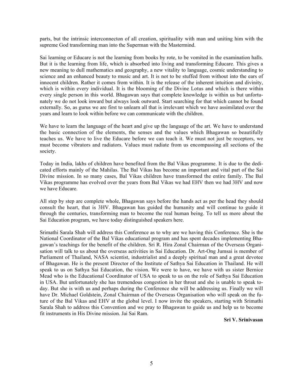parts, but the intrinsic interconnecton of all creation, spirituality with man and uniting him with the supreme God transforming man into the Superman with the Mastermind.

Sai learning or Educare is not the learning from books by rote, to be vomited in the examination halls. But it is the learning from life, which is absorbed into living and transforming Educare. This gives a new meaning to dull mathematics and geography, a new vitality to language, cosmic understanding to science and an enhanced beauty to music and art. It is not to be stuffed from without into the ears of innocent children. Rather it comes from within. It is the release of the inherent intuition and divinity, which is within every individual. It is the blooming of the Divine Lotus and which is there within every single person in this world. Bhagawan says that complete knowledge is within us but unfortunately we do not look inward but always look outward. Start searching for that which cannot be found externally. So, as gurus we are first to unlearn all that is irrelevant which we have assimilated over the years and learn to look within before we can communicate with the children.

We have to learn the language of the heart and give up the language of the art. We have to understand the basic connection of the elements, the senses and the values which Bhagawan so beautifully teaches us. We have to live the Educare before we can teach it. We must not just be receptors, we must become vibrators and radiators. Values must radiate from us encompassing all sections of the society.

Today in India, lakhs of children have benefited from the Bal Vikas programme. It is due to the dedicated efforts mainly of the Mahilas. The Bal Vikas has become an important and vital part of the Sai Divine mission. In so many cases, Bal Vikas children have transformed the entire family. The Bal Vikas programme has evolved over the years from Bal Vikas we had EHV then we had 3HV and now we have Educare.

All step by step are complete whole, Bhagawan says before the hands act as per the head they should consult the heart, that is 3HV. Bhagawan has guided the humanity and will continue to guide it through the centuries, transforming man to become the real human being. To tell us more about the Sai Education program, we have today distinguished speakers here.

Srimathi Sarala Shah will address this Conference as to why are we having this Conference. She is the National Coordinator of the Bal Vikas educational program and has spent decades implementing Bhagawan's teachings for the benefit of the children. Sri R. Hira Zonal Chairman of the Overseas Organisation will talk to us about the overseas activities in Sai Education. Dr. Art-Ong Jumsai is member of Parliament of Thailand, NASA scientist, industrialist and a deeply spiritual man and a great devotee of Bhagawan. He is the present Director of the Institute of Sathya Sai Education in Thailand. He will speak to us on Sathya Sai Education, the vision. We were to have, we have with us sister Bernice Mead who is the Educational Coordinator of USA to speak to us on the role of Sathya Sai Education in USA. But unfortunately she has tremendous congestion in her throat and she is unable to speak today. But she is with us and perhaps during the Conference she will be addressing us. Finally we will have Dr. Michael Goldstein, Zonal Chairman of the Overseas Organisation who will speak on the future of the Bal Vikas and EHV at the global level. I now invite the speakers, starting with Srimathi Sarala Shah to address this Convention and we pray to Bhagawan to guide us and help us to become fit instruments in His Divine mission. Jai Sai Ram.

**Sri V. Srinivasan**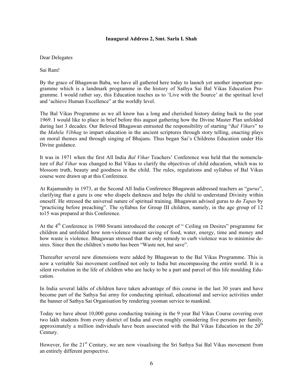#### **Inaugural Address 2, Smt. Sarla I. Shah**

#### Dear Delegates

Sai Ram!

By the grace of Bhagawan Baba, we have all gathered here today to launch yet another important programme which is a landmark programme in the history of Sathya Sai Bal Vikas Education Programme. I would rather say, this Education teaches us to 'Live with the Source' at the spiritual level and 'achieve Human Excellence" at the worldly level.

The Bal Vikas Programme as we all know has a long and cherished history dating back to the year 1969. I would like to place in brief before this august gathering how the Divine Master Plan unfolded during last 3 decades. Our Beloved Bhagawan entrusted the responsibility of starting "*Bal Vihars*" to the *Mahila Vibhag* to impart education in the ancient scriptures through story telling, enacting plays on moral themes and through singing of Bhajans. Thus began Sai's Childrens Education under His Divine guidance.

It was in 1971 when the first All India *Bal Vihar* Teachers' Conference was held that the nomenclature of *Bal Vihar* was changed to Bal Vikas to clarify the objectives of child education, which was to blossom truth, beauty and goodness in the child. The rules, regulations and syllabus of Bal Vikas course were drawn up at this Conference.

At Rajamundry in 1973, at the Second All India Conference Bhagawan addressed teachers as "*gurus*", clarifying that a guru is one who dispels darkness and helps the child to understand Divinity within oneself. He stressed the universal nature of spiritual training. Bhagawan advised gurus to do *Tapas* by "practicing before preaching". The syllabus for Group III children, namely, in the age group of 12 to15 was prepared at this Conference.

At the 4<sup>th</sup> Conference in 1980 Swami introduced the concept of " Ceiling on Desires" programme for children and unfolded how non-violence meant saving of food, water, energy, time and money and how waste is violence. Bhagawan stressed that the only remedy to curb violence was to minimise desires. Since then the children's motto has been "Waste not, but save".

Thereafter several new dimensions were added by Bhagawan to the Bal Vikas Programme. This is now a veritable Sai movement confined not only to India but encompassing the entire world. It is a silent revolution in the life of children who are lucky to be a part and parcel of this life moulding Education.

In India several lakhs of children have taken advantage of this course in the last 30 years and have become part of the Sathya Sai army for conducting spiritual, educational and service activities under the banner of Sathya Sai Organisation by rendering yeoman service to mankind.

Today we have about 10,000 gurus conducting training in the 9 year Bal Vikas Course covering over two lakh students from every district of India and even roughly considering five persons per family, approximately a million individuals have been associated with the Bal Vikas Education in the 20<sup>th</sup> Century.

However, for the 21<sup>st</sup> Century, we are now visualising the Sri Sathya Sai Bal Vikas movement from an entirely different perspective.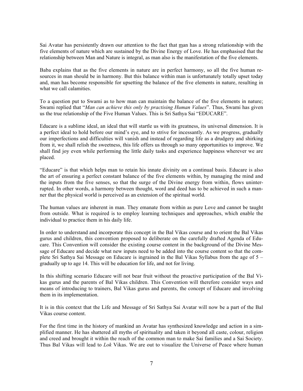Sai Avatar has persistently drawn our attention to the fact that man has a strong relationship with the five elements of nature which are sustained by the Divine Energy of Love. He has emphasised that the relationship between Man and Nature is integral, as man also is the manifestation of the five elements.

Baba explains that as the five elements in nature are in perfect harmony, so all the five human resources in man should be in harmony. But this balance within man is unfortunately totally upset today and, man has become responsible for upsetting the balance of the five elements in nature, resulting in what we call calamities.

To a question put to Swami as to how man can maintain the balance of the five elements in nature; Swami replied that "*Man can achieve this only by practising Human Values*". Thus, Swami has given us the true relationship of the Five Human Values. This is Sri Sathya Sai "EDUCARE".

Educare is a sublime ideal, an ideal that will startle us with its greatness, its universal dimension. It is a perfect ideal to hold before our mind's eye, and to strive for incessantly. As we progress, gradually our imperfections and difficulties will vanish and instead of regarding life as a drudgery and shirking from it, we shall relish the sweetness, this life offers us through so many opportunities to improve. We shall find joy even while performing the little daily tasks and experience happiness wherever we are placed.

"Educare" is that which helps man to retain his innate divinity on a continual basis. Educare is also the art of ensuring a perfect constant balance of the five elements within, by managing the mind and the inputs from the five senses, so that the surge of the Divine energy from within, flows uninterrupted. In other words, a harmony between thought, word and deed has to be achieved in such a manner that the physical world is perceived as an extension of the spiritual world.

The human values are inherent in man. They emanate from within as pure Love and cannot be taught from outside. What is required is to employ learning techniques and approaches, which enable the individual to practice them in his daily life.

In order to understand and incorporate this concept in the Bal Vikas course and to orient the Bal Vikas gurus and children, this convention proposed to deliberate on the carefully drafted Agenda of Educare. This Convention will consider the existing course content in the background of the Divine Message of Educare and decide what new inputs need to be added into the course content so that the complete Sri Sathya Sai Message on Educare is ingrained in the Bal Vikas Syllabus from the age of 5 – gradually up to age 14. This will be education for life, and not for living.

In this shifting scenario Educare will not bear fruit without the proactive participation of the Bal Vikas gurus and the parents of Bal Vikas children. This Convention will therefore consider ways and means of introducing to trainers, Bal Vikas gurus and parents, the concept of Educare and involving them in its implementation.

It is in this context that the Life and Message of Sri Sathya Sai Avatar will now be a part of the Bal Vikas course content.

For the first time in the history of mankind an Avatar has synthesized knowledge and action in a simplified manner. He has shattered all myths of spirituality and taken it beyond all caste, colour, religion and creed and brought it within the reach of the common man to make Sai families and a Sai Society. Thus Bal Vikas will lead to *Lok* Vikas. We are out to visualize the Universe of Peace where human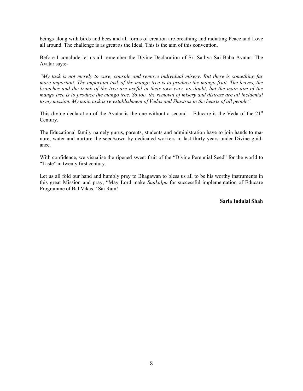beings along with birds and bees and all forms of creation are breathing and radiating Peace and Love all around. The challenge is as great as the Ideal. This is the aim of this convention.

Before I conclude let us all remember the Divine Declaration of Sri Sathya Sai Baba Avatar. The Avatar says:-

*"My task is not merely to cure, console and remove individual misery. But there is something far more important. The important task of the mango tree is to produce the mango fruit. The leaves, the branches and the trunk of the tree are useful in their own way, no doubt, but the main aim of the mango tree is to produce the mango tree. So too, the removal of misery and distress are all incidental to my mission. My main task is re-establishment of Vedas and Shastras in the hearts of all people".*

This divine declaration of the Avatar is the one without a second – Educare is the Veda of the  $21<sup>st</sup>$ Century.

The Educational family namely gurus, parents, students and administration have to join hands to manure, water and nurture the seed/sown by dedicated workers in last thirty years under Divine guidance.

With confidence, we visualise the ripened sweet fruit of the "Divine Perennial Seed" for the world to "Taste" in twenty first century.

Let us all fold our hand and humbly pray to Bhagawan to bless us all to be his worthy instruments in this great Mission and pray, "May Lord make *Sankalpa* for successful implementation of Educare Programme of Bal Vikas." Sai Ram!

#### **Sarla Indulal Shah**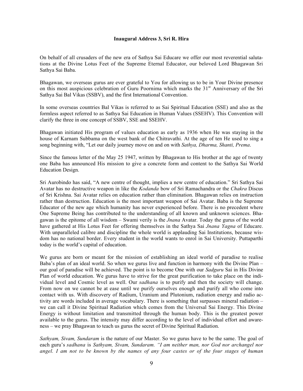#### **Inaugural Address 3, Sri R. Hira**

On behalf of all crusaders of the new era of Sathya Sai Educare we offer our most reverential salutations at the Divine Lotus Feet of the Supreme Eternal Educator, our beloved Lord Bhagawan Sri Sathya Sai Baba.

Bhagawan, we overseas gurus are ever grateful to You for allowing us to be in Your Divine presence on this most auspicious celebration of Guru Poornima which marks the 31<sup>st</sup> Anniversary of the Sri Sathya Sai Bal Vikas (SSBV), and the first International Convention.

In some overseas countries Bal Vikas is referred to as Sai Spiritual Education (SSE) and also as the formless aspect referred to as Sathya Sai Education in Human Values (SSEHV). This Convention will clarify the three in one concept of SSBV, SSE and SSEHV.

Bhagawan initiated His program of values education as early as 1936 when He was staying in the house of Karnam Subbama on the west bank of the Chitravathi. At the age of ten He used to sing a song beginning with, "Let our daily journey move on and on with *Sathya, Dharma, Shanti, Prema*.

Since the famous letter of the May 25 1947, written by Bhagawan to His brother at the age of twenty one Baba has announced His mission to give a concrete form and content to the Sathya Sai World Education Design.

Sri Aurobindo has said, "A new centre of thought, implies a new centre of education." Sri Sathya Sai Avatar has no destructive weapon in like the *Kodanda* bow of Sri Ramachandra or the *Chakra* Discus of Sri Krishna. Sai Avatar relies on education rather than elimination. Bhagawan relies on instruction rather than destruction. Education is the most important weapon of Sai Avatar. Baba is the Supreme Educator of the new age which humanity has never experienced before. There is no precedent where One Supreme Being has contributed to the understanding of all known and unknown sciences. Bhagawan is the epitome of all wisdom – Swami verily is the *Jnana* Avatar. Today the gurus of the world have gathered at His Lotus Feet for offering themselves in the Sathya Sai *Jnana Yagna* of Educare. With unparalleled calibre and discipline the whole world is applauding Sai Institutions, because wisdom has no national border. Every student in the world wants to enrol in Sai University. Puttaparthi today is the world's capital of education.

We gurus are born or meant for the mission of establishing an ideal world of paradise to realise Baba's plan of an ideal world. So when we gurus live and function in harmony with the Divine Plan – our goal of paradise will be achieved. The point is to become One with our *Sadguru* Sai in His Divine Plan of world education. We gurus have to strive for the great purification to take place on the individual level and Cosmic level as well. Our *sadhana* is to purify and then the society will change. From now on we cannot be at ease until we purify ourselves enough and purify all who come into contact with us. With discovery of Radium, Uranium and Plutonium, radiation energy and radio activity are words included in average vocabulary. There is something that surpasses mineral radiation – we can call it Divine Spiritual Radiation which comes from the Universal Sai Energy. This Divine Energy is without limitation and transmitted through the human body. This is the greatest power available to the gurus. The intensity may differ according to the level of individual effort and awareness – we pray Bhagawan to teach us gurus the secret of Divine Spiritual Radiation.

*Sathyam, Sivam, Sundaram* is the nature of our Master. So we gurus have to be the same. The goal of each guru's *sadhana* is *Sathyam, Sivam, Sundaram. "I am neither man, nor God nor archangel nor angel. I am not to be known by the names of any four castes or of the four stages of human*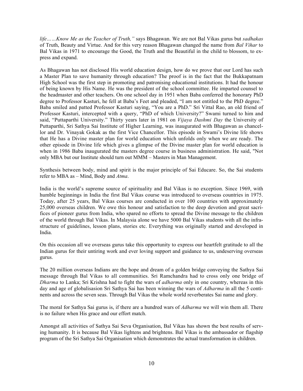*life……Know Me as the Teacher of Truth,"* says Bhagawan. We are not Bal Vikas gurus but *sadhakas* of Truth, Beauty and Virtue. And for this very reason Bhagawan changed the name from *Bal Vihar* to Bal Vikas in 1971 to encourage the Good, the Truth and the Beautiful in the child to blossom, to express and expand.

As Bhagawan has not disclosed His world education design, how do we prove that our Lord has such a Master Plan to save humanity through education? The proof is in the fact that the Bukkapatnam High School was the first step in promoting and patronising educational institutions. It had the honour of being known by His Name. He was the president of the school committee. He imparted counsel to the headmaster and other teachers. On one school day in 1951 when Baba conferred the honorary PhD degree to Professor Kasturi, he fell at Baba's Feet and pleaded, "I am not entitled to the PhD degree." Baba smiled and patted Professor Kasturi saying, "You are a PhD." Sri Vittal Rao, an old friend of Professor Kasturi, intercepted with a query, "PhD of which University?" Swami turned to him and said, "Puttaparthi University." Thirty years later in 1981 on *Vijaya Dashmi Day* the University of Puttaparthi, Sri Sathya Sai Institute of Higher Learning, was inaugurated with Bhagawan as chancellor and Dr. Vinayak Gokak as the first Vice Chancellor. This episode in Swami's Divine life shows that He has a Divine master plan for world education which unfolds only when we are ready. The other episode in Divine life which gives a glimpse of the Divine master plan for world education is when in 1986 Baba inaugurated the masters degree course in business administration. He said, "Not only MBA but our Institute should turn out MMM – Masters in Man Management.

Synthesis between body, mind and spirit is the major principle of Sai Educare. So, the Sai students refer to MBA as – Mind, Body and *Atma*.

India is the world's supreme source of spirituality and Bal Vikas is no exception. Since 1969, with humble beginnings in India the first Bal Vikas course was introduced to overseas countries in 1975. Today, after 25 years, Bal Vikas courses are conducted in over 100 countries with approximately 25,000 overseas children. We owe this honour and satisfaction to the deep devotion and great sacrifices of pioneer gurus from India, who spared no efforts to spread the Divine message to the children of the world through Bal Vikas. In Malaysia alone we have 5000 Bal Vikas students with all the infrastructure of guidelines, lesson plans, stories etc. Everything was originally started and developed in India.

On this occasion all we overseas gurus take this opportunity to express our heartfelt gratitude to all the Indian gurus for their untiring work and ever loving support and guidance to us, undeserving overseas gurus.

The 20 million overseas Indians are the hope and dream of a golden bridge conveying the Sathya Sai message through Bal Vikas to all communities. Sri Ramchandra had to cross only one bridge of *Dharma* to Lanka; Sri Krishna had to fight the wars of *adharma* only in one country, whereas in this day and age of globalisasion Sri Sathya Sai has been winning the wars of *Adharma* in all the 5 continents and across the seven seas. Through Bal Vikas the whole world reverberates Sai name and glory.

The moral for Sathya Sai gurus is, if there are a hundred wars of *Adharma* we will win them all. There is no failure when His grace and our effort match.

Amongst all activities of Sathya Sai Seva Organisation, Bal Vikas has shown the best results of serving humanity. It is because Bal Vikas lightens and brightens. Bal Vikas is the ambassador or flagship program of the Sri Sathya Sai Organisation which demonstrates the actual transformation in children.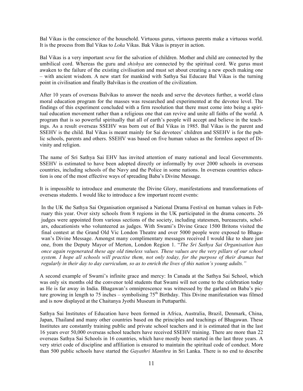Bal Vikas is the conscience of the household. Virtuous gurus, virtuous parents make a virtuous world. It is the process from Bal Vikas to *Loka* Vikas. Bak Vikas is prayer in action.

Bal Vikas is a very important *seva* for the salvation of children. Mother and child are connected by the umbilical cord. Whereas the guru and *shishya* are connected by the spiritual cord. We gurus must awaken to the failure of the existing civilisation and must set about creating a new epoch making one – with ancient wisdom. A new start for mankind with Sathya Sai Educare Bal Vikas is the turning point in civilisation and finally Balvikas is the creation of the civilization.

After 10 years of overseas Balvikas to answer the needs and serve the devotees further, a world class moral education program for the masses was researched and experimented at the devotee level. The findings of this experiment concluded with a firm resolution that there must come into being a spiritual education movement rather than a religious one that can revive and unite all faiths of the world. A program that is so powerful spiritually that all of earth's people will accept and believe in the teachings. As a result overseas SSEHV was born out of Bal Vikas in 1985. Bal Vikas is the parent and SSEHV is the child. Bal Vikas is meant mainly for Sai devotees' children and SSEHV is for the public schools, parents and others. SSEHV was based on five human values as the formless aspect of Divinity and religion.

The name of Sri Sathya Sai EHV has invited attention of many national and local Governments. SSEHV is estimated to have been adopted directly or informally by over 2000 schools in overseas countries, including schools of the Navy and the Police in some nations. In overseas countries education is one of the most effective ways of spreading Baba's Divine Message.

It is impossible to introduce and enumerate the Divine Glory, manifestations and transformations of overseas students. I would like to introduce a few important recent events:

In the UK the Sathya Sai Organisation organised a National Drama Festival on human values in February this year. Over sixty schools from 8 regions in the UK participated in the drama concerts. 26 judges were appointed from various sections of the society, including statesmen, bureaucrats, scholars, educationists who volunteered as judges. With Swami's Divine Grace 1500 Britons visited the final contest at the Grand Old Vic London Theatre and over 5000 people were exposed to Bhagawan's Divine Message. Amongst many complimentary messages received I would like to share just one, from the Deputy Mayor of Merton, London Region 1. "*The Sri Sathya Sai Organisation has once again regenerated these age old timeless values. These values are the very pillars of our school system. I hope all schools will practise them, not only today, for the purpose of their dramas but regularly in their day to day curriculum, so as to enrich the lives of this nation's young adults."*

A second example of Swami's infinite grace and mercy: In Canada at the Sathya Sai School, which was only six months old the convenor told students that Swami will not come to the celebration today as He is far away in India. Bhagawan's omniprescence was witnessed by the garland on Baba's picture growing in length to 75 inches – symbolising  $75<sup>th</sup>$  Birthday. This Divine manifestation was filmed and is now displayed at the Chaitanya Jyothi Museum in Puttaparthi.

Sathya Sai Institutes of Education have been formed in Africa, Australia, Brazil, Denmark, China, Japan, Thailand and many other countries based on the principles and teachings of Bhagawan. These Institutes are constantly training public and private school teachers and it is estimated that in the last 16 years over 50,000 overseas school teachers have received SSEHV training. There are more than 22 overseas Sathya Sai Schools in 16 countries, which have mostly been started in the last three years. A very strict code of discipline and affiliation is ensured to maintain the spiritual code of conduct. More than 500 public schools have started the *Gayathri Manthra* in Sri Lanka. There is no end to describe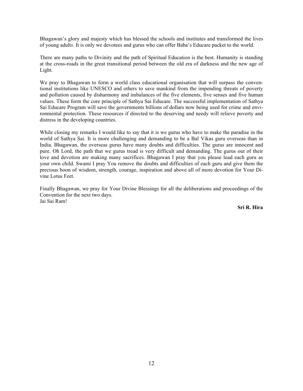Bhagawan's glory and majesty which has blessed the schools and institutes and transformed the lives of young adult*s.* It is only we devotees and gurus who can offer Baba's Educare packet to the world.

There are many paths to Divinity and the path of Spiritual Education is the best. Humanity is standing at the cross-roads in the great transitional period between the old era of darkness and the new age of Light.

We pray to Bhagawan to form a world class educational organisation that will surpass the conventional institutions like UNESCO and others to save mankind from the impending threats of poverty and pollution caused by disharmony and imbalances of the five elements, five senses and five human values. These form the core principle of Sathya Sai Educare. The successful implementation of Sathya Sai Educare Program will save the governments billions of dollars now being used for crime and environmental protection. These resources if directed to the deserving and needy will relieve poverty and distress in the developing countries.

While closing my remarks I would like to say that it is we gurus who have to make the paradise in the world of Sathya Sai. It is more challenging and demanding to be a Bal Vikas guru overseas than in India. Bhagawan, the overseas gurus have many doubts and difficulties. The gurus are innocent and pure. Oh Lord, the path that we gurus tread is very difficult and demanding. The gurus out of their love and devotion are making many sacrifices. Bhagawan I pray that you please lead each guru as your own child. Swami I pray You remove the doubts and difficulties of each guru and give them the precious boon of wisdom, strength, courage, inspiration and above all of more devotion for Your Divine Lotus Feet.

Finally Bhagawan, we pray for Your Divine Blessings for all the deliberations and proceedings of the Convention for the next two days. Jai Sai Ram!

**Sri R. Hira**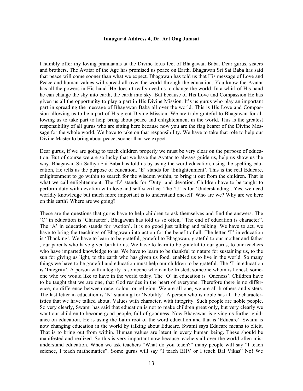#### **Inaugural Address 4, Dr. Art Ong Jumsai**

I humbly offer my loving prannaams at the Divine lotus feet of Bhagawan Baba. Dear gurus, sisters and brothers. The Avatar of the Age has promised us peace on Earth. Bhagawan Sri Sai Baba has said that peace will come sooner than what we expect. Bhagawan has told us that His message of Love and Peace and human values will spread all over the world through the education. You know the Avatar has all the powers in His hand. He doesn't really need us to change the world. In a whirl of His hand he can change the sky into earth, the earth into sky. But because of His Love and Compassion He has given us all the opportunity to play a part in His Divine Mission. It's us gurus who play an important part in spreading the message of Bhagawan Baba all over the world. This is His Love and Compassion allowing us to be a part of His great Divine Mission. We are truly grateful to Bhagawan for allowing us to take part to help bring about peace and enlightenment in the world. This is the greatest responsibility of all gurus who are sitting here because now you are the flag bearer of the Divine Message for the whole world. We have to take on that responsibility. We have to take that role to help our Divine Master to bring about peace, sooner than we expect.

Dear gurus, if we are going to teach children properly we must be very clear on the purpose of education. But of course we are so lucky that we have the Avatar to always guide us, help us show us the way. Bhagawan Sri Sathya Sai Baba has told us by using the word education, using the spelling education, He tells us the purpose of education. 'E' stands for 'Enlightenment'. This is the real Educare, enlightenment to go within to search for the wisdom within, to bring it out from the children. That is what we call enlightenment. The 'D' stands for 'Duty' and devotion. Children have to be taught to perform duty with devotion with love and self sacrifice. The 'U' is for 'Understanding'. Yes, we need worldly knowledge but much more important is to understand oneself. Who are we? Why are we here on this earth? Where are we going?

These are the questions that gurus have to help children to ask themselves and find the answers. The 'C' in education is 'Character'. Bhagawan has told us so often, "The end of education is character". The 'A' in education stands for 'Action'. It is no good just talking and talking. We have to act, we have to bring the teachings of Bhagawan into action for the benefit of all. The letter 'T' in education is 'Thanking'. We have to learn to be grateful, grateful to Bhagawan, grateful to our mother and father , our parents who have given birth to us. We have to learn to be grateful to our gurus, to our teachers who have imparted knowledge to us. We have to learn to be thankful to nature for sustaining us, to the sun for giving us light, to the earth who has given us food, enabled us to live in the world. So many things we have to be grateful and education must help our children to be grateful. The 'I' in education is 'Integrity'. A person with integrity is someone who can be trusted, someone whom is honest, someone who we would like to have in the world today. The 'O' in education is 'Oneness'. Children have to be taught that we are one, that God resides in the heart of everyone. Therefore there is no difference, no difference between race, colour or religion. We are all one, we are all brothers and sisters. The last letter in education is 'N' standing for 'Nobility'. A person who is noble has all the characteristics that we have talked about. Values with character, with integrity. Such people are noble people. So very clearly, Swami has said that education is not to make children great only, but very clearly we want our children to become good people, full of goodness. Now Bhagawan is giving us further guidance on education. He is using the Latin root of the word education and that is 'Educare'. Swami is now changing education in the world by talking about Educare. Swami says Educare means to elicit. That is to bring out from within. Human values are latent in every human being. These should be manifested and realized. So this is very important now because teachers all over the world often misunderstand education. When we ask teachers "What do you teach?" many people will say "I teach science, I teach mathematics". Some gurus will say "I teach EHV or I teach Bal Vikas" No! We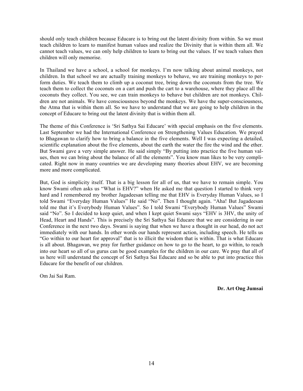should only teach children because Educare is to bring out the latent divinity from within. So we must teach children to learn to manifest human values and realize the Divinity that is within them all. We cannot teach values, we can only help children to learn to bring out the values. If we teach values then children will only memorise.

In Thailand we have a school, a school for monkeys. I'm now talking about animal monkeys, not children. In that school we are actually training monkeys to behave, we are training monkeys to perform duties. We teach them to climb up a coconut tree, bring down the coconuts from the tree. We teach them to collect the coconuts on a cart and push the cart to a warehouse, where they place all the coconuts they collect. You see, we can train monkeys to behave but children are not monkeys. Children are not animals. We have consciousness beyond the monkeys. We have the super-consciousness, the Atma that is within them all. So we have to understand that we are going to help children in the concept of Educare to bring out the latent divinity that is within them all.

The theme of this Conference is 'Sri Sathya Sai Educare' with special emphasis on the five elements. Last September we had the International Conference on Strengthening Values Education. We prayed to Bhagawan to clarify how to bring a balance in the five elements. Well I was expecting a detailed, scientific explanation about the five elements, about the earth the water the fire the wind and the ether. But Swami gave a very simple answer. He said simply "By putting into practice the five human values, then we can bring about the balance of all the elements". You know man likes to be very complicated. Right now in many countries we are developing many theories about EHV, we are becoming more and more complicated.

But, God is simplicity itself. That is a big lesson for all of us, that we have to remain simple. You know Swami often asks us "What is EHV?" when He asked me that question I started to think very hard and I remembered my brother Jagadeesan telling me that EHV is Everyday Human Values, so I told Swami "Everyday Human Values" He said "No". Then I thought again. "Aha! But Jagadeesan told me that it's Everybody Human Values". So I told Swami "Everybody Human Values" Swami said "No". So I decided to keep quiet, and when I kept quiet Swami says "EHV is 3HV, the unity of Head, Heart and Hands". This is precisely the Sri Sathya Sai Educare that we are considering in our Conference in the next two days. Swami is saying that when we have a thought in our head, do not act immediately with our hands. In other words our hands represent action, including speech. He tells us "Go within to our heart for approval" that is to illicit the wisdom that is within. That is what Educare is all about. Bhagawan, we pray for further guidance on how to go to the heart, to go within, to reach into our heart so all of us gurus can be good examples for the children in our care. We pray that all of us here will understand the concept of Sri Sathya Sai Educare and so be able to put into practice this Educare for the benefit of our children.

Om Jai Sai Ram.

**Dr. Art Ong Jumsai**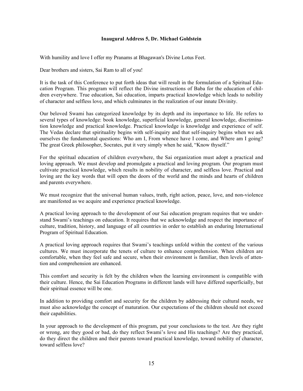#### **Inaugural Address 5, Dr. Michael Goldstein**

With humility and love I offer my Pranams at Bhagawan's Divine Lotus Feet.

Dear brothers and sisters, Sai Ram to all of you!

It is the task of this Conference to put forth ideas that will result in the formulation of a Spiritual Education Program. This program will reflect the Divine instructions of Baba for the education of children everywhere. True education, Sai education, imparts practical knowledge which leads to nobility of character and selfless love, and which culminates in the realization of our innate Divinity.

Our beloved Swami has categorized knowledge by its depth and its importance to life. He refers to several types of knowledge: book knowledge, superficial knowledge, general knowledge, discrimination knowledge and practical knowledge. Practical knowledge is knowledge and experience of self. The Vedas declare that spirituality begins with self-inquiry and that self-inquiry begins when we ask ourselves the fundamental questions: Who am I, From whence have I come, and Where am I going? The great Greek philosopher, Socrates, put it very simply when he said, "Know thyself."

For the spiritual education of children everywhere, the Sai organization must adopt a practical and loving approach. We must develop and promulgate a practical and loving program. Our program must cultivate practical knowledge, which results in nobility of character, and selfless love. Practical and loving are the key words that will open the doors of the world and the minds and hearts of children and parents everywhere.

We must recognize that the universal human values, truth, right action, peace, love, and non-violence are manifested as we acquire and experience practical knowledge.

A practical loving approach to the development of our Sai education program requires that we understand Swami's teachings on education. It requires that we acknowledge and respect the importance of culture, tradition, history, and language of all countries in order to establish an enduring International Program of Spiritual Education.

A practical loving approach requires that Swami's teachings unfold within the context of the various cultures. We must incorporate the tenets of culture to enhance comprehension. When children are comfortable, when they feel safe and secure, when their environment is familiar, then levels of attention and comprehension are enhanced.

This comfort and security is felt by the children when the learning environment is compatible with their culture. Hence, the Sai Education Programs in different lands will have differed superficially, but their spiritual essence will be one.

In addition to providing comfort and security for the children by addressing their cultural needs, we must also acknowledge the concept of maturation. Our expectations of the children should not exceed their capabilities.

In your approach to the development of this program, put your conclusions to the test. Are they right or wrong, are they good or bad, do they reflect Swami's love and His teachings? Are they practical, do they direct the children and their parents toward practical knowledge, toward nobility of character, toward selfless love?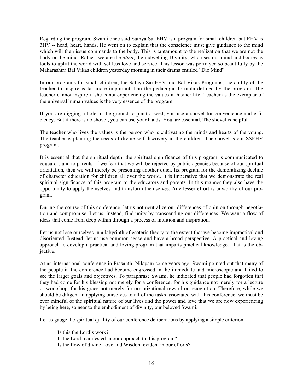Regarding the program, Swami once said Sathya Sai EHV is a program for small children but EHV is 3HV -- head, heart, hands. He went on to explain that the conscience must give guidance to the mind which will then issue commands to the body. This is tantamount to the realization that we are not the body or the mind. Rather, we are the *atma*, the indwelling Divinity, who uses our mind and bodies as tools to uplift the world with selfless love and service. This lesson was portrayed so beautifully by the Maharashtra Bal Vikas children yesterday morning in their drama entitled "Die Mind"

In our programs for small children, the Sathya Sai EHV and Bal Vikas Programs, the ability of the teacher to inspire is far more important than the pedagogic formula defined by the program. The teacher cannot inspire if she is not experiencing the values in his/her life. Teacher as the exemplar of the universal human values is the very essence of the program.

If you are digging a hole in the ground to plant a seed, you use a shovel for convenience and efficiency. But if there is no shovel, you can use your hands. You are essential. The shovel is helpful.

The teacher who lives the values is the person who is cultivating the minds and hearts of the young. The teacher is planting the seeds of divine self-discovery in the children. The shovel is our SSEHV program.

It is essential that the spiritual depth, the spiritual significance of this program is communicated to educators and to parents. If we fear that we will be rejected by public agencies because of our spiritual orientation, then we will merely be presenting another quick fix program for the demoralizing decline of character education for children all over the world. It is imperative that we demonstrate the real spiritual significance of this program to the educators and parents. In this manner they also have the opportunity to apply themselves and transform themselves. Any lesser effort is unworthy of our program.

During the course of this conference, let us not neutralize our differences of opinion through negotiation and compromise. Let us, instead, find unity by transcending our differences. We want a flow of ideas that come from deep within through a process of intuition and inspiration.

Let us not lose ourselves in a labyrinth of esoteric theory to the extent that we become impractical and disoriented. Instead, let us use common sense and have a broad perspective. A practical and loving approach to develop a practical and loving program that imparts practical knowledge. That is the objective.

At an international conference in Prasanthi Nilayam some years ago, Swami pointed out that many of the people in the conference had become engrossed in the immediate and microscopic and failed to see the larger goals and objectives. To paraphrase Swami, he indicated that people had forgotten that they had come for his blessing not merely for a conference, for his guidance not merely for a lecture or workshop, for his grace not merely for organizational reward or recognition. Therefore, while we should be diligent in applying ourselves to all of the tasks associated with this conference, we must be ever mindful of the spiritual nature of our lives and the power and love that we are now experiencing by being here, so near to the embodiment of divinity, our beloved Swami.

Let us gauge the spiritual quality of our conference deliberations by applying a simple criterion:

Is this the Lord's work? Is the Lord manifested in our approach to this program? Is the flow of divine Love and Wisdom evident in our efforts?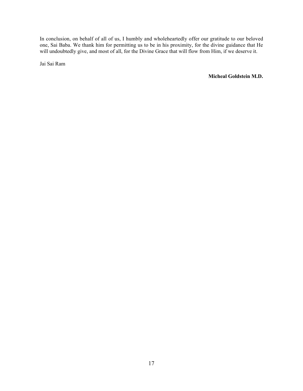In conclusion, on behalf of all of us, I humbly and wholeheartedly offer our gratitude to our beloved one, Sai Baba. We thank him for permitting us to be in his proximity, for the divine guidance that He will undoubtedly give, and most of all, for the Divine Grace that will flow from Him, if we deserve it.

Jai Sai Ram

 **Micheal Goldstein M.D.**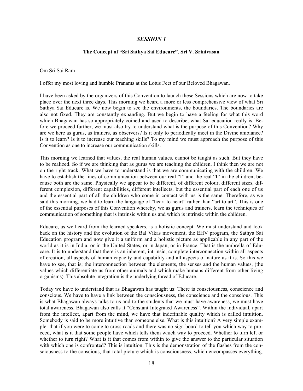#### *SESSION 1*

#### **The Concept of "Sri Sathya Sai Educare", Sri V. Srinivasan**

Om Sri Sai Ram

I offer my most loving and humble Pranams at the Lotus Feet of our Beloved Bhagawan.

I have been asked by the organizers of this Convention to launch these Sessions which are now to take place over the next three days. This morning we heard a more or less comprehensive view of what Sri Sathya Sai Educare is. We now begin to see the environments, the boundaries. The boundaries are also not fixed. They are constantly expanding. But we begin to have a feeling for what this word which Bhagawan has so appropriately coined and used to describe, what Sai education really is. Before we proceed further, we must also try to understand what is the purpose of this Convention? Why are we here as gurus, as trainers, as observers? Is it only to periodically meet in the Divine ambiance? Is it to learn? Is it to increase our teaching skills? To my mind we must approach the purpose of this Convention as one to increase our communication skills.

This morning we learned that values, the real human values, cannot be taught as such. But they have to be realized. So if we are thinking that as gurus we are teaching the children, I think then we are not on the right track. What we have to understand is that we are communicating with the children. We have to establish the lines of communication between our real "I" and the real "I" in the children, because both are the same. Physically we appear to be different, of different colour, different sizes, different complexion, different capabilities, different intellects, but the essential part of each one of us and the essential part of all the children who come in contact with us is the same. Therefore, as we said this morning, we had to learn the language of "heart to heart" rather than "art to art". This is one of the essential purposes of this Convention whereby, we as gurus and trainers, learn the techniques of communication of something that is intrinsic within us and which is intrinsic within the children.

Educare, as we heard from the learned speakers, is a holistic concept. We must understand and look back on the history and the evolution of the Bal Vikas movement, the EHV program, the Sathya Sai Education program and now give it a uniform and a holistic picture as applicable in any part of the world as it is in India, or in the United States, or in Japan, or in France. That is the umbrella of Educare. It is to understand that there is an inherent, intrinsic, complete interconnection within all aspects of creation, all aspects of human capacity and capability and all aspects of nature as it is. So this we have to see, that is; the interconnection between the elements, the senses and the human values, (the values which differentiate us from other animals and which make humans different from other living organisms). This absolute integration is the underlying thread of Educare.

Today we have to understand that as Bhagawan has taught us: There is consciousness, conscience and conscious. We have to have a link between the consciousness, the conscience and the conscious. This is what Bhagawan always talks to us and to the students that we must have awareness, we must have total awareness. Bhagawan also calls it "Constant Integrated Awareness". Within the individual, apart from the intellect, apart from the mind, we have that indefinable quality which is called intuition. Somebody is said to be more intuitive than someone else. What is this intuition? A very simple example: that if you were to come to cross roads and there was no sign board to tell you which way to proceed, what is it that some people have which tells them which way to proceed. Whether to turn left or whether to turn right? What is it that comes from within to give the answer to the particular situation with which one is confronted? This is intuition. This is the demonstration of the flashes from the consciousness to the conscious, that total picture which is consciousness, which encompasses everything.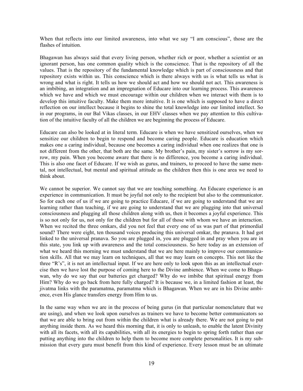When that reflects into our limited awareness, into what we say "I am conscious", those are the flashes of intuition.

Bhagawan has always said that every living person, whether rich or poor, whether a scientist or an ignorant person, has one common quality which is the conscience. That is the repository of all the values. That is the repository of the fundamental knowledge which is part of consciousness and that repository exists within us. This conscience which is there always with us is what tells us what is wrong and what is right. It tells us how we should act and how we should not act. This awareness is an imbibing, an integration and an impregnation of Educare into our learning process. This awareness which we have and which we must encourage within our children when we interact with them is to develop this intuitive faculty. Make them more intuitive. It is one which is supposed to have a direct reflection on our intellect because it begins to shine the total knowledge into our limited intellect. So in our programs, in our Bal Vikas classes, in our EHV classes when we pay attention to this cultivation of the intuitive faculty of all the children we are beginning the process of Educare.

Educare can also be looked at in literal term. Educare is when we have sensitized ourselves, when we sensitize our children to begin to respond and become caring people. Educare is education which makes one a caring individual, because one becomes a caring individual when one realizes that one is not different from the other, that both are the same. My brother's pain, my sister's sorrow is my sorrow, my pain. When you become aware that there is no difference, you become a caring individual. This is also one facet of Educare. If we wish as gurus, and trainers, to proceed to have the same mental, not intellectual, but mental and spiritual attitude as the children then this is one area we need to think about.

We cannot be superior. We cannot say that we are teaching something. An Educare experience is an experience in communication. It must be joyful not only to the recipient but also to the communicator. So for each one of us if we are going to practice Educare, if we are going to understand that we are learning rather than teaching, if we are going to understand that we are plugging into that universal consciousness and plugging all those children along with us, then it becomes a joyful experience. This is so not only for us, not only for the children but for all of those with whom we have an interaction. When we recited the three omkars, did you not feel that every one of us was part of that primordial sound? There were eight, ten thousand voices producing this universal omkar, the pranava. It had got linked to the universal pranava. So you are plugged in, you are plugged in and pray when you are in this state, you link up with awareness and the total consciousness. So here today as an extension of what we heard this morning we must understand that we are here mainly to improve our communication skills. All that we may learn on techniques, all that we may learn on concepts. This not like the three "R's", it is not an intellectual input. If we are here only to look upon this as an intellectual exercise then we have lost the purpose of coming here to the Divine ambience. When we come to Bhagawan, why do we say that our batteries get charged? Why do we imbibe that spiritual energy from Him? Why do we go back from here fully charged? It is because we, in a limited fashion at least, the jivatma links with the paramatma, paramatma which is Bhagawan. When we are in his Divine ambience, even His glance transfers energy from Him to us.

In the same way when we are in the process of being gurus (in that particular nomenclature that we are using), and when we look upon ourselves as trainers we have to become better communicators so that we are able to bring out from within the children what is already there. We are not going to put anything inside them. As we heard this morning that, it is only to unleash, to enable the latent Divinity with all its facets, with all its capabilities, with all its energies to begin to spring forth rather than our putting anything into the children to help them to become more complete personalities. It is my submission that every guru must benefit from this kind of experience. Every lesson must be an ultimate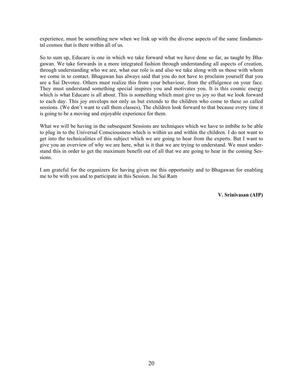experience, must be something new when we link up with the diverse aspects of the same fundamental cosmos that is there within all of us.

So to sum up, Educare is one in which we take forward what we have done so far, as taught by Bhagawan. We take forwards in a more integrated fashion through understanding all aspects of creation, through understanding who we are, what our role is and also we take along with us those with whom we come in to contact. Bhagawan has always said that you do not have to proclaim yourself that you are a Sai Devotee. Others must realize this from your behaviour, from the effulgence on your face. They must understand something special inspires you and motivates you. It is this cosmic energy which is what Educare is all about. This is something which must give us joy so that we look forward to each day. This joy envelops not only us but extends to the children who come to these so called sessions. (We don't want to call them classes), The children look forward to that because every time it is going to be a moving and enjoyable experience for them.

What we will be having in the subsequent Sessions are techniques which we have to imbibe to be able to plug in to the Universal Consciousness which is within us and within the children. I do not want to get into the technicalities of this subject which we are going to hear from the experts. But I want to give you an overview of why we are here, what is it that we are trying to understand. We must understand this in order to get the maximum benefit out of all that we are going to hear in the coming Sessions.

I am grateful for the organizers for having given me this opportunity and to Bhagawan for enabling me to be with you and to participate in this Session. Jai Sai Ram

**V. Srinivasan (AIP)**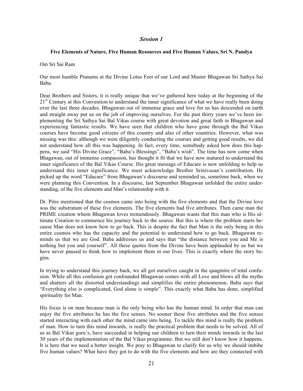#### *Session 1*

#### **Five Elements of Nature, Five Human Resources and Five Human Values, Sri N. Pandya**

Om Sri Sai Ram

Our most humble Pranams at the Divine Lotus Feet of our Lord and Master Bhagawan Sri Sathya Sai Baba.

Dear Brothers and Sisters, it is really unique that we've gathered here today at the beginning of the  $21<sup>st</sup>$  Century at this Convention to understand the inner significance of what we have really been doing over the last three decades. Bhagawan out of immense grace and love for us has descended on earth and straight away put us on the job of improving ourselves. For the past thirty years we've been implementing the Sri Sathya Sai Bal Vikas course with great devotion and great faith in Bhagawan and experiencing fantastic results. We have seen that children who have gone through the Bal Vikas courses have become good citizens of this country and also of other countries. However, what was missing was this: although we were diligently conducting the courses and getting good results, we did not understand how all this was happening. In fact, every time, somebody asked how does this happens, we said "His Divine Grace", "Baba's Blessings", "Baba's wish". The time has now come when Bhagawan, out of immense compassion, has thought it fit that we have now matured to understand the inner significance of the Bal Vikas Course. His great message of Educare is now unfolding to help us understand this inner significance. We must acknowledge Brother Srinivasan's contribution. He picked up the word "Educare" from Bhagawan's discourse and reminded us, sometime back, when we were planning this Convention. In a discourse, last September Bhagawan unfolded the entire understanding, of the five elements and Man's relationship with it.

Dr. Pitre mentioned that the cosmos came into being with the five elements and that the Divine love was the substratum of these five elements. The five elements had five attributes. Then came man the PRIME creation whom Bhagawan loves tremendously. Bhagawan wants that this man who is His ultimate Creation to commence his journey back to the source. But this is where the problem starts because Man does not know how to go back. This is despite the fact that Man is the only being in this entire cosmos who has the capacity and the potential to understand how to go back. Bhagawan reminds us that we are God. Baba addresses us and says that "the distance between you and Me is nothing but you and yourself". All these quotes from the Divine have been applauded by us but we have never paused to think how to implement them in our lives. This is exactly where the story begins.

In trying to understand this journey back, we all got ourselves caught in the quagmire of total confusion. While all this confusion got confounded Bhagawan comes with all Love and blows all the myths and shatters all the distorted understandings and simplifies the entire phenomenon. Baba says that "Everything else is complicated, God alone is simple". This exactly what Baba has done, simplified spirituality for Man.

His focus is on man because man is the only being who has the human mind. In order that man can enjoy the five attributes he has the five senses. No sooner these five attributes and the five senses started interacting with each other the mind came into being. To tackle this mind is really the problem of man. How to turn this mind inwards, is really the practical problem that needs to be solved. All of us as Bal Vikas guru's, have succeeded in helping our children to turn their minds inwards in the last 30 years of the implementation of the Bal Vikas programme. But we still don't know how it happens. It is here that we need a better insight. We pray to Bhagawan to clarify for us why we should imbibe five human values? What have they got to do with the five elements and how are they connected with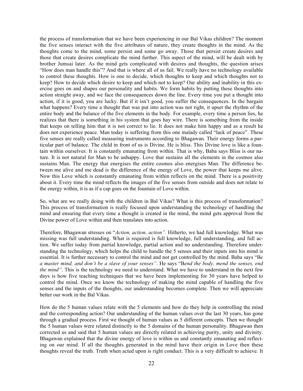the process of transformation that we have been experiencing in our Bal Vikas children? The moment the five senses interact with the five attributes of nature, they create thoughts in the mind. As the thoughts come to the mind, some persist and some go away. Those that persist create desires and those that create desires complicate the mind further. This aspect of the mind, will be dealt with by brother Jumsai later. As the mind gets complicated with desires and thoughts, the question arises "How does man handle this"? And that is where all of us fail. We really have no technology available to control these thoughts. How is one to decide, which thoughts to keep and which thoughts not to keep? How to decide which desire to keep and which not to keep? Our ability and inability in this exercise goes on and shapes our personality and habits. We form habits by putting these thoughts into action straight away, and we face the consequences down the line. Every time you put a thought into action, if it is good, you are lucky. But if it isn't good, you suffer the consequences. In the bargain what happens? Every time a thought that was put into action was not right, it upset the rhythm of the entire body and the balance of the five elements in the body. For example, every time a person lies, he realizes that there is something in his system that goes hay wire. There is something from the inside that keeps on telling him that it is not correct to lie. It does not make him happy and as a result he does not experience peace. Man today is suffering from this one malady called "lack of peace". These five senses are really called measuring instruments according to Bhagawan. Their energy forms a particular part of balance. The child in front of us is Divine. He is bliss. This Divine love is like a fountain within ourselves. It is constantly emanating from within. That is why, Baba says Bliss is our nature. It is not natural for Man to be unhappy. Love that sustains all the elements in the cosmos also sustains Man. The energy that energises the entire cosmos also energises Man. The difference between me alive and me dead is the difference of the energy of Love, the power that keeps me alive. Now this Love which is constantly emanating from within reflects on the mind. There is a positivity about it. Every time the mind reflects the images of the five senses from outside and does not relate to the energy within, it is as if a cap goes on the fountain of Love within.

So, what are we really doing with the children in Bal Vikas? What is this process of transformation? This process of transformation is really focused upon understanding the technology of handling the mind and ensuring that every time a thought is created in the mind, the mind gets approval from the Divine power of Love within and then translates into action.

Therefore, Bhagawan stresses on "*Action, action, action".* Hitherto, we had full knowledge. What was missing was full understanding. What is required is full knowledge, full understanding, and full action. We suffer today from partial knowledge, partial action and no understanding. Therefore understanding the technology, which helps the child to handle the 5 senses and their inputs into his mind is essential. It is further necessary to control the mind and not get controlled by the mind. Baba says "B*e a master mind, and don't be a slave of your senses"*. He says "B*end the body, mend the senses, end the mind"*. This is the technology we need to understand. What we have to understand in the next few days is how five teaching techniques that we have been implementing for 30 years have helped to control the mind. Once we know the technology of making the mind capable of handling the five senses and the inputs of the thoughts, our understanding becomes complete. Then we will appreciate better our work in the Bal Vikas.

How do the 5 human values relate with the 5 elements and how do they help in controlling the mind and the corresponding action? Our understanding of the human values over the last 30 years, has gone through a gradual process. First we thought of human values as 5 different concepts. Then we thought the 5 human values were related distinctly to the 5 domains of the human personality. Bhagawan then corrected us and said that 5 human values are directly related in achieving purity, unity and divinity. Bhagawan explained that the divine energy of love is within us and constantly emanating and reflecting on our mind. If all the thoughts generated in the mind have their origin in Love then these thoughts reveal the truth. Truth when acted upon is right conduct. This is a very difficult to achieve. It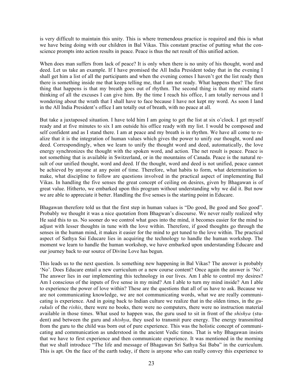is very difficult to maintain this unity. This is where tremendous practice is required and this is what we have being doing with our children in Bal Vikas. This constant practise of putting what the conscience prompts into action results in peace. Peace is thus the net result of this unified action.

When does man suffers from lack of peace? It is only when there is no unity of his thought, word and deed. Let us take an example. If I have promised the All India President today that in the evening I shall get him a list of all the participants and when the evening comes I haven't got the list ready then there is something inside me that keeps telling me, that I am not ready. What happens then? The first thing that happens is that my breath goes out of rhythm. The second thing is that my mind starts thinking of all the excuses I can give him. By the time I reach his office, I am totally nervous and I wondering about the wrath that I shall have to face because I have not kept my word. As soon I land in the All India President's office I am totally out of breath, with no peace at all.

But take a juxtaposed situation. I have told him I am going to get the list at six o'clock. I get myself ready and at five minutes to six I am outside his office ready with my list. I would be composed and self confident and as I stand there. I am at peace and my breath is in rhythm. We have all come to realize that it is the integration of human values which gives the power to unify our thought, word and deed. Correspondingly, when we learn to unify the thought word and deed, automatically, the love energy synchronizes the thought with the spoken word, and action. The net result is peace. Peace is not something that is available in Switzerland, or in the mountains of Canada. Peace is the natural result of our unified thought, word and deed. If the thought, word and deed is not unified, peace cannot be achieved by anyone at any point of time. Therefore, what habits to form, what determination to make, what discipline to follow are questions involved in the practical aspect of implementing Bal Vikas. In handling the five senses the great concept of ceiling on desires, given by Bhagawan is of great value. Hitherto, we embarked upon this program without understanding why we did it. But now we are able to appreciate it better. Handling the five senses is the starting point in Educare.

Bhagawan therefore told us that the first step in human values is "Do good, Be good and See good". Probably we thought it was a nice quotation from Bhagwan's discourse. We never really realized why He said this to us. No sooner do we control what goes into the mind, it becomes easier for the mind to adjust with lesser thoughts in tune with the love within. Therefore, if good thoughts go through the senses in the human mind, it makes it easier for the mind to get tuned to the love within. The practical aspect of Sathya Sai Educare lies in acquiring the technology to handle the human workshop. The moment we learn to handle the human workshop, we have embarked upon understanding Educare and our journey back to our source of Divine Love has begun.

This leads us to the next question. Is something new happening in Bal Vikas? The answer is probably 'No'. Does Educare entail a new curriculum or a new course content? Once again the answer is 'No'. The answer lies in our implementing this technology in our lives. Am I able to control my desires? Am I conscious of the inputs of five sense in my mind? Am I able to turn my mind inside? Am I able to experience the power of love within? These are the questions that all of us have to ask. Because we are not communicating knowledge, we are not communicating words, what we are really communicating is experience. And in going back to Indian culture we realize that in the olden times, in the *gurukuls* of the *rishis*, there were no books, there were no computers, there were no instruction material available in those times. What used to happen was, the guru used to sit in front of the *shishya* (student) and between the guru and *shishya*, they used to transmit pure energy. The energy transmitted from the guru to the child was born out of pure experience. This was the holistic concept of communicating and communication as understood in the ancient Vedic times. That is why Bhagawan insists that we have to first experience and then communicate experience. It was mentioned in the morning that we shall introduce "The life and message of Bhagawan Sri Sathya Sai Baba" in the curriculum. This is apt. On the face of the earth today, if there is anyone who can really convey this experience to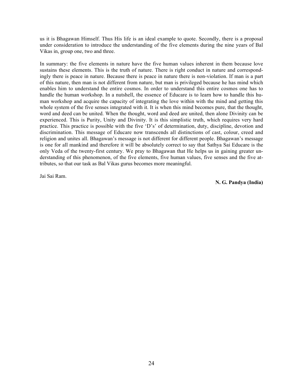us it is Bhagawan Himself. Thus His life is an ideal example to quote. Secondly, there is a proposal under consideration to introduce the understanding of the five elements during the nine years of Bal Vikas in, group one, two and three.

In summary: the five elements in nature have the five human values inherent in them because love sustains these elements. This is the truth of nature. There is right conduct in nature and correspondingly there is peace in nature. Because there is peace in nature there is non-violation. If man is a part of this nature, then man is not different from nature, but man is privileged because he has mind which enables him to understand the entire cosmos. In order to understand this entire cosmos one has to handle the human workshop. In a nutshell, the essence of Educare is to learn how to handle this human workshop and acquire the capacity of integrating the love within with the mind and getting this whole system of the five senses integrated with it. It is when this mind becomes pure, that the thought, word and deed can be united. When the thought, word and deed are united, then alone Divinity can be experienced. This is Purity, Unity and Divinity. It is this simplistic truth, which requires very hard practice. This practice is possible with the five 'D's' of determination, duty, discipline, devotion and discrimination. This message of Educare now transcends all distinctions of cast, colour, creed and religion and unites all. Bhagawan's message is not different for different people. Bhagawan's message is one for all mankind and therefore it will be absolutely correct to say that Sathya Sai Educare is the only Veda of the twenty-first century. We pray to Bhagawan that He helps us in gaining greater understanding of this phenomenon, of the five elements, five human values, five senses and the five attributes, so that our task as Bal Vikas gurus becomes more meaningful.

Jai Sai Ram.

**N. G. Pandya (India)**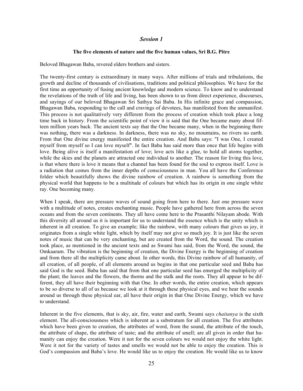#### *Session 1*

#### **The five elements of nature and the five human values, Sri B.G. Pitre**

Beloved Bhagawan Baba, revered elders brothers and sisters.

The twenty-first century is extraordinary in many ways. After millions of trials and tribulations, the growth and decline of thousands of civilisations, traditions and political philosophies. We have for the first time an opportunity of fusing ancient knowledge and modern science. To know and to understand the revelations of the truth of life and living, has been shown to us from direct experience, discourses, and sayings of our beloved Bhagawan Sri Sathya Sai Baba. In His infinite grace and compassion, Bhagawan Baba, responding to the call and cravings of devotees, has manifested from the unmanifest. This process is not qualitatively very different from the process of creation which took place a long time back in history. From the scientific point of view it is said that the One became many about fifteen million years back. The ancient texts say that the One became many, when in the beginning there was nothing, there was a darkness. In darkness, there was no sky, no mountains, no rivers no earth. From that One divine energy manifested the entire creation. And Baba says: "I was One, I created myself from myself so I can love myself". In fact Baba has said more than once that life begins with love. Being alive is itself a manifestation of love; love acts like a glue, to hold all atoms together, while the skies and the planets are attracted one individual to another. The reason for living this love, is that where there is love it means that a channel has been found for the soul to express itself. Love is a radiation that comes from the inner depths of consciousness in man. You all have the Conference folder which beautifully shows the divine rainbow of creation. A rainbow is something from the physical world that happens to be a multitude of colours but which has its origin in one single white ray. One becoming many.

When I speak, there are pressure waves of sound going from here to there. Just one pressure wave with a multitude of notes, creates enchanting music. People have gathered here from across the seven oceans and from the seven continents. They all have come here to the Prasanthi Nilayam abode. With this diversity all around us it is important for us to understand the essence which is the unity which is inherent in all creation. To give an example; like the rainbow, with many colours that gives us joy, it originates from a single white light, which by itself may not give so much joy. It is just like the seven notes of music that can be very enchanting, but are created from the Word, the sound. The creation took place, as mentioned in the ancient texts and as Swami has said, from the Word, the sound, the Omkaaram. The vibration is the beginning of creation, the Divine Energy is the beginning of creation and from there all the multiplicity came about. In other words, this Divine rainbow of all humanity, of all creation, of all people, of all elements around us begins in that one particular seed and Baba has said God is the seed. Baba has said that from that one particular seed has emerged the multiplicity of the plant; the leaves and the flowers, the thorns and the stalk and the roots. They all appear to be different, they all have their beginning with that One. In other words, the entire creation, which appears to be so diverse to all of us because we look at it through these physical eyes, and we hear the sounds around us through these physical ear, all have their origin in that One Divine Energy, which we have to understand.

Inherent in the five elements, that is sky, air, fire, water and earth, Swami says *chaitanya* is the sixth element. The all-consciousness which is inherent as a substratum for all creation. The five attributes which have been given to creation, the attributes of word, from the sound, the attribute of the touch, the attribute of shape, the attribute of taste; and the attribute of smell; are all given in order that humanity can enjoy the creation. Were it not for the seven colours we would not enjoy the white light. Were it not for the variety of tastes and smells we would not be able to enjoy the creation. This is God's compassion and Baba's love. He would like us to enjoy the creation. He would like us to know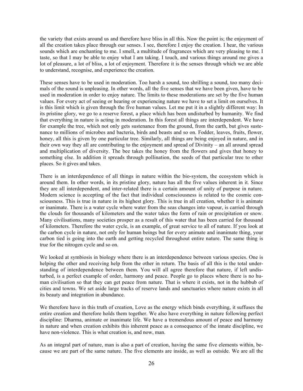the variety that exists around us and therefore have bliss in all this. Now the point is; the enjoyment of all the creation takes place through our senses. I see, therefore I enjoy the creation. I hear, the various sounds which are enchanting to me. I smell, a multitude of fragrances which are very pleasing to me. I taste, so that I may be able to enjoy what I am taking. I touch, and various things around me gives a lot of pleasure, a lot of bliss, a lot of enjoyment. Therefore it is the senses through which we are able to understand, recognise, and experience the creation.

These senses have to be used in moderation. Too harsh a sound, too shrilling a sound, too many decimals of the sound is unpleasing. In other words, all the five senses that we have been given, have to be used in moderation in order to enjoy nature. The limits to these moderations are set by the five human values. For every act of seeing or hearing or experiencing nature we have to set a limit on ourselves. It is this limit which is given through the five human values. Let me put it in a slightly different way: In its pristine glory, we go to a reserve forest, a place which has been undisturbed by humanity. We find that everything in nature is acting in moderation. In this forest all things are interdependent. We have for example the tree, which not only gets sustenance from the ground, from the earth, but gives sustenance to millions of microbes and bacteria, birds and beasts and so on. Fodder, leaves, fruits, flower, honey, all this is given by one particular tree. Similarly, all things are being enjoyed in nature, and in their own way they all are contributing to the enjoyment and spread of Divinity – an all around spread and multiplication of diversity. The bee takes the honey from the flowers and gives that honey to something else. In addition it spreads through pollination, the seeds of that particular tree to other places. So it gives and takes.

There is an interdependence of all things in nature within the bio-system, the ecosystem which is around them. In other words, in its pristine glory, nature has all the five values inherent in it. Since they are all interdependent, and inter-related there is a certain amount of unity of purpose in nature. Modern science is accepting of the fact that individual consciousness is related to the cosmic consciousness. This is true in nature in its highest glory. This is true in all creation, whether it is animate or inanimate. There is a water cycle where water from the seas changes into vapour, is carried through the clouds for thousands of kilometers and the water takes the form of rain or precipitation or snow. Many civilisations, many societies prosper as a result of this water that has been carried for thousand of kilometers. Therefore the water cycle, is an example, of great service to all of nature. If you look at the carbon cycle in nature, not only for human beings but for every animate and inanimate thing, your carbon tied is going into the earth and getting recycled throughout entire nature. The same thing is true for the nitrogen cycle and so on.

We looked at symbiosis in biology where there is an interdependence between various species. One is helping the other and receiving help from the other in return. The basis of all this is the total understanding of interdependence between them. You will all agree therefore that nature, if left undisturbed, is a perfect example of order, harmony and peace. People go to places where there is no human civilisation so that they can get peace from nature. That is where it exists, not in the hubbub of cities and towns. We set aside large tracks of reserve lands and sanctuaries where nature exists in all its beauty and integration in abundance.

We therefore have in this truth of creation, Love as the energy which binds everything, it suffuses the entire creation and therefore holds them together. We also have everything in nature following perfect discipline: Dharma, animate or inanimate life. We have a tremendous amount of peace and harmony in nature and when creation exhibits this inherent peace as a consequence of the innate discipline, we have non-violence. This is what creation is, and now, man.

As an integral part of nature, man is also a part of creation, having the same five elements within, because we are part of the same nature. The five elements are inside, as well as outside. We are all the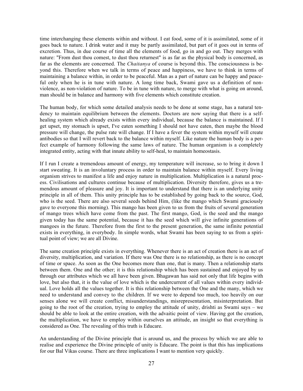time interchanging these elements within and without. I eat food, some of it is assimilated, some of it goes back to nature. I drink water and it may be partly assimilated, but part of it goes out in terms of excretion. Thus, in due course of time all the elements of food, go in and go out. They merges with nature: "From dust thou comest, to dust thou returnest" is as far as the physical body is concerned, as far as the elements are concerned. The *Chaitanya* of course is beyond this. The consciousness is beyond this. Therefore when we talk in terms of peace and happiness, we have to think in terms of maintaining a balance within, in order to be peaceful. Man as a part of nature can be happy and peaceful only when he is in tune with nature. A long time back, Swami gave us a definition of nonviolence, as non-violation of nature. To be in tune with nature, to merge with what is going on around, man should be in balance and harmony with five elements which constitute creation.

The human body, for which some detailed analysis needs to be done at some stage, has a natural tendency to maintain equilibrium between the elements. Doctors are now saying that there is a selfhealing system which already exists within every individual, because the balance is maintained. If I get upset, my stomach is upset, I've eaten something I should not have eaten, then maybe the blood pressure will change, the pulse rate will change. If I have a fever the system within myself will create antibodies so that I will revert back to the balance within myself. Like nature the human body is a perfect example of harmony following the same laws of nature. The human organism is a completely integrated entity, acting with that innate ability to self-heal, to maintain homeostasis.

If I run I create a tremendous amount of energy, my temperature will increase, so to bring it down I start sweating. It is an involuntary process in order to maintain balance within myself. Every living organism strives to manifest a life and enjoy nature in multiplication. Multiplication is a natural process. Civilisations and cultures continue because of multiplication. Diversity therefore, gives us a tremendous amount of pleasure and joy. It is important to understand that there is an underlying unity principle in all of them. This unity principle has to be established by going back to the source, God, who is the seed. There are also several seeds behind Him, (like the mango which Swami graciously gave to everyone this morning). This mango has been given to us from the fruits of several generation of mango trees which have come from the past. The first mango, God, is the seed and the mango given today has the same potential, because it has the seed which will give infinite generations of mangoes in the future. Therefore from the first to the present generation, the same infinite potential exists in everything, in everybody. In simple words, what Swami has been saying to us from a spiritual point of view; we are all Divine.

The same creation principle exists in everything. Whenever there is an act of creation there is an act of diversity, multiplication, and variation. If there was One there is no relationship, as there is no concept of time or space. As soon as the One becomes more than one, that is many. Then a relationship starts between them. One and the other; it is this relationship which has been sustained and enjoyed by us through our attributes which we all have been given. Bhagawan has said not only that life begins with love, but also that, it is the value of love which is the undercurrent of all values within every individual. Love holds all the values together. It is this relationship between the One and the many, which we need to understand and convey to the children. If we were to depend too much, too heavily on our senses alone we will create conflict, misunderstandings, misrepresentation, misinterpretation. But going to the root of the creation, trying to employ the attitude of unity, drishti as Swami says – we should be able to look at the entire creation, with the advaitic point of view. Having got the creation, the multiplication, we have to employ within ourselves an attitude, an insight so that everything is considered as One. The revealing of this truth is Educare.

An understanding of the Divine principle that is around us, and the process by which we are able to realise and experience the Divine principle of unity is Educare. The point is that this has implications for our Bal Vikas course. There are three implications I want to mention very quickly.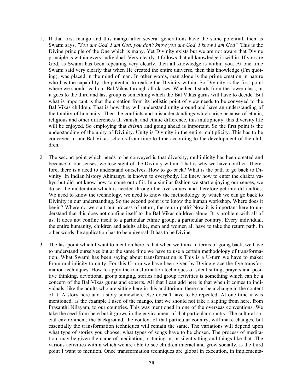- 1. If that first mango and this mango after several generations have the same potential, then as Swami says, *"You are God, I am God, you don't know you are God, I know I am God"*. This is the Divine principle of the One which is many. Yet Divinity exists but we are not aware that Divine principle is within every individual. Very clearly it follows that all knowledge is within. If you are God, as Swami has been repeating very clearly, then all knowledge is within you. At one time Swami said very clearly that when He created the entire universe, then this knowledge (I'm quoting), was placed in the mind of man. In other words, man alone is the prime creation in nature who has the capability, the potential to realise the Divinity within. So Divinity is the first point where we should lead our Bal Vikas through all classes. Whether it starts from the lower class, or it goes to the third and last group is something which the Bal Vikas gurus will have to decide. But what is important is that the creation from its holistic point of view needs to be conveyed to the Bal Vikas children. That is how they will understand unity around and have an understanding of the totality of humanity. Then the conflicts and misunderstandings which arise because of ethnic, religious and other differences all vanish, and ethnic difference, this multiplicity, this diversity life will be enjoyed. So employing that *drishti* and going ahead is important. So the first point is the understanding of the unity of Divinity. Unity is Divinity in the entire multiplicity. This has to be conveyed in our Bal Vikas schools from time to time according to the development of the children.
- 2 The second point which needs to be conveyed is that diversity, multiplicity has been created and because of our senses, we lose sight of the Divinity within. That is why we have conflict. Therefore, there is a need to understand ourselves. How to go back? What is the path to go back to Divinity. In Indian history Abimanyu is known to everybody. He knew how to enter the chakra vahyu but did not know how to come out of it. In a similar fashion we start enjoying our senses, we do set the moderation which is needed through the five values, and therefore get into difficulties. We need to know the technology, we need to know the methodology by which we can go back to Divinity in our understanding. So the second point is to know the human workshop. Where does it begin? Where do we start our process of return, the return path? Now it is important here to understand that this does not confine itself to the Bal Vikas children alone. It is problem with all of us. It does not confine itself to a particular ethnic group, a particular country; Every individual, the entire humanity, children and adults alike, men and women all have to take the return path. In other words the application has to be universal. It has to be Divine.
- 3 The last point which I want to mention here is that when we think in terms of going back, we have to understand ourselves but at the same time we have to use a certain methodology of transformation. What Swami has been saying about transformation is This is a U-turn we have to make: From multiplicity to unity. For this U-turn we have been given by Divine grace the five transformation techniques. How to apply the transformation techniques of silent sitting, prayers and positive thinking, devotional group singing, stories and group activities is something which can be a concern of the Bal Vikas gurus and experts. All that I can add here is that when it comes to individuals, like the adults who are sitting here in this auditorium, there can be a change in the content of it. A story here and a story somewhere else doesn't have to be repeated. At one time it was mentioned, as the example I used of the mango, that we should not take a sapling from here, from Prasanthi Nilayam, to our countries. This was mentioned in one of the overseas conventions. We take the seed from here but it grows in the environment of that particular country. The cultural social environment, the background, the context of that particular country, will make changes, but essentially the transformation techniques will remain the same. The variations will depend upon what type of stories you choose, what types of songs have to be chosen. The process of meditation, may be given the name of meditation, or tuning in, or silent sitting and things like that. The various activities within which we are able to see children interact and grow socially, is the third point I want to mention. Once transformation techniques are global in execution, in implementa-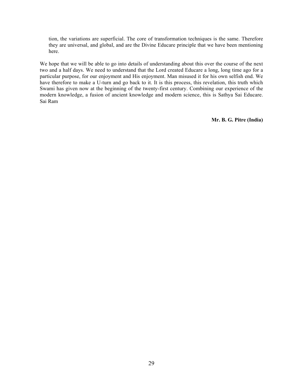tion, the variations are superficial. The core of transformation techniques is the same. Therefore they are universal, and global, and are the Divine Educare principle that we have been mentioning here.

We hope that we will be able to go into details of understanding about this over the course of the next two and a half days. We need to understand that the Lord created Educare a long, long time ago for a particular purpose, for our enjoyment and His enjoyment. Man misused it for his own selfish end. We have therefore to make a U-turn and go back to it. It is this process, this revelation, this truth which Swami has given now at the beginning of the twenty-first century. Combining our experience of the modern knowledge, a fusion of ancient knowledge and modern science, this is Sathya Sai Educare. Sai Ram

**Mr. B. G. Pitre (India)**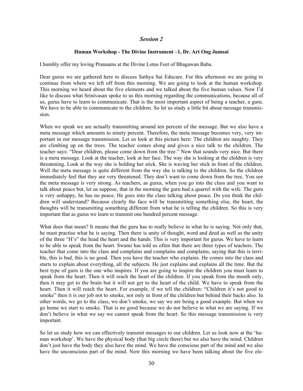#### *Session 2*

#### **Human Workshop - The Divine Instrument –1, Dr. Art Ong Jumsai**

I humbly offer my loving Pranaams at the Divine Lotus Feet of Bhagawan Baba.

Dear gurus we are gathered here to discuss Sathya Sai Educare. For this afternoon we are going to continue from where we left off from this morning. We are going to look at the human workshop. This morning we heard about the five elements and we talked about the five human values. Now I'd like to discuss what Srinivasan spoke to us this morning regarding the communications, because all of us, gurus have to learn to communicate. That is the most important aspect of being a teacher, a guru. We have to be able to communicate to the children. So let us study a little bit about message transmission.

When we speak we are actually transmitting around ten percent of the message. But we also have a meta message which amounts to ninety percent. Therefore, the meta message becomes very, very important in our message transmission. Let us look at this picture here: The children are naughty. They are climbing up on the trees. The teacher comes along and gives a nice talk to the children. The teacher says: "Dear children, please come down from the tree." Now that sounds very nice. But there is a meta message. Look at the teacher, look at her face. The way she is looking at the children is very threatening. Look at the way she is holding her stick. She is waving her stick in front of the children. Well the meta message is quite different from the way she is talking to the children. So the children immediately feel that they are very threatened. They don't want to come down from the tree. You see the meta message is very strong. As teachers, as gurus, when you go into the class and you want to talk about peace but, let us suppose, that in the morning the guru had a quarrel with the wife. The guru is very unhappy, he has no peace. He goes into the class talking about peace. Do you think the children will understand? Because clearly the face will be transmitting something else, the heart, the thoughts will be transmitting something different from what he is telling the children. So this is very important that as gurus we learn to transmit one hundred percent message.

What does that mean? It means that the guru has to really believe in what he is saying. Not only that, he must practise what he is saying. Then there is unity of thought, word and deed as well as the unity of the three "H's" the head the heart and the hands. This is very important for gurus. We have to learn to be able to speak from the heart. Swami has told us often that there are three types of teachers. The teacher that come into the class and complains and complains and complains, saying that this is terrible, this is bad, this is no good. Then you have the teacher who explains. He comes into the class and starts to explain about everything, all the subjects. He just explains and explains all the time. But the best type of guru is the one who inspires. If you are going to inspire the children you must learn to speak from the heart. Then it will reach the heart of the children. If you speak from the mouth only, then it may get to the brain but it will not get to the heart of the child. We have to speak from the heart. Then it will reach the heart. For example, if we tell the children: "Children it's not good to smoke" then it is our job not to smoke, not only in front of the children but behind their backs also. In other words, we go to the class, we don't smoke, we say we are being a good example. But when we go home we start to smoke. That is no good because we do not believe in what we are saying. If we don't believe in what we say we cannot speak from the heart. So this message transmission is very important.

So let us study how we can effectively transmit messages to our children. Let us look now at the 'human workshop'. We have the physical body (that big circle there) but we also have the mind. Children don't just have the body they also have the mind. We have the conscious part of the mind and we also have the unconscious part of the mind. Now this morning we have been talking about the five ele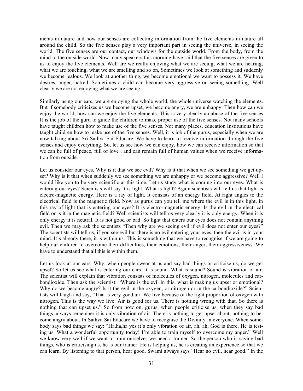ments in nature and how our senses are collecting information from the five elements in nature all around the child. So the five senses play a very important part in seeing the universe, in seeing the world. The five senses are our contact, our windows for the outside world. From the body, from the mind to the outside world. Now many speakers this morning have said that the five senses are given to us to enjoy the five elements. Well are we really enjoying what we are seeing, what we are hearing, what we are touching, what we are smelling and so on, Sometimes we look at something and suddenly we become jealous. We look at another thing, we become emotional we want to possess it. We have desires, anger, hatred. Sometimes a child can become very aggressive on seeing something. Well clearly we are not enjoying what we are seeing.

Similarly using our ears, we are enjoying the whole world, the whole universe watching the elements. But if somebody criticizes us we become upset, we become angry, we are unhappy. Then how can we enjoy the world, how can we enjoy the five elements. This is very clearly an abuse of the five senses It is the job of the guru to guide the children to make proper use of the five senses. Not many schools have taught children how to make use of the five senses. Not many places, education Institutions have taught children how to make use of the five senses. Well, it is job of the gurus, especially when we are now talking about Sri Sathya Sai Educare. We have to learn to receive information through the five senses and enjoy everything. So, let us see how we can enjoy, how we can receive information so that we can be full of peace, full of love , and can remain full of human values when we receive information from outside.

Let us consider our eyes. Why is it that we see evil? Why is it that when we see something we get upset? Why is it that when suddenly we see something we are unhappy or we become aggressive? Well I would like you to be very scientific at this time. Let us study what is coming into our eyes. What is entering our eyes? Scientists will say it is light. What is light? Again scientists will tell us that light is electro-magnetic energy. Here is a ray of light. It consists of an energy field. At right angles to the electrical field is the magnetic field. Now as gurus can you tell me where the evil is in this light, in this ray of light that is entering our eyes? It is electro-magnetic energy. Is the evil in the electrical field or is it in the magnetic field? Well scientists will tell us very clearly it is only energy. When it is only energy it is neutral. It is not good or bad. So light that enters our eyes does not contain anything evil. Then we may ask the scientists "Then why are we seeing evil if evil does not enter our eyes?" The scientists will tell us, if you see evil but there is no evil entering your eyes, then the evil is in your mind. It's already there, it is within us. This is something that we have to recognise if we are going to help our children to overcome their difficulties, their emotions, their anger, their aggressiveness. We have to understand that all this is within them.

Let us look at our ears. Why, when people swear at us and say bad things or criticise us, do we get upset? So let us see what is entering our ears. It is sound. What is sound? Sound is vibration of air. The scientist will explain that vibration consists of molecules of oxygen, nitrogen, molecules and carbondioxide. Then ask the scientist: "Where is the evil in this, what is making us upset or emotional? Why do we become angry? Is it the evil in the oxygen, or nitrogen or in the carbondioxide?" Scientists will laugh and say, "That is very good air. We live because of the right proportion of oxygen with nitrogen. This is the way we live. Air is good for us. There is nothing wrong with that. So there is nothing that can upset us." So from now on, gurus, when people criticise us, when they say bad things, always remember it is only vibration of air. There is nothing to get upset about, nothing to become angry about. In Sathya Sai Educare we have to recognise the Divinity in everyone. When somebody says bad things we say: "Ha,ha,ha yes it's only vibration of air, ah, ah, God is there, He is testing us. What a wonderful opportunity today! I'm able to train myself to overcome my anger." Well we know very well if we want to train ourselves we need a trainer. So the person who is saying bad things, who is criticising us, he is our trainer. He is helping us, he is creating an experience so that we can learn. By listening to that person, hear good. Swami always says "Hear no evil, hear good." In the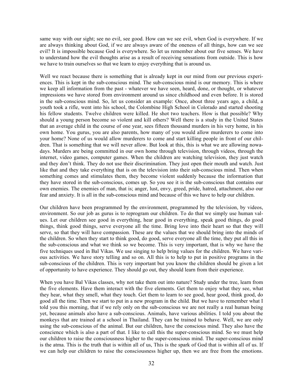same way with our sight; see no evil, see good. How can we see evil, when God is everywhere. If we are always thinking about God, if we are always aware of the oneness of all things, how can we see evil? It is impossible because God is everywhere. So let us remember about our five senses. We have to understand how the evil thoughts arise as a result of receiving sensations from outside. This is how we have to train ourselves so that we learn to enjoy everything that is around us.

Well we react because there is something that is already kept in our mind from our previous experiences. This is kept in the sub-conscious mind. The sub-conscious mind is our memory. This is where we keep all information from the past - whatever we have seen, heard, done, or thought, or whatever impressions we have stored from environment around us since childhood and even before. It is stored in the sub-conscious mind. So, let us consider an example: Once, about three years ago, a child, a youth took a rifle, went into his school, the Colombine High School in Colorado and started shooting his fellow students. Twelve children were killed. He shot two teachers. How is that possible? Why should a young person become so violent and kill others? Well there is a study in the United States that an average child in the course of one year, sees fifteen thousand murders in his very home, in his own home. You gurus, you are also parents, how many of you would allow murderers to come into your home? None of us would allow murderers to come and start killing people in front of our children. That is something that we will never allow. But look at this, this is what we are allowing nowadays. Murders are being committed in our own home through television, through videos, through the internet, video games, computer games. When the children are watching television, they just watch and they don't think. They do not use their discrimination. They just open their mouth and watch. Just like that and they take everything that is on the television into their sub-conscious mind. Then when something comes and stimulates them, they become violent suddenly because the information that they have stored in the sub-conscious, comes up. So you see it is the sub-conscious that contains our own enemies. The enemies of man, that is; anger, lust, envy, greed, pride, hatred, attachment, also our fear and anxiety. It is all in the sub-conscious mind and because of this we have to help our children.

Our children have been programmed by the environment, programmed by the television, by videos, environment. So our job as gurus is to reprogram our children. To do that we simply use human values. Let our children see good in everything, hear good in everything, speak good things, do good things, think good things, serve everyone all the time. Bring love into their heart so that they will serve, so that they will have compassion. These are the values that we should bring into the minds of the children. So when they start to think good, do good, serve everyone all the time, they put all this in the sub-conscious and what we think so we become. This is very important, that is why we have the five techniques used in Bal Vikas. We use singing to help bring values for the children. We have various activities. We have story telling and so on. All this is to help to put in positive programs in the sub-conscious of the children. This is very important but you know the children should be given a lot of opportunity to have experience. They should go out, they should learn from their experience.

When you have Bal Vikas classes, why not take them out into nature? Study under the tree, learn from the five elements. Have them interact with the five elements. Get them to enjoy what they see, what they hear, what they smell, what they touch. Get them to learn to see good, hear good, think good, do good all the time. Then we start to put in a new program in the child. But we have to remember what I told you this morning, that if we rely only on the sub-conscious we are not really a real human being yet, because animals also have a sub-conscious. Animals, have various abilities. I told you about the monkeys that are trained at a school in Thailand. They can be trained to behave. Well, we are only using the sub-conscious of the animal. But our children, have the conscious mind. They also have the conscience which is also a part of that. I like to call this the super-conscious mind. So we must help our children to raise the consciousness higher to the super-conscious mind. The super-conscious mind is the atma. This is the truth that is within all of us, This is the spark of God that is within all of us. If we can help our children to raise the consciousness higher up, then we are free from the emotions.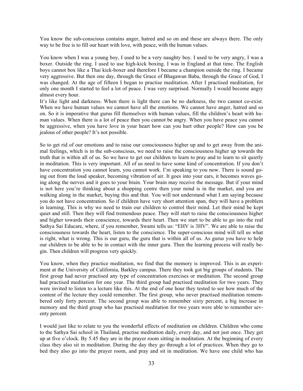You know the sub-conscious contains anger, hatred and so on and these are always there. The only way to be free is to fill our heart with love, with peace, with the human values.

You know when I was a young boy, I used to be a very naughty boy. I used to be very angry, I was a boxer. Outside the ring. I used to use high-kick boxing. I was in England at that time. The English boys cannot box like a Thai kick-boxer and therefore I became a champion outside the ring. I became very aggressive. But then one day, through the Grace of Bhagawan Baba, through the Grace of God, I was changed. At the age of fifteen I began to practise meditation. After I practised meditation, for only one month I started to feel a lot of peace. I was very surprised. Normally I would become angry almost every hour.

It's like light and darkness. When there is light there can be no darkness, the two cannot co-exist. When we have human values we cannot have all the emotions. We cannot have anger, hatred and so on. So it is imperative that gurus fill themselves with human values, fill the children's heart with human values. When there is a lot of peace then you cannot be angry. When you have peace you cannot be aggressive, when you have love in your heart how can you hurt other people? How can you be jealous of other people? It's not possible.

So to get rid of our emotions and to raise our consciousness higher up and to get away from the animal feelings, which is in the sub-conscious, we need to raise the consciousness higher up towards the truth that is within all of us. So we have to get our children to learn to pray and to learn to sit quietly in meditation. This is very important. All of us need to have some kind of concentration. If you don't have concentration you cannot learn, you cannot work. I'm speaking to you now. There is sound going out from the loud speaker, becoming vibration of air. It goes into your ears, it becomes waves going along the nerves and it goes to your brain. Your brain may receive the message. But if your mind is not here you're thinking about a shopping centre then your mind is in the market, and you are walking along in the market, buying this and that. You will not understand what I am saying because you do not have concentration. So if children have very short attention span, they will have a problem in learning. This is why we need to train our children to control their mind. Let their mind be kept quiet and still. Then they will find tremendous peace. They will start to raise the consciousness higher and higher towards their conscience, towards their heart. Then we start to be able to go into the real Sathya Sai Educare, where, if you remember, Swami tells us: "EHV is 3HV". We are able to raise the consciousness towards the heart, listen to the conscience. The super-conscious mind will tell us what is right, what is wrong. This is our guru, the guru that is within all of us. As gurus you have to help our children to be able to be in contact with the inner guru. Then the learning process will really begin. Then children will progress very quickly.

You know, when they practice meditation, we find that the memory is improved. This is an experiment at the University of California, Barkley campus. There they took got big groups of students. The first group had never practised any type of concentration exercises or meditation. The second group had practised meditation for one year. The third group had practised meditation for two years. They were invited to listen to a lecture like this. At the end of one hour they tested to see how much of the content of the lecture they could remember. The first group, who never practised meditation remembered only forty percent. The second group was able to remember sixty percent, a big increase in memory and the third group who has practised meditation for two years were able to remember seventy percent.

I would just like to relate to you the wonderful effects of meditation on children. Children who come to the Sathya Sai school in Thailand, practise meditation daily, every day, and not just once. They get up at five o'clock. By 5.45 they are in the prayer room sitting in meditation. At the beginning of every class they also sit in meditation. During the day they go through a lot of practices. When they go to bed they also go into the prayer room, and pray and sit in meditation. We have one child who has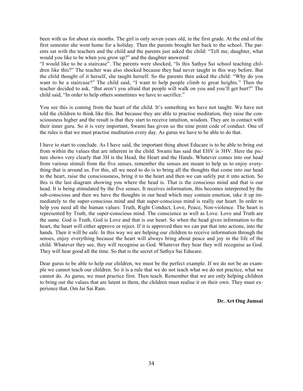been with us for about six months. The girl is only seven years old, in the first grade. At the end of the first semester she went home for a holiday. Then the parents brought her back to the school. The parents sat with the teachers and the child and the parents just asked the child: "Tell me, daughter, what would you like to be when you grow up?" and the daughter answered:

"I would like to be a staircase". The parents were shocked, "Is this Sathya Sai school teaching children like this?" The teacher was also shocked because they had never taught in this way before. But the child thought of it herself, she taught herself. So the parents then asked the child: "Why do you want to be a staircase?" The child said, "I want to help people climb to great heights." Then the teacher decided to ask, "But aren't you afraid that people will walk on you and you'll get hurt?" The child said, "In order to help others sometimes we have to sacrifice."

You see this is coming from the heart of the child. It's something we have not taught. We have not told the children to think like this. But because they are able to practise meditation, they raise the consciousness higher and the result is that they start to receive intuition, wisdom. They are in contact with their inner guru. So it is very important, Swami has given us the nine point code of conduct. One of the rules is that we must practise meditation every day. As gurus we have to be able to do that.

I have to start to conclude. As I have said, the important thing about Educare is to be able to bring out from within the values that are inherent in the child. Swami has said that EHV is 3HV. Here the picture shows very clearly that 3H is the Head, the Heart and the Hands. Whatever comes into our head from various stimuli from the five senses, remember the senses are meant to help us to enjoy everything that is around us. For this, all we need to do is to bring all the thoughts that come into our head to the heart, raise the consciousness, bring it to the heart and then we can safely put it into action. So this is the last diagram showing you where the head is. That is the conscious mind and that is our head. It is being stimulated by the five senses. It receives information, this becomes interpreted by the sub-conscious and then we have the thoughts in our head which may contain emotion, take it up immediately to the super-conscious mind and that super-conscious mind is really our heart. In order to help you need all the human values: Truth, Right Conduct, Love, Peace, Non-violence. The heart is represented by Truth, the super-conscious mind. The conscience as well as Love. Love and Truth are the same. God is Truth, God is Love and that is our heart. So when the head gives information to the heart, the heart will either approve or reject. If it is approved then we can put that into actions, into the hands. Then it will be safe. In this way we are helping our children to receive information through the senses, enjoy everything because the heart will always bring about peace and joy in the life of the child. Whatever they see, they will recognise as God. Whatever they hear they will recognise as God. They will hear good all the time. So that is the secret of Sathya Sai Educare.

Dear gurus to be able to help our children, we must be the perfect example. If we do not be an example we cannot teach our children. So it is a rule that we do not teach what we do not practice, what we cannot do. As gurus, we must practice first. Then teach. Remember that we are only helping children to bring out the values that are latent in them, the children must realise it on their own. They must experience that. Om Jai Sai Ram.

**Dr. Art Ong Jumsai**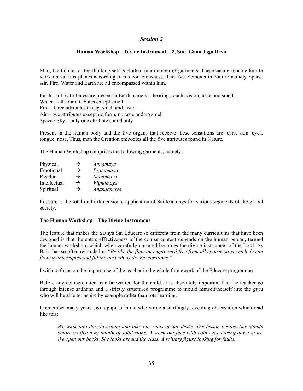# *Session 2*

## **Human Workshop – Divine Instrument – 2, Smt. Gana Jaga Deva**

Man, the thinker or the thinking self is clothed in a number of garments. These casings enable him to work on various planes according to his consciousness. The five elements in Nature namely Space, Air, Fire, Water and Earth are all encompassed within him.

Earth – all 5 attributes are present in Earth namely – hearing, touch, vision, taste and smell. Water – all four attributes except smell Fire – three attributes except smell and taste Air – two attributes except no form, no taste and no smell Space / Sky – only one attribute sound only

Present in the human body and the five organs that receive these sensations are: ears, skin, eyes, tongue, nose. Thus, man the Creation embodies all the five attributes found in Nature.

The Human Workshop comprises the following garments, namely:

| Physical     | →             | Annamaya   |
|--------------|---------------|------------|
| Emotional    | $\rightarrow$ | Pranamaya  |
| Psychic      | →             | Manomaya   |
| Intellectual | $\rightarrow$ | Vignamaya  |
| Spiritual    | $\rightarrow$ | Anandamaya |

Educare is the total multi-dimensional application of Sai teachings for various segments of the global society.

### **The Human Workshop – The Divine Instrument**

The feature that makes the Sathya Sai Educare so different from the many curriculums that have been designed is that the entire effectiveness of the course content depends on the human person, termed the human workshop, which when carefully nurtured becomes the divine instrument of the Lord. As Baba has so often reminded us "*Be like the flute an empty reed free from all egoism so my melody can flow un-interrupted and fill the air with its divine vibrations."*

I wish to focus on the importance of the teacher in the whole framework of the Educare programme.

Before any course content can be written for the child, it is absolutely important that the teacher go through intense sadhana and a strictly structured programme to mould himself/herself into the guru who will be able to inspire by example rather than rote learning.

I remember many years ago a pupil of mine who wrote a startlingly revealing observation which read like this:

*We walk into the classroom and take our seats at our desks. The lesson begins. She stands before us like a mountain of solid stone. A worn out face with cold eyes staring down at us. We open our books. She looks around the class. A solitary figure looking for faults.*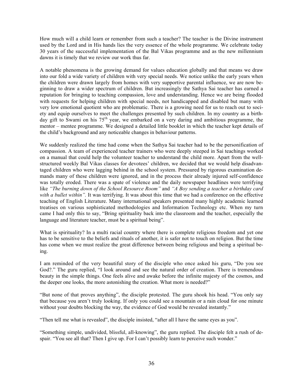How much will a child learn or remember from such a teacher? The teacher is the Divine instrument used by the Lord and in His hands lies the very essence of the whole programme. We celebrate today 30 years of the successful implementation of the Bal Vikas programme and as the new millennium dawns it is timely that we review our work thus far.

A notable phenomena is the growing demand for values education globally and that means we draw into our fold a wide variety of children with very special needs. We notice unlike the early years when the children were drawn largely from homes with very supportive parental influence, we are now beginning to draw a wider spectrum of children. But increasingly the Sathya Sai teacher has earned a reputation for bringing to teaching compassion, love and understanding. Hence we are being flooded with requests for helping children with special needs, not handicapped and disabled but many with very low emotional quotient who are problematic. There is a growing need for us to reach out to society and equip ourselves to meet the challenges presented by such children. In my country as a birthday gift to Swami on his 75<sup>th</sup> year, we embarked on a very daring and ambitious programme, the mentor – mentee programme. We designed a detailed little booklet in which the teacher kept details of the child's background and any noticeable changes in behaviour patterns.

We suddenly realized the time had come when the Sathya Sai teacher had to be the personification of compassion. A team of experienced teacher trainers who were deeply steeped in Sai teachings worked on a manual that could help the volunteer teacher to understand the child more. Apart from the wellstructured weekly Bal Vikas classes for devotees' children, we decided that we would help disadvantaged children who were lagging behind in the school system. Pressured by rigorous examination demands many of these children were ignored, and in the process their already injured self-confidence was totally eroded. There was a spate of violence and the daily newspaper headlines were terrifying like *"The burning down of the School Resource Room"* and *"A Boy sending a teacher a birthday card with a bullet within".* It was terrifying. It was about this time that we had a conference on the effective teaching of English Literature. Many international speakers presented many highly academic learned treatises on various sophisticated methodologies and Information Technology etc. When my turn came I had only this to say, "Bring spirituality back into the classroom and the teacher, especially the language and literature teacher, must be a spiritual being".

What is spirituality? In a multi racial country where there is complete religious freedom and yet one has to be sensitive to the beliefs and rituals of another, it is safer not to touch on religion. But the time has come when we must realize the great difference between being religious and being a spiritual being.

I am reminded of the very beautiful story of the disciple who once asked his guru, "Do you see God?." The guru replied, "I look around and see the natural order of creation. There is tremendous beauty in the simple things. One feels alive and awake before the infinite majesty of the cosmos, and the deeper one looks, the more astonishing the creation. What more is needed?"

"But none of that proves anything", the disciple protested. The guru shook his head. "You only say that because you aren't truly looking. If only you could see a mountain or a rain cloud for one minute without your doubts blocking the way, the evidence of God would be revealed instantly."

"Then tell me what is revealed", the disciple insisted, "after all I have the same eyes as you".

"Something simple, undivided, blissful, all-knowing", the guru replied. The disciple felt a rush of despair. "You see all that? Then I give up. For I can't possibly learn to perceive such wonder."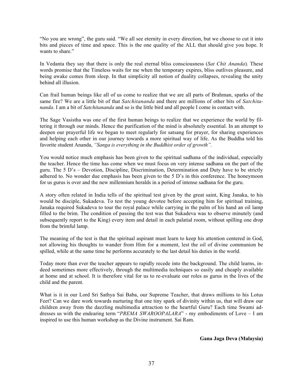"No you are wrong", the guru said. "We all see eternity in every direction, but we choose to cut it into bits and pieces of time and space. This is the one quality of the ALL that should give you hope. It wants to share."

In Vedanta they say that there is only the real eternal bliss consciousness (*Sat Chit Ananda*). These words promise that the Timeless waits for me when the temporary expires, bliss outlives pleasure, and being awake comes from sleep. In that simplicity all notion of duality collapses, revealing the unity behind all illusion.

Can frail human beings like all of us come to realize that we are all parts of Brahman, sparks of the same fire? We are a little bit of that *Satchitananda* and there are millions of other bits of *Satchitananda*. I am a bit of *Satchitananda* and so is the little bird and all people I come in contact with.

The Sage Vasistha was one of the first human beings to realize that we experience the world by filtering it through our minds. Hence the purification of the mind is absolutely essential. In an attempt to deepen our prayerful life we began to meet regularly for satsang for prayer, for sharing experiences and helping each other in our journey towards a more spiritual way of life. As the Buddha told his favorite student Ananda, *"Sanga is everything in the Buddhist order of growth".*

You would notice much emphasis has been given to the spiritual sadhana of the individual, especially the teacher. Hence the time has come when we must focus on very intense sadhana on the part of the guru. The 5 D's – Devotion, Discipline, Discrimination, Determination and Duty have to be strictly adhered to. No wonder due emphasis has been given to the 5 D's in this conference. The honeymoon for us gurus is over and the new millennium heralds in a period of intense sadhana for the guru.

A story often related in India tells of the spiritual test given by the great saint, King Janaka, to his would be disciple, Sukadeva. To test the young devotee before accepting him for spiritual training, Janaka required Sukadeva to tour the royal palace while carrying in the palm of his hand an oil lamp filled to the brim. The condition of passing the test was that Sukadeva was to observe minutely (and subsequently report to the King) every item and detail in each palatial room, without spilling one drop from the brimful lamp.

The meaning of the test is that the spiritual aspirant must learn to keep his attention centered in God, not allowing his thoughts to wander from Him for a moment, lest the oil of divine communion be spilled, while at the same time he performs accurately to the last detail his duties in the world.

Today more than ever the teacher appears to rapidly recede into the background. The child learns, indeed sometimes more effectively, through the multimedia techniques so easily and cheaply available at home and at school. It is therefore vital for us to re-evaluate our roles as gurus in the lives of the child and the parent.

What is it in our Lord Sri Sathya Sai Baba, our Supreme Teacher, that draws millions to his Lotus Feet? Can we dare work towards nurturing that one tiny spark of divinity within us, that will draw our children away from the dazzling multimedia attraction to the heartful Guru? Each time Swami addresses us with the endearing term "*PREMA SWAROOPALARA*" - my embodiments of Love – I am inspired to use this human workshop as the Divine instrument. Sai Ram.

**Gana Jaga Deva (Malaysia)**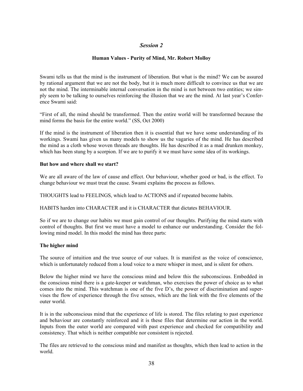# *Session 2*

## **Human Values - Purity of Mind, Mr. Robert Molloy**

Swami tells us that the mind is the instrument of liberation. But what is the mind? We can be assured by rational argument that we are not the body, but it is much more difficult to convince us that we are not the mind. The interminable internal conversation in the mind is not between two entities; we simply seem to be talking to ourselves reinforcing the illusion that we are the mind. At last year's Conference Swami said:

"First of all, the mind should be transformed. Then the entire world will be transformed because the mind forms the basis for the entire world." (SS, Oct 2000)

If the mind is the instrument of liberation then it is essential that we have some understanding of its workings. Swami has given us many models to show us the vagaries of the mind. He has described the mind as a cloth whose woven threads are thoughts. He has described it as a mad drunken monkey, which has been stung by a scorpion. If we are to purify it we must have some idea of its workings.

## **But how and where shall we start?**

We are all aware of the law of cause and effect. Our behaviour, whether good or bad, is the effect. To change behaviour we must treat the cause. Swami explains the process as follows.

THOUGHTS lead to FEELINGS, which lead to ACTIONS and if repeated become habits.

HABITS harden into CHARACTER and it is CHARACTER that dictates BEHAVIOUR.

So if we are to change our habits we must gain control of our thoughts. Purifying the mind starts with control of thoughts. But first we must have a model to enhance our understanding. Consider the following mind model. In this model the mind has three parts:

## **The higher mind**

The source of intuition and the true source of our values. It is manifest as the voice of conscience, which is unfortunately reduced from a loud voice to a mere whisper in most, and is silent for others.

Below the higher mind we have the conscious mind and below this the subconscious. Embedded in the conscious mind there is a gate-keeper or watchman, who exercises the power of choice as to what comes into the mind. This watchman is one of the five D's, the power of discrimination and supervises the flow of experience through the five senses, which are the link with the five elements of the outer world.

It is in the subconscious mind that the experience of life is stored. The files relating to past experience and behaviour are constantly reinforced and it is these files that determine our action in the world. Inputs from the outer world are compared with past experience and checked for compatibility and consistency. That which is neither compatible nor consistent is rejected.

The files are retrieved to the conscious mind and manifest as thoughts, which then lead to action in the world.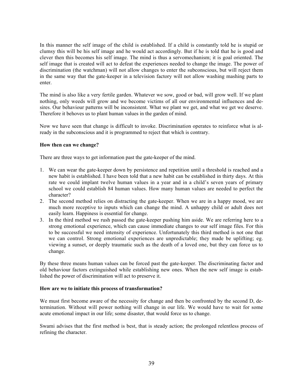In this manner the self image of the child is established. If a child is constantly told he is stupid or clumsy this will be his self image and he would act accordingly. But if he is told that he is good and clever then this becomes his self image. The mind is thus a servomechanism; it is goal oriented. The self image that is created will act to defeat the experiences needed to change the image. The power of discrimination (the watchman) will not allow changes to enter the subconscious, but will reject them in the same way that the gate-keeper in a television factory will not allow washing mashing parts to enter.

The mind is also like a very fertile garden. Whatever we sow, good or bad, will grow well. If we plant nothing, only weeds will grow and we become victims of all our environmental influences and desires. Our behaviour patterns will be inconsistent. What we plant we get, and what we get we deserve. Therefore it behoves us to plant human values in the garden of mind.

Now we have seen that change is difficult to invoke. Discrimination operates to reinforce what is already in the subconscious and it is programmed to reject that which is contrary.

## **How then can we change?**

There are three ways to get information past the gate-keeper of the mind.

- 1. We can wear the gate-keeper down by persistence and repetition until a threshold is reached and a new habit is established. I have been told that a new habit can be established in thirty days. At this rate we could implant twelve human values in a year and in a child's seven years of primary school we could establish 84 human values. How many human values are needed to perfect the character?
- 2. The second method relies on distracting the gate-keeper. When we are in a happy mood, we are much more receptive to inputs which can change the mind. A unhappy child or adult does not easily learn. Happiness is essential for change.
- 3. In the third method we rush passed the gate-keeper pushing him aside. We are referring here to a strong emotional experience, which can cause immediate changes to our self image files. For this to be successful we need intensity of experience. Unfortunately this third method is not one that we can control. Strong emotional experiences are unpredictable; they made be uplifting; eg. viewing a sunset, or deeply traumatic such as the death of a loved one, but they can force us to change.

By these three means human values can be forced past the gate-keeper. The discriminating factor and old behaviour factors extinguished while establishing new ones. When the new self image is established the power of discrimination will act to preserve it.

### **How are we to initiate this process of transformation?**

We must first become aware of the necessity for change and then be confronted by the second D, determination. Without will power nothing will change in our life. We would have to wait for some acute emotional impact in our life; some disaster, that would force us to change.

Swami advises that the first method is best, that is steady action; the prolonged relentless process of refining the character.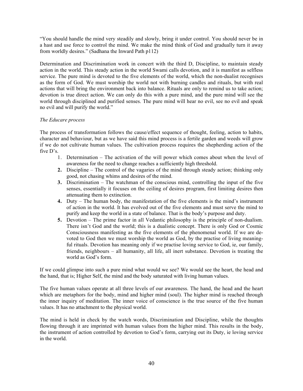"You should handle the mind very steadily and slowly, bring it under control. You should never be in a hast and use force to control the mind. We make the mind think of God and gradually turn it away from worldly desires." (Sadhana the Inward Path p112)

Determination and Discrimination work in concert with the third D, Discipline, to maintain steady action in the world. This steady action in the world Swami calls devotion, and it is manifest as selfless service. The pure mind is devoted to the five elements of the world, which the non-dualist recognises as the form of God. We must worship the world not with burning candles and rituals, but with real actions that will bring the environment back into balance. Rituals are only to remind us to take action; devotion is true direct action. We can only do this with a pure mind, and the pure mind will see the world through disciplined and purified senses. The pure mind will hear no evil, see no evil and speak no evil and will purify the world."

## *The Educare process*

The process of transformation follows the cause/effect sequence of thought, feeling, action to habits, character and behaviour, but as we have said this mind process is a fertile garden and weeds will grow if we do not cultivate human values. The cultivation process requires the shepherding action of the five D's.

- 1. Determination The activation of the will power which comes about when the level of awareness for the need to change reaches a sufficiently high threshold.
- **2.** Discipline The control of the vagaries of the mind through steady action; thinking only good, not chasing whims and desires of the mind.
- **3.** Discrimination The watchman of the conscious mind, controlling the input of the five senses, essentially it focuses on the ceiling of desires program, first limiting desires then attenuating them to extinction.
- **4.** Duty The human body, the manifestation of the five elements is the mind's instrument of action in the world. It has evolved out of the five elements and must serve the mind to purify and keep the world in a state of balance. That is the body's purpose and duty.
- **5.** Devotion The prime factor in all Vedantic philosophy is the principle of non-dualism. There isn't God and the world; this is a dualistic concept. There is only God or Cosmic Consciousness manifesting as the five elements of the phenomenal world. If we are devoted to God then we must worship the world as God, by the practise of living meaningful rituals. Devotion has meaning only if we practise loving service to God, ie, our family, friends, neighbours – all humanity, all life, all inert substance. Devotion is treating the world as God's form.

If we could glimpse into such a pure mind what would we see? We would see the heart, the head and the hand, that is; Higher Self, the mind and the body saturated with living human values.

The five human values operate at all three levels of our awareness. The hand, the head and the heart which are metaphors for the body, mind and higher mind (soul). The higher mind is reached through the inner inquiry of meditation. The inner voice of conscience is the true source of the five human values. It has no attachment to the physical world.

The mind is held in check by the watch words, Discrimination and Discipline, while the thoughts flowing through it are imprinted with human values from the higher mind. This results in the body, the instrument of action controlled by devotion to God's form, carrying out its Duty, ie loving service in the world.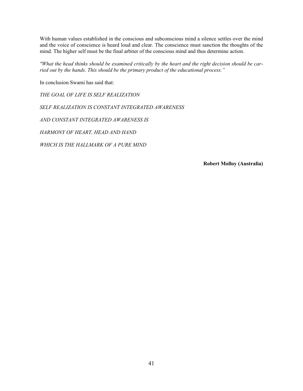With human values established in the conscious and subconscious mind a silence settles over the mind and the voice of conscience is heard loud and clear. The conscience must sanction the thoughts of the mind. The higher self must be the final arbiter of the conscious mind and thus determine action.

*"What the head thinks should be examined critically by the heart and the right decision should be carried out by the hands. This should be the primary product of the educational process."*

In conclusion Swami has said that:

*THE GOAL OF LIFE IS SELF REALIZATION*

*SELF REALIZATION IS CONSTANT INTEGRATED AWARENESS*

*AND CONSTANT INTEGRATED AWARENESS IS*

*HARMONY OF HEART, HEAD AND HAND*

*WHICH IS THE HALLMARK OF A PURE MIND*

**Robert Molloy (Australia)**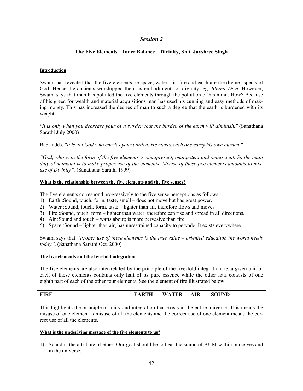# *Session 2*

## **The Five Elements – Inner Balance – Divinity, Smt. Jayshree Singh**

## **Introduction**

Swami has revealed that the five elements, ie space, water, air, fire and earth are the divine aspects of God. Hence the ancients worshipped them as embodiments of divinity, eg. *Bhumi Devi*. However, Swami says that man has polluted the five elements through the pollution of his mind. How? Because of his greed for wealth and material acquisitions man has used his cunning and easy methods of making money. This has increased the desires of man to such a degree that the earth is burdened with its weight.

*"It is only when you decrease your own burden that the burden of the earth will diminish."* (Sanathana Sarathi July 2000)

Baba adds*, "It is not God who carries your burden. He makes each one carry his own burden."*

*"God, who is in the form of the five elements is omnipresent, omnipotent and omniscient. So the main duty of mankind is to make proper use of the elements. Misuse of these five elements amounts to misuse of Divinity".* (Sanathana Sarathi 1999)

### **What is the relationship between the five elements and the five senses?**

The five elements correspond progressively to the five sense perceptions as follows.

- 1) Earth :Sound, touch, form, taste, smell does not move but has great power.
- 2) Water :Sound, touch, form, taste lighter than air, therefore flows and moves.
- 3) Fire :Sound, touch, form lighter than water, therefore can rise and spread in all directions.
- 4) Air :Sound and touch wafts about; is more pervasive than fire.
- 5) Space :Sound lighter than air, has unrestrained capacity to pervade. It exists everywhere.

Swami says that *"Proper use of these elements is the true value – oriented education the world needs today"*. (Sanathana Sarathi Oct. 2000)

### **The five elements and the five-fold integration**

The five elements are also inter-related by the principle of the five-fold integration, ie. a given unit of each of these elements contains only half of its pure essence while the other half consists of one eighth part of each of the other four elements. See the element of fire illustrated below:

# **FIRE EARTH WATER AIR SOUND**

This highlights the principle of unity and integration that exists in the entire universe. This means the misuse of one element is misuse of all the elements and the correct use of one element means the correct use of all the elements.

### **What is the underlying message of the five elements to us?**

1) Sound is the attribute of ether. Our goal should be to hear the sound of AUM within ourselves and in the universe.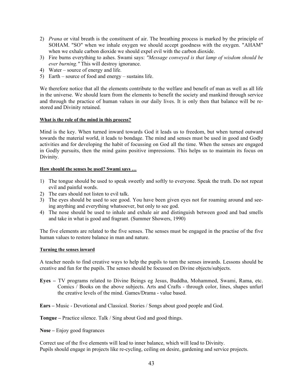- 2) *Prana* or vital breath is the constituent of air. The breathing process is marked by the principle of SOHAM. "SO" when we inhale oxygen we should accept goodness with the oxygen. "AHAM" when we exhale carbon dioxide we should expel evil with the carbon dioxide.
- 3) Fire burns everything to ashes. Swami says: *"Message conveyed is that lamp of wisdom should be ever burning."* This will destroy ignorance.
- 4) Water source of energy and life.
- 5) Earth source of food and energy sustains life.

We therefore notice that all the elements contribute to the welfare and benefit of man as well as all life in the universe. We should learn from the elements to benefit the society and mankind through service and through the practice of human values in our daily lives. It is only then that balance will be restored and Divinity retained.

## **What is the role of the mind in this process?**

Mind is the key. When turned inward towards God it leads us to freedom, but when turned outward towards the material world, it leads to bondage. The mind and senses must be used in good and Godly activities and for developing the habit of focussing on God all the time. When the senses are engaged in Godly pursuits, then the mind gains positive impressions. This helps us to maintain its focus on Divinity.

### **How should the senses be used? Swami says …**

- 1) The tongue should be used to speak sweetly and softly to everyone. Speak the truth. Do not repeat evil and painful words.
- 2) The ears should not listen to evil talk.
- 3) The eyes should be used to see good. You have been given eyes not for roaming around and seeing anything and everything whatsoever, but only to see god.
- 4) The nose should be used to inhale and exhale air and distinguish between good and bad smells and take in what is good and fragrant. (Summer Showers, 1990)

The five elements are related to the five senses. The senses must be engaged in the practise of the five human values to restore balance in man and nature.

### **Turning the senses inward**

A teacher needs to find creative ways to help the pupils to turn the senses inwards. Lessons should be creative and fun for the pupils. The senses should be focussed on Divine objects/subjects.

**Eyes –** TV programs related to Divine Beings eg Jesus, Buddha, Mohammed, Swami, Rama, etc. Comics / Books on the above subjects. Arts and Crafts - through color, lines, shapes unfurl the creative levels of the mind. Games/Drama - value based.

**Ears –** Music - Devotional and Classical. Stories / Songs about good people and God.

**Tongue –** Practice silence. Talk / Sing about God and good things.

**Nose –** Enjoy good fragrances

Correct use of the five elements will lead to inner balance, which will lead to Divinity. Pupils should engage in projects like re-cycling, ceiling on desire, gardening and service projects.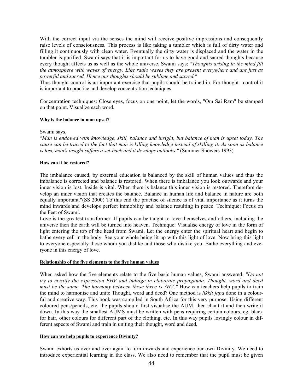With the correct input via the senses the mind will receive positive impressions and consequently raise levels of consciousness. This process is like taking a tumbler which is full of dirty water and filling it continuously with clean water. Eventually the dirty water is displaced and the water in the tumbler is purified. Swami says that it is important for us to have good and sacred thoughts because every thought affects us as well as the whole universe. Swami says: *"Thoughts arising in the mind fill the atmosphere with waves of energy. Like radio waves they are present everywhere and are just as powerful and sacred. Hence our thoughts should be sublime and sacred."*

Thus thought-control is an important exercise that pupils should be trained in. For thought –control it is important to practice and develop concentration techniques.

Concentration techniques: Close eyes, focus on one point, let the words, "Om Sai Ram" be stamped on that point. Visualize each word.

### **Why is the balance in man upset?**

Swami says,

*"Man is endowed with knowledge, skill, balance and insight, but balance of man is upset today. The cause can be traced to the fact that man is killing knowledge instead of skilling it. As soon as balance is lost, man's insight suffers a set-back and it develops outlooks."* (Summer Showers 1993)

### **How can it be restored?**

The imbalance caused, by external education is balanced by the skill of human values and thus the imbalance is corrected and balance is restored. When there is imbalance you look outwards and your inner vision is lost. Inside is vital. When there is balance this inner vision is restored. Therefore develop an inner vision that creates the balance. Balance in human life and balance in nature are both equally important."(SS 2000) To this end the practise of silence is of vital importance as it turns the mind inwards and develops perfect immobility and balance resulting in peace. Technique: Focus on the Feet of Swami.

Love is the greatest transformer. If pupils can be taught to love themselves and others, including the universe then the earth will be turned into heaven. Technique: Visualise energy of love in the form of light entering the top of the head from Swami. Let the energy enter the spiritual heart and begin to bathe every cell in the body. See your whole being lit up with this light of love. Now bring this light to everyone especially those whom you dislike and those who dislike you. Bathe everything and everyone in this energy of love.

#### **Relationship of the five elements to the five human values**

When asked how the five elements relate to the five basic human values, Swami answered: *"Do not try to mystify the expression EHV and indulge in elaborate propaganda. Thought, word and deed must be the same. The harmony between these three is 3HV."* How can teachers help pupils to train the mind to harmonise and unite Thought, word and deed? One method is *likkit japa* done in a colourful and creative way. This book was compiled in South Africa for this very purpose. Using different coloured pens/pencils, etc. the pupils should first visualise the AUM, then chant it and then write it down. In this way the smallest AUMS must be written with pens requiring certain colours, eg. black for hair, other colours for different part of the clothing, etc. In this way pupils lovingly colour in different aspects of Swami and train in uniting their thought, word and deed.

### **How can we help pupils to experience Divinity?**

Swami exhorts us over and over again to turn inwards and experience our own Divinity. We need to introduce experiential learning in the class. We also need to remember that the pupil must be given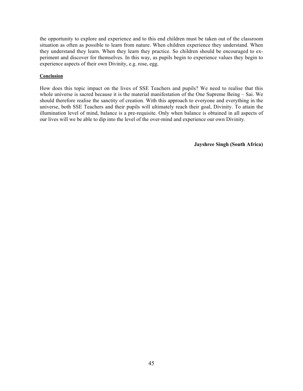the opportunity to explore and experience and to this end children must be taken out of the classroom situation as often as possible to learn from nature. When children experience they understand. When they understand they learn. When they learn they practice. So children should be encouraged to experiment and discover for themselves. In this way, as pupils begin to experience values they begin to experience aspects of their own Divinity, e.g. rose, egg.

## **Conclusion**

How does this topic impact on the lives of SSE Teachers and pupils? We need to realise that this whole universe is sacred because it is the material manifestation of the One Supreme Being – Sai. We should therefore realise the sanctity of creation. With this approach to everyone and everything in the universe, both SSE Teachers and their pupils will ultimately reach their goal, Divinity. To attain the illumination level of mind, balance is a pre-requisite. Only when balance is obtained in all aspects of our lives will we be able to dip into the level of the over-mind and experience our own Divinity.

**Jayshree Singh (South Africa)**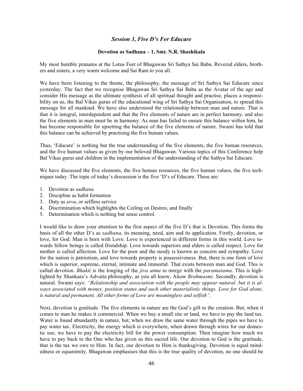# *Session 3, Five D's For Educare*

## **Devotion as Sadhana – 1, Smt. N.R. Shashikala**

My most humble pranams at the Lotus Feet of Bhagawan Sri Sathya Sai Baba. Revered elders, brothers and sisters, a very warm welcome and Sai Ram to you all.

We have been listening to the theme, the philosophy, the message of Sri Sathya Sai Educare since yesterday. The fact that we recognise Bhagawan Sri Sathya Sai Baba as the Avatar of the age and consider His message as the ultimate synthesis of all spiritual thought and practise, places a responsibility on us, the Bal Vikas gurus of the educational wing of Sri Sathya Sai Organisation, to spread this message for all mankind. We have also understood the relationship between man and nature. That is that it is integral, interdependent and that the five elements of nature are in perfect harmony, and also the five elements in man must be in harmony. As man has failed to ensure this balance within him, he has become responsible for upsetting the balance of the five elements of nature. Swami has told that this balance can be achieved by practising the five human values.

Thus, 'Educare' is nothing but the true understanding of the five elements, the five human resources, and the five human values as given by our beloved Bhagawan. Various topics of this Conference help Bal Vikas gurus and children in the implementation of the understanding of the Sathya Sai Educare.

We have discussed the five elements, the five human resources, the five human values, the five techniques today. The topic of today's discussion is the five 'D's of Educare. These are:

- 1. Devotion as *sadhana*
- 2. Discipline as habit formation
- 3. Duty as *seva*, or selfless service
- 4. Discrimination which highlights the Ceiling on Desires, and finally
- 5. Determination which is nothing but sense control.

I would like to draw your attention to the first aspect of the five D's that is Devotion. This forms the basis of all the other D's as *sadhana*, its meaning, need, aim and its application. Firstly, devotion, or love, for God. Man is born with Love. Love is experienced in different forms in this world. Love towards fellow beings is called friendship. Love towards superiors and elders is called respect. Love for mother is called affection. Love for the poor and the needy is known as concern and sympathy. Love for the nation is patriotism, and love towards property is possessiveness. But, there is one form of love which is superior, supreme, eternal, intimate and immortal. That exists between man and God. This is called devotion. *Bhakti* is the longing of the *jiva atma* to merge with the *paramatama*. This is highlighted by Shankara's Advaita philosophy, as you all know, A*ham Brahmasmi*. Secondly, devotion is natural. Swami says: *"Relationship and association with the people may appear natural, but it is always associated with money, position status and such other materialistic things. Love for God alone, is natural and permanent. All other forms of Love are meaningless and selfish".*

Next, devotion is gratitude. The five elements in nature are the God's gift to the creation. But, when it comes to man he makes it commercial. When we buy a small site or land, we have to pay the land tax. Water is found abundantly in nature, but, when we draw the same water through the pipes we have to pay water tax. Electricity, the energy which is everywhere, when drawn through wires for our domestic use, we have to pay the electricity bill for the power consumption. Then imagine how much we have to pay back to the One who has given us this sacred life. Our devotion to God is the gratitude, that is the tax we owe to Him. In fact, our devotion to Him is thanksgiving. Devotion is equal mindedness or equanimity. Bhagawan emphasises that this is the true quality of devotion, no one should be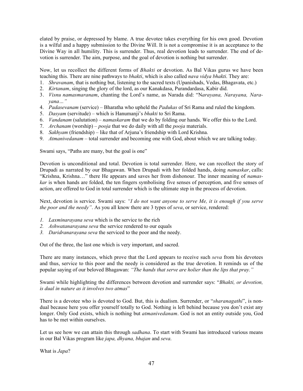elated by praise, or depressed by blame. A true devotee takes everything for his own good. Devotion is a wilful and a happy submission to the Divine Will. It is not a compromise it is an acceptance to the Divine Way in all humility. This is surrender. Thus, real devotion leads to surrender. The end of devotion is surrender. The aim, purpose, and the goal of devotion is nothing but surrender.

Now, let us recollect the different forms of *Bhakti* or devotion. As Bal Vikas gurus we have been teaching this. There are nine pathways to *bhakti*, which is also called *nava vidya bhakti*. They are:

- 1. *Shravanam*, that is nothing but, listening to the sacred texts (Upanishads, Vedas, Bhagavata, etc.)
- 2. *Kirtanam*, singing the glory of the lord, as our Kanakdasa, Purandardasa, Kabir did.
- 3. *Visnu namasmaranam*, chanting the Lord's name, as Narada did: "N*arayana, Narayana, Narayana…"*
- 4. *Padasevanam* (service) Bharatha who upheld the *Padukas* of Sri Rama and ruled the kingdom.
- 5. *Dasyam* (servitude) which is Hanumanji's *bhakti* to Sri Rama.
- 6. *Vandanam* (salutation) *namaskaram* that we do by folding our hands. We offer this to the Lord.
- 7. *Archanam* (worship) *pooja* that we do daily with all the *pooja* materials.
- 8. *Sakhyam* (friendship) like that of Arjuna's friendship with Lord Krishna.
- 9. *Atmanivedanam* total surrender and becoming one with God, about which we are talking today.

Swami says, "Paths are many, but the goal is one"

Devotion is unconditional and total. Devotion is total surrender. Here, we can recollect the story of Drupadi as narrated by our Bhagawan. When Drupadi with her folded hands, doing *namaskar*, calls: "Krishna, Krishna…" there He appears and saves her from dishonour. The inner meaning of *namaskar* is when hands are folded, the ten fingers symbolising five senses of perception, and five senses of action, are offered to God in total surrender which is the ultimate step in the process of devotion.

Next, devotion is service. Swami says: *"I do not want anyone to serve Me, it is enough if you serve the poor and the needy"*. As you all know there are 3 types of *seva*, or service, rendered:

- *1. Laxminarayana seva* which is the service to the rich
- *2. Ashwatanarayana seva* the service rendered to our equals
- *3. Daridranarayana seva* the serviced to the poor and the needy.

Out of the three, the last one which is very important, and sacred.

There are many instances, which prove that the Lord appears to receive such *seva* from his devotees and thus, service to this poor and the needy is considered as the true devotion. It reminds us of the popular saying of our beloved Bhagawan: *"The hands that serve are holier than the lips that pray."*

Swami while highlighting the differences between devotion and surrender says: "*Bhakti, or devotion, is dual in nature as it involves two atmas*"

There is a devotee who is devoted to God. But, this is dualism. Surrender, or "*sharanagathi*", is nondual because here you offer yourself totally to God. Nothing is left behind because you don't exist any longer. Only God exists, which is nothing but *atmanivedanam*. God is not an entity outside you, God has to be met within ourselves.

Let us see how we can attain this through *sadhana*. To start with Swami has introduced various means in our Bal Vikas program like *japa, dhyana, bhajan* and *seva*.

What is *Japa*?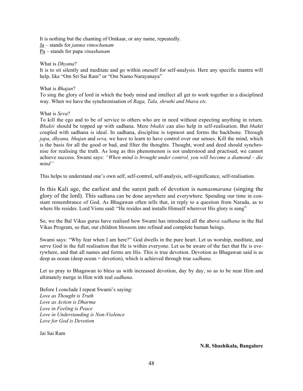It is nothing but the chanting of Omkaar, or any name, repeatedly. Ja – stands for *janma vimochanam* Pa – stands for papa *vinashanam*

### What is *Dhyana*?

It is to sit silently and meditate and go within oneself for self-analysis. Here any specific mantra will help, like "Om Sri Sai Ram" or "Om Namo Narayanaya"

## What is *Bhajan*?

To sing the glory of lord in which the body mind and intellect all get to work together in a disciplined way. When we have the synchronisation of *Raga, Tala, shruthi and bhava etc.*

## What is *Seva*?

To kill the ego and to be of service to others who are in need without expecting anything in return. *Bhakti* should be topped up with sadhana. Mere *bhakti* can also help in self-realisation. But *bhakti* coupled with sadhana is ideal. In sadhana, discipline is topmost and forms the backbone. Through *japa, dhyana, bhajan* and *seva,* we have to learn to have control over our senses. Kill the mind, which is the basis for all the good or bad, and filter the thoughts. Thought, word and deed should synchronise for realising the truth. As long as this phenomenon is not understood and practised, we cannot achieve success. Swami says: *"When mind is brought under control, you will become a diamond – die mind"*

This helps to understand one's own self, self-control, self-analysis, self-significance, self-realisation.

In this Kali age, the earliest and the surest path of devotion is *namasmarana* (singing the glory of the lord). This sadhana can be done anywhere and everywhere. Spending our time in constant remembrance of God. As Bhagawan often tells that, in reply to a question from Narada, as to where He resides. Lord Visnu said: "He resides and installs Himself wherever His glory is sung"

So, we the Bal Vikas gurus have realised how Swami has introduced all the above *sadhana* in the Bal Vikas Program, so that, our children blossom into refined and complete human beings.

Swami says: "Why fear when I am here?" God dwells in the pure heart. Let us worship, meditate, and serve God in the full realisation that He is within everyone. Let us be aware of the fact that He is everywhere, and that all names and forms are His. This is true devotion. Devotion as Bhagawan said is as deep as ocean (deep ocean = devotion), which is achieved through true *sadhana*.

Let us pray to Bhagawan to bless us with increased devotion, day by day, so as to be near Him and ultimately merge in Him with real *sadhana*.

Before I conclude I repeat Swami's saying: *Love as Thought is Truth Love as Action is Dharma Love in Feeling is Peace Love in Understanding is Non-Violence Love for God is Devotion*

Jai Sai Ram

#### **N.R. Shashikala, Bangalore**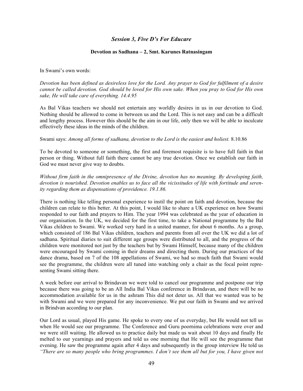## *Session 3, Five D's For Educare*

### **Devotion as Sadhana – 2, Smt. Karunes Ratnasingam**

### In Swami's own words:

*Devotion has been defined as desireless love for the Lord. Any prayer to God for fulfilment of a desire cannot be called devotion. God should be loved for His own sake. When you pray to God for His own sake, He will take care of everything. 14.4.95*

As Bal Vikas teachers we should not entertain any worldly desires in us in our devotion to God. Nothing should be allowed to come in between us and the Lord. This is not easy and can be a difficult and lengthy process. However this should be the aim in our life, only then we will be able to inculcate effectively these ideas in the minds of the children.

#### Swami says: *Among all forms of sadhana, devotion to the Lord is the easiest and holiest.* 8.10.86

To be devoted to someone or something, the first and foremost requisite is to have full faith in that person or thing. Without full faith there cannot be any true devotion. Once we establish our faith in God we must never give way to doubts.

*Without firm faith in the omnipresence of the Divine, devotion has no meaning. By developing faith, devotion is nourished. Devotion enables us to face all the vicissitudes of life with fortitude and serenity regarding them as dispensations of providence. 19.1.86.*

There is nothing like telling personal experience to instil the point on faith and devotion, because the children can relate to this better. At this point, I would like to share a UK experience on how Swami responded to our faith and prayers to Him. The year 1994 was celebrated as the year of education in our organisation. In the UK, we decided for the first time, to take a National programme by the Bal Vikas children to Swami. We worked very hard in a united manner, for about 6 months. As a group, which consisted of 186 Bal Vikas children, teachers and parents from all over the UK we did a lot of sadhana. Spiritual diaries to suit different age groups were distributed to all, and the progress of the children were monitored not just by the teachers but by Swami Himself, because many of the children were encouraged by Swami coming in their dreams and directing them. During our practices of the dance drama, based on 7 of the 108 appellations of Swami, we had so much faith that Swami would see the programme, the children were all tuned into watching only a chair as the focal point representing Swami sitting there.

A week before our arrival to Brindavan we were told to cancel our programme and postpone our trip because there was going to be an All India Bal Vikas conference in Brindavan, and there will be no accommodation available for us in the ashram This did not deter us. All that we wanted was to be with Swami and we were prepared for any inconvenience. We put our faith in Swami and we arrived in Brindvan according to our plan.

Our Lord as usual, played His game. He spoke to every one of us everyday, but He would not tell us when He would see our programme. The Conference and Guru poornima celebrations were over and we were still waiting. He allowed us to practice daily but made us wait about 10 days and finally He melted to our yearnings and prayers and told us one morning that He will see the programme that evening. He saw the programme again after 4 days and subsequently in the group interview He told us *"There are so many people who bring programmes. I don't see them all but for you, I have given not*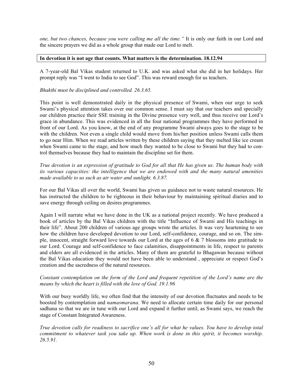*one, but two chances, because you were calling me all the time."* It is only our faith in our Lord and the sincere prayers we did as a whole group that made our Lord to melt.

## **In devotion it is not age that counts. What matters is the determination. 18.12.94**

A 7-year-old Bal Vikas student returned to U.K. and was asked what she did in her holidays. Her prompt reply was "I went to India to see God". This was reward enough for us teachers.

## *Bhakthi must be disciplined and controlled. 26.3.65.*

This point is well demonstrated daily in the physical presence of Swami, when our urge to seek Swami's physical attention takes over our common sense. I must say that our teachers and specially our children practice their SSE training in the Divine presence very well, and thus receive our Lord's grace in abundance. This was evidenced in all the four national programmes they have performed in front of our Lord. As you know, at the end of any programme Swami always goes to the stage to be with the children. Not even a single child would move from his/her position unless Swami calls them to go near Him. When we read articles written by these children saying that they melted like ice cream when Swami came to the stage, and how much they wanted to be close to Swami but they had to control themselves because they had to maintain the discipline set for them.

*True devotion is an expression of gratitude to God for all that He has given us. The human body with its various capacities: the intelligence that we are endowed with and the many natural amenities made available to us such as air water and sunlight. 6.3.87.*

For our Bal Vikas all over the world, Swami has given us guidance not to waste natural resources. He has instructed the children to be righteous in their behaviour by maintaining spiritual diaries and to save energy through ceiling on desires programmes.

Again I will narrate what we have done in the UK as a national project recently. We have produced a book of articles by the Bal Vikas children with the title "Influence of Swami and His teachings in their life". About 200 children of various age groups wrote the articles. It was very heartening to see how the children have developed devotion to our Lord, self-confidence, courage, and so on. The simple, innocent, straight forward love towards our Lord at the ages of 6 & 7 blossoms into gratitude to our Lord. Courage and self-confidence to face calamities, disappointments in life, respect to parents and elders are all evidenced in the articles. Many of them are grateful to Bhagawan because without the Bal Vikas education they would not have been able to understand , appreciate or respect God's creation and the sacredness of the natural resources.

## *Constant contemplation on the form of the Lord and frequent repetition of the Lord's name are the means by which the heart is filled with the love of God. 19.1.96*

With our busy worldly life, we often find that the intensity of our devotion fluctuates and needs to be boosted by contemplation and *namasmarana.* We need to allocate certain time daily for our personal sadhana so that we are in tune with our Lord and expand it further until, as Swami says, we reach the stage of Constant Integrated Awareness.

*True devotion calls for readiness to sacrifice one's all for what he values. You have to develop total commitment to whatever task you take up. When work is done in this spirit, it becomes worship. 26.5.91.*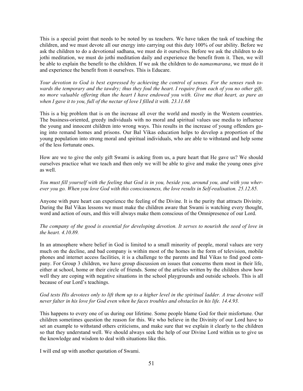This is a special point that needs to be noted by us teachers. We have taken the task of teaching the children, and we must devote all our energy into carrying out this duty 100% of our ability. Before we ask the children to do a devotional sadhana, we must do it ourselves. Before we ask the children to do jothi meditation, we must do jothi meditation daily and experience the benefit from it. Then, we will be able to explain the benefit to the children. If we ask the children to do *namasmarana*, we must do it and experience the benefit from it ourselves. This is Educare.

*Your devotion to God is best expressed by achieving the control of senses. For the senses rush towards the temporary and the tawdry; thus they foul the heart. I require from each of you no other gift, no more valuable offering than the heart I have endowed you with. Give me that heart, as pure as when I gave it to you, full of the nectar of love I filled it with. 23.11.68*

This is a big problem that is on the increase all over the world and mostly in the Western countries. The business-oriented, greedy individuals with no moral and spiritual values use media to influence the young and innocent children into wrong ways. This results in the increase of young offenders going into remand homes and prisons. Our Bal Vikas education helps to develop a proportion of the young population into strong moral and spiritual individuals, who are able to withstand and help some of the less fortunate ones.

How are we to give the only gift Swami is asking from us, a pure heart that He gave us? We should ourselves practice what we teach and then only we will be able to give and make the young ones give as well.

*You must fill yourself with the feeling that God is in you, beside you, around you, and with you wherever you go. When you love God with this consciousness, the love results in Self-realisation. 25.12.85.*

Anyone with pure heart can experience the feeling of the Divine. It is the purity that attracts Divinity. During the Bal Vikas lessons we must make the children aware that Swami is watching every thought, word and action of ours, and this will always make them conscious of the Omnipresence of our Lord.

*The company of the good is essential for developing devotion. It serves to nourish the seed of love in the heart. 4.10.89.*

In an atmosphere where belief in God is limited to a small minority of people, moral values are very much on the decline, and bad company is within most of the homes in the form of television, mobile phones and internet access facilities, it is a challenge to the parents and Bal Vikas to find good company. For Group 3 children, we have group discussion on issues that concerns them most in their life, either at school, home or their circle of friends. Some of the articles written by the children show how well they are coping with negative situations in the school playgrounds and outside schools. This is all because of our Lord's teachings.

## *God tests His devotees only to lift them up to a higher level in the spiritual ladder. A true devotee will never falter in his love for God even when he faces troubles and obstacles in his life. 14.4.93.*

This happens to every one of us during our lifetime. Some people blame God for their misfortune. Our children sometimes question the reason for this. We who believe in the Divinity of our Lord have to set an example to withstand others criticisms, and make sure that we explain it clearly to the children so that they understand well. We should always seek the help of our Divine Lord within us to give us the knowledge and wisdom to deal with situations like this.

I will end up with another quotation of Swami.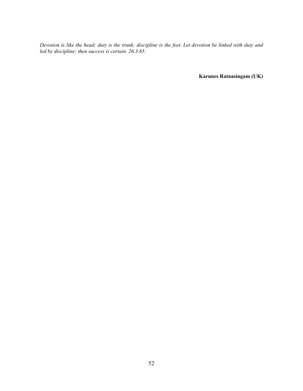*Devotion is like the head; duty is the trunk; discipline is the feet. Let devotion be linked with duty and led by discipline; then success is certain. 26.3.65.*

**Karunes Ratnasingam (UK)**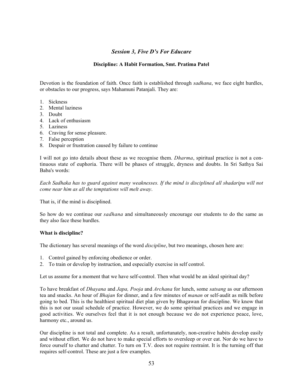# *Session 3, Five D's For Educare*

## **Discipline: A Habit Formation, Smt. Pratima Patel**

Devotion is the foundation of faith. Once faith is established through *sadhana*, we face eight hurdles, or obstacles to our progress, says Mahamuni Patanjali. They are:

- 1. Sickness
- 2. Mental laziness
- 3. Doubt
- 4. Lack of enthusiasm
- 5. Laziness
- 6. Craving for sense pleasure.
- 7. False perception
- 8. Despair or frustration caused by failure to continue

I will not go into details about these as we recognise them. *Dharma*, spiritual practice is not a continuous state of euphoria. There will be phases of struggle, dryness and doubts. In Sri Sathya Sai Baba's words:

*Each Sadhaka has to guard against many weaknesses. If the mind is disciplined all shadaripu will not come near him as all the temptations will melt away*.

That is, if the mind is disciplined.

So how do we continue our *sadhana* and simultaneously encourage our students to do the same as they also face these hurdles.

## **What is discipline?**

The dictionary has several meanings of the word *discipline*, but two meanings, chosen here are:

- 1. Control gained by enforcing obedience or order.
- 2. To train or develop by instruction, and especially exercise in self control.

Let us assume for a moment that we have self-control. Then what would be an ideal spiritual day?

To have breakfast of *Dhayana* and *Japa, Pooja* and *Archana* for lunch, some *satsang* as our afternoon tea and snacks. An hour of *Bhajan* for dinner, and a few minutes of *manan* or self-audit as milk before going to bed. This is the healthiest spiritual diet plan given by Bhagawan for discipline. We know that this is not our usual schedule of practice. However, we do some spiritual practices and we engage in good activities. We ourselves feel that it is not enough because we do not experience peace, love, harmony etc., around us.

Our discipline is not total and complete. As a result, unfortunately, non-creative habits develop easily and without effort. We do not have to make special efforts to oversleep or over eat. Nor do we have to force ourself to chatter and chatter. To turn on T.V. does not require restraint. It is the turning off that requires self-control. These are just a few examples.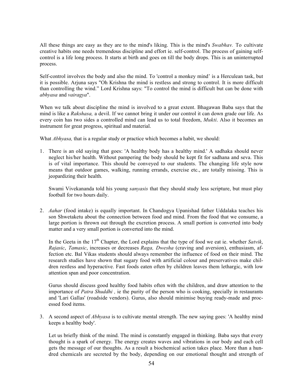All these things are easy as they are to the mind's liking. This is the mind's *Swabhav.* To cultivate creative habits one needs tremendous discipline and effort ie. self-control. The process of gaining selfcontrol is a life long process. It starts at birth and goes on till the body drops. This is an uninterrupted process.

Self-control involves the body and also the mind. To 'control a monkey mind' is a Herculean task, but it is possible. Arjuna says "Oh Krishna the mind is restless and strong to control. It is more difficult than controlling the wind." Lord Krishna says: "To control the mind is difficult but can be done with *abhyasa* and *vairagya*".

When we talk about discipline the mind is involved to a great extent. Bhagawan Baba says that the mind is like a *Rakshasa,* a devil. If we cannot bring it under our control it can down grade our life. As every coin has two sides a controlled mind can lead us to total freedom, *Mukti*. Also it becomes an instrument for great progress, spiritual and material.

What *Abhyasa,* that is a regular study or practice which becomes a habit, we should:

1. There is an old saying that goes: 'A healthy body has a healthy mind.' A sadhaka should never neglect his/her health. Without pampering the body should be kept fit for sadhana and seva. This is of vital importance. This should be conveyed to our students. The changing life style now means that outdoor games, walking, running errands, exercise etc., are totally missing. This is jeopardizing their health.

Swami Vivekananda told his young *sanyasis* that they should study less scripture, but must play football for two hours daily.

2. *Aahar* (food intake) is equally important. In Chandogya Upanishad father Uddalaka teaches his son Shwetaketu about the connection between food and mind. From the food that we consume, a large portion is thrown out through the excretion process. A small portion is converted into body matter and a very small portion is converted into the mind.

In the Geeta in the  $17<sup>th</sup>$  Chapter, the Lord explains that the type of food we eat ie. whether *Satvik*, *Rajasic*, *Tamasic*, increases or decreases *Raga, Dwesha* (craving and aversion), enthusiasm, affection etc. Bal Vikas students should always remember the influence of food on their mind. The research studies have shown that sugary food with artificial colour and preservatives make children restless and hyperactive. Fast foods eaten often by children leaves them lethargic, with low attention span and poor concentration.

Gurus should discuss good healthy food habits often with the children, and draw attention to the importance of *Patra Shuddhi*, ie the purity of the person who is cooking, specially in restaurants and 'Lari Gallas' (roadside vendors). Gurus, also should minimise buying ready-made and processed food items.

3. A second aspect of *Abhyasa* is to cultivate mental strength. The new saying goes: 'A healthy mind keeps a healthy body'.

Let us briefly think of the mind. The mind is constantly engaged in thinking. Baba says that every thought is a spark of energy. The energy creates waves and vibrations in our body and each cell gets the message of our thoughts. As a result a biochemical action takes place. More than a hundred chemicals are secreted by the body, depending on our emotional thought and strength of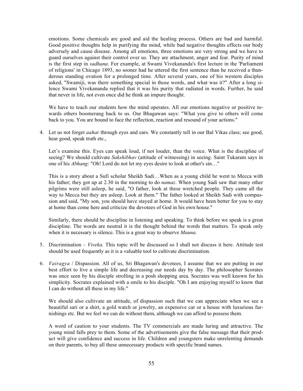emotions. Some chemicals are good and aid the healing process. Others are bad and harmful. Good positive thoughts help in purifying the mind, while bad negative thoughts effects our body adversely and cause disease. Among all emotions, three emotions are very strong and we have to guard ourselves against their control over us. They are attachment, anger and fear. Purity of mind is the first step in *sadhana*. For example, at Swami Vivekananda's first lecture in the 'Parliament of religions' in Chicago 1893, no sooner had he uttered the first sentence than he received a thunderous standing ovation for a prolonged time. After several years, one of his western disciples asked, "Swamiji, was there something special in those words, and what was it?" After a long silence Swami Vivekananda replied that it was his purity that radiated in words. Further, he said that never in life, not even once did he think an impure thought.

We have to teach our students how the mind operates. All our emotions negative or positive towards others boomerang back to us. Our Bhagawan says: "What you give to others will come back to you. You are bound to face the reflection, reaction and resound of your actions."

4. Let us not forget *aahar* through eyes and ears. We constantly tell in our Bal Vikas class; see good, hear good, speak truth etc.,

Let's examine this. Eyes can speak loud, if not louder, than the voice. What is the discipline of seeing? We should cultivate *Sakshibhav* (attitude of witnessing) in seeing. Saint Tukaram says in one of his *Abhang*: "Oh! Lord do not let my eyes desire to look at other's sin…"

This is a story about a Sufi scholar Sheikh Sadi…When as a young child he went to Mecca with his father; they got up at 2.30 in the morning to do *namaz*. When young Sadi saw that many other pilgrims were still asleep, he said, "O father, look at these wretched people. They came all the way to Mecca but they are asleep. Look at them." The father looked at Sheikh Sadi with compassion and said, "My son, you should have stayed at home. It would have been better for you to stay at home than come here and criticize the devotees of God in his own house."

Similarly, there should be discipline in listening and speaking. To think before we speak is a great discipline. The words are neutral it is the thought behind the words that matters. To speak only when it is necessary is silence. This is a great way to observe *Mauna.*

- 5. Discrimination *Viveka.* This topic will be discussed so I shall not discuss it here. Attitude test should be used frequently as it is a valuable tool to cultivate discrimination.
- 6. *Vairagya* / Dispassion. All of us, Sri Bhagawan's devotees, I assume that we are putting in our best effort to live a simple life and decreasing our needs day by day. The philosopher Scorates was once seen by his disciple strolling in a posh shopping area. Socrates was well known for his simplicity. Socrates explained with a smile to his disciple. "Oh I am enjoying myself to know that I can do without all these in my life."

We should also cultivate an attitude, of dispassion such that we can appreciate when we see a beautiful sari or a shirt, a gold watch or jewelry, an expensive car or a house with luxurious furnishings etc. But we feel we can do without them, although we can afford to possess them.

A word of caution to your students. The TV commercials are made luring and attractive. The young mind falls prey to them. Some of the advertisements give the false message that their product will give confidence and success in life. Children and youngsters make unrelenting demands on their parents, to buy all these unnecessary products with specific brand names.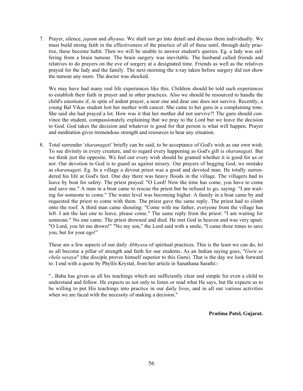7. Prayer, silence, *japam* and *dhyana*. We shall not go into detail and discuss them individually. We must build strong faith in the effectiveness of the practice of all of these until, through daily practise, these become habit. Then we will be unable to answer student's queries. Eg. a lady was suffering from a brain tumour. The brain surgery was inevitable. The husband called friends and relatives to do prayers on the eve of surgery at a designated time. Friends as well as the relatives prayed for the lady and the family. The next morning the x-ray taken before surgery did not show the tumour any more. The doctor was shocked.

We may have had many real life experiences like this. Children should be told such experiences to establish their faith in prayer and in other practices. Also we should be resourced to handle the child's emotions if, in spite of ardent prayer, a near one and dear one does not survive. Recently, a young Bal Vikas student lost her mother with cancer. She came to her guru in a complaining tone. She said she had prayed a lot. How was it that her mother did not survive?! The guru should convince the student, compassionately explaining that we pray to the Lord but we leave the decision to God. God takes the decision and whatever is good for that person is what will happen. Prayer and meditation gives tremendous strength and resources to bear any situation.

8. Total surrender '*sharanagati'* briefly can be said, to be acceptance of God's wish as our own wish. To see divinity in every creature, and to regard every happening as God's gift is *sharanagati.* But we think just the opposite. We feel our every wish should be granted whether it is good for us or not. Our devotion to God is to guard us against misery. Our prayers of begging God, we mistake as *sharanagati*. Eg. In a village a devout priest was a good and devoted man. He totally surrendered his life at God's feet. One day there was heavy floods in the village. The villagers had to leave by boat for safety. The priest prayed: "O Lord! Now the time has come, you have to come and save me." A man in a boat came to rescue the priest but he refused to go, saying: "I am waiting for someone to come." The water level was becoming higher. A family in a boat came by and requested the priest to come with them. The priest gave the same reply. The priest had to climb onto the roof. A third man came shouting: "Come with me father, everyone from the village has left. I am the last one to leave, please come." The same reply from the priest: "I am waiting for someone." No one came. The priest drowned and died. He met God in heaven and was very upset. "O Lord, you let me drown!" "No my son," the Lord said with a smile, "I came three times to save you, but for your ego!"

These are a few aspects of our daily *Abhyasa* of spiritual practices. This is the least we can do, let us all become a pillar of strength and faith for our students. As an Indian saying goes, "*Guru se chela savaya*" (the disciple proves himself superior to this Guru). That is the day we look forward to. I end with a quote by Phyllis Krystal, from her article in Sanathana Sarathi:-

"...Baba has given us all his teachings which are sufficiently clear and simple for even a child to understand and follow. He expects us not only to listen or read what He says, but He expects us to be willing to put His teachings into practice in our daily lives, and in all our various activities when we are faced with the necessity of making a decision."

**Pratima Patel, Gujarat.**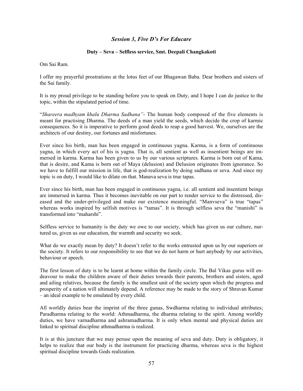# *Session 3, Five D's For Educare*

## **Duty – Seva – Selfless service, Smt. Deepali Changkakoti**

Om Sai Ram.

I offer my prayerful prostrations at the lotus feet of our Bhagawan Baba. Dear brothers and sisters of the Sai family.

It is my proud privilege to be standing before you to speak on Duty, and I hope I can do justice to the topic, within the stipulated period of time.

"*Shareera madhyam khalu Dharma Sadhana"*- The human body composed of the five elements is meant for practising Dharma. The deeds of a man yield the seeds, which decide the crop of karmic consequences. So it is imperative to perform good deeds to reap a good harvest. We, ourselves are the architects of our destiny, our fortunes and misfortunes.

Ever since his birth, man has been engaged in continuous yagna. Karma, is a form of continuous yagna, in which every act of his is yagna. That is, all sentient as well as insentient beings are immersed in karma. Karma has been given to us by our various scriptures. Karma is born out of Kama, that is desire, and Kama is born out of Maya (delusion) and Delusion originates from ignorance. So we have to fulfill our mission in life, that is god-realization by doing sadhana or seva. And since my topic is on duty, I would like to dilate on that. Manava seva is true tapas.

Ever since his birth, man has been engaged in continuous yagna, i.e. all sentient and insentient beings are immersed in karma. Thus it becomes inevitable on our part to render service to the distressed, diseased and the under-privileged and make our existence meaningful. "Manvseva" is true "tapas" whereas works inspired by selfish motives is "tamas". It is through selfless seva the "manishi" is transformed into "maharshi".

Selfless service to humanity is the duty we owe to our society, which has given us our culture, nurtured us, given us our education, the warmth and security we seek.

What do we exactly mean by duty? It doesn't refer to the works entrusted upon us by our superiors or the society. It refers to our responsibility to see that we do not harm or hurt anybody by our activities, behaviour or speech.

The first lesson of duty is to be learnt at home within the family circle. The Bal Vikas gurus will endeavour to make the children aware of their duties towards their parents, brothers and sisters, aged and ailing relatives, because the family is the smallest unit of the society upon which the progress and prosperity of a nation will ultimately depend. A reference may be made to the story of Shravan Kumar – an ideal example to be emulated by every child.

All worldly duties bear the imprint of the three gunas, Swdharma relating to individual attributes; Paradharma relating to the world: Athmadharma, the dharma relating to the spirit. Among worldly duties, we have varnadharma and ashramadharma. It is only when mental and physical duties are linked to spiritual discipline athmadharma is realized.

It is at this juncture that we may peruse upon the meaning of seva and duty. Duty is obligatory, it helps to realize that our body is the instrument for practicing dharma, whereas seva is the highest spiritual discipline towards Gods realization.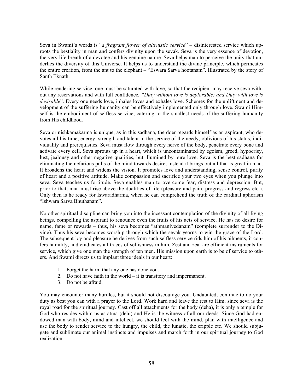Seva in Swami's words is "*a fragrant flower of altruistic service*" – disinterested service which uproots the bestiality in man and confers divinity upon the sevak. Seva is the very essence of devotion, the very life breath of a devotee and his genuine nature. Seva helps man to perceive the unity that underlies the diversity of this Universe. It helps us to understand the divine principle, which permeates the entire creation, from the ant to the elephant – "Eswara Sarva hootanam". Illustrated by the story of Santh Eknath.

While rendering service, one must be saturated with love, so that the recipient may receive seva without any reservations and with full confidence*. "Duty without love is deplorable: and Duty with love is desirable*". Every one needs love, inhales loves and exhales love. Schemes for the upliftment and development of the suffering humanity can be effectively implemented only through love. Swami Himself is the embodiment of selfless service, catering to the smallest needs of the suffering humanity from His childhood.

Seva or nishkamakarma is unique, as in this sadhana, the doer regards himself as an aspirant, who devotes all his time, energy, strength and talent in the service of the needy, oblivious of his status, individuality and prerequisites. Seva must flow through every nerve of the body, penetrate every bone and activate every cell. Seva sprouts up in a heart, which is uncontaminated by egoism, greed, hypocrisy, lust, jealousy and other negative qualities, but illumined by pure love. Seva is the best sadhana for eliminating the nefarious pulls of the mind towards desire; instead it brings out all that is great in man. It broadens the heart and widens the vision. It promotes love and understanding, sense control, purity of heart and a positive attitude. Make compassion and sacrifice your two eyes when you plunge into seva. Seva teaches us fortitude. Seva enables man to overcome fear, distress and depression. But, prior to that, man must rise above the dualities of life (pleasure and pain, progress and regress etc.). Only then is he ready for Iswaradharma, when he can comprehend the truth of the cardinal aphorism "Ishwara Sarva Bhuthanam".

No other spiritual discipline can bring you into the incessant contemplation of the divinity of all living beings, compelling the aspirant to renounce even the fruits of his acts of service. He has no desire for name, fame or rewards – thus, his seva becomes "athmanivedanam" (complete surrender to the Divine). Thus his seva becomes worship through which the sevak yearns to win the grace of the Lord. The subsequent joy and pleasure he derives from such selfless service rids him of his ailments, it confers humility, and eradicates all traces of selfishness in him. Zest and zeal are efficient instruments for service, which give one man the strength of ten men. His mission upon earth is to be of service to others. And Swami directs us to implant three ideals in our heart:

- 1. Forget the harm that any one has done you.
- 2. Do not have faith in the world it is transitory and impermanent.
- 3. Do not be afraid.

You may encounter many hurdles, but it should not discourage you. Undaunted, continue to do your duty as best you can with a prayer to the Lord. Work hard and leave the rest to Him, since seva is the royal road for the spiritual journey. Cast off all attachments for the body (deha), it is only a temple for God who resides within us as atma (dehi) and He is the witness of all our deeds. Since God had endowed man with body, mind and intellect, we should feel with the mind, plan with intelligence and use the body to render service to the hungry, the child, the lunatic, the cripple etc. We should subjugate and sublimate our animal instincts and impulses and march forth in our spiritual journey to God realization.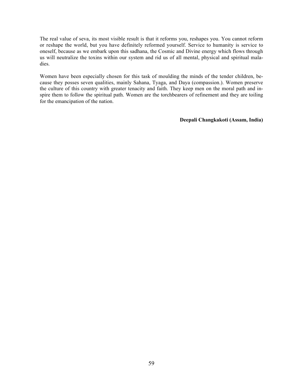The real value of seva, its most visible result is that it reforms you, reshapes you. You cannot reform or reshape the world, but you have definitely reformed yourself. Service to humanity is service to oneself, because as we embark upon this sadhana, the Cosmic and Divine energy which flows through us will neutralize the toxins within our system and rid us of all mental, physical and spiritual maladies.

Women have been especially chosen for this task of moulding the minds of the tender children, because they posses seven qualities, mainly Sahana, Tyaga, and Daya (compassion.). Women preserve the culture of this country with greater tenacity and faith. They keep men on the moral path and inspire them to follow the spiritual path. Women are the torchbearers of refinement and they are toiling for the emancipation of the nation.

## **Deepali Changkakoti (Assam, India)**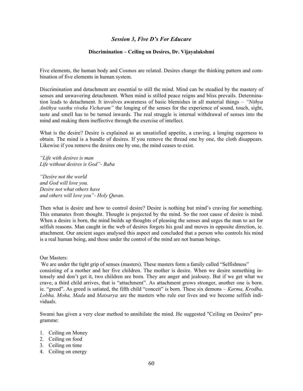# *Session 3, Five D's For Educare*

## **Discrimination – Ceiling on Desires, Dr. Vijayalakshmi**

Five elements, the human body and Cosmos are related. Desires change the thinking pattern and combination of five elements in human system.

Discrimination and detachment are essential to still the mind. Mind can be steadied by the mastery of senses and unwavering detachment. When mind is stilled peace reigns and bliss prevails. Determination leads to detachment. It involves awareness of basic blemishes in all material things – *"Nithya Anithya vasthu viveka Vicharam"* the longing of the senses for the experience of sound, touch, sight, taste and smell has to be turned inwards. The real struggle is internal withdrawal of senses into the mind and making them ineffective through the exercise of intellect.

What is the desire? Desire is explained as an unsatisfied appetite, a craving, a longing eagerness to obtain. The mind is a bundle of desires. If you remove the thread one by one, the cloth disappears. Likewise if you remove the desires one by one, the mind ceases to exist.

*"Life with desires is man Life without desires is God"- Baba*

*"Desire not the world and God will love you. Desire not what others have and others will love you"- Holy Quran.*

Then what is desire and how to control desire? Desire is nothing but mind's craving for something. This emanates from thought. Thought is projected by the mind. So the root cause of desire is mind. When a desire is born, the mind builds up thoughts of pleasing the senses and urges the man to act for selfish reasons. Man caught in the web of desires forgets his goal and moves in opposite direction, ie. attachment. Our ancient sages analysed this aspect and concluded that a person who controls his mind is a real human being, and those under the control of the mind are not human beings.

Our Masters:

We are under the tight grip of senses (masters). These masters form a family called "Selfishness" consisting of a mother and her five children. The mother is desire. When we desire something intensely and don't get it, two children are born. They are anger and jealousy. But if we get what we crave, a third child arrives, that is "attachment". As attachment grows stronger, another one is born. ie. "greed". As greed is satiated, the fifth child "conceit" is born. These six demons – *Karma, Krodha, Lobha, Moha, Mada* and *Matsarya* are the masters who rule our lives and we become selfish individuals.

Swami has given a very clear method to annihilate the mind. He suggested "Ceiling on Desires" programme:

- 1. Ceiling on Money
- 2. Ceiling on food
- 3. Ceiling on time
- 4. Ceiling on energy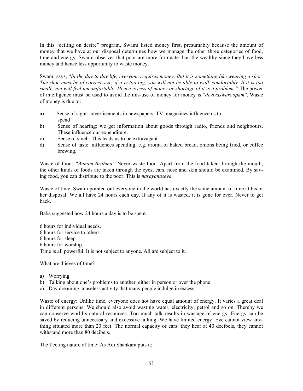In this "ceiling on desire" program, Swami listed money first, presumably because the amount of money that we have at our disposal determines how we manage the other three categories of food, time and energy. Swami observes that poor are more fortunate than the wealthy since they have less money and hence less opportunity to waste money.

Swami says, "*In the day to day life, everyone requires money. But it is something like wearing a shoe. The shoe must be of correct size, if it is too big, you will not be able to walk comfortably. If it is too small, you will feel uncomfortable. Hence excess of money or shortage of it is a problem."* The power of intelligence must be used to avoid the mis-use of money for money is "*devivaswaroopam*". Waste of money is due to:

- a) Sense of sight: advertisements in newspapers, TV, magazines influence us to spend
- b) Sense of hearing: we get information about goods through radio, friends and neighbours. These influence our expenditure.
- c) Sense of smell: This leads us to be extravagant.
- d) Sense of taste: influences spending, e.g. aroma of baked bread, onions being fried, or coffee brewing.

Waste of food: *"Annam Brahma"* Never waste food. Apart from the food taken through the mouth, the other kinds of foods are taken through the eyes, ears, nose and skin should be examined. By saving food, you can distribute to the poor. This is *narayanaseva.*

Waste of time: Swami pointed out everyone in the world has exactly the same amount of time at his or her disposal. We all have 24 hours each day. If any of it is wasted, it is gone for ever. Never to get back.

Baba suggested how 24 hours a day is to be spent.

6 hours for individual needs. 6 hours for service to others. 6 hours for sleep. 6 hours for worship. Time is all powerful. It is not subject to anyone. All are subject to it.

What are thieves of time?

- a) Worrying
- b) Talking about one's problems to another, either in person or over the phone.
- c) Day dreaming, a useless activity that many people indulge in excess.

Waste of energy: Unlike time, everyone does not have equal amount of energy. It varies a great deal in different persons. We should also avoid wasting water, electricity, petrol and so on. Thereby we can conserve world's natural resources. Too much talk results in wastage of energy. Energy can be saved by reducing unnecessary and excessive talking. We have limited energy. Eye cannot view anything situated more than 20 feet. The normal capacity of ears: they hear at 40 decibels, they cannot withstand more than 80 decibels.

The fleeting nature of time: As Adi Shankara puts it;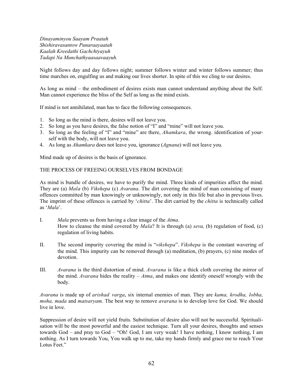*Dinayaminyou Saayam Praatah Shishiravasantow Punaraayaatah Kaalah Kreedathi Gachchtyayuh Tadapi Na Munchathyaasaavaayuh.*

Night follows day and day follows night; summer follows winter and winter follows summer; thus time marches on, engulfing us and making our lives shorter. In spite of this we cling to our desires.

As long as mind – the embodiment of desires exists man cannot understand anything about the Self. Man cannot experience the bliss of the Self as long as the mind exists.

If mind is not annihilated, man has to face the following consequences.

- 1. So long as the mind is there, desires will not leave you.
- 2. So long as you have desires, the false notion of "I" and "mine" will not leave you.
- 3. So long as the feeling of "I" and "mine" are there, *Ahamkara*, the wrong. identification of yourself with the body, will not leave you.
- 4. As long as *Ahamkara* does not leave you, ignorance (*Agnana*) will not leave you.

Mind made up of desires is the basis of ignorance.

## THE PROCESS OF FREEING OURSELVES FROM BONDAGE

As mind is bundle of desires, we have to purify the mind. Three kinds of impurities affect the mind. They are (a) *Mala* (b) *Vikshepa* (c) *Avarana*. The dirt covering the mind of man consisting of many offences committed by man knowingly or unknowingly, not only in this life but also in previous lives. The imprint of these offences is carried by '*chitta*'. The dirt carried by the *chitta* is technically called as '*Mala*'.

- I. *Mala* prevents us from having a clear image of the *Atma*. How to cleanse the mind covered by *Mala*? It is through (a) *seva,* (b) regulation of food, (c) regulation of living habits.
- II. The second impurity covering the mind is "*vikshepa*". *Vikshepa* is the constant wavering of the mind. This impurity can be removed through (a) meditation, (b) prayers, (c) nine modes of devotion.
- III. *Avarana* is the third distortion of mind. *Avarana* is like a thick cloth covering the mirror of the mind. *Avarana* hides the reality – *Atma*, and makes one identify oneself wrongly with the body.

*Avarana* is made up of *arishad varga*, six internal enemies of man. They are *kama, krodha, lobha, moha, mada* and *matsaryam.* The best way to remove *avarana* is to develop love for God. We should live in love.

Suppression of desire will not yield fruits. Substitution of desire also will not be successful. Spiritualisation will be the most powerful and the easiest technique. Turn all your desires, thoughts and senses towards God – and pray to God – "Oh! God, I am very weak! I have nothing, I know nothing, I am nothing. As I turn towards You, You walk up to me, take my hands firmly and grace me to reach Your Lotus Feet."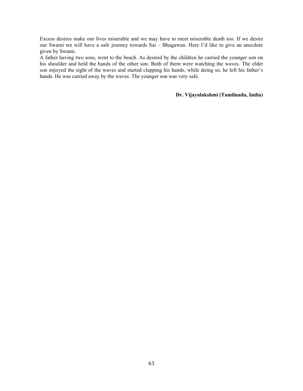Excess desires make our lives miserable and we may have to meet miserable death too. If we desire our Swami we will have a safe journey towards Sai – Bhagawan. Here I'd like to give an anecdote given by Swami.

A father having two sons, went to the beach. As desired by the children he carried the younger son on his shoulder and held the hands of the other son. Both of them were watching the waves. The elder son enjoyed the sight of the waves and started clapping his hands, while doing so, he left his father's hands. He was carried away by the waves. The younger son was very safe.

## **Dr. Vijayalakshmi (Tamilnadu, India)**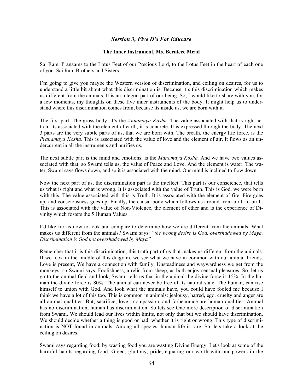# *Session 3, Five D's For Educare*

## **The Inner Instrument, Ms. Berniece Mead**

Sai Ram. Pranaams to the Lotus Feet of our Precious Lord, to the Lotus Feet in the heart of each one of you. Sai Ram Brothers and Sisters.

I'm going to give you maybe the Western version of discrimination, and ceiling on desires, for us to understand a little bit about what this discrimination is. Because it's this discrimination which makes us different from the animals. It is an integral part of our being. So, I would like to share with you, for a few moments, my thoughts on these five inner instruments of the body. It might help us to understand where this discrimination comes from, because its inside us, we are born with it.

The first part: The gross body, it's the *Annamaya Kosha.* The value associated with that is right action. Its associated with the element of earth, it is concrete. It is expressed through the body. The next 3 parts are the very subtle parts of us, that we are born with. The breath, the energy life force, is the *Pranamaya Kosha*. This is associated with the value of love and the element of air. It flows as an undercurrent in all the instruments and purifies us.

The next subtle part is the mind and emotions, is the *Manomaya Kosha.* And we have two values associated with that, so Swami tells us, the value of Peace and Love. And the element is water. The water, Swami says flows down, and so it is associated with the mind. Our mind is inclined to flow down.

Now the next part of us, the discrimination part is the intellect. This part is our conscience, that tells us what is right and what is wrong. It is associated with the value of Truth. This is God, we were born with this. The value associated with this is Truth. It is associated with the element of fire. Fire goes up, and consciousness goes up. Finally, the causal body which follows us around from birth to birth. This is associated with the value of Non-Violence, the element of ether and is the experience of Divinity which fosters the 5 Human Values.

I'd like for us now to look and compare to determine how we are different from the animals. What makes us different from the animals? Swami says: *"the wrong desire is God, overshadowed by Maya, Discrimination is God not overshadowed by Maya"*

Remember that it is this discrimination, this truth part of us that makes us different from the animals. If we look in the middle of this diagram, we see what we have in common with our animal friends. Love is present, We have a connection with family. Unsteadiness and waywardness we get from the monkeys, so Swami says. Foolishness, a relic from sheep, as both enjoy sensual pleasures. So, let us go to the animal field and look, Swami tells us that in the animal the divine force is 15%. In the human the divine force is 80%. The animal can never be free of its natural state. The human, can rise himself to union with God. And look what the animals have, you could have fooled me because I think we have a lot of this too. This is common in animals: jealousy, hatred, ego, cruelty and anger are all animal qualities. But, sacrifice, love , compassion, and forbearance are human qualities. Animal has no discrimination, human has discrimination. So lets see One more description of discrimination from Swami. We should lead our lives within limits, not only that but we should have discrimination. We should decide whether a thing is good or bad, whether it is right or wrong. This type of discrimination is NOT found in animals. Among all species, human life is rare. So, lets take a look at the ceiling on desires.

Swami says regarding food: by wasting food you are wasting Divine Energy. Let's look at some of the harmful habits regarding food. Greed, gluttony, pride, equating our worth with our powers in the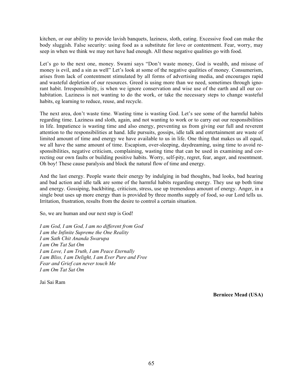kitchen, or our ability to provide lavish banquets, laziness, sloth, eating. Excessive food can make the body sluggish. False security: using food as a substitute for love or contentment. Fear, worry, may seep in when we think we may not have had enough. All these negative qualities go with food.

Let's go to the next one, money. Swami says "Don't waste money, God is wealth, and misuse of money is evil, and a sin as well" Let's look at some of the negative qualities of money. Consumerism, arises from lack of contentment stimulated by all forms of advertising media, and encourages rapid and wasteful depletion of our resources. Greed is using more than we need, sometimes through ignorant habit. Irresponsibility, is when we ignore conservation and wise use of the earth and all our cohabitation. Laziness is not wanting to do the work, or take the necessary steps to change wasteful habits, eg learning to reduce, reuse, and recycle.

The next area, don't waste time. Wasting time is wasting God. Let's see some of the harmful habits regarding time. Laziness and sloth, again, and not wanting to work or to carry out our responsibilities in life. Impatience is wasting time and also energy, preventing us from giving our full and reverent attention to the responsibilities at hand. Idle pursuits, gossips, idle talk and entertainment are waste of limited amount of time and energy we have available to us in life. One thing that makes us all equal, we all have the same amount of time. Escapism, over-sleeping, daydreaming, using time to avoid responsibilities, negative criticism, complaining, wasting time that can be used in examining and correcting our own faults or building positive habits. Worry, self-pity, regret, fear, anger, and resentment. Oh boy! These cause paralysis and block the natural flow of time and energy.

And the last energy. People waste their energy by indulging in bad thoughts, bad looks, bad hearing and bad action and idle talk are some of the harmful habits regarding energy. They use up both time and energy. Gossiping, backbiting, criticism, stress, use up tremendous amount of energy. Anger, in a single bout uses up more energy than is provided by three months supply of food, so our Lord tells us. Irritation, frustration, results from the desire to control a certain situation.

So, we are human and our next step is God!

*I am God, I am God, I am no different from God I am the Infinite Supreme the One Reality I am Sath Chit Ananda Swarupa I am Om Tat Sat Om I am Love, I am Truth, I am Peace Eternally I am Bliss, I am Delight, I am Ever Pure and Free Fear and Grief can never touch Me I am Om Tat Sat Om*

Jai Sai Ram

 **Berniece Mead (USA)**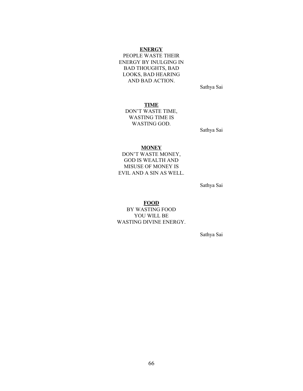## **ENERGY**

PEOPLE WASTE THEIR ENERGY BY INULGING IN BAD THOUGHTS, BAD LOOKS, BAD HEARING AND BAD ACTION.

Sathya Sai

**TIME**

DON'T WASTE TIME, WASTING TIME IS WASTING GOD.

Sathya Sai

#### **MONEY**

DON'T WASTE MONEY, GOD IS WEALTH AND MISUSE OF MONEY IS EVIL AND A SIN AS WELL.

Sathya Sai

#### **FOOD**

BY WASTING FOOD YOU WILL BE WASTING DIVINE ENERGY.

Sathya Sai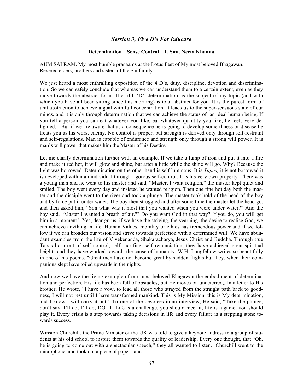# *Session 3, Five D's For Educare*

### **Determination – Sense Control – 1, Smt. Neeta Khanna**

AUM SAI RAM. My most humble pranaams at the Lotus Feet of My most beloved Bhagawan. Revered elders, brothers and sisters of the Sai family.

We just heard a most enthralling exposition of the 4 D's, duty, discipline, devotion and discrimination. So we can safely conclude that whereas we can understand them to a certain extent, even as they move towards the abstract form. The fifth 'D', determination, is the subject of my topic (and with which you have all been sitting since this morning) is total abstract for you. It is the purest form of unit abstraction to achieve a goal with full concentration. It leads us to the super-sensuous state of our minds, and it is only through determination that we can achieve the status of an ideal human being. If you tell a person you can eat whatever you like, eat whatever quantity you like, he feels very delighted. But if we are aware that as a consequence he is going to develop some illness or disease he treats you as his worst enemy. No control is proper, but strength is derived only through self-restraint and self-regulations. Man is capable of endurance and strength only through a strong will power. It is man's will power that makes him the Master of his Destiny.

Let me clarify determination further with an example. If we take a lump of iron and put it into a fire and make it red hot, it will glow and shine, but after a little while the shine will go. Why? Because the light was borrowed. Determination on the other hand is self luminous. It is *Tapas,* it is not borrowed it is developed within an individual through rigorous self-control. It is his very own property. There was a young man and he went to his master and said, "Master, I want religion," the master kept quiet and smiled. The boy went every day and insisted he wanted religion. Then one fine hot day both the master and the disciple went to the river and took a plunge. The master took hold of the head of the boy and by force put it under water. The boy then struggled and after some time the master let the head go, and then asked him, "Son what was it most that you wanted when you were under water?" And the boy said, "Master I wanted a breath of air."" Do you want God in that way? If you do, you will get him in a moment." Yes, dear gurus, if we have the striving, the yearning, the desire to realise God, we can achieve anything in life. Human Values, morality or ethics has tremendous power and if we follow it we can broaden our vision and strive towards perfection with a determined will. We have abundant examples from the life of Vivekenanda, Shakaracharya, Jesus Christ and Buddha. Through true Tapas born out of self control, self sacrifice, self renunciation, they have achieved great spiritual heights and they have worked towards the cause of humanity. W.H. Longfellow writes so beautifully in one of his poems. "Great men have not become great by sudden flights but they, when their companions slept have toiled upwards in the nights.

And now we have the living example of our most beloved Bhagawan the embodiment of determination and perfection. His life has been full of obstacles, but He moves on undeterred,. In a letter to His brother, He wrote, "I have a vow, to lead all those who strayed from the straight path back to goodness, I will not rest until I have transformed mankind. This is My Mission, this is My determination, and I know I will carry it out". To one of the devotees in an interview, He said, "Take the plunge, don't say, I'll do, I'll do, DO IT. Life is a challenge, you should meet it, life is a game, you should play it. Every crisis is a step towards taking decisions in life and every failure is a stepping stone towards success.

Winston Churchill, the Prime Minister of the UK was told to give a keynote address to a group of students at his old school to inspire them towards the quality of leadership. Every one thought, that "Oh, he is going to come out with a spectacular speech," they all wanted to listen. Churchill went to the microphone, and took out a piece of paper, and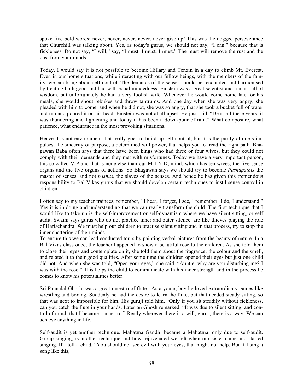spoke five bold words: never, never, never, never, never give up! This was the dogged perseverance that Churchill was talking about. Yes, as today's gurus, we should not say, "I can," because that is fickleness. Do not say, "I will," say, "I must, I must, I must." The must will remove the rust and the dust from your minds.

Today, I would say it is not possible to become Hillary and Tenzin in a day to climb Mt. Everest. Even in our home situations, while interacting with our fellow beings, with the members of the family, we can bring about self-control. The demands of the senses should be reconciled and harmonised by treating both good and bad with equal mindedness. Einstein was a great scientist and a man full of wisdom, but unfortunately he had a very foolish wife. Whenever he would come home late for his meals, she would shout rebukes and throw tantrums. And one day when she was very angry, she pleaded with him to come, and when he did not, she was so angry, that she took a bucket full of water and ran and poured it on his head. Einstein was not at all upset. He just said, "Dear, all these years, it was thundering and lightening and today it has been a down-pour of rain." What composure, what patience, what endurance in the most provoking situations.

Hence it is not environment that really goes to build up self-control, but it is the purity of one's impulses, the sincerity of purpose, a determined will power, that helps you to tread the right path. Bhagawan Baba often says that there have been kings who had three or four wives, but they could not comply with their demands and they met with misfortunes. Today we have a very important person, this so called VIP and that is none else than our M-I-N-D, mind, which has ten wives; the five sense organs and the five organs of actions. So Bhagawan says we should try to become *Pashupathis* the master of senses, and not *pashus,* the slaves of the senses. And hence he has given this tremendous responsibility to Bal Vikas gurus that we should develop certain techniques to instil sense control in children.

I often say to my teacher trainees; remember, "I hear, I forget, I see, I remember, I do, I understand." Yes it is in doing and understanding that we can really transform the child. The first technique that I would like to take up is the self-improvement or self-dynamism where we have silent sitting, or self audit. Swami says gurus who do not practice inner and outer silence, are like thieves playing the role of Harischandra. We must help our children to practise silent sitting and in that process, try to stop the inner chattering of their minds.

To ensure this we can lead conducted tours by painting verbal pictures from the beauty of nature. In a Bal Vikas class once, the teacher happened to show a beautiful rose to the children. As she told them to close their eyes and contemplate on it, she told them about the fragrance, the colour and the smell, and related it to their good qualities. After some time the children opened their eyes but just one child did not. And when she was told, "Open your eyes," she said, "Auntie, why are you disturbing me? I was with the rose." This helps the child to communicate with his inner strength and in the process he comes to know his potentialities better.

Sri Pannalal Ghosh, was a great maestro of flute. As a young boy he loved extraordinary games like wrestling and boxing. Suddenly he had the desire to learn the flute, but that needed steady sitting, so that was next to impossible for him. His guruji told him, "Only if you sit steadily without fickleness, can you catch the flute in your hands. Later on Ghosh remarked, "It was due to silent sitting, and control of mind, that I became a maestro." Really wherever there is a will, gurus, there is a way. We can achieve anything in life.

Self-audit is yet another technique. Mahatma Gandhi became a Mahatma, only due to self-audit. Group singing, is another technique and how rejuvenated we felt when our sister came and started singing. If I tell a child, "You should not see evil with your eyes, that might not help. But if I sing a song like this;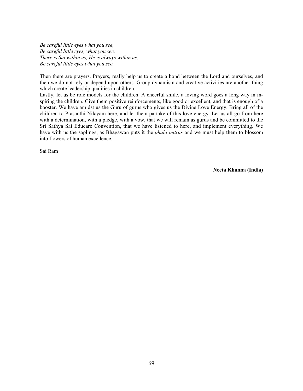*Be careful little eyes what you see, Be careful little eyes, what you see, There is Sai within us, He is always within us, Be careful little eyes what you see.*

Then there are prayers. Prayers, really help us to create a bond between the Lord and ourselves, and then we do not rely or depend upon others. Group dynamism and creative activities are another thing which create leadership qualities in children.

Lastly, let us be role models for the children. A cheerful smile, a loving word goes a long way in inspiring the children. Give them positive reinforcements, like good or excellent, and that is enough of a booster. We have amidst us the Guru of gurus who gives us the Divine Love Energy. Bring all of the children to Prasanthi Nilayam here, and let them partake of this love energy. Let us all go from here with a determination, with a pledge, with a vow, that we will remain as gurus and be committed to the Sri Sathya Sai Educare Convention, that we have listened to here, and implement everything. We have with us the saplings, as Bhagawan puts it the *phala putras* and we must help them to blossom into flowers of human excellence.

Sai Ram

**Neeta Khanna (India)**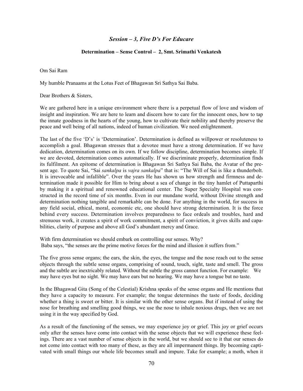# *Session – 3, Five D's For Educare*

#### **Determination – Sense Control – 2, Smt. Srimathi Venkatesh**

Om Sai Ram

My humble Pranaams at the Lotus Feet of Bhagawan Sri Sathya Sai Baba.

Dear Brothers & Sisters,

We are gathered here in a unique environment where there is a perpetual flow of love and wisdom of insight and inspiration. We are here to learn and discern how to care for the innocent ones, how to tap the innate goodness in the hearts of the young, how to cultivate their nobility and thereby preserve the peace and well being of all nations, indeed of human civilization. We need enlightenment.

The last of the five 'D's' is 'Determination'. Determination is defined as willpower or resoluteness to accomplish a goal. Bhagawan stresses that a devotee must have a strong determination. If we have dedication, determination comes on its own. If we follow discipline, determination becomes simple. If we are devoted, determination comes automatically. If we discriminate properly, determination finds its fulfilment. An epitome of determination is Bhagawan Sri Sathya Sai Baba, the Avatar of the present age. To quote Sai, "Sai *sankalpa* is *vajra sankalpa*" that is: "The Will of Sai is like a thunderbolt. It is irrevocable and infallible". Over the years He has shown us how strength and firmness and determination made it possible for Him to bring about a sea of change in the tiny hamlet of Puttaparthi by making it a spiritual and renowned educational center. The Super Specialty Hospital was constructed in the record time of six months. Even in our mundane world, without Divine strength and determination nothing tangible and remarkable can be done. For anything in the world, for success in any field social, ethical, moral, economic etc, one should have strong determination. It is the force behind every success. Determination involves preparedness to face ordeals and troubles, hard and strenuous work, it creates a spirit of work commitment, a spirit of conviction, it gives skills and capabilities, clarity of purpose and above all God's abundant mercy and Grace.

With firm determination we should embark on controlling our senses. Why? Baba says, "the senses are the prime motive forces for the mind and illusion it suffers from."

The five gross sense organs; the ears, the skin, the eyes, the tongue and the nose reach out to the sense objects through the subtle sense organs, comprising of sound, touch, sight, taste and smell. The gross and the subtle are inextricably related. Without the subtle the gross cannot function. For example: We may have eyes but no sight. We may have ears but no hearing. We may have a tongue but no taste.

In the Bhagawad Gita (Song of the Celestial) Krishna speaks of the sense organs and He mentions that they have a capacity to measure. For example; the tongue determines the taste of foods, deciding whether a thing is sweet or bitter. It is similar with the other sense organs. But if instead of using the nose for breathing and smelling good things, we use the nose to inhale noxious drugs, then we are not using it in the way specified by God.

As a result of the functioning of the senses, we may experience joy or grief. This joy or grief occurs only after the senses have come into contact with the sense objects that we will experience these feelings. There are a vast number of sense objects in the world, but we should see to it that our senses do not come into contact with too many of these, as they are all impermanent things. By becoming captivated with small things our whole life becomes small and impure. Take for example; a moth, when it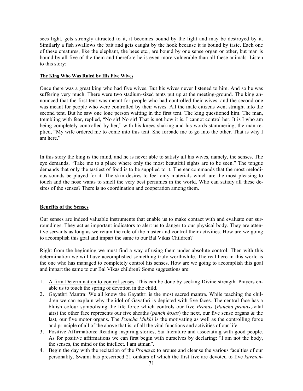sees light, gets strongly attracted to it, it becomes bound by the light and may be destroyed by it. Similarly a fish swallows the bait and gets caught by the hook because it is bound by taste. Each one of these creatures, like the elephant, the bees etc., are bound by one sense organ or other, but man is bound by all five of the them and therefore he is even more vulnerable than all these animals. Listen to this story:

#### **The King Who Was Ruled by His Five Wives**

Once there was a great king who had five wives. But his wives never listened to him. And so he was suffering very much. There were two stadium-sized tents put up at the meeting-ground. The king announced that the first tent was meant for people who had controlled their wives, and the second one was meant for people who were controlled by their wives. All the male citizens went straight into the second tent. But he saw one lone person waiting in the first tent. The king questioned him. The man, trembling with fear, replied, "No sir! No sir! That is not how it is. I cannot control her. It is I who am being completely controlled by her," with his knees shaking and his words stammering, the man replied, "My wife ordered me to come into this tent. She forbade me to go into the other. That is why I am here."

In this story the king is the mind, and he is never able to satisfy all his wives, namely, the senses. The eye demands, "Take me to a place where only the most beautiful sights are to be seen." The tongue demands that only the tastiest of food is to be supplied to it. The ear commands that the most melodious sounds be played for it. The skin desires to feel only materials which are the most pleasing to touch and the nose wants to smell the very best perfumes in the world. Who can satisfy all these desires of the senses? There is no coordination and cooperation among them.

## **Benefits of the Senses**

Our senses are indeed valuable instruments that enable us to make contact with and evaluate our surroundings. They act as important indicators to alert us to danger to our physical body. They are attentive servants as long as we retain the role of the master and control their activities. How are we going to accomplish this goal and impart the same to our Bal Vikas Children?

Right from the beginning we must find a way of using them under absolute control. Then with this determination we will have accomplished something truly worthwhile. The real hero in this world is the one who has managed to completely control his senses. How are we going to accomplish this goal and impart the same to our Bal Vikas children? Some suggestions are:

- 1. A firm Determination to control senses: This can be done by seeking Divine strength. Prayers enable us to touch the spring of devotion in the child.
- 2. Gayathri Mantra: We all know the Gayathri is the most sacred mantra. While teaching the children we can explain why the idol of Gayathri is depicted with five faces. The central face has a bluish colour symbolising the life force which controls our five *Pranas* (*Pancha pranas*,-vital airs) the other face represents our five sheaths (*panch kosas*) the next, our five sense organs & the last, our five motor organs. The *Pancha Mukhi* is the motivating as well as the controlling force and principle of all of the above that is, of all the vital functions and activities of our life.
- 3. Positive Affirmations: Reading inspiring stories, Sai literature and associating with good people. As for positive affirmations we can first begin with ourselves by declaring: "I am not the body, the senses, the mind or the intellect. I am atman".
- 4. Begin the day with the recitation of the *Pranava*: to arouse and cleanse the various faculties of our personality. Swami has prescribed 21 omkars of which the first five are devoted to five *karmen-*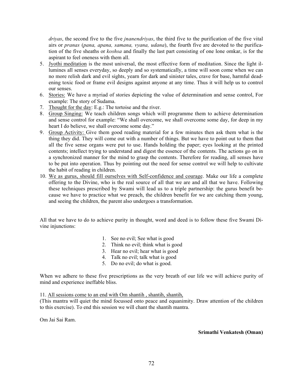*driyas*, the second five to the five *jnanendriyas*, the third five to the purification of the five vital airs or *pranas* (*pana, apana, samana, vyana, udana*), the fourth five are devoted to the purification of the five sheaths or *koshsa* and finally the last part consisting of one lone omkar, is for the aspirant to feel oneness with them all.

- 5. Jyothi meditation is the most universal, the most effective form of meditation. Since the light illumines all senses everyday, so deeply and so systematically, a time will soon come when we can no more relish dark and evil sights, yearn for dark and sinister tales, crave for base, harmful deadening toxic food or frame evil designs against anyone at any time. Thus it will help us to control our senses.
- 6. Stories: We have a myriad of stories depicting the value of determination and sense control, For example: The story of Sudama.
- 7. Thought for the day: E.g.: The tortoise and the river.
- 8. Group Singing: We teach children songs which will programme them to achieve determination and sense control for example: "We shall overcome, we shall overcome some day, for deep in my heart I do believe, we shall overcome some day."
- 9. Group Activity: Give them good reading material for a few minutes then ask them what is the thing they did. They will come out with a number of things. But we have to point out to them that all the five sense organs were put to use. Hands holding the paper; eyes looking at the printed contents; intellect trying to understand and digest the essence of the contents. The actions go on in a synchronized manner for the mind to grasp the contents. Therefore for reading, all senses have to be put into operation. Thus by pointing out the need for sense control we will help to cultivate the habit of reading in children.
- 10. We as gurus, should fill ourselves with Self-confidence and courage. Make our life a complete offering to the Divine, who is the real source of all that we are and all that we have. Following these techniques prescribed by Swami will lead us to a triple partnership: the gurus benefit because we have to practice what we preach, the children benefit for we are catching them young, and seeing the children, the parent also undergoes a transformation.

All that we have to do to achieve purity in thought, word and deed is to follow these five Swami Divine injunctions:

- 1. See no evil; See what is good
- 2. Think no evil; think what is good
- 3. Hear no evil; hear what is good
- 4. Talk no evil; talk what is good
- 5. Do no evil; do what is good.

When we adhere to these five prescriptions as the very breath of our life we will achieve purity of mind and experience ineffable bliss.

11. All sessions come to an end with Om shantih , shantih, shantih,

(This mantra will quiet the mind focussed onto peace and equanimity. Draw attention of the children to this exercise). To end this session we will chant the shantih mantra.

Om Jai Sai Ram.

 **Srimathi Venkatesh (Oman)**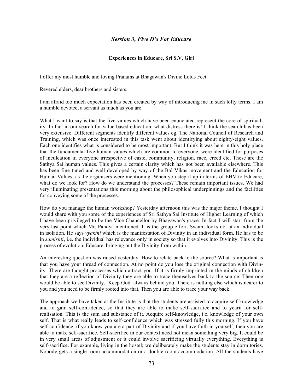# *Session 3, Five D's For Educare*

#### **Experiences in Educare, Sri S.V. Giri**

I offer my most humble and loving Pranams at Bhagawan's Divine Lotus Feet.

Revered elders, dear brothers and sisters.

I am afraid too much expectation has been created by way of introducing me in such lofty terms. I am a humble devotee, a servant as much as you are.

What I want to say is that the five values which have been enunciated represent the core of spirituality. In fact in our search for value based education, what distress there is! I think the search has been very extensive. Different segments identify different values eg. The National Council of Research and Training, which was once interested in this task went about identifying about eighty-eight values. Each one identifies what is considered to be most important. But I think it was here in this holy place that the fundamental five human values which are common to everyone, were identified for purposes of inculcation in everyone irrespective of caste, community, religion, race, creed etc. These are the Sathya Sai human values. This gives a certain clarity which has not been available elsewhere. This has been fine tuned and well developed by way of the Bal Vikas movement and the Education for Human Values, as the organisers were mentioning. When you step it up in terms of EHV to Educare, what do we look for? How do we understand the processes? These remain important issues. We had very illuminating presentations this morning about the philosophical underpinnings and the facilities for conveying some of the processes.

How do you manage the human workshop? Yesterday afternoon this was the major theme. I thought I would share with you some of the experiences of Sri Sathya Sai Institute of Higher Learning of which I have been privileged to be the Vice Chancellor by Bhagawan's grace. In fact I will start from the very last point which Mr. Pandya mentioned. It is the group effort. Swami looks not at an individual in isolation. He says *vyakthi* which is the manifestation of Divinity in an individual form. He has to be in *samishti*, i.e. the individual has relevance only in society so that it evolves into Divinity. This is the process of evolution, Educare, bringing out the Divinity from within.

An interesting question was raised yesterday. How to relate back to the source? What is important is that you have your thread of connection. At no point do you lose the original connection with Divinity. There are thought processes which attract you. If it is firmly imprinted in the minds of children that they are a reflection of Divinity they are able to trace themselves back to the source. Then one would be able to see Divinity. Keep God always behind you. There is nothing else which is nearer to you and you need to be firmly rooted into that. Then you are able to trace your way back.

The approach we have taken at the Institute is that the students are assisted to acquire self-knowledge and to gain self-confidence, so that they are able to make self-sacrifice and to yearn for selfrealisation. This is the sum and substance of it. Acquire self-knowledge, i.e. knowledge of your own self. That is what really leads to self-confidence which was stressed fully this morning. If you have self-confidence, if you know you are a part of Divinity and if you have faith in yourself, then you are able to make self-sacrifice. Self-sacrifice in our context need not mean something very big. It could be in very small areas of adjustment or it could involve sacrificing virtually everything. Everything is self-sacrifice. For example, living in the hostel; we deliberately make the students stay in dormitories. Nobody gets a single room accommodation or a double room accommodation. All the students have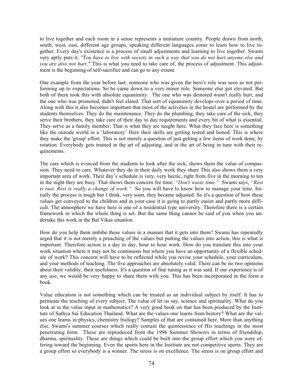to live together and each room in a sense represents a miniature country. People drawn from north, south, west, east, different age groups, speaking different languages come to learn how to live together. Every day's existence is a process of small adjustments and learning to live together. Swami very aptly puts it: *"Ÿou have to live with society in such a way that you do not hurt anyone else and you are also not hurt."* This is what you need to take care of, the process of adjustment. This adjustment is the beginning of self-sacrifice and can go to any extent.

One example from the year before last: someone who was given the hero's role was seen as not performing up to expectations. So he came down to a very minor role. Someone else got elevated. But both of them took this with absolute equanimity. The one who was demoted wasn't really hurt, and the one who was promoted, didn't feel elated. That sort of equanimity develops over a period of time. Along with this it also becomes important that most of the activities in the hostel are performed by the students themselves. They do the maintenance. They do the plumbing, they take care of the sick, they serve their brothers, they take care of their day to day requirements and every bit of what is essential. They serve as a family member. That is what they are taught here. What they face here is something like the outside world in a 'laboratory' Here their skills are getting tested and honed. This is where they make the 'group' effort. This is not merely a question of just getting a few items of work done, by rotation. Everybody gets trained in the art of adjusting, and in the art of being in tune with their requirements.

The care which is evinced from the students to look after the sick, shows them the value of compassion. They need to care. Whatever they do in their daily work they share This also shows them a very important area of work. Their day's schedule is very, very hectic, right from five in the morning to ten in the night they are busy. That shows them concern for time. *"Don't waste time."* Swami says, *"Rest is rust. Rest is really a change of work."* So you will have to know how to manage your time. Initially the process is tough but I think, very soon, they became adjusted. So it's a question of how these values get conveyed to the children and in your case it is going to partly easier and partly more difficult. The atmosphere we have here is one of a residential type university. Therefore there is a certain framework in which the whole thing is set. But the same thing cannot be said of you when you undertake this work in the Bal Vikas situation.

How do you help them imbibe these values in a manner that it gets into them? Swami has repeatedly urged that it is not merely a preaching of the values but putting the values into action, this is what is important. Therefore action is a day to day, hour to hour work. How do you translate this into your work situation where it may not be continuous but where you have an opportunity of a flexible schedule of work? This concern will have to be reflected while you revise your schedule, your curriculum, and your methods of teaching. The five approaches are absolutely valid. There can be no two opinions about their validity, their usefulness. It's a question of fine tuning as it was said. If our experience is of any use, we would be very happy to share them with you. This has been incorporated in the form a book.

Value education is not something which can be treated as an individual subject by itself. It has to permeate the teaching of every subject. The value of let us say, science and spirituality. What do you look at in the value input in mathematics? A very good book on that has been produced by the Institute of Sathya Sai Education Thailand. What are the values one learns from history? What are the values one learns in physics, chemistry biology? Samples of that are contained here. More than anything else, Swami's summer courses which really contain the quintessence of His teachings in the most penetrating form. These are reproduced from the 1996 Summer Showers in terms of friendship, dharma, spirituality. These are things which could be built into the group effort which you were offering toward the beginning. Even the sports here in the Institute are not competitive sports. They are a group effort so everybody is a winner. The stress is on excellence. The stress is on group effort and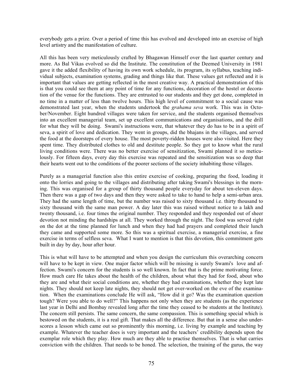everybody gets a prize. Over a period of time this has evolved and developed into an exercise of high level artistry and the manifestation of culture.

All this has been very meticulously crafted by Bhagawan Himself over the last quarter century and more. As Bal Vikas evolved so did the Institute. The constitution of the Deemed University in 1981 gave it the added flexibility of having its own work schedule, its program, its syllabus, teaching individual subjects, examination systems, grading and things like that. These values get reflected and it is important that values are getting reflected in the most creative way. A practical demonstration of this is that you could see them at any point of time for any functions, decoration of the hostel or decoration of the venue for the functions. They are entrusted to our students and they get done, completed in no time in a matter of less than twelve hours. This high level of commitment to a social cause was demonstrated last year, when the students undertook the *grahama seva* work. This was in October/November. Eight hundred villages were taken for service, and the students organised themselves into an excellent managerial team, set up excellent communications and organisations, and the drill for what they will be doing. Swami's instructions were, that whatever they do has to be in a spirit of seva, a spirit of love and dedication. They went in groups, did the bhajans in the villages, and served the food at the doorsteps of every house. The most poverty-ridden houses were also visited. Here they spent time. They distributed clothes to old and destitute people. So they got to know what the rural living conditions were. There was no better exercise of sensitization, Swami planned it so meticulously. For fifteen days, every day this exercise was repeated and the sensitization was so deep that their hearts went out to the conditions of the poorer sections of the society inhabiting those villages.

Purely as a managerial function also this entire exercise of cooking, preparing the food, loading it onto the lorries and going to the villages and distributing after taking Swami's blessings in the morning. This was organised for a group of thirty thousand people everyday for about ten-eleven days. Then there was a gap of two days and then they were asked to take to hand to help a semi-urban area. They had the same length of time, but the number was raised to sixty thousand i.e. thirty thousand to sixty thousand with the same man power. A day later this was raised without notice to a lakh and twenty thousand, i.e. four times the original number. They responded and they responded out of sheer devotion not minding the hardships at all. They worked through the night. The food was served right on the dot at the time planned for lunch and when they had had prayers and completed their lunch they came and supported some more. So this was a spiritual exercise, a managerial exercise, a fine exercise in terms of selfless seva. What I want to mention is that this devotion, this commitment gets built in day by day, hour after hour.

This is what will have to be attempted and when you design the curriculum this overarching concern will have to be kept in view. One major factor which will be missing is surely Swami's love and affection. Swami's concern for the students is so well known. In fact that is the prime motivating force. How much care He takes about the health of the children, about what they had for food, about who they are and what their social conditions are, whether they had examinations, whether they kept late nights. They should not keep late nights, they should not get over-worked on the eve of the examination. When the examinations conclude He will ask, "How did it go? Was the examination question tough? Were you able to do well?" This happens not only when they are students (as the experience last year in Delhi and Bombay revealed long after the time they ceased to be students at the Institute). The concern still persists. The same concern, the same compassion. This is something special which is bestowed on the students, it is a real gift. That makes all the difference. But that in a sense also underscores a lesson which came out so prominently this morning, i.e. living by example and teaching by example. Whatever the teacher does is very important and the teachers' credibility depends upon the exemplar role which they play. How much are they able to practise themselves. That is what carries conviction with the children. That needs to be honed. The selection, the training of the gurus, the way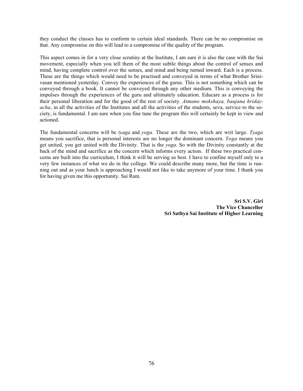they conduct the classes has to conform to certain ideal standards. There can be no compromise on that. Any compromise on this will lead to a compromise of the quality of the program.

This aspect comes in for a very close scrutiny at the Institute, I am sure it is also the case with the Sai movement, especially when you tell them of the most subtle things about the control of senses and mind, having complete control over the senses, and mind and being turned inward. Each is a process. These are the things which would need to be practised and conveyed in terms of what Brother Srinivasan mentioned yesterday. Convey the experiences of the gurus. This is not something which can be conveyed through a book. It cannot be conveyed through any other medium. This is conveying the impulses through the experiences of the guru and ultimately education. Educare as a process is for their personal liberation and for the good of the rest of society. *Atmano mokshaya, baujana hridayacha*, in all the activities of the Institutes and all the activities of the students, seva, service to the society, is fundamental. I am sure when you fine tune the program this will certainly be kept in view and actioned.

The fundamental concerns will be *tyaga* and *yoga.* These are the two, which are writ large. *Tyaga* means you sacrifice, that is personal interests are no longer the dominant concern. *Yoga* means you get united, you get united with the Divinity. That is the *yoga.* So with the Divinity constantly at the back of the mind and sacrifice as the concern which informs every action. If these two practical concerns are built into the curriculum, I think it will be serving us best. I have to confine myself only to a very few instances of what we do in the college. We could describe many more, but the time is running out and as your lunch is approaching I would not like to take anymore of your time. I thank you for having given me this opportunity. Sai Ram.

> **Sri S.V. Giri The Vice Chancellor Sri Sathya Sai Institute of Higher Learning**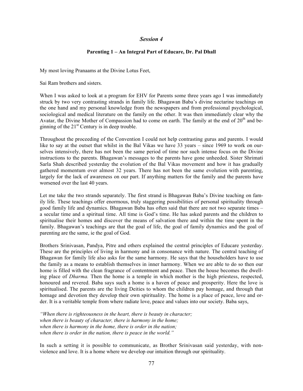## *Session 4*

## **Parenting 1 – An Integral Part of Educare, Dr. Pal Dhall**

My most loving Pranaams at the Divine Lotus Feet,

Sai Ram brothers and sisters.

When I was asked to look at a program for EHV for Parents some three years ago I was immediately struck by two very contrasting strands in family life. Bhagawan Baba's divine nectarine teachings on the one hand and my personal knowledge from the newspapers and from professional psychological, sociological and medical literature on the family on the other. It was then immediately clear why the Avatar, the Divine Mother of Compassion had to come on earth. The family at the end of  $20<sup>th</sup>$  and beginning of the  $21<sup>st</sup>$  Century is in deep trouble.

Throughout the proceeding of the Convention I could not help contrasting gurus and parents. I would like to say at the outset that whilst in the Bal Vikas we have 33 years – since 1969 to work on ourselves intensively, there has not been the same period of time nor such intense focus on the Divine instructions to the parents. Bhagawan's messages to the parents have gone unheeded. Sister Shrimati Sarla Shah described yesterday the evolution of the Bal Vikas movement and how it has gradually gathered momentum over almost 32 years. There has not been the same evolution with parenting, largely for the lack of awareness on our part. If anything matters for the family and the parents have worsened over the last 40 years.

Let me take the two strands separately. The first strand is Bhagawan Baba's Divine teaching on family life. These teachings offer enormous, truly staggering possibilities of personal spirituality through good family life and dynamics. Bhagawan Baba has often said that there are not two separate times – a secular time and a spiritual time. All time is God's time. He has asked parents and the children to spiritualise their homes and discover the means of salvation there and within the time spent in the family. Bhagawan's teachings are that the goal of life, the goal of family dynamics and the goal of parenting are the same, ie the goal of God.

Brothers Srinivasan, Pandya, Pitre and others explained the central principles of Educare yesterday. These are the principles of living in harmony and in consonance with nature. The central teaching of Bhagawan for family life also asks for the same harmony. He says that the householders have to use the family as a means to establish themselves in inner harmony. When we are able to do so then our home is filled with the clean fragrance of contentment and peace. Then the house becomes the dwelling place of *Dharma.* Then the home is a temple in which mother is the high priestess, respected, honoured and revered. Baba says such a home is a haven of peace and prosperity. Here the love is spiritualised. The parents are the living Deities to whom the children pay homage, and through that homage and devotion they develop their own spirituality. The home is a place of peace, love and order. It is a veritable temple from where radiate love, peace and values into our society. Baba says,

*"When there is righteousness in the heart, there is beauty in character; when there is beauty of character, there is harmony in the home; when there is harmony in the home, there is order in the nation; when there is order in the nation, there is peace in the world."*

In such a setting it is possible to communicate, as Brother Srinivasan said yesterday, with nonviolence and love. It is a home where we develop our intuition through our spirituality.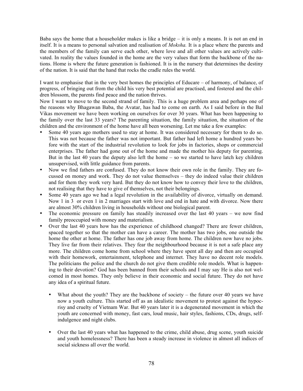Baba says the home that a householder makes is like a bridge  $-$  it is only a means. It is not an end in itself. It is a means to personal salvation and realisation of *Moksha.* It is a place where the parents and the members of the family can serve each other, where love and all other values are actively cultivated. In reality the values founded in the home are the very values that form the backbone of the nations. Home is where the future generation is fashioned. It is in the nursery that determines the destiny of the nation. It is said that the hand that rocks the cradle rules the world.

I want to emphasise that in the very best homes the principles of Educare – of harmony, of balance, of progress, of bringing out from the child his very best potential are practised, and fostered and the children blossom, the parents find peace and the nation thrives.

Now I want to move to the second strand of family. This is a huge problem area and perhaps one of the reasons why Bhagawan Baba, the Avatar, has had to come on earth. As I said before in the Bal Vikas movement we have been working on ourselves for over 30 years. What has been happening to the family over the last 33 years? The parenting situation, the family situation, the situation of the children and the environment of the home have all been worsening. Let me take a few examples:

- Some 40 years ago mothers used to stay at home. It was considered necessary for them to do so. This was not because the father was not important. But father had left home a hundred years before with the start of the industrial revolution to look for jobs in factories, shops or commercial enterprises. The father had gone out of the home and made the mother his deputy for parenting. But in the last 40 years the deputy also left the home – so we started to have latch key children unsupervised, with little guidance from parents.
- Now we find fathers are confused. They do not know their own role in the family. They are focussed on money and work. They do not value themselves – they do indeed value their children and for them they work very hard. But they do not know how to convey their love to the children, not realising that they have to give of themselves, not their belongings.
- Some 40 years ago we had a legal revolution in the availability of divorce, virtually on demand. Now 1 in 3 or even 1 in 2 marriages start with love and end in hate and with divorce. Now there are almost 30% children living in households without one biological parent.
- The economic pressure on family has steadily increased over the last  $40$  years we now find family preoccupied with money and materialism.
- Over the last 40 years how has the experience of childhood changed? There are fewer children, spaced together so that the mother can have a career. The mother has two jobs, one outside the home the other at home. The father has one job away from home. The children now have no jobs. They live far from their relatives. They fear the neighbourhood because it is not a safe place any more. The children come home from school where they have spent all day and then are occupied with their homework, entertainment, telephone and internet. They have no decent role models. The politicians the police and the church do not give them credible role models. What is happening to their devotion? God has been banned from their schools and I may say He is also not welcomed in most homes. They only believe in their economic and social future. They do not have any idea of a spiritual future.
	- What about the youth? They are the backbone of society  $-$  the future over 40 years we have now a youth culture. This started off as an idealistic movement to protest against the hypocrisy and cruelty of Vietnam War. But 40 years later it is a degenerated movement in which the youth are concerned with money, fast cars, loud music, hair styles, fashions, CDs, drugs, selfindulgence and night clubs.
	- Over the last 40 years what has happened to the crime, child abuse, drug scene, youth suicide and youth homelessness? There has been a steady increase in violence in almost all indices of social sickness all over the world.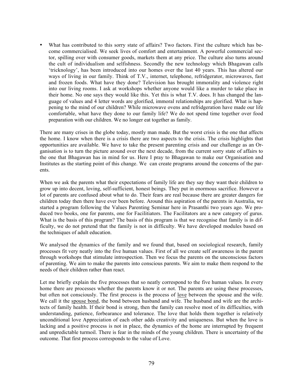• What has contributed to this sorry state of affairs? Two factors. First the culture which has become commercialised. We seek lives of comfort and entertainment. A powerful commercial sector, spilling over with consumer goods, markets them at any price. The culture also turns around the cult of individualism and selfishness. Secondly the new technology which Bhagawan calls 'tricknology', has been introduced into our homes over the last 40 years. This has altered our ways of living in our family. Think of T.V., internet, telephone, refridgerator, microwaves, fast and frozen foods. What have they done? Television has brought immorality and violence right into our living rooms. I ask at workshops whether anyone would like a murder to take place in their home. No one says they would like this. Yet this is what T.V. does. It has changed the language of values and 4 letter words are glorified, immoral relationships are glorified. What is happening to the mind of our children? While microwave ovens and refridgeration have made our life comfortable, what have they done to our family life? We do not spend time together over food preparation with our children. We no longer eat together as family.

There are many crises in the globe today, mostly man made. But the worst crisis is the one that affects the home. I know when there is a crisis there are two aspects to the crisis. The crisis highlights that opportunities are available. We have to take the present parenting crisis and our challenge as an Organisation is to turn the picture around over the next decade, from the current sorry state of affairs to the one that Bhagawan has in mind for us. Here I pray to Bhagawan to make our Organisation and Institutes as the starting point of this change. We can create programs around the concerns of the parents.

When we ask the parents what their expectations of family life are they say they want their children to grow up into decent, loving, self-sufficient, honest beings. They put in enormous sacrifice. However a lot of parents are confused about what to do. Their fears are real because there are greater dangers for children today then there have ever been before. Around this aspiration of the parents in Australia, we started a program following the Values Parenting Seminar here in Prasanthi two years ago. We produced two books, one for parents, one for Facilitiators. The Facilitators are a new category of gurus. What is the basis of this program? The basis of this program is that we recognise that family is in difficulty, we do not pretend that the family is not in difficulty. We have developed modules based on the techniques of adult education.

We analysed the dynamics of the family and we found that, based on sociological research, family processes fit very neatly into the five human values. First of all we create self awareness in the parent through workshops that stimulate introspection. Then we focus the parents on the unconscious factors of parenting. We aim to make the parents into conscious parents. We aim to make them respond to the needs of their children rather than react.

Let me briefly explain the five processes that so neatly correspond to the five human values. In every home there are processes whether the parents know it or not. The parents are using these processes, but often not consciously. The first process is the process of <u>love</u> between the spouse and the wife. We call it the spouse bond, the bond between husband and wife. The husband and wife are the architects of family health. If their bond is strong, then the family can resolve most of its difficulties, with understanding, patience, forbearance and tolerance. The love that holds them together is relatively unconditional love Appreciation of each other adds creativity and uniqueness. But when the love is lacking and a positive process is not in place, the dynamics of the home are interrupted by frequent and unpredictable turmoil. There is fear in the minds of the young children. There is uncertainty of the outcome. That first process corresponds to the value of Love.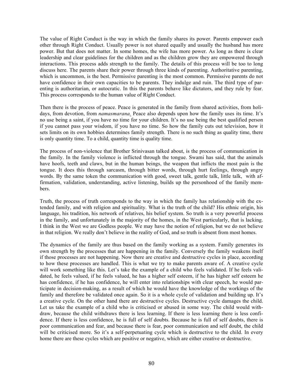The value of Right Conduct is the way in which the family shares its power. Parents empower each other through Right Conduct. Usually power is not shared equally and usually the husband has more power. But that does not matter. In some homes, the wife has more power. As long as there is clear leadership and clear guidelines for the children and as the children grow they are empowered through interactions. This process adds strength to the family. The details of this process will be too to long discuss here. The parents share their power through three kinds of parenting. Authoritative parenting, which is uncommon, is the best. Permissive parenting is the most common. Permissive parents do not have confidence in their own capacities to be parents. They indulge and ruin. The third type of parenting is authoritarian, or autocratic. In this the parents behave like dictators, and they rule by fear. This process corresponds to the human value of Right Conduct.

Then there is the process of peace. Peace is generated in the family from shared activities, from holidays, from devotion, from *namasmarana.* Peace also depends upon how the family uses its time. It's no use being a saint, if you have no time for your children. It's no use being the best qualified person if you cannot pass your wisdom, if you have no time. So how the family cuts out television, how it sets limits on its own hobbies determines family strength. There is no such thing as quality time, there is only quantity time. To a child, quantity time is quality time.

The process of non-violence that Brother Srinivasan talked about, is the process of communication in the family. In the family violence is inflicted through the tongue. Swami has said, that the animals have hoofs, teeth and claws, but in the human beings, the weapon that inflicts the most pain is the tongue. It does this through sarcasm, through bitter words, through hurt feelings, through angry words. By the same token the communication with good, sweet talk, gentle talk, little talk, with affirmation, validation, understanding, active listening, builds up the personhood of the family members.

Truth, the process of truth corresponds to the way in which the family has relationship with the extended family, and with religion and spirituality. What is the truth of the child? His ethnic origin, his language, his tradition, his network of relatives, his belief system. So truth is a very powerful process in the family, and unfortunately in the majority of the homes, in the West particularly, that is lacking. I think in the West we are Godless people. We may have the notion of religion, but we do not believe in that religion. We really don't believe in the reality of God, and so truth is absent from most homes.

The dynamics of the family are thus based on the family working as a system. Family generates its own strength by the processes that are happening in the family. Conversely the family weakens itself if those processes are not happening. Now there are creative and destructive cycles in place, according to how these processes are handled. This is what we try to make parents aware of. A creative cycle will work something like this. Let's take the example of a child who feels validated. If he feels validated, he feels valued, if he feels valued, he has a higher self esteem, if he has higher self esteem he has confidence, if he has confidence, he will enter into relationships with clear speech, he would participate in decision-making, as a result of which he would have the knowledge of the workings of the family and therefore be validated once again. So it is a whole cycle of validation and building up. It's a creative cycle. On the other hand there are destructive cycles. Destructive cycle damages the child. Let us take the example of a child who is criticised or abused in some way. The child would withdraw, because the child withdraws there is less learning. If there is less learning there is less confidence. If there is less confidence, he is full of self doubts. Because he is full of self doubts, there is poor communication and fear, and because there is fear, poor communication and self doubt, the child will be criticised more. So it's a self-perpetuating cycle which is destructive to the child. In every home there are these cycles which are positive or negative, which are either creative or destructive.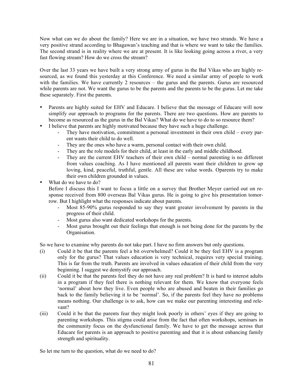Now what can we do about the family? Here we are in a situation, we have two strands. We have a very positive strand according to Bhagawan's teaching and that is where we want to take the families. The second strand is in reality where we are at present. It is like looking going across a river, a very fast flowing stream? How do we cross the stream?

Over the last 33 years we have built a very strong army of gurus in the Bal Vikas who are highly resourced, as we found this yesterday at this Conference. We need a similar army of people to work with the families. We have currently 2 resources – the gurus and the parents. Gurus are resourced while parents are not. We want the gurus to be the parents and the parents to be the gurus. Let me take these separately. First the parents.

- Parents are highly suited for EHV and Educare. I believe that the message of Educare will now simplify our approach to programs for the parents. There are two questions. How are parents to become as resourced as the gurus in the Bal Vikas? What do we have to do to so resource them?
- I believe that parents are highly motivated because they have such a huge challenge.
	- They have motivation, commitment a personal investment in their own child every parent wants their child to do well.
	- They are the ones who have a warm, personal contact with their own child.
	- They are the role models for their child, at least in the early and middle childhood.
	- They are the current EHV teachers of their own child normal parenting is no different from values coaching. As I have mentioned all parents want their children to grow up loving, kind, peaceful, truthful, gentle. All these are value words. Oparents try to make their own children grounded in values.
- What do we have to do?

Before I discuss this I want to focus a little on a survey that Brother Meyer carried out on response received from 800 overseas Bal Vikas gurus. He is going to give his presentation tomorrow. But I highlight what the responses indicate about parents.

- Most 85-90% gurus responded to say they want greater involvement by parents in the progress of their child.
- Most gurus also want dedicated workshops for the parents.
- Most gurus brought out their feelings that enough is not being done for the parents by the Organisation.

So we have to examine why parents do not take part. I have no firm answers but only questions.

- (i) Could it be that the parents feel a bit overwhelmed? Could it be they feel EHV is a program only for the gurus? That values education is very technical, requires very special training. This is far from the truth. Parents are involved in values education of their child from the very beginning. I suggest we demystify our approach.
- (ii) Could it be that the parents feel they do not have any real problem? It is hard to interest adults in a program if they feel there is nothing relevant for them. We know that everyone feels 'normal' about how they live. Even people who are abused and beaten in their families go back to the family believing it to be 'normal'. So, if the parents feel they have no problems means nothing. Our challenge is to ask, how can we make our parenting interesting and relevant?
- (iii) Could it be that the parents fear they might look poorly in others' eyes if they are going to parenting workshops. This stigma could arise from the fact that often workshops, seminars in the community focus on the dysfunctional family. We have to get the message across that Educare for parents is an approach to positive parenting and that it is about enhancing family strength and spirituality.

So let me turn to the question, what do we need to do?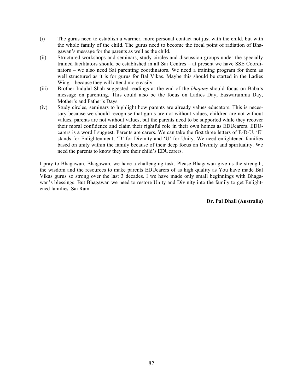- (i) The gurus need to establish a warmer, more personal contact not just with the child, but with the whole family of the child. The gurus need to become the focal point of radiation of Bhagawan's message for the parents as well as the child.
- (ii) Structured workshops and seminars, study circles and discussion groups under the specially trained facilitators should be established in all Sai Centres – at present we have SSE Coordinators – we also need Sai parenting coordinators. We need a training program for them as well structured as it is for gurus for Bal Vikas. Maybe this should be started in the Ladies Wing – because they will attend more easily.
- (iii) Brother Indulal Shah suggested readings at the end of the *bhajans* should focus on Baba's message on parenting. This could also be the focus on Ladies Day, Easwaramma Day, Mother's and Father's Days.
- (iv) Study circles, seminars to highlight how parents are already values educators. This is necessary because we should recognise that gurus are not without values, children are not without values, parents are not without values, but the parents need to be supported while they recover their moral confidence and claim their rightful role in their own homes as EDUcarers. EDUcarers is a word I suggest. Parents are carers. We can take the first three letters of E-D-U. 'E' stands for Enlightenment, 'D' for Divinity and 'U' for Unity. We need enlightened families based on unity within the family because of their deep focus on Divinity and spirituality. We need the parents to know they are their child's EDUcarers.

I pray to Bhagawan. Bhagawan, we have a challenging task. Please Bhagawan give us the strength, the wisdom and the resources to make parents EDUcarers of as high quality as You have made Bal Vikas gurus so strong over the last 3 decades. I we have made only small beginnings with Bhagawan's blessings. But Bhagawan we need to restore Unity and Divinity into the family to get Enlightened families. Sai Ram.

# **Dr. Pal Dhall (Australia)**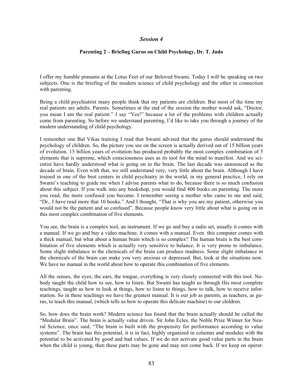## *Session 4*

#### **Parenting 2 – Briefing Gurus on Child Psychology, Dr. T. Judo**

I offer my humble pranams at the Lotus Feet of our Beloved Swami. Today I will be speaking on two subjects. One is the briefing of the modern science of child psychology and the other in connection with parenting.

Being a child psychiatrist many people think that my patients are children. But most of the time my real patients are adults. Parents. Sometimes at the end of the session the mother would ask, "Doctor, you mean I am the real patient." I say "Yes!" because a lot of the problems with children actually come from parenting. So before we understand parenting, I'd like to take you through a journey of the modern understanding of child psychology.

I remember one Bal Vikas training I read that Swami advised that the gurus should understand the psychology of children. So, the picture you see on the screen is actually derived out of 15 billion years of evolution. 15 billion years of evolution has produced probably the most complex combination of 5 elements that is supreme, which consciousness uses as its tool for the mind to manifest. And we scientist have hardly understood what is going on in the brain. The last decade was announced as the decade of brain. Even with that, we still understand very, very little about the brain. Although I have trained in one of the best centers in child psychiatry in the world, in my general practice, I rely on Swami's teaching to guide me when I advise parents what to do, because there is so much confusion about this subject. If you walk into any bookshop, you would find 400 books on parenting. The more you read, the more confused you become. I remember seeing a mother who came to me and said, "Dr., I have read more that 10 books." And I thought, "That is why you are my patient, otherwise you would not be the patient and so confused". Because people know very little about what is going on in this most complex combination of five elements.

You see, the brain is a complex tool, an instrument. If we go and buy a radio set, usually it comes with a manual. If we go and buy a video machine, it comes with a manual. Even this computer comes with a thick manual, but what about a human brain which is so complex? The human brain is the best combination of five elements which is actually very sensitive to balance. It is very prone to imbalance. Some slight imbalance in the chemicals of the brain can produce madness. Some slight imbalance in the chemicals of the brain can make you very anxious or depressed. But, look at the situations now. We have no manual in the world about how to operate this combination of five elements.

All the senses, the eyes, the ears, the tongue, everything is very closely connected with this tool. Nobody taught the child how to see, how to listen. But Swami has taught us through His most complete teachings, taught us how to look at things, how to listen to things, how to talk, how to receive information. So in these teachings we have the greatest manual. It is our job as parents, as teachers, as gurus, to teach this manual, (which tells us how to operate this delicate machine) to our children.

So, how does the brain work? Modern science has found that the brain actually should be called the "Modular Brain". The brain is actually value driven. Sir John Ecles, the Noble Prize Winner for Neural Science, once said, "The brain is built with the propensity for performance according to value systems". The brain has this potential, it is in fact, highly organized in columns and modules with the potential to be activated by good and bad values. If we do not activate good value parts in the brain when the child is young, then these parts may be gone and may not come back. If we keep on operat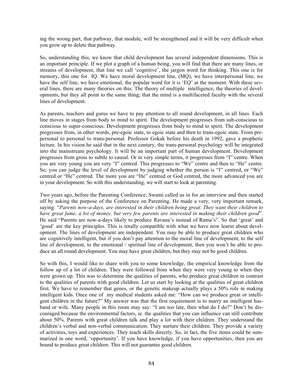ing the wrong part, that pathway, that module, will be strengthened and it will be very difficult when you grow up to delete that pathway.

So, understanding this, we know that child development has several independent dimensions. This is an important principle. If we plot a graph of a human being, you will find that there are many lines, or streams of development, that line we call 'cognitive', the jargon word for thinking. This one is for memory, this one for IQ. We have moral development line, (MQ), we have interpersonal line, we have the self line, we have emotional, the popular word for it is 'EQ' at the moment. With these several lines, there are many theories on this: The theory of multiple intelligence, the theories of developments, but they all point to the same thing; that the mind is a multifaceted faculty with the several lines of development.

As parents, teachers and gurus we have to pay attention to all round development, in all lines. Each line moves in stages from body to mind to spirit. The development progresses from sub-conscious to conscious to super-conscious. Development progresses from body to mind to spirit. The development progresses from, in other words, pre-egoic state, to egoic state and then to trans-egoic state. From prepersonal to personal to trans-personal. Professor Gokak before his death in 1992, gave a prophetic lecture. In his vision he said that in the next century, the trans-personal psychology will be integrated into the mainstream psychology. It will be an important part of human development. Development progresses from gross to subtle to causal. Or in very simple terms, it progresses from "I" centre. When you are very young you are very "I" centred. This progresses to "We" centre and then to "He" centre. So, you can judge the level of development by judging whether the person is "I" centred, or "We" centred or "He" centred. The more you are "He" centred or God centred, the more advanced you are in your development. So with this understanding, we will start to look at parenting.

Two years ago, before the Parenting Conference, Swami called us in for an interview and then started off by asking the purpose of the Conference on Parenting. He made a very, very important remark, saying: "*Parents now-a-days, are interested in their children being great. They want their children to have great fame, a lot of money, but very few parents are interested in making their children good*". He said "Parents are now-a-days likely to produce Ravana's instead of Rama's". So that 'great' and 'good' are the key principles. This is totally compatible with what we have now learnt about development. The lines of development are independent. You may be able to produce great children who are cognitively intelligent, but if you don't pay attention to the moral line of development, to the self line of development, to the emotional / spiritual line of development, then you won't be able to produce an all round development. You may have great children, but they may not be good children.

So with this, I would like to share with you to some knowledge, the empirical knowledge from the follow up of a lot of children. They were followed from when they were very young to when they were grown up. This was to determine the qualities of parents, who produce great children in contrast to the qualities of parents with good children. Let us start by looking at the qualities of great children first. We have to remember that genes, or the genetic makeup actually plays a 50% role in making intelligent kids. Once one of my medical students asked me: "How can we produce great or intelligent children in the future?" My answer was that the first requirement is to marry an intelligent husband or wife. Many people in this room may say: "I am too late, then what do I do?" Don't be discouraged because the environmental factors, ie. the qualities that you can influence can still contribute about 50%. Parents with great children talk and play a lot with their children. They understand the children's verbal and non-verbal communication. They nurture their children. They provide a variety of activities, toys and experiences. They teach skills directly. So, in fact, the five items could be summarized in one word, 'opportunity'. If you have knowledge, if you have opportunities, then you are bound to produce great children. This will not guarantee good children.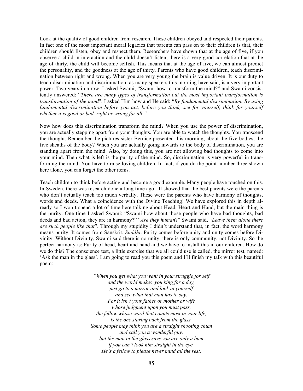Look at the quality of good children from research. These children obeyed and respected their parents. In fact one of the most important moral legacies that parents can pass on to their children is that, their children should listen, obey and respect them. Researchers have shown that at the age of five, if you observe a child in interaction and the child doesn't listen, there is a very good correlation that at the age of thirty, the child will become selfish. This means that at the age of five, we can almost predict the personality, and the goodness at the age of thirty. Parents who have good children, teach discrimination between right and wrong. When you are very young the brain is value driven. It is our duty to teach discrimination and discrimination, as many speakers this morning have said, is a very important power. Two years in a row, I asked Swami, "Swami how to transform the mind?" and Swami consistently answered: "*There are many types of transformation but the most important transformation is transformation of the mind*". I asked Him how and He said: "*By fundamental discrimination. By using fundamental discrimination before you act, before you think, see for yourself, think for yourself whether it is good or bad, right or wrong for all."*

Now how does this discrimination transform the mind? When you use the power of discrimination, you are actually stepping apart from your thoughts. You are able to watch the thoughts. You transcend the thought. Remember the pictures sister Bernice presented this morning, about the five bodies, the five sheaths of the body? When you are actually going inwards to the body of discrimination, you are standing apart from the mind. Also, by doing this, you are not allowing bad thoughts to come into your mind. Then what is left is the purity of the mind. So, discrimination is very powerful in transforming the mind. You have to raise loving children. In fact, if you do the point number three shown here alone, you can forget the other items.

Teach children to think before acting and become a good example. Many people have touched on this. In Sweden, there was research done a long time ago. It showed that the best parents were the parents who don't actually teach too much verbally. These were the parents who have harmony of thoughts, words and deeds. What a coincidence with the Divine Teaching! We have explored this in depth already so I won't spend a lot of time here talking about Head, Heart and Hand, but the main thing is the purity. One time I asked Swami: "Swami how about those people who have bad thoughts, bad deeds and bad action, they are in harmony?" "*Are they human*?" Swami said, "*Leave them alone there are such people like that*". Through my stupidity I didn't understand that, in fact, the word harmony means purity. It comes from Sanskrit, *Suddhi*. Purity comes before unity and unity comes before Divinity. Without Divinity, Swami said there is no unity, there is only community, not Divinity. So the perfect harmony is: Purity of head, heart and hand and we have to install this in our children. How do we do this? The conscience test, a little exercise that we all could use is called, the mirror test, named: 'Ask the man in the glass'. I am going to read you this poem and I'll finish my talk with this beautiful poem:

> *"When you get what you want in your struggle for self and the world makes you king for a day, just go to a mirror and look at yourself and see what that man has to say. For it isn't your father or mother or wife whose judgment upon you must pass, the fellow whose word that counts most in your life, is the one staring back from the glass. Some people may think you are a straight shooting chum and call you a wonderful guy, but the man in the glass says you are only a bum if you can't look him straight in the eye. He's a fellow to please never mind all the rest,*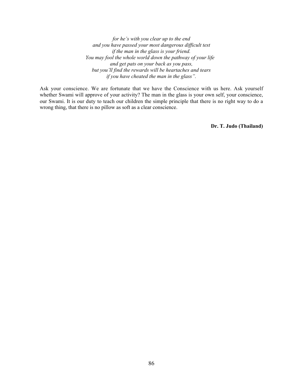*for he's with you clear up to the end and you have passed your most dangerous difficult test if the man in the glass is your friend. You may fool the whole world down the pathway of your life and get pats on your back as you pass, but you'll find the rewards will be heartaches and tears if you have cheated the man in the glass".*

Ask your conscience. We are fortunate that we have the Conscience with us here. Ask yourself whether Swami will approve of your activity? The man in the glass is your own self, your conscience, our Swami. It is our duty to teach our children the simple principle that there is no right way to do a wrong thing, that there is no pillow as soft as a clear conscience.

**Dr. T. Judo (Thailand)**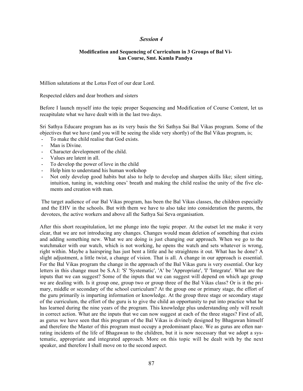## *Session 4*

## **Modification and Sequencing of Curriculum in 3 Groups of Bal Vikas Course, Smt. Kamla Pandya**

Million salutations at the Lotus Feet of our dear Lord.

Respected elders and dear brothers and sisters

Before I launch myself into the topic proper Sequencing and Modification of Course Content, let us recapitulate what we have dealt with in the last two days.

Sri Sathya Educare program has as its very basis the Sri Sathya Sai Bal Vikas program. Some of the objectives that we have (and you will be seeing the slide very shortly) of the Bal Vikas program, is;

- To make the child realise that God exists.
- Man is Divine.
- Character development of the child.
- Values are latent in all.
- To develop the power of love in the child
- Help him to understand his human workshop
- Not only develop good habits but also to help to develop and sharpen skills like; silent sitting, intuition, tuning in, watching ones' breath and making the child realise the unity of the five elements and creation with man.

The target audience of our Bal Vikas program, has been the Bal Vikas classes, the children especially and the EHV in the schools. But with them we have to also take into consideration the parents, the devotees, the active workers and above all the Sathya Sai Seva organisation.

After this short recapitulation, let me plunge into the topic proper. At the outset let me make it very clear, that we are not introducing any changes. Changes would mean deletion of something that exists and adding something new. What we are doing is just changing our approach. When we go to the watchmaker with our watch, which is not working, he opens the watch and sets whatever is wrong, right within. Maybe a hairspring has just bent a little and he straightens it out. What has he done? A slight adjustment, a little twist, a change of vision. That is all. A change in our approach is essential. For the Bal Vikas program the change in the approach of the Bal Vikas guru is very essential. Our key letters in this change must be S.A.I: 'S' 'Systematic', 'A' be 'Appropriate', 'I' 'Integrate'. What are the inputs that we can suggest? Some of the inputs that we can suggest will depend on which age group we are dealing with. Is it group one, group two or group three of the Bal Vikas class? Or is it the primary, middle or secondary of the school curriculum? At the group one or primary stage, the effort of the guru primarily is imparting information or knowledge. At the group three stage or secondary stage of the curriculum, the effort of the guru is to give the child an opportunity to put into practice what he has learned during the nine years of the program. This knowledge plus understanding only will result in correct action. What are the inputs that we can now suggest at each of the three stages? First of all, as gurus we have seen that this program of the Bal Vikas is divinely designed by Bhagawan himself and therefore the Master of this program must occupy a predominant place. We as gurus are often narrating incidents of the life of Bhagawan to the children, but it is now necessary that we adopt a systematic, appropriate and integrated approach. More on this topic will be dealt with by the next speaker, and therefore I shall move on to the second aspect.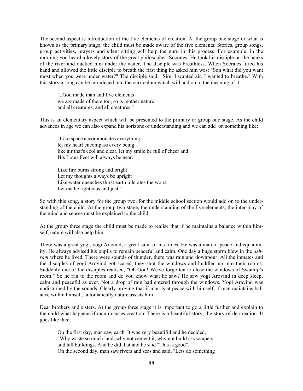The second aspect is introduction of the five elements of creation. At the group one stage or what is known as the primary stage, the child must be made aware of the five elements. Stories, group songs, group activities, prayers and silent sitting will help the guru in this process. For example, in the morning you heard a lovely story of the great philosopher, Socrates. He took his disciple on the banks of the river and ducked him under the water. The disciple was breathless. When Socrates lifted his hand and allowed the little disciple to breath the first thing he asked him was: "Son what did you want most when you were under water?" The disciple said, "Sire, I wanted air. I wanted to breathe." With this story a song can be introduced into the curriculum which will add on to the meaning of it:

"..God made man and five elements we are made of them too, so is mother nature and all creatures, and all creatures."

This is an elementary aspect which will be presented to the primary or group one stage. As the child advances in age we can also expand his horizons of understanding and we can add on something like:

"Like space accommodates everything let my heart encompass every being like air that's cool and clear, let my smile be full of cheer and His Lotus Feet will always be near.

Like fire burns strong and bright Let my thoughts always be upright Like water quenches thirst earth tolerates the worst Let me be righteous and just."

So with this song, a story for the group two, for the middle school section would add on to the understanding of the child. At the group two stage, the understanding of the five elements, the inter-play of the mind and senses must be explained to the child.

At the group three stage the child must be made to realise that if he maintains a balance within himself, nature will also help him.

There was a great yogi, yogi Aravind, a great saint of his times. He was a man of peace and equanimity. He always advised his pupils to remain peaceful and calm. One day a huge storm blew in the *ashram* where he lived. There were sounds of thunder, there was rain and downpour. All the inmates and the disciples of yogi Arovind got scared, they shut the windows and huddled up into their rooms. Suddenly one of the disciples realised, "Oh God! We've forgotten to close the windows of Swamiji's room." So he ran to the room and do you know what he saw? He saw yogi Arovind in deep sleep, calm and peaceful as ever. Not a drop of rain had entered through the windows. Yogi Aravind was undisturbed by the sounds. Clearly proving that if man is at peace with himself, if man maintains balance within himself, automatically nature assists him.

Dear brothers and sisters. At the group three stage it is important to go a little further and explain to the child what happens if man misuses creation. There is a beautiful story, the story of de-creation. It goes like this:

On the first day, man saw earth. It was very beautiful and he decided, "Why waste so much land, why not cement it, why not build skyscrapers and tall buildings. And he did that and he said "This is good". On the second day, man saw rivers and seas and said, "Lets do something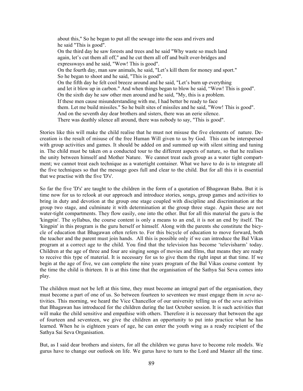about this," So he began to put all the sewage into the seas and rivers and he said "This is good". On the third day he saw forests and trees and he said "Why waste so much land again, let's cut them all off," and he cut them all off and built over-bridges and expressways and he said, "Wow! This is good". On the fourth day, man saw animals, he said, "Let's kill them for money and sport." So he began to shoot and he said, "This is good". On the fifth day he felt cool breeze around and he said, "Let's burn up everything and let it blow up in carbon." And when things began to blow he said, "Wow! This is good". On the sixth day he saw other men around and he said, "My, this is a problem. If these men cause misunderstanding with me, I had better be ready to face them. Let me build missiles." So he built sites of missiles and he said, "Wow! This is good". And on the seventh day dear brothers and sisters, there was an eerie silence. There was deathly silence all around, there was nobody to say, "This is good".

Stories like this will make the child realise that he must not misuse the five elements of nature. Decreation is the result of misuse of the free Human Will given to us by God. This can be interspersed with group activities and games. It should be added on and summed up with silent sitting and tuning in. The child must be taken on a conducted tour to the different aspects of nature, so that he realises the unity between himself and Mother Nature. We cannot treat each group as a water tight compartment; we cannot treat each technique as a watertight container. What we have to do is to integrate all the five techniques so that the message goes full and clear to the child. But for all this it is essential that we practise with the five 'D's'.

So far the five 'D's' are taught to the children in the form of a quotation of Bhagawan Baba. But it is time now for us to relook at our approach and introduce stories, songs, group games and activities to bring in duty and devotion at the group one stage coupled with discipline and discrimination at the group two stage, and culminate it with determination at the group three stage. Again these are not water-tight compartments. They flow easily, one into the other. But for all this material the guru is the 'kingpin'. The syllabus, the course content is only a means to an end, it is not an end by itself. The 'kingpin' in this program is the guru herself or himself. Along with the parents she constitute the bicycle of education that Bhagawan often refers to. For this bicycle of education to move forward, both the teacher and the parent must join hands. All this is possible only if we can introduce the Bal Vikas program at a correct age to the child. You find that the television has become 'televisharm' today. Children at the age of three and four are singing songs of movies and films, that means they are ready to receive this type of material. It is necessary for us to give them the right input at that time. If we begin at the age of five, we can complete the nine years program of the Bal Vikas course content by the time the child is thirteen. It is at this time that the organisation of the Sathya Sai Seva comes into play.

The children must not be left at this time, they must become an integral part of the organisation, they must become a part of one of us. So between fourteen to seventeen we must engage them in *seva* activities. This morning, we heard the Vice Chancellor of our university telling us of the *seva* activities that Bhagawan has introduced for the children during the last October session. It is such activities that will make the child sensitive and empathise with others. Therefore it is necessary that between the age of fourteen and seventeen, we give the children an opportunity to put into practice what he has learned. When he is eighteen years of age, he can enter the youth wing as a ready recipient of the Sathya Sai Seva Organisation.

But, as I said dear brothers and sisters, for all the children we gurus have to become role models. We gurus have to change our outlook on life. We gurus have to turn to the Lord and Master all the time.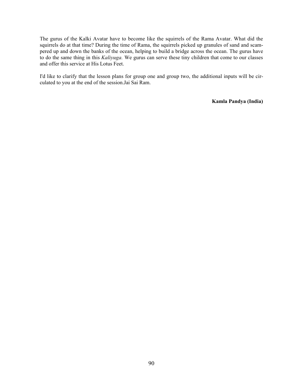The gurus of the Kalki Avatar have to become like the squirrels of the Rama Avatar. What did the squirrels do at that time? During the time of Rama, the squirrels picked up granules of sand and scampered up and down the banks of the ocean, helping to build a bridge across the ocean. The gurus have to do the same thing in this *Kaliyuga.* We gurus can serve these tiny children that come to our classes and offer this service at His Lotus Feet.

I'd like to clarify that the lesson plans for group one and group two, the additional inputs will be circulated to you at the end of the session.Jai Sai Ram.

**Kamla Pandya (India)**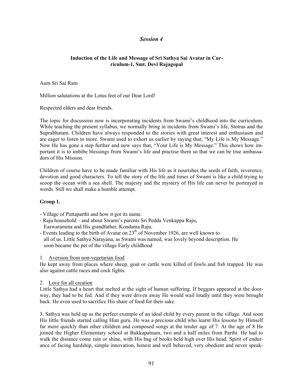# *Session 4*

## **Induction of the Life and Message of Sri Sathya Sai Avatar in Curriculum-1, Smt. Devi Rajagopal**

Aum Sri Sai Ram

Million salutations at the Lotus feet of our Dear Lord!

Respected elders and dear friends.

The topic for discussion now is incorporating incidents from Swami's childhood into the curriculum. While teaching the present syllabus, we normally bring in incidents from Swami's life, Stotras and the Suprabhatam. Children have always responded to the stories with great interest and enthusiasm and are eager to listen to more. Swami used to exhort us earlier by saying that, "My Life is My Message." Now He has gone a step further and now says that, "Your Life is My Message." This shows how important it is to imbibe blessings from Swami's life and practise them so that we can be true ambassadors of His Mission.

Children of course have to be made familiar with His life as it nourishes the seeds of faith, reverence, devotion and good characters. To tell the story of the life and times of Swami is like a child trying to scoop the ocean with a sea shell. The majesty and the mystery of His life can never be portrayed in words. Still we shall make a humble attempt.

## **Group 1.**

- Village of Puttaparthi and how it got its name.
- Raju household and about Swami's parents Sri Pedda Venkappa Raju, Easwaramma and His grandfather, Kondama Raju.
- Events leading to the birth of Avatar on  $23<sup>th</sup>$  of November 1926, are well known to all of us. Little Sathya Narayana, as Swami was named, was lovely beyond description. He soon became the pet of the village Early childhood

#### 1. Aversion from non-vegetarian food

He kept away from places where sheep, goat or cattle were killed of fowls and fish trapped. He was also against cattle races and cock fights.

#### 2. Love for all creation

Little Sathya had a heart that melted at the sight of human suffering. If beggars appeared at the doorway, they had to be fed. And if they were driven away He would wail loudly until they were brought back. He even used to sacrifice His share of food for their sake.

3. Sathya was held up as the perfect example of an ideal child by every parent in the village. And soon His little friends started calling Him guru. He was a precious child who learnt His lessons by Himself far more quickly than other children and composed songs at the tender age of 7. At the age of 8 He joined the Higher Elementary school at Bukkapatnam, two and a half miles from Parthi. He had to walk the distance come rain or shine, with His bag of books held high over His head. Spirit of endurance of facing hardship, simple innovation, honest and well behaved, very obedient and never speak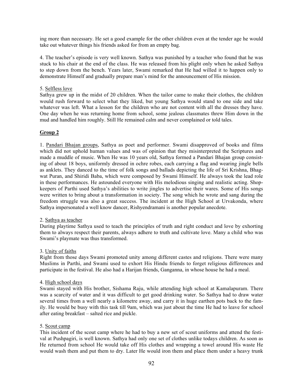ing more than necessary. He set a good example for the other children even at the tender age he would take out whatever things his friends asked for from an empty bag.

4. The teacher's episode is very well known. Sathya was punished by a teacher who found that he was stuck to his chair at the end of the class. He was released from his plight only when he asked Sathya to step down from the bench. Years later, Swami remarked that He had willed it to happen only to demonstrate Himself and gradually prepare man's mind for the announcement of His mission.

# 5. Selfless love

Sathya grew up in the midst of 20 children. When the tailor came to make their clothes, the children would rush forward to select what they liked, but young Sathya would stand to one side and take whatever was left. What a lesson for the children who are not content with all the dresses they have. One day when he was returning home from school, some jealous classmates threw Him down in the mud and handled him roughly. Still He remained calm and never complained or told tales.

# **Group 2**

1. Pandari Bhajan groups, Sathya as poet and performer. Swami disapproved of books and films which did not uphold human values and was of opinion that they misinterpreted the Scriptures and made a muddle of music. When He was 10 years old, Sathya formed a Pandari Bhajan group consisting of about 18 boys, uniformly dressed in ochre robes, each carrying a flag and wearing jingle bells as anklets. They danced to the time of folk songs and ballads depicting the life of Sri Krishna, Bhagwat Puran, and Shiridi Baba, which were composed by Swami Himself. He always took the lead role in these performances. He astounded everyone with His melodious singing and realistic acting. Shopkeepers of Parthi used Sathya's abilities to write jingles to advertise their wares. Some of His songs were written to bring about a transformation in society. The song which he wrote and sang during the freedom struggle was also a great success. The incident at the High School at Urvakonda, where Sathya impersonated a well know dancer, Rishyendramani is another popular anecdote.

## 2. Sathya as teacher

During playtime Sathya used to teach the principles of truth and right conduct and love by exhorting them to always respect their parents, always adhere to truth and cultivate love. Many a child who was Swami's playmate was thus transformed.

## 3. Unity of faiths

Right from those days Swami promoted unity among different castes and religions. There were many Muslims in Parthi, and Swami used to exhort His Hindu friends to forget religious differences and participate in the festival. He also had a Harijan friends, Ganganna, in whose house he had a meal.

## 4. High school days

Swami stayed with His brother, Sishama Raju, while attending high school at Kamalapuram. There was a scarcity of water and it was difficult to get good drinking water. So Sathya had to draw water several times from a well nearly a kilometre away, and carry it in huge earthen pots back to the family. He would be busy with this task till 9am, which was just about the time He had to leave for school after eating breakfast – salted rice and pickle.

## 5. Scout camp

This incident of the scout camp where he had to buy a new set of scout uniforms and attend the festival at Pushpagiri, is well known. Sathya had only one set of clothes unlike todays children. As soon as He returned from school He would take off His clothes and wrapping a towel around His waste He would wash them and put them to dry. Later He would iron them and place them under a heavy trunk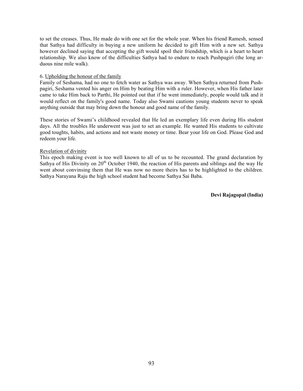to set the creases. Thus, He made do with one set for the whole year. When his friend Ramesh, sensed that Sathya had difficulty in buying a new uniform he decided to gift Him with a new set. Sathya however declined saying that accepting the gift would spoil their friendship, which is a heart to heart relationship. We also know of the difficulties Sathya had to endure to reach Pushpagiri (the long arduous nine mile walk).

#### 6. Upholding the honour of the family

Family of Seshama, had no one to fetch water as Sathya was away. When Sathya returned from Pushpagiri, Seshama vented his anger on Him by beating Him with a ruler. However, when His father later came to take Him back to Parthi, He pointed out that if he went immediately, people would talk and it would reflect on the family's good name. Today also Swami cautions young students never to speak anything outside that may bring down the honour and good name of the family.

These stories of Swami's childhood revealed that He led an exemplary life even during His student days. All the troubles He underwent was just to set an example. He wanted His students to cultivate good toughts, habits, and actions and not waste money or time. Bear your life on God. Please God and redeem your life.

#### Revelation of divinity

This epoch making event is too well known to all of us to be recounted. The grand declaration by Sathya of His Divinity on  $20<sup>th</sup>$  October 1940, the reaction of His parents and siblings and the way He went about convinsing them that He was now no more theirs has to be highlighted to the children. Sathya Narayana Raju the high school student had become Sathya Sai Baba.

**Devi Rajagopal (India)**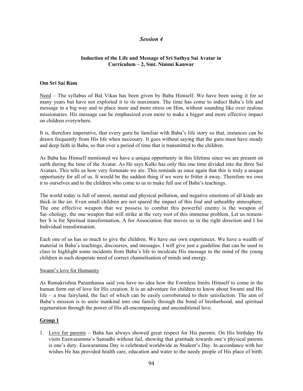# *Session 4*

## **Induction of the Life and Message of Sri Sathya Sai Avatar in Curriculum – 2, Smt. Nimmi Kanwar**

#### **Om Sri Sai Ram**

Need – The syllabus of Bal Vikas has been given by Baba Himself. We have been using it for so many years but have not exploited it to its maximum. The time has come to induct Baba's life and message in a big way and to place more and more stress on Him, without sounding like over zealous missionaries. His message can be emphasized even more to make a bigger and more effective impact on children everywhere.

It is, therefore imperative, that every guru be familiar with Baba's life story so that, instances can be drawn frequently from His life when necessary. It goes without saying that the guru must have steady and deep faith in Baba, so that over a period of time that is transmitted to the children.

As Baba has Himself mentioned we have a unique opportunity in this lifetime since we are present on earth during the time of the Avatar. As He says Kalki has only this one time divided into the three Sai Avatars. This tells us how very fortunate we are. This reminds us once again that this is truly a unique opportunity for all of us. It would be the saddest thing if we were to fritter it away. Therefore we owe it to ourselves and to the children who come to us to make full use of Baba's teachings.

The world today is full of unrest, mental and physical pollution, and negative emotions of all kinds are thick in the air. Even small children are not spared the impact of this foul and unhealthy atmosphere. The one effective weapon that we possess to combat this powerful enemy is the weapon of Sai–chology, the one weapon that will strike at the very root of this immense problem. Let us remember S is for Spiritual transformation, A for Association that moves us in the right direction and I for Individual transformation.

Each one of us has so much to give the children. We have our own experiences. We have a wealth of material in Baba's teachings, discourses, and messages. I will give just a guideline that can be used in class to highlight some incidents from Baba's life to inculcate His message in the mind of the young children in such desperate need of correct channelisation of minds and energy.

#### Swami's love for Humanity

As Ramakrishna Paramhansa said you have no idea how the Formless limits Himself to come in the human form out of love for His creation. It is an adventure for children to know about Swami and His life – a true fairyland, the fact of which can be easily corroborated to their satisfaction. The aim of Baba's mission is to unite mankind into one family through the bond of brotherhood, and spiritual regeneration through the power of His all-encompassing and unconditional love.

## **Group 1**

1. Love for parents – Baba has always showed great respect for His parents. On His birthday He visits Easwaramma's Samadhi without fail, showing that gratitude towards one's physical parents is one's duty. Easwaramma Day is celebrated worldwide as Student's Day. In accordance with her wishes He has provided health care, education and water to the needy people of His place of birth.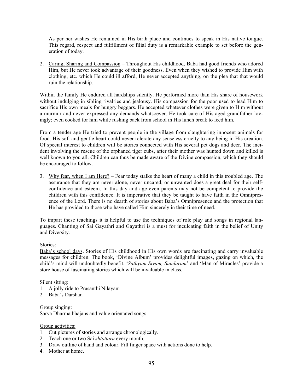As per her wishes He remained in His birth place and continues to speak in His native tongue. This regard, respect and fulfillment of filial duty is a remarkable example to set before the generation of today.

2. Caring, Sharing and Compassion – Throughout His childhood, Baba had good friends who adored Him, but He never took advantage of their goodness. Even when they wished to provide Him with clothing, etc. which He could ill afford, He never accepted anything, on the plea that that would ruin the relationship.

Within the family He endured all hardships silently. He performed more than His share of housework without indulging in sibling rivalries and jealousy. His compassion for the poor used to lead Him to sacrifice His own meals for hungry beggars. He accepted whatever clothes were given to Him without a murmur and never expressed any demands whatsoever. He took care of His aged grandfather lovingly; even cooked for him while rushing back from school in His lunch break to feed him.

From a tender age He tried to prevent people in the village from slaughtering innocent animals for food. His soft and gentle heart could never tolerate any senseless cruelty to any being in His creation. Of special interest to children will be stories connected with His several pet dogs and deer. The incident involving the rescue of the orphaned tiger cubs, after their mother was hunted down and killed is well known to you all. Children can thus be made aware of the Divine compassion, which they should be encouraged to follow.

3. Why fear, when I am Here? – Fear today stalks the heart of many a child in this troubled age. The assurance that they are never alone, never uncared, or unwanted does a great deal for their selfconfidence and esteem. In this day and age even parents may not be competent to provide the children with this confidence. It is imperative that they be taught to have faith in the Omnipresence of the Lord. There is no dearth of stories about Baba's Omnipresence and the protection that He has provided to those who have called Him sincerely in their time of need.

To impart these teachings it is helpful to use the techniques of role play and songs in regional languages. Chanting of Sai Gayathri and Gayathri is a must for inculcating faith in the belief of Unity and Diversity.

## Stories:

Baba's school days. Stories of His childhood in His own words are fascinating and carry invaluable messages for children. The book, 'Divine Album' provides delightful images, gazing on which, the child's mind will undoubtedly benefit. '*Sathyam Sivam, Sundaram*' and 'Man of Miracles' provide a store house of fascinating stories which will be invaluable in class.

## Silent sitting:

- 1. A jolly ride to Prasanthi Nilayam
- 2. Baba's Darshan

## Group singing:

Sarva Dharma bhajans and value orientated songs.

## Group activities:

- 1. Cut pictures of stories and arrange chronologically.
- 2. Teach one or two Sai *shtottara* every month.
- 3. Draw outline of hand and colour. Fill finger space with actions done to help.
- 4. Mother at home.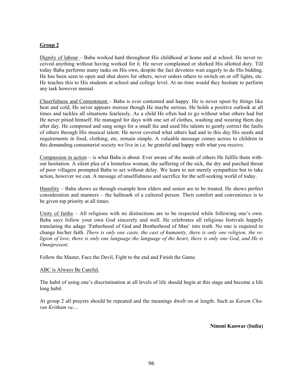# **Group 2**

Dignity of labour – Baba worked hard throughout His childhood at home and at school. He never received anything without having worked for it. He never complained or shirked His allotted duty. Till today Baba performs many tasks on His own, despite the fact devotees wait eagerly to do His bidding. He has been seen to open and shut doors for others, never orders others to switch on or off lights, etc. He teaches this to His students at school and college level. At no time would they hesitate to perform any task however menial.

Cheerfulness and Contentment – Baba is ever contented and happy. He is never upset by things like heat and cold, He never appears morose though He maybe serious. He holds a positive outlook at all times and tackles all situations fearlessly. As a child He often had to go without what others had but He never pitied himself. He managed for days with one set of clothes, washing and wearing them day after day. He composed and sang songs for a small fee and used His talents to gently correct the faults of others through His musical talent. He never coveted what others had and to this day His needs and requirements in food, clothing, etc, remain simple. A valuable message comes across to children in this demanding consumerist society we live in i.e. be grateful and happy with what you receive.

Compassion in action – is what Baba is about. Ever aware of the needs of others He fulfils them without hesitation. A silent plea of a homeless woman, the suffering of the sick, the dry and parched throat of poor villagers prompted Baba to act without delay. We learn to not merely sympathize but to take action, however we can. A message of unselfishness and sacrifice for the self-seeking world of today.

Humility – Baba shows us through example how elders and senior are to be treated. He shows perfect consideration and manners – the hallmark of a cultured person. Their comfort and convenience is to be given top priority at all times.

Unity of faiths – All religions with no distinctions are to be respected while following one's own. Baba says follow your own God sincerely and well. He celebrates all religious festivals happily translating the adage 'Fatherhood of God and Brotherhood of Man' into truth. No one is required to change his/her faith. *There is only one caste, the cast of humanity, there is only one religion, the religion of love, there is only one language the language of the heart, there is only one God, and He is Omnipresent.*

Follow the Master, Face the Devil, Fight to the end and Finish the Game.

#### ABC is Always Be Careful.

The habit of using one's discrimination at all levels of life should begin at this stage and become a life long habit.

At group 2 all prayers should be repeated and the meanings dwelt on at length. Such as *Karam Charan Kritham va….*

**Nimmi Kanwar (India)**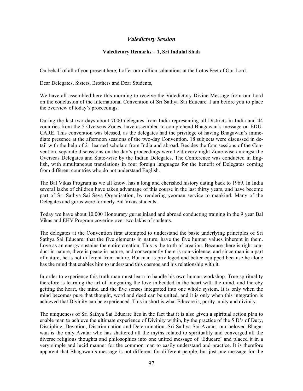# *Valedictory Session*

## **Valedictory Remarks – 1, Sri Indulal Shah**

On behalf of all of you present here, I offer our million salutations at the Lotus Feet of Our Lord.

Dear Delegates, Sisters, Brothers and Dear Students,

We have all assembled here this morning to receive the Valedictory Divine Message from our Lord on the conclusion of the International Convention of Sri Sathya Sai Educare. I am before you to place the overview of today's proceedings.

During the last two days about 7000 delegates from India representing all Districts in India and 44 countries from the 5 Overseas Zones, have assembled to comprehend Bhagawan's message on EDU-CARE. This convention was blessed, as the delegates had the privilege of having Bhagawan's immediate presence at the afternoon sessions of the two-day Convention. 18 subjects were discussed in detail with the help of 21 learned scholars from India and abroad. Besides the four sessions of the Convention, separate discussions on the day's proceedings were held every night Zone-wise amongst the Overseas Delegates and State-wise by the Indian Delegates, The Conference was conducted in English, with simultaneous translations in four foreign languages for the benefit of Delegates coming from different countries who do not understand English.

The Bal Vikas Program as we all know, has a long and cherished history dating back to 1969. In India several lakhs of children have taken advantage of this course in the last thirty years, and have become part of Sri Sathya Sai Seva Organisation, by rendering yeoman service to mankind. Many of the Delegates and gurus were formerly Bal Vikas students.

Today we have about 10,000 Honourary gurus inland and abroad conducting training in the 9 year Bal Vikas and EHV Program covering over two lakhs of students.

The delegates at the Convention first attempted to understand the basic underlying principles of Sri Sathya Sai Educare: that the five elements in nature, have the five human values inherent in them. Love as an energy sustains the entire creation. This is the truth of creation. Because there is right conduct in nature, there is peace in nature, and consequently there is non-violence, and since man is a part of nature, he is not different from nature. But man is privileged and better equipped because he alone has the mind that enables him to understand this cosmos and his relationship with it.

In order to experience this truth man must learn to handle his own human workshop. True spirituality therefore is learning the art of integrating the love imbedded in the heart with the mind, and thereby getting the heart, the mind and the five senses integrated into one whole system. It is only when the mind becomes pure that thought, word and deed can be united, and it is only when this integration is achieved that Divinity can be experienced. This in short is what Educare is, purity, unity and divinity.

The uniqueness of Sri Sathya Sai Educare lies in the fact that it is also given a spiritual action plan to enable man to achieve the ultimate experience of Divinity within, by the practice of the 5 D's of Duty, Discipline, Devotion, Discrimination and Determination. Sri Sathya Sai Avatar, our beloved Bhagawan is the only Avatar who has shattered all the myths related to spirituality and converged all the diverse religious thoughts and philosophies into one united message of 'Educare' and placed it in a very simple and lucid manner for the common man to easily understand and practice. It is therefore apparent that Bhagawan's message is not different for different people, but just one message for the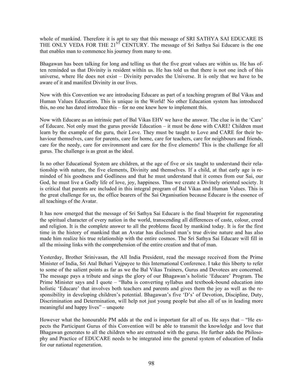whole of mankind. Therefore it is apt to say that this message of SRI SATHYA SAI EDUCARE IS THE ONLY VEDA FOR THE 21<sup>ST</sup> CENTURY. The message of Sri Sathya Sai Educare is the one that enables man to commence his journey from many to one.

Bhagawan has been talking for long and telling us that the five great values are within us. He has often reminded us that Divinity is resident within us. He has told us that there is not one inch of this universe, where He does not exist – Divinity pervades the Universe. It is only that we have to be aware of it and manifest Divinity in our lives.

Now with this Convention we are introducing Educare as part of a teaching program of Bal Vikas and Human Values Education. This is unique in the World! No other Education system has introduced this, no one has dared introduce this – for no one knew how to implement this.

Now with Educare as an intrinsic part of Bal Vikas EHV we have the answer. The clue is in the 'Care' of Educare. Not only must the gurus provide Education – it must be done with CARE! Children must learn by the example of the guru, their Love. They must be taught to Love and CARE for their behaviour themselves, care for parents, care for home, care for teachers, care for neighbours and friends, care for the needy, care for environment and care for the five elements! This is the challenge for all gurus. The challenge is as great as the ideal.

In no other Educational System are children, at the age of five or six taught to understand their relationship with nature, the five elements, Divinity and themselves. If a child, at that early age is reminded of his goodness and Godliness and that he must understand that it comes from our Sai, our God, he must live a Godly life of love, joy, happiness. Thus we create a Divinely oriented society. It is critical that parents are included in this integral program of Bal Vikas and Human Values. This is the great challenge for us, the office bearers of the Sai Organisation because Educare is the essence of all teachings of the Avatar.

It has now emerged that the message of Sri Sathya Sai Educare is the final blueprint for regenerating the spiritual character of every nation in the world, transcending all differences of caste, colour, creed and religion. It is the complete answer to all the problems faced by mankind today. It is for the first time in the history of mankind that an Avatar has disclosed man's true divine nature and has also made him realize his true relationship with the entire cosmos. The Sri Sathya Sai Educare will fill in all the missing links with the comprehension of the entire creation and that of man.

Yesterday, Brother Srinivasan, the All India President, read the message received from the Prime Minister of India, Sri Atal Behari Vajpayee to this International Conference. I take this liberty to refer to some of the salient points as far as we the Bal Vikas Trainers, Gurus and Devotees are concerned. The message pays a tribute and sings the glory of our Bhagawan's holistic 'Educare' Program. The Prime Minister says and I quote – "Baba is converting syllabus and textbook-bound education into holistic 'Educare' that involves both teachers and parents and gives them the joy as well as the responsibility in developing children's potential. Bhagawan's five 'D's' of Devotion, Discipline, Duty, Discrimination and Determination, will help not just young people but also all of us in leading more meaningful and happy lives" – unquote

However what the honourable PM adds at the end is important for all of us. He says that – "He expects the Participant Gurus of this Convention will be able to transmit the knowledge and love that Bhagawan generates to all the children who are entrusted with the gurus. He further adds the Philosophy and Practice of EDUCARE needs to be integrated into the general system of education of India for our national regeneration.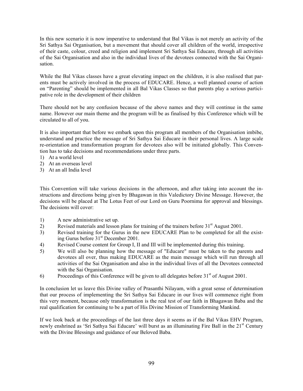In this new scenario it is now imperative to understand that Bal Vikas is not merely an activity of the Sri Sathya Sai Organisation, but a movement that should cover all children of the world, irrespective of their caste, colour, creed and religion and implement Sri Sathya Sai Educare, through all activities of the Sai Organisation and also in the individual lives of the devotees connected with the Sai Organisation.

While the Bal Vikas classes have a great elevating impact on the children, it is also realised that parents must be actively involved in the process of EDUCARE. Hence, a well planned course of action on "Parenting" should be implemented in all Bal Vikas Classes so that parents play a serious participative role in the development of their children

There should not be any confusion because of the above names and they will continue in the same name. However our main theme and the program will be as finalised by this Conference which will be circulated to all of you.

It is also important that before we embark upon this program all members of the Organisation imbibe, understand and practice the message of Sri Sathya Sai Educare in their personal lives. A large scale re-orientation and transformation program for devotees also will be initiated globally. This Convention has to take decisions and recommendations under three parts.

- 1) At a world level
- 2) At an overseas level
- 3) At an all India level

This Convention will take various decisions in the afternoon, and after taking into account the instructions and directions being given by Bhagawan in this Valedictory Divine Message. However, the decisions will be placed at The Lotus Feet of our Lord on Guru Poornima for approval and blessings. The decisions will cover:

- 1) A new administrative set up.
- 2) Revised materials and lesson plans for training of the trainers before  $31<sup>st</sup>$  August 2001.
- 3) Revised training for the Gurus in the new EDUCARE Plan to be completed for all the existing Gurus before 31st December 2001.
- 4) Revised Course content for Group I, II and III will be implemented during this training.
- 5) We will also be planning how the message of "Educare" must be taken to the parents and devotees all over, thus making EDUCARE as the main message which will run through all activities of the Sai Organisation and also in the individual lives of all the Devotees connected with the Sai Organisation.
- 6) Proceedings of this Conference will be given to all delegates before  $31<sup>st</sup>$  of August 2001.

In conclusion let us leave this Divine valley of Prasanthi Nilayam, with a great sense of determination that our process of implementing the Sri Sathya Sai Educare in our lives will commence right from this very moment, because only transformation is the real test of our faith in Bhagawan Baba and the real qualification for continuing to be a part of His Divine Mission of Transforming Mankind.

If we look back at the proceedings of the last three days it seems as if the Bal Vikas EHV Program, newly enshrined as 'Sri Sathya Sai Educare' will burst as an illuminating Fire Ball in the 21<sup>st</sup> Century with the Divine Blessings and guidance of our Beloved Baba.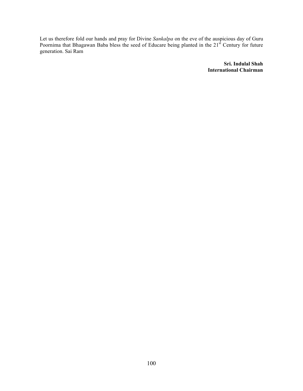Let us therefore fold our hands and pray for Divine *Sankalpa* on the eve of the auspicious day of Guru Poornima that Bhagawan Baba bless the seed of Educare being planted in the  $21<sup>st</sup>$  Century for future generation. Sai Ram

> **Sri. Indulal Shah International Chairman**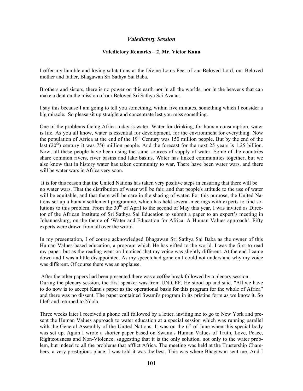# *Valedictory Session*

#### **Valedictory Remarks – 2, Mr. Victor Kanu**

I offer my humble and loving salutations at the Divine Lotus Feet of our Beloved Lord, our Beloved mother and father, Bhagawan Sri Sathya Sai Baba.

Brothers and sisters, there is no power on this earth nor in all the worlds, nor in the heavens that can make a dent on the mission of our Beloved Sri Sathya Sai Avatar.

I say this because I am going to tell you something, within five minutes, something which I consider a big miracle. So please sit up straight and concentrate lest you miss something.

One of the problems facing Africa today is water. Water for drinking, for human consumption, water is life. As you all know, water is essential for development, for the environment for everything. Now the population of Africa at the end of the  $19<sup>th</sup>$  Century was 150 million people. But by the end of the last  $(20<sup>th</sup>)$  century it was 756 million people. And the forecast for the next 25 years is 1.25 billion. Now, all these people have been using the same sources of supply of water. Some of the countries share common rivers, river basins and lake basins. Water has linked communities together, but we also know that in history water has taken community to war. There have been water wars, and there will be water wars in Africa very soon.

 It is for this reason that the United Nations has taken very positive steps in ensuring that there will be no water wars. That the distribution of water will be fair, and that people's attitude to the use of water will be equitable, and that there will be care in the sharing of water. For this purpose, the United Nations set up a human settlement programme, which has held several meetings with experts to find solutions to this problem. From the  $30<sup>th</sup>$  of April to the second of May this year, I was invited as Director of the African Institute of Sri Sathya Sai Education to submit a paper to an expert's meeting in Johannesburg, on the theme of 'Water and Education for Africa: A Human Values approach'. Fifty experts were drawn from all over the world.

In my presentation, I of course acknowledged Bhagawan Sri Sathya Sai Baba as the owner of this Human Values-based education, a program which He has gifted to the world. I was the first to read my paper, but as the reading went on I noticed that my voice was slightly different. At the end I came down and I was a little disappointed. As my speech had gone on I could not understand why my voice was different. Of course there was an applause.

 After the other papers had been presented there was a coffee break followed by a plenary session. During the plenary session, the first speaker was from UNICEF. He stood up and said, "All we have to do now is to accept Kanu's paper as the operational basis for this program for the whole of Africa" and there was no dissent. The paper contained Swami's program in its pristine form as we know it. So I left and returned to Ndola.

Three weeks later I received a phone call followed by a letter, inviting me to go to New York and present the Human Values approach to water education at a special session which was running parallel with the General Assembly of the United Nations. It was on the  $6<sup>th</sup>$  of June when this special body was set up. Again I wrote a shorter paper based on Swami's Human Values of Truth, Love, Peace, Righteousness and Non-Violence, suggesting that it is the only solution, not only to the water problem, but indeed to all the problems that afflict Africa. The meeting was held at the Trustership Chambers, a very prestigious place, I was told it was the best. This was where Bhagawan sent me. And I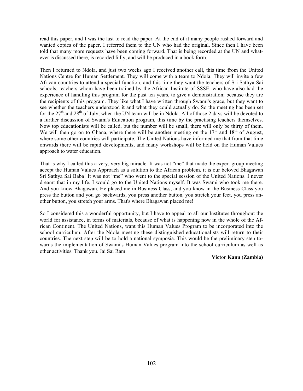read this paper, and I was the last to read the paper. At the end of it many people rushed forward and wanted copies of the paper. I referred them to the UN who had the original. Since then I have been told that many more requests have been coming forward. That is being recorded at the UN and whatever is discussed there, is recorded fully, and will be produced in a book form.

Then I returned to Ndola, and just two weeks ago I received another call, this time from the United Nations Centre for Human Settlement. They will come with a team to Ndola. They will invite a few African countries to attend a special function, and this time they want the teachers of Sri Sathya Sai schools, teachers whom have been trained by the African Institute of SSSE, who have also had the experience of handling this program for the past ten years, to give a demonstration; because they are the recipients of this program. They like what I have written through Swami's grace, but they want to see whether the teachers understood it and what they could actually do. So the meeting has been set for the  $27<sup>th</sup>$  and  $28<sup>th</sup>$  of July, when the UN team will be in Ndola. All of those 2 days will be devoted to a further discussion of Swami's Education program, this time by the practising teachers themselves. Now top educationists will be called, but the number will be small, there will only be thirty of them. We will then go on to Ghana, where there will be another meeting on the  $17<sup>th</sup>$  and  $18<sup>th</sup>$  of August, where some other countries will participate. The United Nations have informed me that from that time onwards there will be rapid developments, and many workshops will be held on the Human Values approach to water education.

That is why I called this a very, very big miracle. It was not "me" that made the expert group meeting accept the Human Values Approach as a solution to the African problem, it is our beloved Bhagawan Sri Sathya Sai Baba! It was not "me" who went to the special session of the United Nations. I never dreamt that in my life. I would go to the United Nations myself. It was Swami who took me there. And you know Bhagawan, He placed me in Business Class, and you know in the Business Class you press the button and you go backwards, you press another button, you stretch your feet, you press another button, you stretch your arms. That's where Bhagawan placed me!

So I considered this a wonderful opportunity, but I have to appeal to all our Institutes throughout the world for assistance, in terms of materials, because of what is happening now in the whole of the African Continent. The United Nations, want this Human Values Program to be incorporated into the school curriculum. After the Ndola meeting these distinguished educationalists will return to their countries. The next step will be to hold a national symposia. This would be the preliminary step towards the implementation of Swami's Human Values program into the school curriculum as well as other activities. Thank you. Jai Sai Ram.

**Victor Kanu (Zambia)**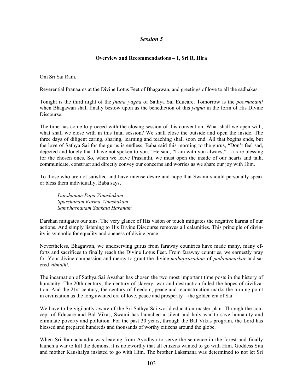# *Session 5*

# **Overview and Recommendations – 1, Sri R. Hira**

Om Sri Sai Ram.

Reverential Pranaams at the Divine Lotus Feet of Bhagawan, and greetings of love to all the sadhakas.

Tonight is the third night of the *jnana yagna* of Sathya Sai Educare. Tomorrow is the *poornahauti* when Bhagawan shall finally bestow upon us the benediction of this *yagna* in the form of His Divine Discourse.

The time has come to proceed with the closing session of this convention. What shall we open with, what shall we close with in this final session? We shall close the outside and open the inside. The three days of diligent caring, sharing, learning and teaching shall soon end. All that begins ends, but the love of Sathya Sai for the gurus is endless. Baba said this morning to the gurus, "Don't feel sad, dejected and lonely that I have not spoken to you." He said, "I am with you always,"—a rare blessing for the chosen ones. So, when we leave Prasanthi, we must open the inside of our hearts and talk, communicate, construct and directly convey our concerns and worries as we share our joy with Him.

To those who are not satisfied and have intense desire and hope that Swami should personally speak or bless them individually, Baba says,

*Darshanam Papa Vinashakam Sparshanam Karma Vinashakam Sambhashanam Sankata Haranam*

Darshan mitigates our sins. The very glance of His vision or touch mitigates the negative karma of our actions. And simply listening to His Divine Discourse removes all calamities. This principle of divinity is symbolic for equality and oneness of divine grace.

Nevertheless, Bhagawan, we undeserving gurus from faraway countries have made many, many efforts and sacrifices to finally reach the Divine Lotus Feet. From faraway countries, we earnestly pray for Your divine compassion and mercy to grant the divine *mahaprasadam* of *padanamaskar* and sacred *vibhuthi*.

The incarnation of Sathya Sai Avathar has chosen the two most important time posts in the history of humanity. The 20th century, the century of slavery, war and destruction failed the hopes of civilization. And the 21st century, the century of freedom, peace and reconstruction marks the turning point in civilization as the long awaited era of love, peace and prosperity—the golden era of Sai.

We have to be vigilantly aware of the Sri Sathya Sai world education master plan. Through the concept of Educare and Bal Vikas, Swami has launched a silent and holy war to save humanity and eliminate poverty and pollution. For the past 30 years, through the Bal Vikas program, the Lord has blessed and prepared hundreds and thousands of worthy citizens around the globe.

When Sri Ramachandra was leaving from Ayodhya to serve the sentence in the forest and finally launch a war to kill the demons, it is noteworthy that all citizens wanted to go with Him. Goddess Sita and mother Kaushalya insisted to go with Him. The brother Laksmana was determined to not let Sri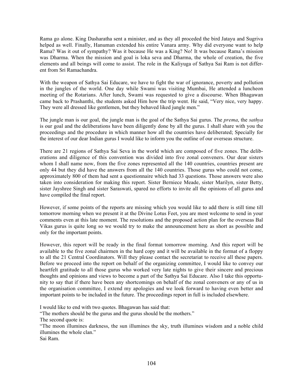Rama go alone. King Dasharatha sent a minister, and as they all proceded the bird Jatayu and Sugriva helped as well. Finally, Hanuman extended his entire Vanara army. Why did everyone want to help Rama? Was it out of sympathy? Was it because He was a King? No! It was because Rama's mission was Dharma. When the mission and goal is loka seva and Dharma, the whole of creation, the five elements and all beings will come to assist. The role in the Kaliyuga of Sathya Sai Ram is not different from Sri Ramachandra.

With the weapon of Sathya Sai Educare, we have to fight the war of ignorance, poverty and pollution in the jungles of the world. One day while Swami was visiting Mumbai, He attended a luncheon meeting of the Rotarians. After lunch, Swami was requested to give a discourse. When Bhagawan came back to Prashanthi, the students asked Him how the trip went. He said, "Very nice, very happy. They were all dressed like gentlemen, but they behaved liked jungle men."

The jungle man is our goal, the jungle man is the goal of the Sathya Sai gurus. The *prema*, the *sathya* is our goal and the deliberations have been diligently done by all the gurus. I shall share with you the proceedings and the procedure in which manner how all the countries have deliberated; Specially for the interest of our dear Indian gurus I would like to inform you the outline of our overseas structure.

There are 21 regions of Sathya Sai Seva in the world which are composed of five zones. The deliberations and diligence of this convention was divided into five zonal conveners. Our dear sisters whom I shall name now, from the five zones represented all the 140 countries, countries present are only 44 but they did have the answers from all the 140 countries. Those gurus who could not come, approximately 800 of them had sent a questionnaire which had 33 questions. Those answers were also taken into consideration for making this report. Sister Berniece Meade, sister Marilyn, sister Betty, sister Jayshree Singh and sister Saraswati, spared no efforts to invite all the opinions of all gurus and have compiled the final report.

However, if some points of the reports are missing which you would like to add there is still time till tomorrow morning when we present it at the Divine Lotus Feet, you are most welcome to send in your comments even at this late moment. The resolutions and the proposed action plan for the overseas Bal Vikas gurus is quite long so we would try to make the announcement here as short as possible and only for the important points.

However, this report will be ready in the final format tomorrow morning. And this report will be available to the five zonal chairmen in the hard copy and it will be available in the format of a floppy to all the 21 Central Coordinators. Will they please contact the secretariat to receive all these papers. Before we proceed into the report on behalf of the organizing committee, I would like to convey our heartfelt gratitude to all those gurus who worked very late nights to give their sincere and precious thoughts and opinions and views to become a part of the Sathya Sai Educare. Also I take this opportunity to say that if there have been any shortcomings on behalf of the zonal conveners or any of us in the organisation committee, I extend my apologies and we look forward to having even better and important points to be included in the future. The proceedings report in full is included elsewhere.

I would like to end with two quotes. Bhagawan has said that:

"The mothers should be the gurus and the gurus should be the mothers."

The second quote is:

"The moon illumines darkness, the sun illumines the sky, truth illumines wisdom and a noble child illumines the whole clan."

Sai Ram.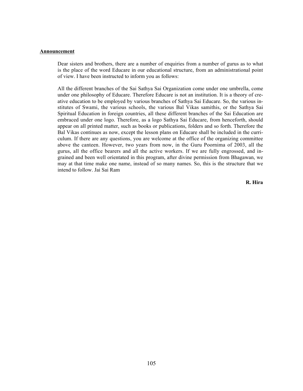### **Announcement**

Dear sisters and brothers, there are a number of enquiries from a number of gurus as to what is the place of the word Educare in our educational structure, from an administrational point of view. I have been instructed to inform you as follows:

All the different branches of the Sai Sathya Sai Organization come under one umbrella, come under one philosophy of Educare. Therefore Educare is not an institution. It is a theory of creative education to be employed by various branches of Sathya Sai Educare. So, the various institutes of Swami, the various schools, the various Bal Vikas samithis, or the Sathya Sai Spiritual Education in foreign countries, all these different branches of the Sai Education are embraced under one logo. Therefore, as a logo Sathya Sai Educare, from henceforth, should appear on all printed matter, such as books or publications, folders and so forth. Therefore the Bal Vikas continues as now, except the lesson plans on Educare shall be included in the curriculum. If there are any questions, you are welcome at the office of the organizing committee above the canteen. However, two years from now, in the Guru Poornima of 2003, all the gurus, all the office bearers and all the active workers. If we are fully engrossed, and ingrained and been well orientated in this program, after divine permission from Bhagawan, we may at that time make one name, instead of so many names. So, this is the structure that we intend to follow. Jai Sai Ram

**R. Hira**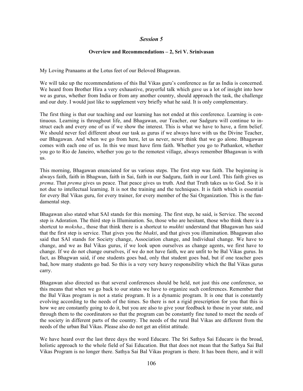### **Overview and Recommendations – 2, Sri V. Srinivasan**

My Loving Pranaams at the Lotus feet of our Beloved Bhagawan.

We will take up the recommendations of this Bal Vikas guru's conference as far as India is concerned. We heard from Brother Hira a very exhaustive, prayerful talk which gave us a lot of insight into how we as gurus, whether from India or from any another country, should approach the task, the challenge and our duty. I would just like to supplement very briefly what he said. It is only complementary.

The first thing is that our teaching and our learning has not ended at this conference. Learning is continuous. Learning is throughout life, and Bhagawan, our Teacher, our Sadguru will continue to instruct each and every one of us if we show the interest. This is what we have to have, a firm belief. We should never feel different about our task as gurus if we always have with us the Divine Teacher, our Bhagawan. And when we go from here, let us never, never think that we go alone. Bhagawan comes with each one of us. In this we must have firm faith. Whether you go to Pathankot, whether you go to Rio de Janeiro, whether you go to the remotest village, always remember Bhagawan is with us.

This morning, Bhagawan enunciated for us various steps. The first step was faith. The beginning is always faith, faith in Bhagwan, faith in Sai, faith in our Sadguru, faith in our Lord. This faith gives us *prema*. That *prema* gives us peace. That peace gives us truth. And that Truth takes us to God. So it is not due to intellectual learning. It is not the training and the techniques. It is faith which is essential for every Bal Vikas guru, for every trainer, for every member of the Sai Organization. This is the fundamental step.

Bhagawan also stated what SAI stands for this morning. The first step, he said, is Service. The second step is Adoration. The third step is Illumination. So, those who are hesitant, those who think there is a shortcut to *moksha*., those that think there is a shortcut to *mukhti* understand that Bhagawan has said that the first step is service. That gives you the *bhakti*, and that gives you illumination. Bhagawan also said that SAI stands for Society change, Association change, and Individual change. We have to change, and we as Bal Vikas gurus, if we look upon ourselves as change agents, we first have to change. If we do not change ourselves, if we do not have faith, we are unfit to be Bal Vikas gurus. In fact, as Bhagwan said, if one students goes bad, only that student goes bad, but if one teacher goes bad, how many students go bad. So this is a very very heavy responsibility which the Bal Vikas gurus carry.

Bhagawan also directed us that several conferences should be held, not just this one conference, so this means that when we go back to our states we have to organize such conferences. Remember that the Bal Vikas program is not a static program. It is a dynamic program. It is one that is constantly evolving according to the needs of the times. So there is not a rigid prescription for you that this is how we are constantly going to do it, but you are also to give your feedback to those in your state, and through them to the coordinators so that the program can be constantly fine tuned to meet the needs of the society in different parts of the country. The needs of the rural Bal Vikas are different from the needs of the urban Bal Vikas. Please also do not get an elitist attitude.

We have heard over the last three days the word Educare. The Sri Sathya Sai Educare is the broad, holistic approach to the whole field of Sai Education. But that does not mean that the Sathya Sai Bal Vikas Program is no longer there. Sathya Sai Bal Vikas program is there. It has been there, and it will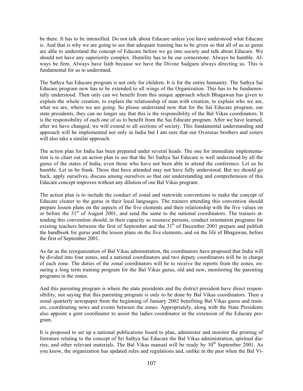be there. It has to be intensified. Do not talk about Educare unless you have understood what Educare is. And that is why we are going to see that adequate training has to be given so that all of us as gurus are able to understand the concept of Educare before we go into society and talk about Educare. We should not have any superiority complex. Humility has to be our cornerstone. Always be humble. Always be firm. Always have faith because we have the Divine Sadguru always directing us. This is fundamental for us to understand.

The Sathya Sai Educare program is not only for children. It is for the entire humanity. The Sathya Sai Educare program now has to be extended to all wings of the Organization. This has to be fundamentally understood. Then only can we benefit from this unique approach which Bhagawan has given to explain the whole creation, to explain the relationship of man with creation, to explain who we are, what we are, where we are going. So please understand now that for the Sai Educare program, our state presidents, they can no longer say that this is the responsibility of the Bal Vikas coordinators. It is the responsibility of each one of us to benefit from the Sai Educare program. After we have learned, after we have changed, we will extend to all sections of society. This fundamental understanding and approach will be implemented not only in India but I am sure that our Overseas brothers and sisters will also take a similar approach.

The action plan for India has been prepared under several heads. The one for immediate implementation is to chart out an action plan to see that the Sri Sathya Sai Educare is well understood by all the gurus of the states of India, even those who have not been able to attend the conference. Let us be humble. Let us be frank. Those that have attended may not have fully understood. But we should go back, apply ourselves, discuss among ourselves so that our understanding and comprehension of this Educare concept improves without any dilution of our Bal Vikas program.

The action plan is to include the conduct of zonal and statewide conventions to make the concept of Educare clearer to the gurus in their local languages. The trainers attending this convention should prepare lesson plans on the aspects of the five elements and their relationship with the five values on or before the 31<sup>st</sup> of August 2001, and send the same to the national coordinators. The trainers attending this convention should, in their capacity as resource persons, conduct orientation programs for existing teachers between the first of September and the  $31<sup>st</sup>$  of December 2001 prepare and publish the handbook for gurus and the lesson plans on the five elements, and on the life of Bhagawan, before the first of September 2001.

As far as the reorganization of Bal Vikas adminstration, the coordinators have proposed that India will be divided into four zones, and a national coordinators and two deputy coordinators will be in charge of each zone. The duties of the zonal coordinators will be to receive the reports from the zones, ensuring a long term training program for the Bal Vikas gurus, old and new, monitoring the parenting programs in the zones.

And this parenting program is where the state presidents and the district president have direct responsibility, not saying that this parenting program is only to be done by Bal Vikas coordinators. Then a zonal quarterly newspaper from the beginning of January 2002 benefiting Bal Vikas gurus and trainers, coordinating news and events between the zones. Appropriately, along with the State Presidents also appoint a gent coordinator to assist the ladies coordinator in the extension of the Educare program.

It is proposed to set up a national publications board to plan, administer and monitor the printing of literature relating to the concept of Sri Sathya Sai Educare the Bal Vikas administration, spiritual diaries, and other relevant materials. The Bal Vikas manual will be ready by  $30<sup>th</sup>$  September 2001. As you know, the organization has updated rules and regulations and, unlike in the past when the Bal Vi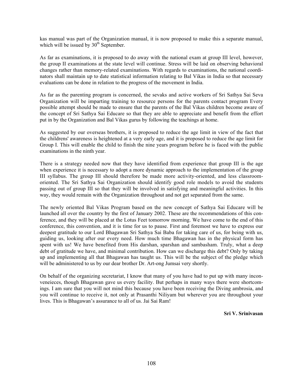kas manual was part of the Organization manual, it is now proposed to make this a separate manual, which will be issued by  $30<sup>th</sup>$  September.

As far as examinations, it is proposed to do away with the national exam at group III level, however, the group II examinations at the state level will continue. Stress will be laid on observing behavioral changes rather than memory-related examinations. With regards to examinations, the national coordinators shall maintain up to date statistical information relating to Bal Vikas in India so that necessary evaluations can be done in relation to the progress of the movement in India.

As far as the parenting program is concerned, the sevaks and active workers of Sri Sathya Sai Seva Organization will be imparting training to resource persons for the parents contact program Every possible attempt should be made to ensure that the parents of the Bal Vikas children become aware of the concept of Sri Sathya Sai Educare so that they are able to appreciate and benefit from the effort put in by the Organization and Bal Vikas gurus by following the teachings at home.

As suggested by our overseas brothers, it is proposed to reduce the age limit in view of the fact that the childrens' awareness is heightened at a very early age, and it is proposed to reduce the age limit for Group I. This will enable the child to finish the nine years program before he is faced with the public examinations in the ninth year.

There is a strategy needed now that they have identified from experience that group III is the age when experience it is necessary to adopt a more dynamic approach to the implementation of the group III syllabus. The group III should therefore be made more activity-oriented, and less classroomoriented. The Sri Sathya Sai Organization should identify good role models to avoid the students passing out of group III so that they will be involved in satisfying and meaningful activities. In this way, they would remain with the Organization throughout and not get separated from the same.

The newly oriented Bal Vikas Program based on the new concept of Sathya Sai Educare will be launched all over the country by the first of January 2002. These are the recommendations of this conference, and they will be placed at the Lotus Feet tomorrow morning. We have come to the end of this conference, this convention, and it is time for us to pause. First and foremost we have to express our deepest gratitude to our Lord Bhagawan Sri Sathya Sai Baba for taking care of us, for being with us, guiding us, looking after our every need. How much time Bhagawan has in the physical form has spent with us! We have benefited from His darshan, sparshan and sambasham. Truly, what a deep debt of gratitude we have, and minimal contribution. How can we discharge this debt? Only by taking up and implementing all that Bhagawan has taught us. This will be the subject of the pledge which will be administered to us by our dear brother Dr. Art-ong Jumsai very shortly.

On behalf of the organizing secretariat, I know that many of you have had to put up with many inconveneieces, though Bhagawan gave us every facility. But perhaps in many ways there were shortcomings. I am sure that you will not mind this because you have been receiving the Diving ambrosia, and you will continue to receive it, not only at Prasanthi Niliyam but wherever you are throughout your lives. This is Bhagawan's assurance to all of us. Jai Sai Ram!

**Sri V. Srinivasan**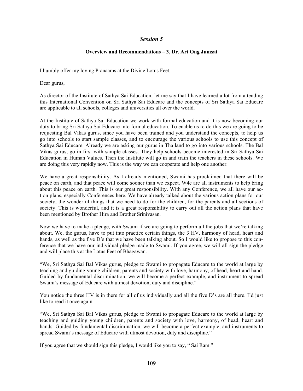## **Overview and Recommendations – 3, Dr. Art Ong Jumsai**

I humbly offer my loving Pranaams at the Divine Lotus Feet.

Dear gurus,

As director of the Institute of Sathya Sai Education, let me say that I have learned a lot from attending this International Convention on Sri Sathya Sai Educare and the concepts of Sri Sathya Sai Educare are applicable to all schools, colleges and universities all over the world.

At the Institute of Sathya Sai Education we work with formal education and it is now becoming our duty to bring Sri Sathya Sai Educare into formal education. To enable us to do this we are going to be requesting Bal Vikas gurus, since you have been trained and you understand the concepts, to help us go into schools to start sample classes, and to encourage the various schools to use this concept of Sathya Sai Educare. Already we are asking our gurus in Thailand to go into various schools. The Bal Vikas gurus, go in first with sample classes. They help schools become interested in Sri Sathya Sai Education in Human Values. Then the Institute will go in and train the teachers in these schools. We are doing this very rapidly now. This is the way we can cooperate and help one another.

We have a great responsibility. As I already mentioned, Swami has proclaimed that there will be peace on earth, and that peace will come sooner than we expect. W4e are all instruments to help bring about this peace on earth. This is our great responsibility. With any Conference, we all have our action plans, especially Conferences here. We have already talked about the various action plans for our society, the wonderful things that we need to do for the children, for the parents and all sections of society. This is wonderful, and it is a great responsibility to carry out all the action plans that have been mentioned by Brother Hira and Brother Srinivasan.

Now we have to make a pledge, with Swami if we are going to perform all the jobs that we're talking about. We, the gurus, have to put into practice certain things, the 3 HV, harmony of head, heart and hands, as well as the five D's that we have been talking about. So I would like to propose to this conference that we have our individual pledge made to Swami. If you agree, we will all sign the pledge and will place this at the Lotus Feet of Bhagawan.

"We, Sri Sathya Sai Bal Vikas gurus, pledge to Swami to propagate Educare to the world at large by teaching and guiding young children, parents and society with love, harmony, of head, heart and hand. Guided by fundamental discrimination, we will become a perfect example, and instrument to spread Swami's message of Educare with utmost devotion, duty and discipline."

You notice the three HV is in there for all of us individually and all the five D's are all there. I'd just like to read it once again.

"We, Sri Sathya Sai Bal Vikas gurus, pledge to Swami to propagate Educare to the world at large by teaching and guiding young children, parents and society with love, harmony, of head, heart and hands. Guided by fundamental discrimination, we will become a perfect example, and instruments to spread Swami's message of Educare with utmost devotion, duty and discipline."

If you agree that we should sign this pledge, I would like you to say, " Sai Ram."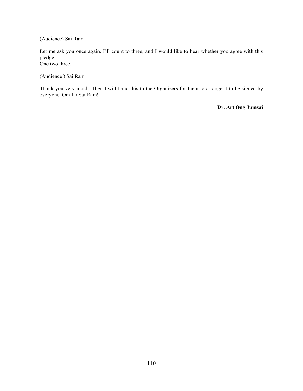(Audience) Sai Ram.

Let me ask you once again. I'll count to three, and I would like to hear whether you agree with this pledge. One two three.

(Audience ) Sai Ram

Thank you very much. Then I will hand this to the Organizers for them to arrange it to be signed by everyone. Om Jai Sai Ram!

**Dr. Art Ong Jumsai**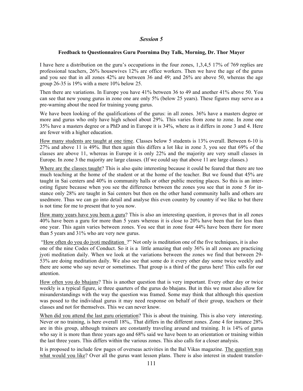### **Feedback to Questionnaires Guru Poornima Day Talk, Morning, Dr. Thor Mayer**

I have here a distribution on the guru's occupations in the four zones, 1,3,4,5 17% of 769 replies are professional teachers, 26% housewives 12% are office workers. Then we have the age of the gurus and you see that in all zones 42% are between 36 and 49; and 26% are above 50, whereas the age group 26-35 is 19% with a mere 10% below 25.

Then there are variations. In Europe you have 41% between 36 to 49 and another 41% above 50. You can see that new young gurus in zone one are only 5% (below 25 years). These figures may serve as a pre-warning about the need for training young gurus.

We have been looking of the qualifications of the gurus: in all zones. 36% have a masters degree or more and gurus who only have high school about 29%. This varies from zone to zone. In zone one 35% have a masters degree or a PhD and in Europe it is 34%, where as it differs in zone 3 and 4. Here are fewer with a higher education.

How many students are taught at one time. Classes below 5 students is 13% overall. Between 6-10 is 27% and above 11 is 49%. But then again this differs a lot like in zone 3, you see that 69% of the classes are above 11, whereas in Europe it is only 22% and the majority are very small classes in Europe. In zone 3 the majority are large classes. (If we could say that above 11 are large classes.)

Where are the classes taught? This is also quite interesting because it could be feared that there are too much teaching at the home of the student or at the home of the teacher. But we found that 45% are taught in Sai centers and 40% in community halls or other public meeting places. So this is an interesting figure because when you see the difference between the zones you see that in zone 5 for instance only 28% are taught in Sai centers but then on the other hand community halls and others are usedmore. Thus we can go into detail and analyse this even country by country if we like to but there is not time for me to present that to you now.

How many years have you been a guru? This is also an interesting question, it proves that in all zones 40% have been a guru for more than 5 years whereas it is close to 20% have been that for less than one year. This again varies between zones. You see that in zone four 44% have been there for more than 5 years and 31% who are very new gurus.

 "How often do you do jyoti meditation ?" Not only is meditation one of the five techniques, it is also one of the nine Codes of Conduct. So it is a little amazing that only 36% in all zones are practicing jyoti meditation daily. When we look at the variations between the zones we find that between 29- 53% are doing meditation daily. We also see that some do it every other day some twice weekly and there are some who say never or sometimes. That group is a third of the gurus here! This calls for our attention.

How often you do bhajans? This is another question that is very important. Every other day or twice weekly is a typical figure, ie three quarters of the gurus do bhajans. But in this we must also allow for misunderstandings with the way the question was framed. Some may think that although this question was posed to the individual gurus it may need response on behalf of their group, teachers or their classes and not for themselves. This we can never know.

When did you attend the last guru orientation? This is about the training. This is also very interesting. Never or no training, is here overall 18%,. That differs in the different zones. Zone 4 for instance 28% are in this group, although trainers are constantly traveling around and training. It is 14% of gurus who say it is more than three years ago and 68% said we have been to an orientation or training within the last three years. This differs within the various zones. This also calls for a closer analysis.

It is proposed to include few pages of overseas activities in the Bal Vikas magazine. The question was what would you like? Over all the gurus want lesson plans. There is also interest in student transfor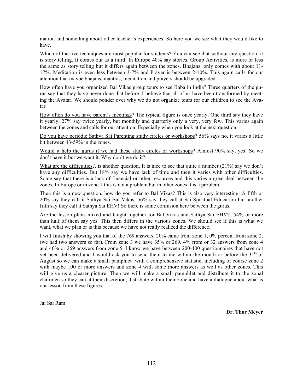mation and something about other teacher's experiences. So here you we see what they would like to have.

Which of the five techniques are most popular for students? You can see that without any question, it is story telling. It comes out as a third. In Europe 40% say stories. Group Activities, is more or less the same as story telling but it differs again between the zones. Bhajans, only comes with about 11- 17%. Meditation is even less between 3-7% and Prayer is between 2-10%. This again calls for our attention that maybe bhajans, mantras, meditation and prayers should be upgraded.

How often have you organized Bal Vikas group tours to see Baba in India? Three quarters of the gurus say that they have never done that before. I believe that all of us have been transformed by meeting the Avatar. We should ponder over why we do not organize tours for our children to see the Avatar.

How often do you have parent's meetings? The typical figure is once yearly. One third say they have it yearly, 27% say twice yearly, but monthly and quarterly only a very, very few. This varies again between the zones and calls for our attention. Especially when you look at the next question.

Do you have periodic Sathya Sai Parenting study circles or workshops? 56% says no, it varies a little bit between 43-59% in the zones.

Would it help the gurus if we had these study circles or workshops? Almost 90% say, yes! So we don't have it but we want it. Why don't we do it?

What are the difficulties?, is another question. It is nice to see that quite a number (21%) say we don't have any difficulties. But 18% say we have lack of time and then it varies with other difficulties. Some say that there is a lack of financial or other resources and this varies a great deal between the zones. In Europe or in zone 1 this is not a problem but in other zones it is a problem.

Then this is a new question, how do you refer to Bal Vikas? This is also very interesting: A fifth or 20% say they call it Sathya Sai Bal Vikas, 56% say they call it Sai Spiritual Education but another fifth say they call it Sathya Sai EHV! So there is some confusion here between the gurus.

Are the lesson plans mixed and taught together for Bal Vikas and Sathya Sai EHV? 54% or more than half of them say yes. This then differs in the various zones. We should see if this is what we want, what we plan or is this because we have not really realized the difference.

I will finish by showing you that of the 769 answers, 20% came from zone 1, 0% percent from zone 2, (we had two answers so far). From zone 3 we have 35% or 269, 4% from or 32 answers from zone 4 and 40% or 269 answers from zone 5. I know we have between 200-400 questionnaires that have not yet been delivered and I would ask you to send them to me within the month or before the  $31<sup>st</sup>$  of August so we can make a small pamphlet with a comprehensive statistic, including of course zone 2 with maybe 100 or more answers and zone 4 with some more answers as well as other zones. This will give us a clearer picture. Then we will make a small pamphlet and distribute it to the zonal chairmen so they can at their discretion, distribute within their zone and have a dialogue about what is our lesson from these figures.

Jai Sai Ram

**Dr. Thor Meyer**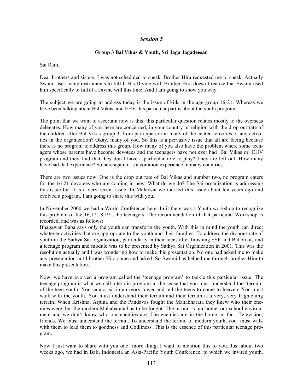### **Group 3 Bal Vikas & Youth, Sri Jaga Jagadeesan**

Sai Ram.

Dear brothers and sisters, I was not scheduled to speak. Brother Hira requested me to speak. Actually Swami uses many instruments to fulfill His Divine will. Brother Hira doesn't realize that Swami used him specifically to fulfill a Divine will this time. And I am going to show you why.

The subject we are going to address today is the issue of kids in the age group 16-21. Whereas we have been talking about Bal Vikas and EHV this particular part is about the youth program.

The point that we want to ascertain now is this: this particular question relates mostly to the overseas delegates. How many of you here are concerned, in your country or religion with the drop out rate of the children after Bal Vikas group 3, from participation in many of the center activities or any activities in the organization? Okay, many of you. So this is a pervasive issue that all are facing because there is no program to address this group. How many of you also have the problem where some teenagers whose parents have become devotees and the teenagers have not ever had Bal Vikas or EHV program and they find that they don't have a particular role to play? They are left out. How many have had that experience? So here again it is a common experience in many countries.

There are two issues now. One is the drop out rate of Bal Vikas and number two, no program caters for the 16-21 devotees who are coming in new. What do we do? The Sai organization is addressing this issue but it is a very recent issue. In Malaysia we tackled this issue about ten years ago and evolved a program. I am going to share this with you.

In November 2000 we had a World Conference here. In it there was a Youth workshop to recognize this problem of the 16,17,18,19…the teenagers. The recommendation of that particular Workshop is recorded, and was as follows:

Bhagawan Baba says only the youth can transform the youth. With this in mind the youth can direct whatever activities that are appropriate to the youth and their families. To address the dropout rate of youth in the Sathya Sai organization, particularly in their teens after finishing SSE and Bal Vikas and a teenage program and module was to be presented by Sathya Sai Organization in 2001. This was the resolution actually and I was wondering how to make this presentation. No one had asked me to make any presentation until brother Hira came and asked. So Swami has helped me through brother Hira to make this presentation.

Now, we have evolved a program called the 'teenage program' to tackle this particular issue. The teenage program is what we call a terrain program in the sense that you must understand the 'terrain' of the teen youth. You cannot sit in an ivory tower and tell the teens to come to heaven. You must walk with the youth. You must understand their terrain and their terrain is a very, very frightening terrain. When Krishna, Arjuna and the Pandavas fought the Mahabharata they knew who their enemies were, but the modern Mahabarata has to be fought. The terrain is our home, our school environment and we don't know who our enemies are. The enemies are in the home, in fact. Television, friends. We must understand the terrain. To understand the terrain of modern youth, you must walk with them to lead them to goodness and Godliness. This is the essence of this particular teenage program.

Now I just want to share with you one more thing. I want to mention this to you. Just about two weeks ago, we had in Bali, Indonesia an Asia-Pacific Youth Conference, to which we invited youth.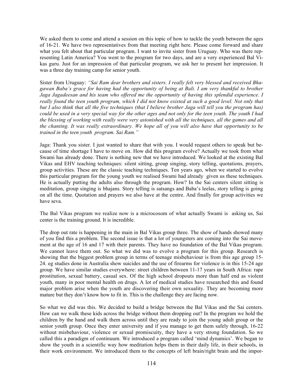We asked them to come and attend a session on this topic of how to tackle the youth between the ages of 16-21. We have two representatives from that meeting right here. Please come forward and share what you felt about that particular program. I want to invite sister from Uruguay. Who was there representing Latin America? You went to the program for two days, and are a very experienced Bal Vikas guru. Just for an impression of that particular program, we ask her to present her impression. It was a three day training camp for senior youth.

Sister from Uruguay: *"Sai Ram dear brothers and sisters. I really felt very blessed and received Bhagawan Baba's grace for having had the opportunity of being at Bali. I am very thankful to brother Jaga Jagadeesan and his team who offered me the opportunity of having this splendid experience. I really found the teen youth program, which I did not know existed at such a good level. Not only that but I also think that all the five techniques (that I believe brother Jaga will tell you the program has) could be used in a very special way for the other ages and not only for the teen youth. The youth I had the blessing of working with really were very astonished with all the techniques, all the games and all the chanting. It was really extraordinary. We hope all of you will also have that opportunity to be trained in the teen youth program. Sai Ram."*

Jaga: Thank you sister. I just wanted to share that with you. I would request others to speak but because of time shortage I have to move on. How did this program evolve? Actually we took from what Swami has already done. There is nothing new that we have introduced. We looked at the existing Bal Vikas and EHV teaching techniques: silent sitting, group singing, story telling, quotations, prayers, group activities. These are the classic teaching techniques. Ten years ago, when we started to evolve this particular program for the young youth we realised Swami had already given us these techniques. He is actually putting the adults also through the program. How? In the Sai centers silent sitting is meditation, group singing is bhajans. Story telling is satsangs and Baba's leelas, story telling is going on all the time. Quotation and prayers we also have at the centre. And finally for group activities we have seva.

The Bal Vikas program we realize now is a microcosom of what actually Swami is asking us, Sai center is the training ground. It is incredible.

The drop out rate is happening in the main in Bal Vikas group three. The show of hands showed many of you find this a problem. The second issue is that a lot of youngsters are coming into the Sai movement at the age of 16 and 17 with their parents. They have no foundation of the Bal Vikas program. We cannot leave them out. So what we did was to evolve a program for this group. Research is showing that the biggest problem group in terms of teenage misbehaviour is from this age group 15- 24. eg studies done in Australia show suicides and the use of firearms for violence is in this 15-24 age group. We have similar studies everywhere: street children between 11-17 years in South Africa: rape prostitution, sexual battery, casual sex. Of the high school dropouts more than half end as violent youth, many in poor mental health on drugs. A lot of medical studies have researched this and found major problem arise when the youth are discovering their own sexuality. They are becoming more mature but they don't know how to fit in. This is the challenge they are facing now.

So what we did was this. We decided to build a bridge between the Bal Vikas and the Sai centers. How can we walk these kids across the bridge without them dropping out? In the program we hold the children by the hand and walk them across until they are ready to join the young adult group or the senior youth group. Once they enter university and if you manage to get them safely through, 16-22 without misbehaviour, violence or sexual promiscuity, they have a very strong foundation. So we called this a paradigm of continuum. We introduced a program called 'mind dynamics'. We began to show the youth in a scientific way how meditation helps them in their daily life, in their schools, in their work environment. We introduced them to the concepts of left brain/right brain and the impor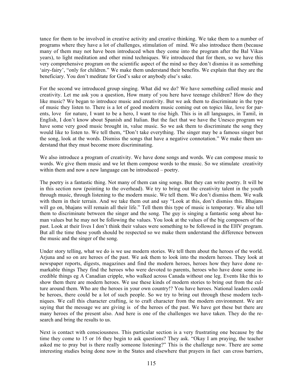tance for them to be involved in creative activity and creative thinking. We take them to a number of programs where they have a lot of challenges, stimulation of mind. We also introduce them (because many of them may not have been introduced when they come into the program after the Bal Vikas years), to light meditation and other mind techniques. We introduced that for them, so we have this very comprehensive program on the scientific aspect of the mind so they don't dismiss it as something 'airy-fairy', "only for children." We make them understand their benefits. We explain that they are the beneficiary. You don't meditate for God's sake or anybody else's sake.

For the second we introduced group singing. What did we do? We have something called music and creativity. Let me ask you a question, How many of you here have teenage children? How do they like music? We began to introduce music and creativity. But we ask them to discriminate in the type of music they listen to. There is a lot of good modern music coming out on topics like, love for parents, love for nature, I want to be a hero, I want to rise high. This is in all languages, in Tamil, in English, I don't know about Spanish and Italian. But the fact that we have the Unesco program we have some very good music brought in, value music. So we ask them to discriminate the song they would like to listen to. We tell them, "Don't take everything. The singer may be a famous singer but the song, look at the words. Dismiss the songs that have a negative connotation." We make them understand that they must become more discriminating.

We also introduce a program of creativity. We have done songs and words. We can compose music to words. We give them music and we let them compose words to the music. So we stimulate creativity within them and now a new language can be introduced – poetry.

The poetry is a fantastic thing. Not many of them can sing songs. But they can write poetry. It will be in this section now (pointing to the overhead). We try to bring out the creativity talent in the youth through music, through listening to the modern music. We tell them. We don't dismiss them. We walk with them in their terrain. And we take them out and say "Look at this, don't dismiss this. Bhajans will go on, bhajans will remain all their life." Tell them this type of music is temporary. We also tell them to discriminate between the singer and the song. The guy is singing a fantastic song about human values but he may not be following the values. You look at the values of the big composers of the past. Look at their lives I don't think their values were something to be followed in the EHV program. But all the time these youth should be respected so we make them understand the difference between the music and the singer of the song.

Under story telling, what we do is we use modern stories. We tell them about the heroes of the world. Arjuna and so on are heroes of the past. We ask them to look into the modern heroes. They look at newspaper reports, digests, magazines and find the modern heroes, heroes how they have done remarkable things They find the heroes who were devoted to parents, heroes who have done some incredible things eg A Canadian cripple, who walked across Canada without one leg. Events like this to show them there are modern heroes. We use these kinds of modern stories to bring out from the culture around them. Who are the heroes in your own country!? You have heroes. National leaders could be heroes, there could be a lot of such people. So we try to bring out through these modern techniques. We call this character crafting, ie to craft character from the modern environment. We are saying that the message we are giving is of the heroes of the past. We have got these but there are many heroes of the present also. And here is one of the challenges we have taken. They do the research and bring the results to us.

Next is contact with consciousness. This particular section is a very frustrating one because by the time they come to 15 or 16 they begin to ask questions? They ask. "Okay I am praying, the teacher asked me to pray but is there really someone listening?" This is the challenge now. There are some interesting studies being done now in the States and elsewhere that prayers in fact can cross barriers,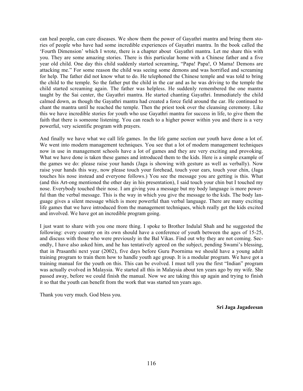can heal people, can cure diseases. We show them the power of Gayathri mantra and bring them stories of people who have had some incredible experiences of Gayathri mantra. In the book called the 'Fourth Dimension' which I wrote, there is a chapter about Gayathri mantra. Let me share this with you. They are some amazing stories. There is this particular home with a Chinese father and a five year old child. One day this child suddenly started screaming, "Papa! Papa!, O Mama! Demons are attacking me." For some reason the child was seeing some demons and was horrified and screaming for help. The father did not know what to do. He telephoned the Chinese temple and was told to bring the child to the temple. So the father put the child in the car and as he was driving to the temple the child started screaming again. The father was helpless. He suddenly remembered the one mantra taught by the Sai center, the Gayathri mantra. He started chanting Gayathri. Immediately the child calmed down, as though the Gayathri mantra had created a force field around the car. He continued to chant the mantra until he reached the temple. Then the priest took over the cleansing ceremony. Like this we have incredible stories for youth who use Gayathri mantra for success in life, to give them the faith that there is someone listening. You can reach to a higher power within you and there is a very powerful, very scientific program with prayers.

And finally we have what we call life games. In the life game section our youth have done a lot of. We went into modern management techniques. You see that a lot of modern management techniques now in use in management schools have a lot of games and they are very exciting and provoking. What we have done is taken these games and introduced them to the kids. Here is a simple example of the games we do: please raise your hands (Jaga is showing with gesture as well as verbally). Now raise your hands this way, now please touch your forehead, touch your ears, touch your chin, (Jaga touches his nose instead and everyone follows.) You see the message you are getting is this. What (and this Art-ong mentioned the other day in his presentation), I said touch your chin but I touched my nose. Everybody touched their nose. I am giving you a message but my body language is more powerful than the verbal message. This is the way in which you give the message to the kids. The body language gives a silent message which is more powerful than verbal language. There are many exciting life games that we have introduced from the management techniques, which really get the kids excited and involved. We have got an incredible program going.

I just want to share with you one more thing. I spoke to Brother Indulal Shah and he suggested the following: every country on its own should have a conference of youth between the ages of 15-25, and discuss with those who were previously in the Bal Vikas. Find out why they are not coming. Secondly, I have also asked him, and he has tentatively agreed on the subject, pending Swami's blessing, that in Prasanthi next year (2002), five days before Guru Poornima we should have a young adult training program to train them how to handle youth age group. It is a modular program. We have got a training manual for the youth on this. This can be evolved. I must tell you the first "Indian" program was actually evolved in Malaysia. We started all this in Malaysia about ten years ago by my wife. She passed away, before we could finish the manual. Now we are taking this up again and trying to finish it so that the youth can benefit from the work that was started ten years ago.

Thank you very much. God bless you.

**Sri Jaga Jagadeesan**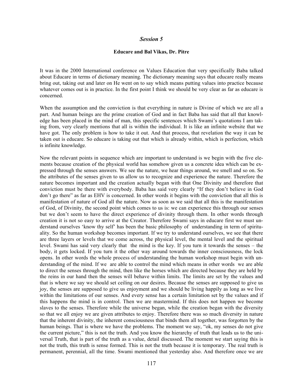#### **Educare and Bal Vikas, Dr. Pitre**

It was in the 2000 International conference on Values Education that very specifically Baba talked about Educare in terms of dictionary meaning. The dictionary meaning says that educare really means bring out, taking out and later on He went on to say which means putting values into practice because whatever comes out is in practice. In the first point I think we should be very clear as far as educare is concerned.

When the assumption and the conviction is that everything in nature is Divine of which we are all a part. And human beings are the prime creation of God and in fact Baba has said that all that knowledge has been placed in the mind of man, this specific sentences which Swami's quotations I am taking from, very clearly mentions that all is within the individual. It is like an infinite website that we have got. The only problem is how to take it out. And that process, that revelation the way it can be taken out is educare. So educare is taking out that which is already within, which is perfection, which is infinite knowledge.

Now the relevant points in sequence which are important to understand is we begin with the five elements because creation of the physical world has somehow given us a concrete idea which can be expressed through the senses answers. We see the nature, we hear things around, we smell and so on. So the attributes of the senses given to us allow us to recognize and experience the nature. Therefore the nature becomes important and the creation actually began with that One Divinity and therefore that conviction must be there with everybody. Baba has said very clearly "If they don't believe in God don't go there" as far as EHV is concerned. In other words it begins with the conviction that all this is manifestation of nature of God all the nature. Now as soon as we said that all this is the manifestation of God, of Divinity, the second point which comes to us is: we can experience this through our senses but we don't seem to have the direct experience of divinity through them. In other words through creation it is not so easy to arrive at the Creator. Therefore Swami says in educare first we must understand ourselves 'know thy self' has been the basic philosophy of understanding in term of spirituality. So the human workshop becomes important. If we try to understand ourselves, we see that there are three layers or levels that we come across, the physical level, the mental level and the spiritual level. Swami has said very clearly that the mind is the key. If you turn it towards the senses – the body, it gets locked. If you turn it the other way around towards the inner consciousness, the lock opens. In other words the whole process of understanding the human workshop must begin with understanding of the mind. If we are able to control the mind which means in other words we are able to direct the senses through the mind, then like the horses which are directed because they are held by the reins in our hand then the senses will behave within limits. The limits are set by the values and that is where we say we should set ceiling on our desires. Because the senses are supposed to give us joy, the senses are supposed to give us enjoyment and we should be living happily as long as we live within the limitations of our senses. And every sense has a certain limitation set by the values and if this happens the mind is in control. Then we are mastermind. If this does not happen we become slaves to the senses. Therefore while the universe began, while the creation began with the diversity so that we all enjoy we are given attributes to enjoy. Therefore there was so much diversity in nature that the inherent divinity, the inherent consciousness that binds them all together, was forgotten by the human beings. That is where we have the problems. The moment we say, "ok, my senses do not give the current picture," this is not the truth. And you know the hierarchy of truth that leads us to the universal Truth, that is part of the truth as a value, detail discussed. The moment we start saying this is not the truth, this truth is sense formed. This is not the truth because it is temporary. The real truth is permanent, perennial, all the time. Swami mentioned that yesterday also. And therefore once we are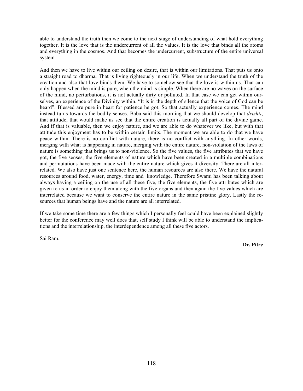able to understand the truth then we come to the next stage of understanding of what hold everything together. It is the love that is the undercurrent of all the values. It is the love that binds all the atoms and everything in the cosmos. And that becomes the undercurrent, substructure of the entire universal system.

And then we have to live within our ceiling on desire, that is within our limitations. That puts us onto a straight road to dharma. That is living righteously in our life. When we understand the truth of the creation and also that love binds them. We have to somehow see that the love is within us. That can only happen when the mind is pure, when the mind is simple. When there are no waves on the surface of the mind, no perturbations, it is not actually dirty or polluted. In that case we can get within ourselves, an experience of the Divinity within. "It is in the depth of silence that the voice of God can be heard". Blessed are pure in heart for patience he got. So that actually experience comes. The mind instead turns towards the bodily senses. Baba said this morning that we should develop that *drishti*, that attitude, that would make us see that the entire creation is actually all part of the divine game. And if that is valuable, then we enjoy nature, and we are able to do whatever we like, but with that attitude this enjoyment has to be within certain limits. The moment we are able to do that we have peace within. There is no conflict with nature, there is no conflict with anything. In other words, merging with what is happening in nature, merging with the entire nature, non-violation of the laws of nature is something that brings us to non-violence. So the five values, the five attributes that we have got, the five senses, the five elements of nature which have been created in a multiple combinations and permutations have been made with the entire nature which gives it diversity. There are all interrelated. We also have just one sentence here, the human resources are also there. We have the natural resources around food, water, energy, time and knowledge. Therefore Swami has been talking about always having a ceiling on the use of all these five, the five elements, the five attributes which are given to us in order to enjoy them along with the five organs and then again the five values which are interrelated because we want to conserve the entire nature in the same pristine glory. Lastly the resources that human beings have and the nature are all interrelated.

If we take some time there are a few things which I personally feel could have been explained slightly better for the conference may well does that, self study I think will be able to understand the implications and the interrelationship, the interdependence among all these five actors.

Sai Ram.

**Dr. Pitre**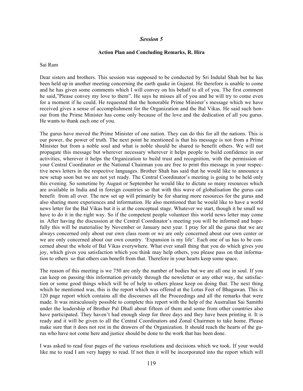#### **Action Plan and Concluding Remarks, R. Hira**

Sai Ram

Dear sisters and brothers. This session was supposed to be conducted by Sri Indulal Shah but he has been held up in another meeting concerning the earth quake in Gujarat. He therefore is unable to come and he has given some comments which I will convey on his behalf to all of you. The first comment he said,"Please convey my love to them". He says he misses all of you and he will try to come even for a moment if he could. He requested that the honorable Prime Minister's message which we have received gives a sense of accomplishment for the Organization and the Bal Vikas. He said such honour from the Prime Minister has come only because of the love and the dedication of all you gurus. He wants to thank each one of you.

The gurus have moved the Prime Minister of one nation. They can do this for all the nations. This is our power, the power of truth. The next point he mentioned is that his message is not from a Prime Minister but from a noble soul and what is noble should be shared to benefit others. We will not propagate this message but wherever necessary wherever it helps people to build confidence in our activities, wherever it helps the Organization to build trust and recognition, with the permission of your Central Coordinator or the National Chairman you are free to print this message in your respective news letters in the respective languages. Brother Shah has said that he would like to announce a new setup soon but we are not yet ready. The Central Coordinator's meeting is going to be held only this evening. So sometime by August or September he would like to dictate so many resources which are available in India and in foreign countries so that with this wave of globalisation the gurus can benefit from all over. The new set up will primarily be for sharing more resources for the gurus and also sharing more experiences and information. He also mentioned that he would like to have a world news letter for the Bal Vikas but it is at the conceptual stage. Whatever we start, though it be small we have to do it in the right way. So if the competent people volunteer this world news letter may come in. After having the discussion at the Central Coordinator's meeting you will be informed and hopefully this will be materialise by November or January next year. I pray for all the gurus that we are always concerned only about our own class room or we are only concerned about our own center or we are only concerned about our own country. 'Expansion is my life'. Each one of us has to be concerned about the whole of Bal Vikas everywhere. What ever small thing that you do which gives you joy, which gives you satisfaction which you think may help others, you please pass on that information to others so that others can benefit from that. Therefore in your hearts keep some space.

The reason of this meeting is we 750 are only the number of bodies but we are all one in soul. If you can keep on passing this information privately through the newsletter or any other way, the satisfaction or some good things which will be of help to others please keep on doing that. The next thing which he mentioned was, this is the report which was offered at the Lotus Feet of Bhagawan. This is 120 page report which contains all the discourses all the Proceedings and all the remarks that were made. It was miraculously possible to complete this report with the help of the Australian Sai Samithi under the leadership of Brother Pal Dhall about fifteen of them and some from other countries also have participated. They haven't had enough sleep for three days and they have been printing it. It is ready and it will be given to all the Central Coordinators and Zonal Chairmen to take home. Please make sure that it does not rest in the drawers of the Organization. It should reach the hearts of the gurus who have not come here and justice should be done to the work that has been done.

I was asked to read four pages of the various resolutions and decisions which we took. If your would like me to read I am very happy to read. If not then it will be incorporated into the report which will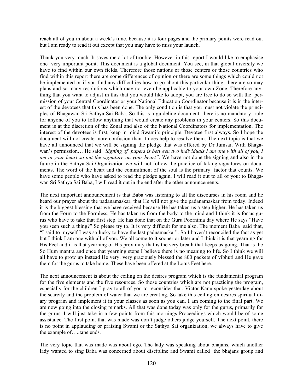reach all of you in about a week's time, because it is four pages and the primary points were read out but I am ready to read it out except that you may have to miss your launch.

Thank you very much. It saves me a lot of trouble. However in this report I would like to emphasise one very important point. This document is a global document. You see, in that global diversity we have to find within our own fields. Therefore those nations or those centers or those countries who find within this report there are some differences of opinion or there are some things which could not be implemented or if you find any difficulties how to go about this particular thing, there are so may plans and so many resolutions which may not even be applicable to your own Zone. Therefore anything that you want to adjust in this that you would like to adopt, you are free to do so with the permission of your Central Coordinator or your National Education Coordinator because it is in the interest of the devotees that this has been done. The only condition is that you must not violate the principles of Bhagawan Sri Sathya Sai Baba. So this is a guideline document, there is no mandatory rule for anyone of you to follow anything that would create any problems in your centers. So this document is at the discretion of the Zonal and also of the National Coordinators for implementation. The interest of the devotees is first, keep in mind Swami's principle. Devotee first always. So I hope the document will not create more confusion than it does help to resolve them. The next topic is that we have all announced that we will be signing the pledge that was offered by Dr Jumsai. With Bhagawan's permission… He said *"Signing of papers is between two individuals I am one with all of you, I am in your heart so put the signature on your heart"*. We have not done the signing and also in the future in the Sathya Sai Organization we will not follow the practice of taking signatures on documents. The word of the heart and the commitment of the soul is the primary factor that counts. We have some people who have asked to read the pledge again, I will read it out to all of you: to Bhagawan Sri Sathya Sai Baba, I will read it out in the end after the other announcements.

The next important announcement is that Baba was listening to all the discourses in his room and he heard our prayer about the padanamaskar, that He will not give the padanamaskar from today. Indeed it is the biggest blessing that we have received because He has taken us a step higher. He has taken us from the Form to the Formless, He has taken us from the body to the mind and I think it is for us gurus who have to take that first step. He has done that on the Guru Poornima day where He says "Have you seen such a thing?" So please try to. It is very difficult for me also. The moment Baba said that, "I said to myself I was so lucky to have the last padnamaskar". So I haven't reconciled the fact as yet but I think I am one with all of you. We all come to it sooner or later and I think it is that yearning for His Feet and it is that yearning of His proximity that is the very breath that keeps us going. That is the So Hum mantra and once that yearning stops I believe there is no meaning to life. So I think we will all have to grow up instead He very, very graciously blessed the 800 packets of vibhuti and He gave them for the gurus to take home. These have been offered at the Lotus Feet here.

The next announcement is about the ceiling on the desires program which is the fundamental program for the five elements and the five resources. So those countries which are not practicing the program, especially for the children I pray to all of you to reconsider that. Victor Kanu spoke yesterday about the scarcity and the problem of water that we are creating. So take this ceiling on desires spiritual diary program and implement it in your classes as soon as you can. I am coming to the final part. We are now going into the closing remarks. All that was done today was only for the gurus, primarily for the gurus. I will just take in a few points from this mornings Proceedings which would be of some assistance. The first point that was made was don't judge others judge yourself. The next point, there is no point in applauding or praising Swami or the Sathya Sai organization, we always have to give the example of…..tape ends.

The very topic that was made was about ego. The lady was speaking about bhajans, which another lady wanted to sing Baba was concerned about discipline and Swami called the bhajans group and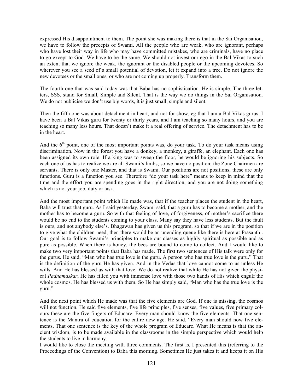expressed His disappointment to them. The point she was making there is that in the Sai Organisation, we have to follow the precepts of Swami. All the people who are weak, who are ignorant, perhaps who have lost their way in life who may have committed mistakes, who are criminals, have no place to go except to God. We have to be the same. We should not invest our ego in the Bal Vikas to such an extent that we ignore the weak, the ignorant or the disabled people or the upcoming devotees. So wherever you see a seed of a small potential of devotion, let it expand into a tree. Do not ignore the new devotees or the small ones, or who are not coming up properly. Transform them.

The fourth one that was said today was that Baba has no sophistication. He is simple. The three letters, SSS, stand for Small, Simple and Silent. That is the way we do things in the Sai Organisation. We do not publicise we don't use big words, it is just small, simple and silent.

Then the fifth one was about detachment in heart, and not for show, eg that I am a Bal Vikas gurus, I have been a Bal Vikas guru for twenty or thirty years, and I am teaching so many hours, and you are teaching so many less hours. That doesn't make it a real offering of service. The detachment has to be in the heart.

And the  $6<sup>th</sup>$  point, one of the most important points was, do your task. To do your task means using discrimination. Now in the forest you have a donkey, a monkey, a giraffe, an elephant. Each one has been assigned its own role. If a king was to sweep the floor, he would be ignoring his subjects. So each one of us has to realize we are all Swami's limbs, so we have no position; the Zone Chairmen are servants. There is only one Master, and that is Swami. Our positions are not positions, these are only functions. Guru is a function you see. Therefore "do your task here" means to keep in mind that the time and the effort you are spending goes in the right direction, and you are not doing something which is not your job, duty or task.

And the most important point which He made was, that if the teacher places the student in the heart, Baba will trust that guru. As I said yesterday, Swami said, that a guru has to become a mother, and the mother has to become a guru. So with that feeling of love, of forgiveness, of mother's sacrifice there would be no end to the students coming to your class. Many say they have less students. But the fault is ours, and not anybody else's. Bhagawan has given us this program, so that if we are in the position to give what the children need, then there would be an unending queue like there is here at Prasanthi. Our goal is to follow Swami's principles to make our classes as highly spiritual as possible and as pure as possible. When there is honey, the bees are bound to come to collect. And I would like to make two very important points that Baba has made. The first two sentences of His talk were only for the gurus. He said, "Man who has true love is the guru. A person who has true love is the guru." That is the definition of the guru He has given. And in the Vedas that love cannot come to us unless He wills. And He has blessed us with that love. We do not realize that while He has not given the physical *Padnamaskar*, He has filled you with immense love with those two hands of His which engulf the whole cosmos. He has blessed us with them. So He has simply said, "Man who has the true love is the guru."

And the next point which He made was that the five elements are God. If one is missing, the cosmos will not function. He said five elements, five life principles, five senses, five values, five primary colours these are the five fingers of Educare. Every man should know the five elements. That one sentence is the Mantra of education for the entire new age. He said, "Every man should now five elements. That one sentence is the key of the whole program of Educare. What He means is that the ancient wisdom, is to be made available in the classrooms in the simple perspective which would help the students to live in harmony.

I would like to close the meeting with three comments. The first is, I presented this (referring to the Proceedings of the Convention) to Baba this morning. Sometimes He just takes it and keeps it on His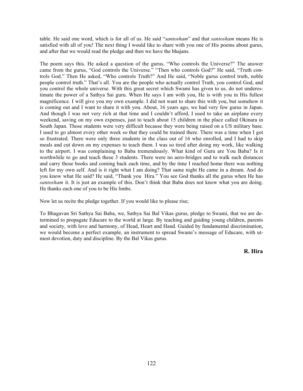table. He said one word, which is for all of us. He said "*santosham*" and that *santosham* means He is satisfied with all of you! The next thing I would like to share with you one of His poems about gurus, and after that we would read the pledge and then we have the bhajans.

The poem says this. He asked a question of the gurus. "Who controls the Universe?" The answer came from the gurus, "God controls the Universe." "Then who controls God?" He said, "Truth controls God." Then He asked, "Who controls Truth?" And He said, "Noble gurus control truth, noble people control truth." That's all. You are the people who actually control Truth, you control God, and you control the whole universe. With this great secret which Swami has given to us, do not underestimate the power of a Sathya Sai guru. When He says I am with you, He is with you in His fullest magnificence. I will give you my own example. I did not want to share this with you, but somehow it is coming out and I want to share it with you. About, 16 years ago, we had very few gurus in Japan. And though I was not very rich at that time and I couldn't afford, I used to take an airplane every weekend, saving on my own expenses, just to teach about 15 children in the place called Okinara in South Japan. Those students were very difficult because they were being raised on a US military base. I used to go almost every other week so that they could be trained there. There was a time when I got so frustrated. There were only three students in the class out of 16 who enrolled, and I had to skip meals and cut down on my expenses to teach them. I was so tired after doing my work, like walking to the airport. I was complaining to Baba tremendously. What kind of Guru are You Baba? Is it worthwhile to go and teach these 3 students. There were no aero-bridges and to walk such distances and carry those books and coming back each time, and by the time I reached home there was nothing left for my own self. And is it right what I am doing? That same night He came in a dream. And do you know what He said? He said, "Thank you Hira." You see God thanks all the gurus when He has *santosham* it. It is just an example of this. Don't think that Baba does not know what you are doing. He thanks each one of you to be His limbs.

Now let us recite the pledge together. If you would like to please rise;

To Bhagavan Sri Sathya Sai Baba, we, Sathya Sai Bal Vikas gurus, pledge to Swami, that we are determined to propagate Educare to the world at large. By teaching and guiding young children, parents and society, with love and harmony, of Head, Heart and Hand. Guided by fundamental discrimination, we would become a perfect example, an instrument to spread Swami's message of Educare, with utmost devotion, duty and discipline. By the Bal Vikas gurus.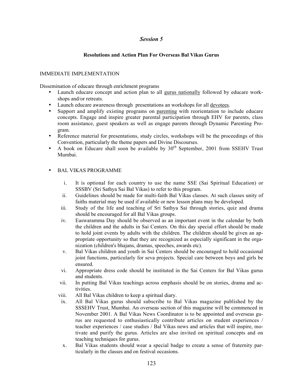## **Resolutions and Action Plan For Overseas Bal Vikas Gurus**

## IMMEDIATE IMPLEMENTATION

Dissemination of educare through enrichment programs

- Launch educare concept and action plan to all gurus nationally followed by educare workshops and/or retreats.
- Launch educare awareness through presentations an workshops for all devotees.
- Support and amplify existing programs on parenting with reorientation to include educare concepts. Engage and inspire greater parental participation through EHV for parents, class room assistance, guest speakers as well as engage parents through Dynamic Parenting Program.
- Reference material for presentations, study circles, workshops will be the proceedings of this Convention, particularly the theme papers and Divine Discourses.
- A book on Educare shall soon be available by  $30<sup>th</sup>$  September, 2001 from SSEHV Trust Mumbai.

## • BAL VIKAS PROGRAMME

- i. It is optional for each country to use the name SSE (Sai Spiritual Education) or SSSBV (Sri Sathya Sai Bal Vikas) to refer to this program.
- ii. Guidelines should be made for multi-faith Bal Vikas classes. At such classes unity of faiths material may be used if available or new lesson plans may be developed.
- iii. Study of the life and teaching of Sri Sathya Sai through stories, quiz and drama should be encouraged for all Bal Vikas groups.
- iv. Easwaramma Day should be observed as an important event in the calendar by both the children and the adults in Sai Centers. On this day special effort should be made to hold joint events by adults with the children. The children should be given an appropriate opportunity so that they are recognized as especially significant in the organization (children's bhajans, dramas, speeches, awards etc).
- v. Bal Vikas children and youth in Sai Centers should be encouraged to hold occasional joint functions, particularly for seva projects. Special care between boys and girls be ensured.
- vi. Appropriate dress code should be instituted in the Sai Centers for Bal Vikas gurus and students.
- vii. In putting Bal Vikas teachings across emphasis should be on stories, drama and activities.
- viii. All Bal Vikas children to keep a spiritual diary.
- ix. All Bal Vikas gurus should subscribe to Bal Vikas magazine published by the SSSEHV Trust, Mumbai. An overseas section of this magazine will be commenced in November 2001. A Bal Vikas News Coordinator is to be appointed and overseas gurus are requested to enthusiastically contribute articles on student experiences / teacher experiences / case studies / Bal Vikas news and articles that will inspire, motivate and purify the gurus. Articles are also invited on spiritual concepts and on teaching techniques for gurus.
- x. Bal Vikas students should wear a special badge to create a sense of fraternity particularly in the classes and on festival occasions.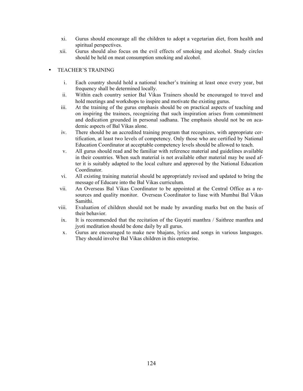- xi. Gurus should encourage all the children to adopt a vegetarian diet, from health and spiritual perspectives.
- xii. Gurus should also focus on the evil effects of smoking and alcohol. Study circles should be held on meat consumption smoking and alcohol.

## • TEACHER'S TRAINING

- i. Each country should hold a national teacher's training at least once every year, but frequency shall be determined locally.
- ii. Within each country senior Bal Vikas Trainers should be encouraged to travel and hold meetings and workshops to inspire and motivate the existing gurus.
- iii. At the training of the gurus emphasis should be on practical aspects of teaching and on inspiring the trainees, recognizing that such inspiration arises from commitment and dedication grounded in personal sadhana. The emphasis should not be on academic aspects of Bal Vikas alone.
- iv. There should be an accredited training program that recognizes, with appropriate certification, at least two levels of competency. Only those who are certified by National Education Coordinator at acceptable competency levels should be allowed to teach.
- v. All gurus should read and be familiar with reference material and guidelines available in their countries. When such material is not available other material may be used after it is suitably adapted to the local culture and approved by the National Education Coordinator.
- vi. All existing training material should be appropriately revised and updated to bring the message of Educare into the Bal Vikas curriculum.
- vii. An Overseas Bal Vikas Coordinator to be appointed at the Central Office as a resources and quality monitor. Overseas Coordinator to liase with Mumbai Bal Vikas Samithi.
- viii. Evaluation of children should not be made by awarding marks but on the basis of their behavior.
- ix. It is recommended that the recitation of the Gayatri manthra / Saithree manthra and jyoti meditation should be done daily by all gurus.
- x. Gurus are encouraged to make new bhajans, lyrics and songs in various languages. They should involve Bal Vikas children in this enterprise.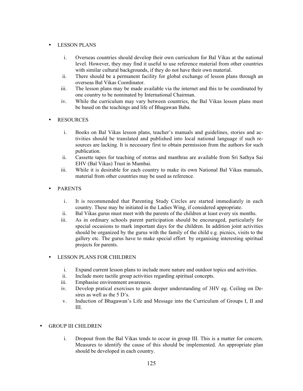## • LESSON PLANS

- i. Overseas countries should develop their own curriculum for Bal Vikas at the national level. However, they may find it useful to use reference material from other countries with similar cultural backgrounds, if they do not have their own material.
- ii. There should be a permanent facility for global exchange of lesson plans through an overseas Bal Vikas Coordinator.
- iii. The lesson plans may be made available via the internet and this to be coordinated by one country to be nominated by International Chairman.
- iv. While the curriculum may vary between countries, the Bal Vikas lesson plans must be based on the teachings and life of Bhagawan Baba.

## **RESOURCES**

- i. Books on Bal Vikas lesson plans, teacher's manuals and guidelines, stories and activities should be translated and published into local national language if such resources are lacking. It is necessary first to obtain permission from the authors for such publication.
- ii. Cassette tapes for teaching of stotras and manthras are available from Sri Sathya Sai EHV (Bal Vikas) Trust in Mumbai.
- iii. While it is desirable for each country to make its own National Bal Vikas manuals, material from other countries may be used as reference.

## • PARENTS

- i. It is recommended that Parenting Study Circles are started immediately in each country. These may be initiated in the Ladies Wing, if considered appropriate.
- ii. Bal Vikas gurus must meet with the parents of the children at least every six months.
- iii. As in ordinary schools parent participation should be encouraged, particularly for special occasions to mark important days for the children. In addition joint activities should be organized by the gurus with the family of the child e.g. picnics, visits to the gallery etc. The gurus have to make special effort by organising interesting spiritual projects for parents.

## • LESSON PLANS FOR CHILDREN

- i. Expand current lesson plans to include more nature and outdoor topics and activities.
- ii. Include more tactile group activities regarding spiritual concepts.
- iii. Emphasise environment awareness.
- iv. Develop pratical exercises to gain deeper understanding of 3HV eg. Ceiling on Desires as well as the 5 D's.
- v. Induction of Bhagawan's Life and Message into the Curriculum of Groups I, II and III.

## • GROUP III CHILDREN

i. Dropout from the Bal Vikas tends to occur in group III. This is a matter for concern. Measures to identify the cause of this should be implemented. An appropriate plan should be developed in each country.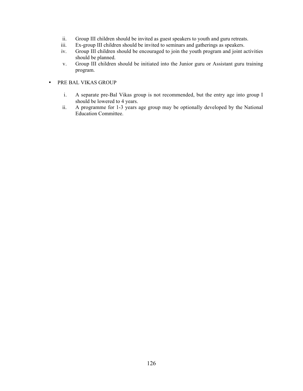- ii. Group III children should be invited as guest speakers to youth and guru retreats.
- iii. Ex-group III children should be invited to seminars and gatherings as speakers.
- iv. Group III children should be encouraged to join the youth program and joint activities should be planned.
- v. Group III children should be initiated into the Junior guru or Assistant guru training program.
- PRE BAL VIKAS GROUP
	- i. A separate pre-Bal Vikas group is not recommended, but the entry age into group I should be lowered to 4 years.
	- ii. A programme for 1-3 years age group may be optionally developed by the National Education Committee.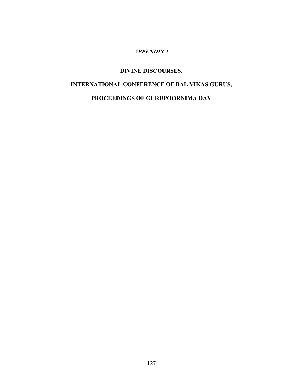## *APPENDIX 1*

## **DIVINE DISCOURSES,**

# **INTERNATIONAL CONFERENCE OF BAL VIKAS GURUS,**

# **PROCEEDINGS OF GURUPOORNIMA DAY**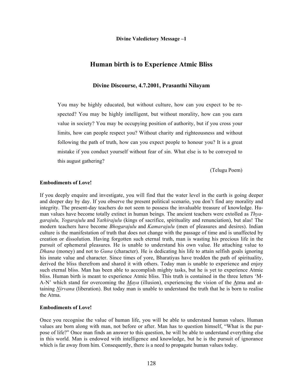**Divine Valedictory Message –1**

## **Human birth is to Experience Atmic Bliss**

### **Divine Discourse, 4.7.2001, Prasanthi Nilayam**

You may be highly educated, but without culture, how can you expect to be respected? You may be highly intelligent, but without morality, how can you earn value in society? You may be occupying position of authority, but if you cross your limits, how can people respect you? Without charity and righteousness and without following the path of truth, how can you expect people to honour you? It is a great mistake if you conduct yourself without fear of sin. What else is to be conveyed to this august gathering?

(Telugu Poem)

#### **Embodiments of Love!**

If you deeply enquire and investigate, you will find that the water level in the earth is going deeper and deeper day by day. If you observe the present political scenario, you don't find any morality and integrity. The present-day teachers do not seem to possess the invaluable treasure of knowledge. Human values have become totally extinct in human beings. The ancient teachers were extolled as *Thyagarajulu, Yogarajulu* and *Yathirajulu* (kings of sacrifice, spirituality and renunciation), but alas! The modern teachers have become *Bhogarajulu* and *Kamarajulu* (men of pleasures and desires). Indian culture is the manifestation of truth that does not change with the passage of time and is unaffected by creation or dissolution. Having forgotten such eternal truth, man is wasting his precious life in the pursuit of ephemeral pleasures. He is unable to understand his own value. He attaching value to *Dhana* (money) and not to *Guna* (character). He is dedicating his life to attain selfish goals ignoring his innate value and character. Since times of yore, Bharatiyas have trodden the path of spirituality, derived the bliss therefrom and shared it with others. Today man is unable to experience and enjoy such eternal bliss. Man has been able to accomplish mighty tasks, but he is yet to experience Atmic bliss. Human birth is meant to experience Atmic bliss. This truth is contained in the three letters 'M-A-N' which stand for overcoming the *Maya* (illusion), experiencing the vision of the Atma and attaining *Nirvana* (liberation). But today man is unable to understand the truth that he is born to realise the Atma.

#### **Embodiments of Love!**

Once you recognise the value of human life, you will be able to understand human values. Human values are born along with man, not before or after. Man has to question himself, "What is the purpose of life?" Once man finds an answer to this question, he will be able to understand everything else in this world. Man is endowed with intelligence and knowledge, but he is the pursuit of ignorance which is far away from him. Consequently, there is a need to propagate human values today.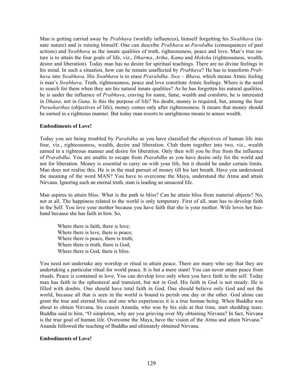Man is getting carried away by *Prabhava* (worldly influences), himself forgetting his *Swabhava* (innate nature) and is ruining himself. One can describe *Prabhava* as *Parabdha* (consequences of past actions) and *Swabhava* as the innate qualities of truth, righteousness, peace and love. Man's true nature is to attain the four goals of life, viz., *Dharma*, *Artha*, *Kama* and *Moksha* (righteousness, wealth, desire and liberation). Today man has no desire for spiritual teachings. There are no divine feelings in his mind. In such a situation, how can he remain unaffected by *Prabhava*? He has to transform *Prabhava* into *Swabhava*. His *Swabhava* is to erase *Prarabdha*. *Swa – Bhava,* which means Atmic feeling is man's *Swabhava*. Truth, righteousness, peace and love constitute Atmic feelings. Where is the need to search for them when they are his natural innate qualities? As he has forgotten his natural qualities, he is under the influence of *Prabhava*, craving for name, fame, wealth and comforts, he is interested in *Dhana*, not in *Guna*. Is this the purpose of life? No doubt, money is required, but, among the four *Purusharthas* (objectives of life), money comes only after righteousness. It means that money should be earned in a righteous manner. But today man resorts to unrighteous means to amass wealth.

### **Embodiments of Love!**

Today you are being troubled by *Parabdha* as you have classified the objectives of human life into four, viz., righteousness, wealth, desire and liberation. Club them together into two, viz., wealth earned in a righteous manner and desire for liberation. Only then will you be free from the influence of *Prarabdha*. You are unable to escape from *Prarabdha* as you have desire only for the world and not for liberation. Money is essential to carry on with your life, but it should be under certain limits. Man does not realise this. He is in the mad pursuit of money till his last breath. Have you understood the meaning of the word MAN? You have to overcome the Maya, understand the Atma and attain Nirvana. Ignoring such an eternal truth, man is leading an unsacred life.

Man aspires to attain bliss. What is the path to bliss? Can he attain bliss from material objects? No, not at all. The happiness related to the world is only temporary. First of all, man has to develop faith in the Self. You love your mother because you have faith that she is your mother. Wife loves her husband because she has faith in him. So,

Where there is faith, there is love; Where there is love, there is peace; Where there is peace, there is truth; Where there is truth, there is God; Where there is God, there is bliss.

You need not undertake any worship or ritual to attain peace. There are many who say that they are undertaking a particular ritual for world peace. It is but a mere stunt! You can never attain peace from rituals. Peace is contained in love. You can develop love only when you have faith in the self. Today man has faith in the ephemeral and transient, but not in God. His faith in God is not steady. He is filled with doubts. One should have total faith in God. One should believe only God and not the world, because all that is seen in the world is bound to perish one day or the other. God alone can grant the true and eternal bliss and one who experiences it is a true human being. When Buddha was about to obtain Nirvana, his cousin Ananda, who was by his side at that time, start shedding tears. Buddha said to him, "O simpleton, why are you grieving over My obtaining Nirvana? In fact, Nirvana is the true goal of human life. Overcome the Maya, have the vision of the Atma and attain Nirvana." Ananda followed the teaching of Buddha and ultimately obtained Nirvana.

### **Embodiments of Love!**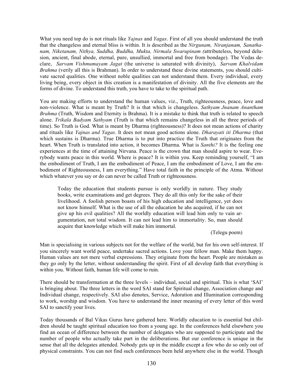What you need top do is not rituals like *Yajnas* and *Yagas*. First of all you should understand the truth that the changeless and eternal bliss is within. It is described as the *Nirgunam, Niranjanam, Sanathanam, Niketanam, Nithya, Suddha, Buddha, Mukta, Nirmala Swarupinam (*attributeless, beyond delusion, ancient, final abode, eternal, pure, unsullied, immortal and free from bondage). The Vedas declare, *Sarvam Vishmumayam Jagat* (the universe is saturated with divinity), *Sarvam Khalvidam Brahma* (verily all this is Brahman). In order to understand these divine statements, you should cultivate sacred qualities. One without noble qualities can not understand them. Every individual, every living being, every object in this creation is a manifestation of divinity. All the five elements are the forms of divine. To understand this truth, you have to take to the spiritual path.

You are making efforts to understand the human values, viz., Truth, righteousness, peace, love and non-violence. What is meant by Truth? It is that which is changeless. *Sathyam Jnanam Anantham Brahma* (Truth, Wisdom and Eternity is Brahma). It is a mistake to think that truth is related to speech alone. *Trikala Badyam Sathyam* (Truth is that which remains changeless in all the three periods of time). So Truth is God. What is meant by Dharma (righteousness)? It does not mean actions of charity and rituals like *Yajnas and Yagas*. It does not mean good actions alone. *Dharayati iti Dharma* (that which sustains is Dharma). True Dharma is to put into practice the Truth that originates from the heart. When Truth is translated into action, it becomes Dharma. What is *Santhi?* It is the feeling one experiences at the time of attaining Nirvana. Peace is the crown that man should aspire to wear. Everybody wants peace in this world. Where is peace? It is within you. Keep reminding yourself, "I am the embodiment of Truth, I am the embodiment of Peace, I am the embodiment of Love, I am the embodiment of Righteousness, I am everything." Have total faith in the principle of the Atma. Without which whatever you say or do can never be called Truth or righteousness.

Today the education that students pursue is only worldly in nature. They study books, write examinations and get degrees. They do all this only for the sake of their livelihood. A foolish person boasts of his high education and intelligence, yet does not know himself. What is the use of all the education he ahs acquired, if he can not give up his evil qualities? All the worldly education will lead him only to vain argumentation, not total wisdom. It can not lead him to immortality. So, man should acquire that knowledge which will make him immortal.

(Telegu poem)

Man is specialising in various subjects not for the welfare of the world, but for his own self-interest. If you sincerely want world peace, undertake sacred actions. Love your fellow man. Make them happy. Human values are not mere verbal expressions. They originate from the heart. People are mistaken as they go only by the letter, without understanding the spirit. First of all develop faith that everything is within you. Without faith, human life will come to ruin.

There should be transformation at the three levels – individual, social and spiritual. This is what 'SAI' is bringing about. The three letters in the word SAI stand for Spiritual change, Association change and Individual change, respectively. SAI also denotes, Service, Adoration and Illumination corresponding to work, worship and wisdom. You have to understand the inner meaning of every letter of this word SAI to sanctify your lives.

Today thousands of Bal Vikas Gurus have gathered here. Worldly education to is essential but children should be taught spiritual education too from a young age. In the conferences held elsewhere you find an ocean of difference between the number of delegates who are supposed to participate and the number of people who actually take part in the deliberations. But our conference is unique in the sense that all the delegates attended. Nobody gets up in the middle except a few who do so only out of physical constraints. You can not find such conferences been held anywhere else in the world. Though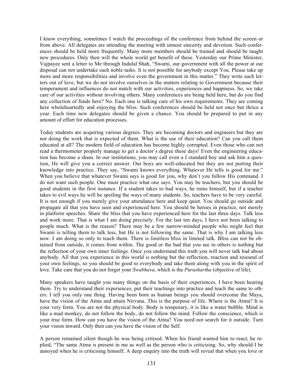I know everything, sometimes I watch the proceedings of the conference from behind the screen or from above. All delegates are attending the meeting with utmost sincerity and devotion. Such conferences should be held more frequently. Many more members should be trained and should be taught new procedures. Only then will the whole world get benefit of these. Yesterday our Prime Minister, Vajpayee sent a letter to Me through Indulal Shah, "Swami, our government with all the power at our disposal can not undertake such noble tasks. It is not possible for anybody except You. Please take up more and more responsibilities and involve even the government in this matter." They write such letters out of love, but we do not involve ourselves in the matters relating to Government because their temperament and influences do not match with our activities, experiences and happiness. So, we take care of our activities without involving others. Many conferences are being held here, but do you find any collection of funds here? No. Each one is talking care of his own requirements. They are coming here wholeheartedly and enjoying the bliss. Such conferences should be held not once but thrice a year. Each time new delegates should be given a chance. You should be prepared to put in any amount of effort for education processes.

Today students are acquiring various degrees. They are becoming doctors and engineers but they are not doing the work that is expected of them. What is the use of their education? Can you call them educated at all? The modern field of education has become highly corrupted. Even those who can not read a thermometer properly manage to get a doctor's degree these days! Even the engineering education has become a sham. In our institutions, you may call even a I standard boy and ask him a question, He will give you a correct answer. Our boys are well-educated but they are not putting their knowledge into practice. They say, "Swami knows everything. Whatever He tells is good for me." When you believe that whatever Swami says is good for you, why don't you follow His command. I do not want such people. One must practice what one says. You may be teachers, but you should be good students in the first instance. If a student takes to bad ways, he ruins himself, but if a teacher takes to evil ways he will be spoiling the ways of many students. So, teachers have to be very careful. It is not enough if you merely give your attendance here and keep quiet. You should go outside and propagate all that you have seen and experienced here. You should be heroes in practice, not merely in platform speeches. Share the bliss that you have experienced here for the last three days. Talk less and work more. That is what I am doing precisely. For the last ten days, I have not been talking to people much. What is the reason? There may be a few narrow-minded people who might feel that Swami is telling them to talk less, but He is not following the same. That is why I am talking less now. I am doing so only to teach them. There is limitless bliss in limited talk. Bliss can not be obtained from outside, it comes from within. The good or the bad that you see in others is nothing but the reflection of your own inner feelings. Once you understand this truth you will never talk bad about anybody. All that you experience in this world is nothing but the reflection, reaction and resound of your own feelings, so you should be good to everybody and take them along with you in the spirit of love. Take care that you do not forget your *Swabhava*, which is the *Purushartha* (objective of life).

Many speakers have taught you many things on the basis of their experiences. I have been hearing them. Try to understand their experiences, put their teachings into practice and teach the same to others. I tell you only one thing. Having been born as human beings you should overcome the Maya, have the vision of the Atma and attain Nirvana. This is the purpose of life. Where is the Atma? It is your very form. You are not the physical body. Body is temporary, it is like a water bubble. Mind is like a mad monkey, do not follow the body, do not follow the mind. Follow the conscience, which is your true form. How can you have the vision of the Atma? You need not search for it outside. Turn your vision inward. Only then can you have the vision of the Self.

A person remained silent though he was being critised. When his friend wanted him to react, he replied, "The same Atma is present in me as well as the person who is criticising. So, why should I be annoyed when he is criticising himself. A deep enquiry into the truth will reveal that when you love or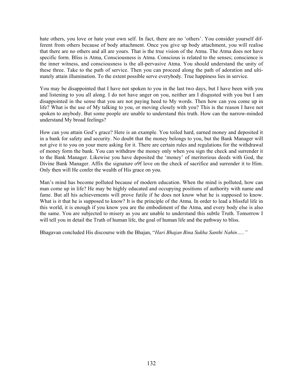hate others, you love or hate your own self. In fact, there are no 'others'. You consider yourself different from others because of body attachment. Once you give up body attachment, you will realise that there are no others and all are yours. That is the true vision of the Atma. The Atma does not have specific form. Bliss is Atma, Consciousness is Atma. Conscious is related to the senses; conscience is the inner witness, and consciousness is the all-pervasive Atma. You should understand the unity of these three. Take to the path of service. Then you can proceed along the path of adoration and ultimately attain illumination. To the extent possible serve everybody. True happiness lies in service.

You may be disappointed that I have not spoken to you in the last two days, but I have been with you and listening to you all along. I do not have anger on you, neither am I disgusted with you but I am disappointed in the sense that you are not paying heed to My words. Then how can you come up in life? What is the use of My talking to you, or moving closely with you? This is the reason I have not spoken to anybody. But some people are unable to understand this truth. How can the narrow-minded understand My broad feelings?

How can you attain God's grace? Here is an example. You toiled hard, earned money and deposited it in a bank for safety and security. No doubt that the money belongs to you, but the Bank Manager will not give it to you on your mere asking for it. There are certain rules and regulations for the withdrawal of money form the bank. You can withdraw the money only when you sign the check and surrender it to the Bank Manager. Likewise you have deposited the 'money' of meritorious deeds with God, the Divine Bank Manager. Affix the signature o9f love on the check of sacrifice and surrender it to Him. Only then will He confer the wealth of His grace on you.

Man's mind has become polluted because of modern education. When the mind is polluted, how can man come up in life? He may be highly educated and occupying positions of authority with name and fame. But all his achievements will prove futile if he does not know what he is supposed to know. What is it that he is supposed to know? It is the principle of the Atma. In order to lead a blissful life in this world, it is enough if you know you are the embodiment of the Atma, and every body else is also the same. You are subjected to misery as you are unable to understand this subtle Truth. Tomorrow I will tell you in detail the Truth of human life, the goal of human life and the pathway to bliss.

Bhagavan concluded His discourse with the Bhajan, "*Hari Bhajan Bina Sukha Santhi Nahin….."*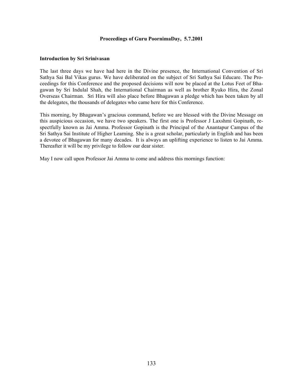### **Proceedings of Guru PoornimaDay, 5.7.2001**

### **Introduction by Sri Srinivasan**

The last three days we have had here in the Divine presence, the International Convention of Sri Sathya Sai Bal Vikas gurus. We have deliberated on the subject of Sri Sathya Sai Educare. The Proceedings for this Conference and the proposed decisions will now be placed at the Lotus Feet of Bhagawan by Sri Indulal Shah, the International Chairman as well as brother Ryuko Hira, the Zonal Overseas Chairman. Sri Hira will also place before Bhagawan a pledge which has been taken by all the delegates, the thousands of delegates who came here for this Conference.

This morning, by Bhagawan's gracious command, before we are blessed with the Divine Message on this auspicious occasion, we have two speakers. The first one is Professor J Laxshmi Gopinath, respectfully known as Jai Amma. Professor Gopinath is the Principal of the Anantapur Campus of the Sri Sathya Sai Institute of Higher Learning. She is a great scholar, particularly in English and has been a devotee of Bhagawan for many decades. It is always an uplifting experience to listen to Jai Amma. Thereafter it will be my privilege to follow our dear sister.

May I now call upon Professor Jai Amma to come and address this mornings function: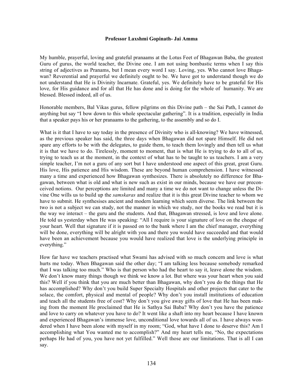#### **Professor Laxshmi Gopinath- Jai Amma**

My humble, prayerful, loving and grateful pranaams at the Lotus Feet of Bhagawan Baba, the greatest Guru of gurus, the world teacher, the Divine one. I am not using bombastic terms when I say this string of adjectives as Pranams, but I mean every word I say. Loving, yes. Who cannot love Bhagawan? Reverential and prayerful we definitely ought to be. We have got to understand though we do not understand that He is Divinity Incarnate. Grateful, yes. We definitely have to be grateful for His love, for His guidance and for all that He has done and is doing for the whole of humanity. We are blessed. Blessed indeed, all of us.

Honorable members, Bal Vikas gurus, fellow pilgrims on this Divine path – the Sai Path, I cannot do anything but say "I bow down to this whole spectacular gathering". It is a tradition, especially in India that a speaker pays his or her pranaams to the gathering, to the assembly and so do I.

What is it that I have to say today in the presence of Divinity who is all-knowing? We have witnessed, as the previous speaker has said, the three days when Bhagawan did not spare Himself. He did not spare any efforts to be with the delegates, to guide them, to teach them lovingly and then tell us what it is that we have to do. Tirelessly, moment to moment, that is what He is trying to do to all of us, trying to teach us at the moment, in the context of what has to be taught to us teachers. I am a very simple teacher, I'm not a guru of any sort but I have understood one aspect of this great, great Guru. His love, His patience and His wisdom. These are beyond human comprehension. I have witnessed many a time and experienced how Bhagawan synthesizes. There is absolutely no difference for Bhagawan, between what is old and what is new such as exist in our minds, because we have our preconceived notions. Our perceptions are limited and many a time we do not want to change unless the Divine One wills us to build up the *samskaras* and realize that it is this great Divine teacher to whom we have to submit. He synthesises ancient and modern learning which seem diverse. The link between the two is not a subject we can study, not the manner in which we study, nor the books we read but it is the way we interact – the guru and the students. And that, Bhagawan stressed, is love and love alone. He told us yesterday when He was speaking: "All I require is your signature of love on the cheque of your heart. Well that signature if it is passed on to the bank where I am the chief manager, everything will be done, everything will be alright with you and there you would have succeeded and that would have been an achievement because you would have realized that love is the underlying principle in everything."

How far have we teachers practised what Swami has advised with so much concern and love is what hurts me today. When Bhagawan said the other day; "I am talking less because somebody remarked that I was talking too much." Who is that person who had the heart to say it, leave alone the wisdom. We don't know many things though we think we know a lot. But where was your heart when you said this? Well if you think that you are much better than Bhagawan, why don't you do the things that He has accomplished? Why don't you build Super Specialty Hospitals and other projects that cater to the solace, the comfort, physical and mental of people? Why don't you install institutions of education and teach all the students free of cost? Why don't you give away gifts of love that He has been making from the moment He proclaimed that He is Sathya Sai Baba? Why don't you have the patience and love to carry on whatever you have to do? It went like a shaft into my heart because I have known and experienced Bhagawan's immense love, unconditional love towards all of us. I have always wondered when I have been alone with myself in my room; "God, what have I done to deserve this? Am I accomplishing what You wanted me to accomplish?" And my heart tells me, "No, the expectations perhaps He had of you, you have not yet fulfilled." Well those are our limitations. That is all I can say.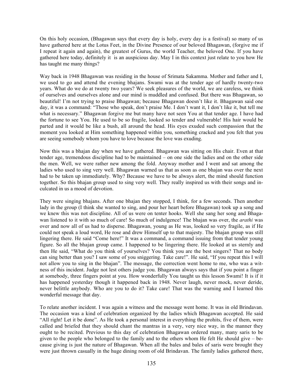On this holy occasion, (Bhagawan says that every day is holy, every day is a festival) so many of us have gathered here at the Lotus Feet, in the Divine Presence of our beloved Bhagawan, (forgive me if I repeat it again and again), the greatest of Gurus, the world Teacher, the beloved One. If you have gathered here today, definitely it is an auspicious day. May I in this context just relate to you how He has taught me many things?

Way back in 1948 Bhagawan was residing in the house of Srimata Sakamma. Mother and father and I, we used to go and attend the evening bhajans. Swami was at the tender age of hardly twenty-two years. What do we do at twenty two years? We seek pleasures of the world, we are careless, we think of ourselves and ourselves alone and our mind is muddled and confused. But there was Bhagawan, so beautiful! I'm not trying to praise Bhagawan; because Bhagawan doesn't like it. Bhagawan said one day, it was a command: "Those who speak, don't praise Me. I don't want it, I don't like it, but tell me what is necessary." Bhagawan forgive me but many have not seen You at that tender age. I have had the fortune to see You. He used to be so fragile, looked so tender and vulnerable! His hair would be parted and it would be like a bush, all around the head. His eyes exuded such compassion that the moment you looked at Him something happened within you, something cracked and you felt that you are seeing somebody whom you have to love because the love was exuding.

Now this was a bhajan day when we have gathered. Bhagawan was sitting on His chair. Even at that tender age, tremendous discipline had to be maintained – on one side the ladies and on the other side the men. Well, we were rather new among the fold. Anyway mother and I went and sat among the ladies who used to sing very well. Bhagawan warned us that as soon as one bhajan was over the next had to be taken up immediately. Why? Because we have to be always alert, the mind should function together. So this bhajan group used to sing very well. They really inspired us with their songs and inculcated in us a mood of devotion.

They were singing bhajans. After one bhajan they stopped, I think, for a few seconds. Then another lady in the group (I think she wanted to sing, and pour her heart before Bhagawan) took up a song and we knew this was not discipline. All of us were on tenter hooks. Well she sang her song and Bhagawan listened to it with so much of care! So much of indulgence! The bhajan was over, the *arathi* was over and now all of us had to disperse. Bhagawan, young as He was, looked so very fragile, as if He could not speak a loud word, He rose and drew Himself up to that majesty. The bhajan group was still lingering there. He said "Come here!" It was a command, a command issuing from that tender young figure. So all the bhajan group came. I happened to be lingering there. He looked at us sternly and then He said, "What do you think of yourselves? You think you are the best singers? That no body can sing better than you? I saw some of you sniggering. Take care!". He said, "If you repeat this I will not allow you to sing in the bhajan". The message, the correction went home to me, who was a witness of this incident. Judge not lest others judge you. Bhagawan always says that if you point a finger at somebody, three fingers point at you. How wonderfully You taught us this lesson Swami! It is if it has happened yesterday though it happened back in 1948. Never laugh, never mock, never deride, never belittle anybody. Who are you to do it? Take care! That was the warning and I learned this wonderful message that day.

To relate another incident. I was again a witness and the message went home. It was in old Brindavan. The occasion was a kind of celebration organized by the ladies which Bhagawan accepted. He said "All right! Let it be done". As He took a personal interest in everything the prohits, five of them, were called and briefed that they should chant the mantras in a very, very nice way, in the manner they ought to be recited. Previous to this day of celebration Bhagawan ordered many, many saris to be given to the people who belonged to the family and to the others whom He felt He should give – because giving is just the nature of Bhagawan. When all the bales and bales of saris were brought they were just thrown casually in the huge dining room of old Brindavan. The family ladies gathered there,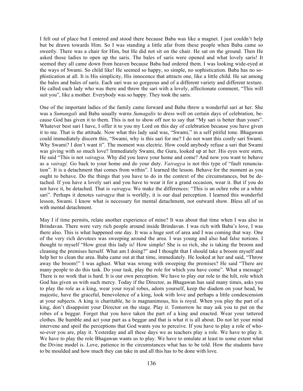I felt out of place but I entered and stood there because Baba was like a magnet. I just couldn't help but be drawn towards Him. So I was standing a little afar from these people when Baba came so sweetly. There was a chair for Him, but He did not sit on the chair. He sat on the ground. Then He asked those ladies to open up the saris. The bales of saris were opened and what lovely saris! It seemed they all came down from heaven because Baba had ordered them. I was looking wide-eyed at the ways of Swami. So child like! He seemed so happy, so simple, no sophistication. Baba has no sophistication at all. It is His simplicity, His innocence that attracts one, like a little child. He sat among the bales and bales of saris. Each sari was so gorgeous and of a different variety and different texture. He called each lady who was there and threw the sari with a lovely, affectionate comment, "This will suit you", like a mother. Everybody was so happy. They took the saris.

One of the important ladies of the family came forward and Baba threw a wonderful sari at her. She was a *Sumungali* and Baba usually warns *Sumagalis* to dress well on certain days of celebration, because God has given it to them. This is not to show off nor to say that "My sari is better than yours". Whatever best sari I have, I offer it to you my Lord on this day of celebration because you have given it to me. That is the attitude. Now what this lady said was, "Swami," in a self pitiful tone. Bhagawan could immediately discern this, "Swami, why is this sari for me? I do not want this costly sari Swami. Why Swami? I don't want it". The moment was electric. How could anybody refuse a sari that Swami was giving with so much love? Immediately Swami, the Guru, looked up at her. His eyes were stern, He said "This is not *vairagya.* Why did you leave your home and come? And now you want to behave as a *vairagi.* Go back to your home and do your duty. *Vairagya* is not this type of "fault renunciation". It is a detachment that comes from within". I learned the lesson. Behave for the moment as you ought to behave. Do the things that you have to do in the context of the circumstances, but be detached. If you have a lovely sari and you have to wear it for a grand occasion, wear it. But if you do not have it, be detached. That is *vairagya.* We make the differences: "This is an ochre robe or a white sari". Perhaps it denotes *vairagya* that is worldly, it is our dual perception. I learned this wonderful lesson, Swami. I know what is necessary for mental detachment, not outward show. Bless all of us with mental detachment.

May I if time permits, relate another experience of mine? It was about that time when I was also in Brindavan. There were very rich people around inside Brindavan. I was rich with Baba's love, I was there also. This is what happened one day. It was a huge sort of area and I was coming that way. One of the very rich devotees was sweeping around the area. I was young and also had false notions. I thought to myself "How great this lady is! How simple! She is so rich, she is taking the broom and cleaning the premises herself. What am I doing?" and I thought that I should take a broom myself and help her to clean the area. Baba came out at that time, immediately. He looked at her and said, "Throw away the broom!" I was aghast. What was wrong with sweeping the premises? He said "There are many people to do this task. Do your task, play the role for which you have come". What a message! There is no work that is hard. It is our own perception. We have to play our role to the hilt, role which God has given us with such mercy. Today if the Director, as Bhagawan has said many times, asks you to play the role as a king, wear your royal robes, adorn yourself, keep the diadem on your head, be majestic, have the graceful, benevolence of a king, look with love and perhaps a little condescension at your subjects. A king is charitable, he is magnanimous, his is royal. When you play the part of a king, don't disappoint your Director on the stage. Play it. Tomorrow he may ask you to put on the robes of a beggar. Forget that you have taken the part of a king and enacted. Wear your tattered clothes. Be humble and act your part as a beggar and that is what it is all about. Do not let your mind intervene and spoil the perceptions that God wants you to perceive. If you have to play a role of whoso-ever you are, play it. Yesterday and all these days we as teachers play a role. We have to play it. We have to play the role Bhagawan wants us to play. We have to emulate at least to some extent what the Divine model is. Love, patience in the circumstances what has to be told. How the students have to be moulded and how much they can take in and all this has to be done with love.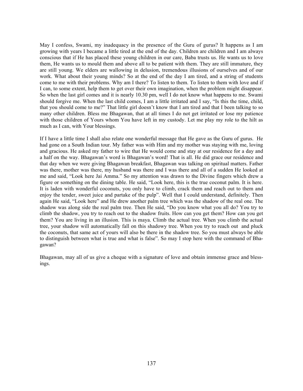May I confess, Swami, my inadequacy in the presence of the Guru of gurus? It happens as I am growing with years I became a little tired at the end of the day. Children are children and I am always conscious that if He has placed these young children in our care, Baba trusts us. He wants us to love them, He wants us to mould them and above all to be patient with them. They are still immature, they are still young. We elders are wallowing in delusion, tremendous illusions of ourselves and of our work. What about their young minds? So at the end of the day I am tired, and a string of students come to me with their problems. Why am I there? To listen to them. To listen to them with love and if I can, to some extent, help them to get over their own imagination, when the problem might disappear. So when the last girl comes and it is nearly 10.30 pm, well I do not know what happens to me. Swami should forgive me. When the last child comes, I am a little irritated and I say, "Is this the time, child, that you should come to me?" That little girl doesn't know that I am tired and that I been talking to so many other children. Bless me Bhagawan, that at all times I do not get irritated or lose my patience with those children of Yours whom You have left in my custody. Let me play my role to the hilt as much as I can, with Your blessings.

If I have a little time I shall also relate one wonderful message that He gave as the Guru of gurus. He had gone on a South Indian tour. My father was with Him and my mother was staying with me, loving and gracious. He asked my father to wire that He would come and stay at our residence for a day and a half on the way. Bhagawan's word is Bhagawan's word! That is all. He did grace our residence and that day when we were giving Bhagawan breakfast, Bhagawan was talking on spiritual matters. Father was there, mother was there, my husband was there and I was there and all of a sudden He looked at me and said, "Look here Jai Amma." So my attention was drawn to the Divine fingers which drew a figure or something on the dining table. He said, "Look here, this is the true coconut palm. It is here. It is laden with wonderful coconuts, you only have to climb, crack them and reach out to them and enjoy the tender, sweet juice and partake of the pulp". Well that I could understand, definitely. Then again He said, "Look here" and He drew another palm tree which was the shadow of the real one. The shadow was along side the real palm tree. Then He said, "Do you know what you all do? You try to climb the shadow, you try to reach out to the shadow fruits. How can you get them? How can you get them? You are living in an illusion. This is maya. Climb the actual tree. When you climb the actual tree, your shadow will automatically fall on this shadowy tree. When you try to reach out and pluck the coconuts, that same act of yours will also be there in the shadow tree. So you must always be able to distinguish between what is true and what is false". So may I stop here with the command of Bhagawan?

Bhagawan, may all of us give a cheque with a signature of love and obtain immense grace and blessings.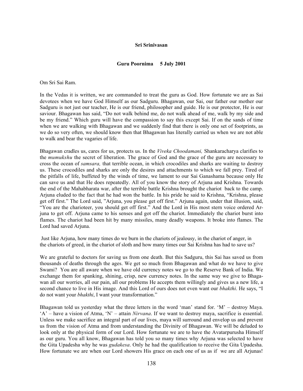### **Sri Srinivasan**

### **Guru Poornima 5 July 2001**

Om Sri Sai Ram.

In the Vedas it is written, we are commanded to treat the guru as God. How fortunate we are as Sai devotees when we have God Himself as our Sadguru. Bhagawan, our Sai, our father our mother our Sadguru is not just our teacher, He is our friend, philosopher and guide. He is our protector, He is our saviour. Bhagawan has said, "Do not walk behind me, do not walk ahead of me, walk by my side and be my friend." Which guru will have the compassion to say this except Sai. If on the sands of time when we are walking with Bhagawan and we suddenly find that there is only one set of footprints, as we do so very often, we should know then that Bhagawan has literally carried us when we are not able to walk and bear the vagaries of life.

Bhagawan cradles us, cares for us, protects us. In the *Viveka Choodamani,* Shankaracharya clarifies to the *mumukshu* the secret of liberation. The grace of God and the grace of the guru are necessary to cross the ocean of *samsara,* that terrible ocean, in which crocodiles and sharks are waiting to destroy us. These crocodiles and sharks are only the desires and attachments to which we fall prey. Tired of the pitfalls of life, buffeted by the winds of time, we lament to our Sai Ganashama because only He can save us and that He does repeatedly. All of you know the story of Arjuna and Krishna. Towards the end of the Mahabharata war, after the terrible battle Krishna brought the chariot back to the camp. Arjuna eluded to the fact that he had won the battle. In his pride he said to Krishna, "Krishna, please get off first." The Lord said, "Arjuna, you please get off first." Arjuna again, under that illusion, said, "You are the charioteer, you should get off first." And the Lord in His most stern voice ordered Arjuna to get off. Arjuna came to his senses and got off the chariot. Immediately the chariot burst into flames. The chariot had been hit by many missiles, many deadly weapons. It broke into flames. The Lord had saved Arjuna.

 Just like Arjuna, how many times do we burn in the chariots of jealousy, in the chariot of anger, in the chariots of greed, in the chariot of sloth and how many times our Sai Krishna has had to save us?

We are grateful to doctors for saving us from one death. But this Sadguru, this Sai has saved us from thousands of deaths through the ages. We get so much from Bhagawan and what do we have to give Swami? You are all aware when we have old currency notes we go to the Reserve Bank of India. We exchange them for spanking, shining, crisp, new currency notes. In the same way we give to Bhagawan all our worries, all our pain, all our problems He accepts them willingly and gives us a new life, a second chance to live in His image. And this Lord of ours does not even want our *bhakthi*. He says, "I do not want your *bhakthi*, I want your transformation."

Bhagawan told us yesterday what the three letters in the word 'man' stand for. 'M' – destroy Maya. 'A' – have a vision of Atma, 'N' – attain *Nirvana*. If we want to destroy maya, sacrifice is essential. Unless we make sacrifice an integral part of our lives, maya will surround and envelop us and prevent us from the vision of Atma and from understanding the Divinity of Bhagawan. We will be deluded to look only at the physical form of our Lord. How fortunate we are to have the Avatarpurusha Himself as our guru. You all know, Bhagawan has told you so many times why Arjuna was selected to have the Gita Upadesha why he was *gudakesa*. Only he had the qualification to receive the Gita Upadesha. How fortunate we are when our Lord showers His grace on each one of us as if we are all Arjunas!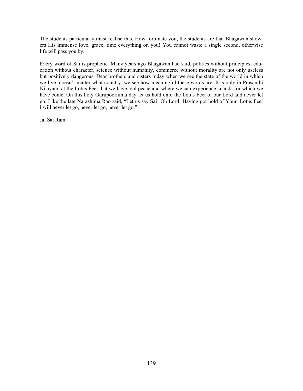The students particularly must realise this. How fortunate you, the students are that Bhagawan showers His immense love, grace, time everything on you! You cannot waste a single second, otherwise life will pass you by.

Every word of Sai is prophetic. Many years ago Bhagawan had said, politics without principles, education without character, science without humanity, commerce without morality are not only useless but positively dangerous. Dear brothers and sisters today when we see the state of the world in which we live, doesn't matter what country, we see how meaningful these words are. It is only in Prasanthi Nilayam, at the Lotus Feet that we have real peace and where we can experience ananda for which we have come. On this holy Gurupoornima day let us hold onto the Lotus Feet of our Lord and never let go. Like the late Narashima Rao said, "Let us say Sai! Oh Lord! Having got hold of Your Lotus Feet I will never let go, never let go, never let go."

Jai Sai Ram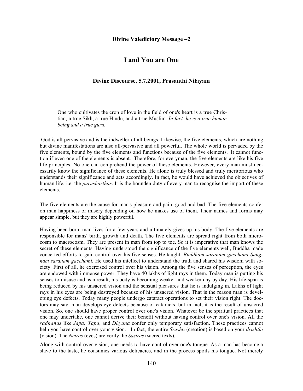### **Divine Valedictory Message –2**

## **I and You are One**

## **Divine Discourse, 5.7.2001, Prasanthi Nilayam**

One who cultivates the crop of love in the field of one's heart is a true Christian, a true Sikh, a true Hindu, and a true Muslim. *In fact, he is a true human being and a true guru.*

 God is all pervasive and is the indweller of all beings. Likewise, the five elements, which are nothing but divine manifestations are also all-pervasive and all powerful. The whole world is pervaded by the five elements, bound by the five elements and functions because of the five elements. It cannot function if even one of the elements is absent. Therefore, for everyman, the five elements are like his five life principles. No one can comprehend the power of these elements. However, every man must necessarily know the significance of these elements. He alone is truly blessed and truly meritorious who understands their significance and acts accordingly. In fact, he would have achieved the objectives of human life, i.e. the *purusharthas*. It is the bounden duty of every man to recognise the import of these elements.

The five elements are the cause for man's pleasure and pain, good and bad. The five elements confer on man happiness or misery depending on how he makes use of them. Their names and forms may appear simple, but they are highly powerful.

Having been born, man lives for a few years and ultimately gives up his body. The five elements are responsible for mans' birth, growth and death. The five elements are spread right from both microcosm to macrocosm. They are present in man from top to toe. So it is imperative that man knows the secret of these elements. Having understood the significance of the five elements well, Buddha made concerted efforts to gain control over his five senses. He taught: *Buddham saranam gacchami Sangham saranam gacchami.* He used his intellect to understand the truth and shared his wisdom with society. First of all, he exercised control over his vision. Among the five senses of perception, the eyes are endowed with immense power. They have 40 lakhs of light rays in them. Today man is putting his senses to misuse and as a result, his body is becoming weaker and weaker day by day. His life-span is being reduced by his unsacred vision and the sensual pleasures that he is indulging in. Lakhs of light rays in his eyes are being destroyed because of his unsacred vision. That is the reason man is developing eye defects. Today many people undergo cataract operations to set their vision right. The doctors may say, man develops eye defects because of cataracts, but in fact, it is the result of unsacred vision. So, one should have proper control over one's vision. Whatever be the spiritual practices that one may undertake, one cannot derive their benefit without having control over one's vision. All the *sadhanas* like *Japa, Tapa*, and *Dhyana* confer only temporary satisfaction. These practices cannot help you have control over your vision. In fact, the entire *Srushti* (creation) is based on your *drishthi* (vision). The *Netras* (eyes) are verily the *Sastras* (sacred texts).

Along with control over vision, one needs to have control over one's tongue. As a man has become a slave to the taste, he consumes various delicacies, and in the process spoils his tongue. Not merely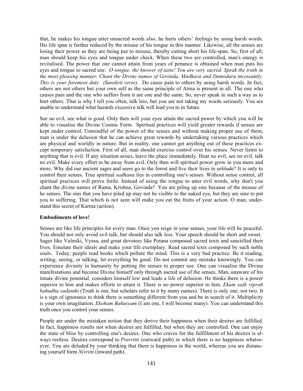that, he makes his tongue utter unsacred words also, he hurts others' feelings by using harsh words. His life span is further reduced by the misuse of his tongue in this manner. Likewise, all the senses are losing their power as they are being put to misuse, thereby cutting short his life-span. So, first of all, man should keep his eyes and tongue under check. When these two are controlled, man's energy is revitalised. The power that one cannot attain from years of penance is obtained when man puts his eyes and tongue to sacred use. *O tongue. the knower of taste! You are very sacred. Speak the truth in the most pleasing manner. Chant the Divine names of Govinda, Madhava and Damodara incessantly. This is your foremost duty*. *(Sanskrit verse).* Do cause pain to others by using harsh words. In fact, others are not others but your own self as the same principle of Atma is present in all. The one who causes pain and the one who suffers from it are one and the same. So, never speak in such a way as to hurt others. That is why I tell you often, talk less, but you are not taking my words seriously. You are unable to understand what hazards excessive talk will lead you to in future.

See no evil, see what is good. Only then will your eyes attain the sacred power by which you will be able to visualise the Divine Cosmic Form. Spiritual practices will yield greater rewards if senses are kept under control. Unmindful of the power of the senses and without making proper use of them, man is under the delusion that he can achieve great rewards by undertaking various practices which are physical and worldly in nature. But in reality, one cannot get anything out of these practices except temporary satisfaction. First of all, man should exercise control over his senses. Never listen to anything that is evil. If any situation arises, leave the place immediately. Hear no evil, see no evil, talk no evil. Make every effort to be away from evil. Only then will spiritual power grow in you more and more. Why did our ancient sages and seers go to the forest and live their lives in solitude? It is only to control their senses. True spiritual *sadhana* lies in controlling one's senses. Without sense control, all spiritual practices will prove futile. Instead of using the tongue to utter evil words, why don't you chant the divine names of Rama, Krishna, Govinda? You are piling up sins because of the misuse of he senses. The sins that you have piled up may not be visible to the naked eye, but they are sure to put you to suffering. That which is not seen will make you eat the fruits of your action. O man, understand this secret of Karma (action).

## **Embodiments of love!**

Senses are like life principles for every man. Once you reign in your senses, your life will be peaceful. You should not only avoid evil talk, but should also talk less. Your speech should be short and sweet. Sages like Valmiki, Vyasa, and great devotees like Potana composed sacred texts and sanctified their lives. Emulate their ideals and make your life exemplary. Read sacred texts composed by such noble souls. Today, people read books which pollute the mind. This is a very bad practice. Be it reading, writing, seeing, or talking, let everything be good. Do not commit any mistake knowingly. You can experience divinity in humanity by putting the senses to proper use. One can visualise the Divine manifestations and become Divine himself only through sacred use of the senses. Man, unaware of his innate divine potential, considers himself low and leads a life of delusion. He thinks there is a power superior to him and makes efforts to attain it. There is no power superior to him, *Ekam sath viprah bahudha vadanthi* (Truth is one, but scholars refer to it by many names). There is only one, not two. It is a sign of ignorance to think there is something different from you and be in search of it. Multiplicity is your own imagination. *Ekoham Bahusyam* (I am one, I will become many). You can understand this truth once you control your senses.

People are under the mistaken notion that they derive their happiness when their desires are fulfilled. In fact, happiness results not when desires are fulfilled, but when they are controlled. One can enjoy the state of bliss by controlling one's desires. One who craves for the fulfillment of his desires is always restless. Desires correspond to *Pravritti* (outward path) in which there is no happiness whatsoever. You are deluded by your thinking that there is happiness in the world, whereas you are distancing yourself form *Nivritti* (inward path).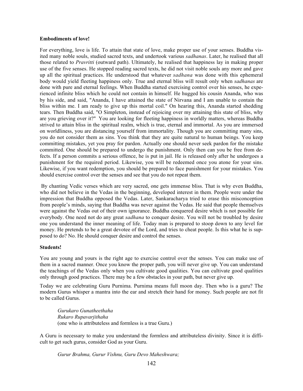### **Embodiments of love!**

For everything, love is life. To attain that state of love, make proper use of your senses. Buddha visited many noble souls, studied sacred texts, and undertook various *sadhanas*. Later, he realised that all those related to *Pravritti* (outward path). Ultimately, he realised that happiness lay in making proper use of the five senses. He stopped reading sacred texts, he did not visit noble souls any more and gave up all the spiritual practices. He understood that whatever *sadhana* was done with this ephemeral body would yield fleeting happiness only. True and eternal bliss will result only when *sadhanas* are done with pure and eternal feelings. When Buddha started exercising control over his senses, he experienced infinite bliss which he could not contain in himself. He hugged his cousin Ananda, who was by his side, and said, "Ananda, I have attained the state of Nirvana and I am unable to contain the bliss within me. I am ready to give up this mortal coil." On hearing this, Ananda started shedding tears. Then Buddha said, "O Simpleton, instead of rejoicing over my attaining this state of bliss, why are you grieving over it?" You are looking for fleeting happiness in worldly matters, whereas Buddha strived to attain bliss in the spiritual realm, which is true, eternal and immortal. As you are immersed on worldliness, you are distancing yourself from immortality. Though you are committing many sins, you do not consider them as sins. You think that they are quite natural to human beings. You keep committing mistakes, yet you pray for pardon. Actually one should never seek pardon for the mistake committed. One should be prepared to undergo the punishment. Only then can you be free from defects. If a person commits a serious offence, he is put in jail. He is released only after he undergoes a punishment for the required period. Likewise, you will be redeemed once you atone for your sins. Likewise, if you want redemption, you should be prepared to face punishment for your mistakes. You should exercise control over the senses and see that you do not repeat them.

 By chanting Vedic verses which are very sacred, one gets immense bliss. That is why even Buddha, who did not believe in the Vedas in the beginning, developed interest in them. People were under the impression that Buddha opposed the Vedas. Later, Sankaracharya tried to erase this misconception from people's minds, saying that Buddha was never against the Vedas. He said that people themselves were against the Vedas out of their own ignorance. Buddha conquered desire which is not possible for everybody. One need not do any great *sadhana* to conquer desire. You will not be troubled by desire one you understand the inner meaning of life. Today man is prepared to stoop down to any level for money. He pretends to be a great devotee of the Lord, and tries to cheat people. Is this what he is supposed to do? No. He should conquer desire and control the senses.

## **Students!**

You are young and yours is the right age to exercise control over the senses. You can make use of them in a sacred manner. Once you know the proper path, you will never give up. You can understand the teachings of the Vedas only when you cultivate good qualities. You can cultivate good qualities only through good practices. There may be a few obstacles in your path, but never give up.

Today we are celebrating Guru Purnima. Purnima means full moon day. Then who is a guru? The modern Gurus whisper a mantra into the ear and stretch their hand for money. Such people are not fit to be called Gurus.

*Gurukaro Gunatheethaha Rukaro Rupavarjithaha* (one who is attributeless and formless is a true Guru.)

A Guru is necessary to make you understand the formless and attributeless divinity. Since it is difficult to get such gurus, consider God as your Guru.

*Gurur Brahma, Gurur Vishnu, Guru Devo Maheshwara;*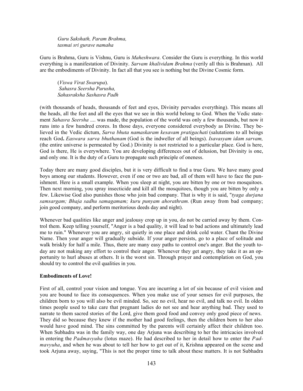*Guru Sakshath, Param Brahma, tasmai sri gurave namaha*

Guru is Brahma, Guru is Vishnu, Guru is *Maheshwara*. Consider the Guru is everything. In this world everything is a manifestation of Divinity. *Sarvam khalividam Brahma* (verily all this is Brahman). All are the embodiments of Divinity. In fact all that you see is nothing but the Divine Cosmic form.

(*Viswa Virat Swarupa*). *Sahasra Seersha Purusha, Sahasraksha Sashasra Padh*

(with thousands of heads, thousands of feet and eyes, Divinity pervades everything). This means all the heads, all the feet and all the eyes that we see in this world belong to God. When the Vedic statement *Sahasra Seersha* .... was made, the population of the world was only a few thousands, but now it runs into a few hundred crores. In those days, everyone considered everybody as Divine. They believed in the Vedic dictum, *Sarva bhuta namaskaram kesavam pratigachati* (salutations to all beings reach God**.** *Easwara sarva bhuthanam* (God is the indweller of all beings). *Isavasyam idam sarvam,* (the entire universe is permeated by God.) Divinity is not restricted to a particular place. God is here, God is there, He is everywhere. You are developing differences out of delusion, but Divinity is one, and only one. It is the duty of a Guru to propagate such principle of oneness.

Today there are many good disciples, but it is very difficult to find a true Guru. We have many good boys among our students. However, even if one or two are bad, all of them will have to face the punishment. Here is a small example. When you sleep at night, you are bitten by one or two mosquitoes. Then next morning, you spray insecticide and kill all the mosquitoes, though you are bitten by only a few. Likewise God also punishes those who join bad company. That is why it is said, "*tyaga durjana samsargam; Bhaja sadhu samagamam; kuru punyam ahorathram.* (Run away from bad company; join good company, and perform meritorious deeds day and night).

Whenever bad qualities like anger and jealousy crop up in you, do not be carried away by them. Control them. Keep telling yourself, "Anger is a bad quality, it will lead to bad actions and ultimately lead me to ruin." Whenever you are angry, sit quietly in one place and drink cold water. Chant the Divine Name. Then your anger will gradually subside. If your anger persists, go to a place of solitude and walk briskly for half a mile. Thus, there are many easy paths to control one's anger. But the youth today are not making any effort to control their anger. Whenever they get angry, they take it as an opportunity to hurl abuses at others. It is the worst sin. Through prayer and contemplation on God, you should try to control the evil qualities in you.

### **Embodiments of Love!**

First of all, control your vision and tongue. You are incurring a lot of sin because of evil vision and you are bound to face its consequences. When you make use of your senses for evil purposes, the children born to you will also be evil minded. So, see no evil, hear no evil, and talk no evil. In olden times people used to take care that pregnant ladies do not see and hear anything bad. They used to narrate to them sacred stories of the Lord, give them good food and convey only good piece of news. They did so because they knew if the mother had good feelings, then the children born to her also would have good mind. The sins committed by the parents will certainly affect their children too. When Subhadra was in the family way, one day Arjuna was describing to her the intricacies involved in entering the *Padmavyuha* (lotus maze). He had described to her in detail how to enter the *Padmavyuha*, and when he was about to tell her how to get out of it, Krishna appeared on the scene and took Arjuna away, saying, "This is not the proper time to talk about these matters. It is not Subhadra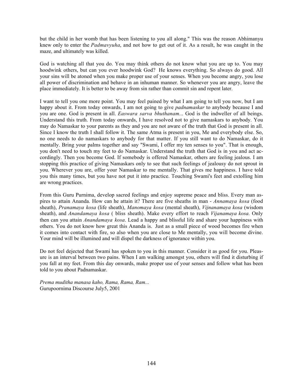but the child in her womb that has been listening to you all along." This was the reason Abhimanyu knew only to enter the *Padmavyuha*, and not how to get out of it. As a result, he was caught in the maze, and ultimately was killed.

God is watching all that you do. You may think others do not know what you are up to. You may hoodwink others, but can you ever hoodwink God? He knows everything. So always do good. All your sins will be atoned when you make proper use of your senses. When you become angry, you lose all power of discrimination and behave in an inhuman manner. So whenever you are angry, leave the place immediately. It is better to be away from sin rather than commit sin and repent later.

I want to tell you one more point. You may feel pained by what I am going to tell you now, but I am happy about it. From today onwards, I am not going to give *padnamaskar* to anybody because I and you are one. God is present in all. *Easwara sarva bhuthanam*... God is the indweller of all beings. Understand this truth. From today onwards, I have resolved not to give namaskars to anybody. You may do Namaskar to your parents as they and you are not aware of the truth that God is present in all. Since I know the truth I shall follow it. The same Atma is present in you, Me and everybody else. So, no one needs to do namaskars to anybody for that matter. If you still want to do Namaskar, do it mentally. Bring your palms together and say "Swami, I offer my ten senses to you". That is enough, you don't need to touch my feet to do Namaskar. Understand the truth that God is in you and act accordingly. Then you become God. If somebody is offered Namaskar, others are feeling jealous. I am stopping this practice of giving Namaskars only to see that such feelings of jealousy do not sprout in you. Wherever you are, offer your Namaskar to me mentally. That gives me happiness. I have told you this many times, but you have not put it into practice. Touching Swami's feet and extolling him are wrong practices.

From this Guru Purnima, develop sacred feelings and enjoy supreme peace and bliss. Every man aspires to attain Ananda. How can he attain it? There are five sheaths in man - *Annamaya kosa* (food sheath), *Pranamaya kosa* (life sheath), *Manomaya kosa* (mental sheath), *Vijnanamaya kosa* (wisdom sheath), and *Anandamaya kosa* ( bliss sheath). Make every effort to reach *Vijanamaya kosa.* Only then can you attain *Anandamaya kosa*. Lead a happy and blissful life and share your happiness with others. You do not know how great this Ananda is. Just as a small piece of wood becomes fire when it comes into contact with fire, so also when you are close to Me mentally, you will become divine. Your mind will be illumined and will dispel the darkness of ignorance within you.

Do not feel dejected that Swami has spoken to you in this manner. Consider it as good for you. Pleasure is an interval between two pains. When I am walking amongst you, others will find it disturbing if you fall at my feet. From this day onwards, make proper use of your senses and follow what has been told to you about Padnamaskar.

*Prema muditha manasa kaho, Rama, Rama, Ram...* Gurupoornima Discourse July5, 2001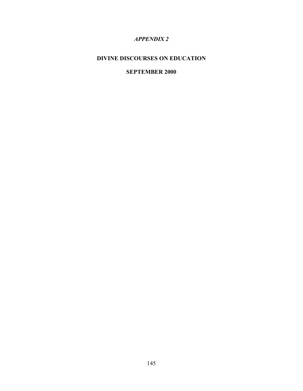# *APPENDIX 2*

# **DIVINE DISCOURSES ON EDUCATION**

# **SEPTEMBER 2000**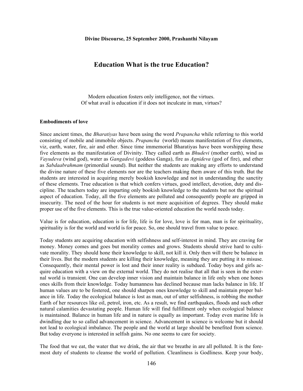## **Education What is the true Education?**

Modern education fosters only intelligence, not the virtues. Of what avail is education if it does not inculcate in man, virtues?

#### **Embodiments of love**

Since ancient times, the *Bharatiyas* have been using the word *Prapancha* while referring to this world consisting of mobile and immobile objects. *Prapancha* (world) means manifestation of five elements, viz, earth, water, fire, air and ether. Since time immemorial Bharatiyas have been worshipping these five elements as the manifestation of Divinity. They called earth as *Bhudevi* (mother earth), wind as *Vayudeva* (wind god), water as *Gangadevi* (goddess Ganga), fire as *Agnideva* (god of fire), and ether as *Sabdaabrahmam* (primordial sound). But neither the students are making any efforts to understand the divine nature of these five elements nor are the teachers making them aware of this truth. But the students are interested in acquiring merely bookish knowledge and not in understanding the sanctity of these elements. True education is that which confers virtues, good intellect, devotion, duty and discipline. The teachers today are imparting only bookish knowledge to the students but not the spiritual aspect of education. Today, all the five elements are polluted and consequently people are gripped in insecurity. The need of the hour for students is not mere acquisition of degrees. They should make proper use of the five elements. This is the true value-oriented education the world needs today.

Value is for education, education is for life, life is for love, love is for man, man is for spirituality, spirituality is for the world and world is for peace. So, one should travel from value to peace.

Today students are acquiring education with selfishness and self-interest in mind. They are craving for money. Money comes and goes but morality comes and grows. Students should strive hard to cultivate morality. They should hone their knowledge to skill, not kill it. Only then will there be balance in their lives. But the modern students are killing their knowledge, meaning they are putting it to misuse. Consequently, their mental power is lost and their inner reality is subdued. Today boys and girls acquire education with a view on the external world. They do not realise that all that is seen in the external world is transient. One can develop inner vision and maintain balance in life only when one hones ones skills from their knowledge. Today humanness has declined because man lacks balance in life. If human values are to be fostered, one should sharpen ones knowledge to skill and maintain proper balance in life. Today the ecological balance is lost as man, out of utter selfishness, is robbing the mother Earth of her resources like oil, petrol, iron, etc. As a result, we find earthquakes, floods and such other natural calamities devastating people. Human life will find fulfillment only when ecological balance is maintained. Balance in human life and in nature is equally as important. Today even marine life is dwindling due to so called advancement in science. Advancement in science is welcome but it should not lead to ecological imbalance. The people and the world at large should be benefited from science. But today everyone is interested in selfish gains. No one seems to care for society.

The food that we eat, the water that we drink, the air that we breathe in are all polluted. It is the foremost duty of students to cleanse the world of pollution. Cleanliness is Godliness. Keep your body,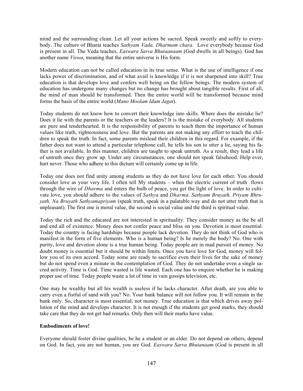mind and the surrounding clean. Let all your actions be sacred. Speak sweetly and softly to everybody. The culture of Bharat teaches *Sathyam Vada, Dharmam chara.* Love everybody because God is present in all. The Veda teaches, *Easwara Sarva Bhutaanaam* (God dwells in all beings). God has another name *Viswa*, meaning that the entire universe is His form.

Modern education can not be called education in its true sense. What is the use of intelligence if one lacks power of discrimination, and of what avail is knowledge if it is not sharpened into skill? True education is that develops love and confers well being on the fellow beings. The modern system of education has undergone many changes but no change has brought about tangible results. First of all, the mind of man should be transformed. Then the entire world will be transformed because mind forms the basis of the entire world (*Mano Moolam Idam Jagat*).

Today students do not know how to convert their knowledge into skills. Where does the mistake lie? Does it lie with the parents or the teachers or the leaders? It is the mistake of everybody. All students are pure and tenderhearted. It is the responsibility of parents to teach them the importance of human values like truth, righteousness and love. But the parents are not making any effort to teach the children to speak the truth. In fact, some parents mislead their children in this regard. For example, if the father does not want to attend a particular telephone call, he tells his son to utter a lie, saying his father is not available. In this manner, children are taught to speak untruth. As a result, they lead a life of untruth once they grow up. Under any circumstances, one should not speak falsehood. Help ever, hurt never. Those who adhere to this dictum will certainly come up in life.

Today one does not find unity among students as they do not have love for each other. You should consider love as your very life. I often tell My students – when the electric current of truth flows through the wire of *Dharma* and enters the bulb of peace, you get the light of love. In order to cultivate love, you should adhere to the values of *Sathya* and *Dharma*. *Sathyam Bruyath, Priyam Bhruyath, Na Bruyath Sathyamapriyam* (speak truth, speak in a palatable way and do not utter truth that is unpleasant). The first one is moral value, the second is social value and the third is spiritual value.

Today the rich and the educated are not interested in spirituality. They consider money as the be all and end all of existence. Money does not confer peace and bliss on you. Devotion is most essential. Today the country is facing hardships because people lack devotion. They do not think of God who is manifest in the form of five elements. Who is a human being? Is he merely the body? No. One with purity, love and devotion alone is a true human being. Today people are in mad pursuit of money. No doubt money is essential but it should be within limits. Once you have love for God, money will follow you of its own accord. Today some are ready to sacrifice even their lives for the sake of money but do not spend even a minute in the contemplation of God. They do not undertake even a single sacred activity. Time is God. Time wasted is life wasted. Each one has to enquire whether he is making proper use of time. Today people waste a lot of time in vain gossips television, etc.

One may be wealthy but all his wealth is useless if he lacks character. After death, are you able to carry even a fistful of sand with you? No. Your bank balance will not follow you. It will remain in the bank only. So, character is most essential, not money. True education is that which drives away pollution of the mind and develops character. It is not enough if the students get good marks, they should take care that they do not get bad remarks. Only then will their marks have value.

## **Embodiments of love!**

Everyone should foster divine qualities, be he a student or an elder. Do not depend on others, depend on God. In fact, you are not human, you are God. *Easwara Sarva Bhutanaam* (God is present in all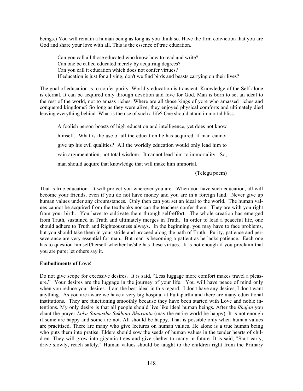beings.) You will remain a human being as long as you think so. Have the firm conviction that you are God and share your love with all. This is the essence of true education.

Can you call all those educated who know how to read and write? Can one be called educated merely by acquiring degrees? Can you call it education which does not confer virtues? If education is just for a living, don't we find birds and beasts carrying on their lives?

The goal of education is to confer purity. Worldly education is transient. Knowledge of the Self alone is eternal. It can be acquired only through devotion and love for God. Man is born to set an ideal to the rest of the world, not to amass riches. Where are all those kings of yore who amassed riches and conquered kingdoms? So long as they were alive, they enjoyed physical comforts and ultimately died leaving everything behind. What is the use of such a life? One should attain immortal bliss.

A foolish person boasts of high education and intelligence, yet does not know himself. What is the use of all the education he has acquired, if man cannot give up his evil qualities? All the worldly education would only lead him to vain argumentation, not total wisdom. It cannot lead him to immortality. So, man should acquire that knowledge that will make him immortal.

(Telegu poem)

That is true education. It will protect you wherever you are. When you have such education, all will become your friends, even if you do not have money and you are in a foreign land. Never give up human values under any circumstances. Only then can you set an ideal to the world. The human values cannot be acquired from the textbooks nor can the teachers confer them. They are with you right from your birth. You have to cultivate them through self-effort. The whole creation has emerged from Truth, sustained in Truth and ultimately merges in Truth. In order to lead a peaceful life, one should adhere to Truth and Righteousness always. In the beginning, you may have to face problems, but you should take them in your stride and proceed along the path of Truth. Purity, patience and perseverance are very essential for man. But man is becoming a patient as he lacks patience. Each one has to question himself/herself whether he/she has these virtues. It is not enough if you proclaim that you are pure; let others say it.

## **Embodiments of Love!**

Do not give scope for excessive desires. It is said, "Less luggage more comfort makes travel a pleasure." Your desires are the luggage in the journey of your life. You will have peace of mind only when you reduce your desires. I am the best ideal in this regard. I don't have any desires, I don't want anything. As you are aware we have a very big hospital at Puttaparthi and there are many educational institutions. They are functioning smoothly because they have been started with Love and noble intentions. My only desire is that all people should live like ideal human beings. After the *Bhajan* you chant the prayer *Loka Samastha Sukhino Bhavantu* (may the entire world be happy). It is not enough if some are happy and some are not. All should be happy. That is possible only when human values are pracitised. There are many who give lectures on human values. He alone is a true human being who puts them into pratise. Elders should sow the seeds of human values in the tender hearts of children. They will grow into gigantic trees and give shelter to many in future. It is said, "Start early, drive slowly, reach safely." Human values should be taught to the children right from the Primary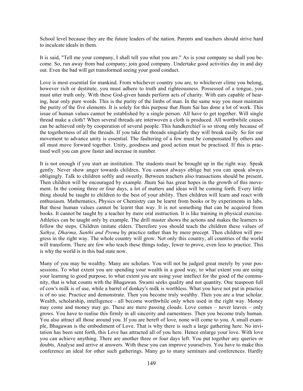School level because they are the future leaders of the nation. Parents and teachers should strive hard to inculcate ideals in them.

It is said, "Tell me your company, I shall tell you what you are." As is your company so shall you become. So, run away from bad company; join good company. Undertake good activities day in and day out. Even the bad will get transformed seeing your good conduct.

Love is most essential for mankind. From whichever country you are, to whichever clime you belong, however rich or destitute, you must adhere to truth and righteousness. Possessed of a tongue, you must utter truth only. With these God-given hands perform acts of charity. With ears capable of hearing, hear only pure words. This is the purity of the limbs of man. In the same way you must maintain the purity of the five elements. It is solely for this purpose that Jhum Sai has done a lot of work. This issue of human values cannot be established by a single person. All have to get together. Will single thread make a cloth? When several threads are interwoven a cloth is produced. All worthwhile causes can be achieved only by cooperation of several people. This handkerchief is so strong only because of the togetherness of all the threads. If you take the threads singularly they will break easily. So for our movement to advance unity is essential. The faultering of a few must be compensated by others and all must move forward together. Unity, goodness and good action must be practised. If this is practised well you can grow faster and increase in number.

It is not enough if you start an institution. The students must be brought up in the right way. Speak gently. Never show anger towards children. You cannot always oblige but you can speak always obligingly. Talk to children softly and sweetly. Between teachers also transactions should be present. Then children will be encouraged by example. Jhum Sai has great hopes in the growth of this movement. In the coming three or four days, a lot of matters and ideas will be coming forth. Every little thing should be taught to children to the best of your ability. Then children will learn and react with enthusiasm. Mathematics, Physics or Chemistry can be learnt from books or by experiments in labs. But these human values cannot be learnt that way. It is not something that can be acquired from books. It cannot be taught by a teacher by mere oral instruction. It is like training in physical exercise. Athletics can be taught only by example. The drill master shows the actions and makes the learners to follow the steps. Children imitate elders. Therefore you should teach the children these values of *Sathya, Dharma, Santhi and Prema* by practice rather than by mere precept. Then children will progress in the right way. The whole country will grow. Not only this country, all countries of the world will transform. There are few who teach these things today, fewer to prove, even less to practice. This is why the world is in this bad state now.

Many of you may be wealthy. Many are scholars. You will not be judged great merely by your possessions. To what extent you are spending your wealth in a good way, to what extent you are using your learning to good purpose, to what extent you are using your intellect for the good of the community, that is what counts with the Bhagawan. Swami seeks quality and not quantity. One teaspoon full of cow's milk is of use, while a barrel of donkey's milk is worthless. What you have not put in practice is of no use. Practice and demonstrate. Then you become truly wealthy. Then you are a true scholar. Wealth, scholarship, intelligence - all become worthwhile only when used in the right way. Money may come and money may go. These are mere passing clouds. Love comes – never leaves – only grows. You have to realise this firmly in all sincerity and earnestness. Then you become truly human. You also attract all those around you. If you are bereft of love, none will come to you. A small example, Bhagawan is the embodiment of Love. That is why there is such a large gathering here. No invitation has been sent forth, this Love has attracted all of you here. Hence enlarge your love. With love you can achieve anything. There are another three or four days left. You put together any queries or doubts. Analyse and arrive at answers. With these you can improve yourselves. You have to make this conference an ideal for other such gatherings. Many go to many seminars and conferences. Hardly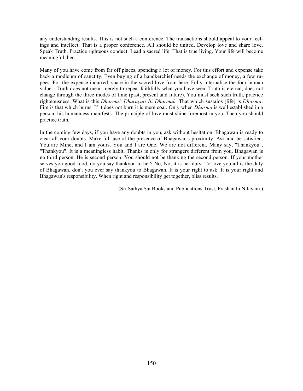any understanding results. This is not such a conference. The transactions should appeal to your feelings and intellect. That is a proper conference. All should be united. Develop love and share love. Speak Truth. Practice righteous conduct. Lead a sacred life. That is true living. Your life will become meaningful then.

Many of you have come from far off places, spending a lot of money. For this effort and expense take back a modicum of sanctity. Even buying of a handkerchief needs the exchange of money, a few rupees. For the expense incurred, share in the sacred love from here. Fully internalise the four human values. Truth does not mean merely to repeat faithfully what you have seen. Truth is eternal, does not change through the three modes of time (past, present and future). You must seek such truth, practice righteousness. What is this *Dharma? Dharayati Iti Dharmah.* That which sustains (life) is *Dharma*. Fire is that which burns. If it does not burn it is mere coal. Only when *Dharma* is well established in a person, his humanness manifests. The principle of love must shine foremost in you. Then you should practice truth.

In the coming few days, if you have any doubts in you, ask without hesitation. Bhagawan is ready to clear all your doubts. Make full use of the presence of Bhagawan's proximity. Ask and be satisfied. You are Mine, and I am yours. You and I are One. We are not different. Many say, "Thankyou", "Thankyou". It is a meaningless habit. Thanks is only for strangers different from you. Bhagawan is no third person. He is second person. You should not be thanking the second person. If your mother serves you good food, do you say thankyou to her? No, No, it is her duty. To love you all is the duty of Bhagawan, don't you ever say thankyou to Bhagawan. It is your right to ask. It is your right and Bhagawan's responsibility. When right and responsibility get together, bliss results.

(Sri Sathya Sai Books and Publications Trust, Prashanthi Nilayam.)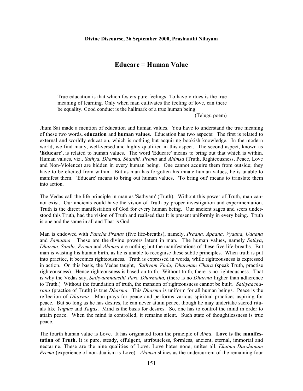## **Educare = Human Value**

True education is that which fosters pure feelings. To have virtues is the true meaning of learning. Only when man cultivates the feeling of love, can there be equality. Good conduct is the hallmark of a true human being.

(Telugu poem)

Jhum Sai made a mention of education and human values. You have to understand the true meaning of these two words**, education** and **human values**. Education has two aspects: The first is related to external and worldly education, which is nothing but acquiring bookish knowledge. In the modern world, we find many, well-versed and highly qualified in this aspect. The second aspect, known as **'Educare'**, is related to human values. The word 'Educare' means to bring out that which is within. Human values, viz., *Sathya, Dharma, Shanthi, Prema* and *Ahimsa* (Truth, Righteousness, Peace, Love and Non-Violence) are hidden in every human being. One cannot acquire them from outside; they have to be elicited from within. But as man has forgotten his innate human values, he is unable to manifest them. 'Educare' means to bring out human values. 'To bring out' means to translate them into action.

The Vedas call the life principle in man as 'Sathyam' (Truth). Without this power of Truth, man cannot exist. Our ancients could have the vision of Truth by proper investigation and experimentation. Truth is the direct manifestation of God for every human being. Our ancient sages and seers understood this Truth, had the vision of Truth and realised that It is present uniformly in every being. Truth is one and the same in all and That is God.

Man is endowed with *Pancha Pranas* (five life-breaths), namely, *Praana, Apaana, Vyaana, Udaana* and *Samaana.* These are the divine powers latent in man. The human values, namely *Sathya*, *Dharma*, *Santhi, Prema* and *Ahimsa* are nothing but the manifestations of these five life-breaths. But man is wasting his human birth, as he is unable to recognise these subtle principles. When truth is put into practice, it becomes righteousness. Truth is expressed in words, while righteousness is expressed in action. On this basis, the Vedas taught, *Sathyam Vada, Dharmam Chara* (speak Truth, practise righteousness). Hence righteousness is based on truth. Without truth, there is no righteousness. That is why the Vedas say, *Sathyaannaasthi Paro Dharmaha,* (there is no *Dharma* higher than adherence to Truth.) Without the foundation of truth, the mansion of righteousness cannot be built*. Sathyaacharana* (practice of Truth) is true *Dharma.* This *Dharma* is uniform for all human beings. Peace is the reflection of *Dharma*. Man prays for peace and performs various spiritual practices aspiring for peace. But so long as he has desires, he can never attain peace, though he may undertake sacred rituals like *Yagnas* and *Yagas*. Mind is the basis for desires. So, one has to control the mind in order to attain peace. When the mind is controlled, it remains silent. Such state of thoughtlessness is true peace.

The fourth human value is Love. It has originated from the principle of *Atma***. Love is the manifestation of Truth.** It is pure, steady, effulgent, attributeless, formless, ancient, eternal, immortal and nectarine. These are the nine qualities of Love. Love hates none, unites all. *Ekatma Darshanam Prema* (experience of non-dualism is Love). *Ahimsa* shines as the undercurrent of the remaining four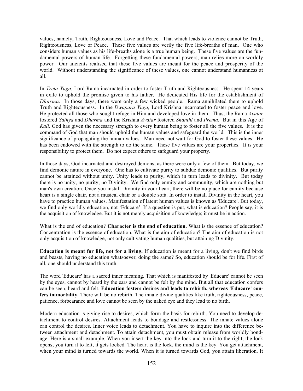values, namely, Truth, Righteousness, Love and Peace. That which leads to violence cannot be Truth, Righteousness, Love or Peace. These five values are verily the five life-breaths of man. One who considers human values as his life-breaths alone is a true human being. These five values are the fundamental powers of human life. Forgetting these fundamental powers, man relies more on worldly power. Our ancients realised that these five values are meant for the peace and prosperity of the world. Without understanding the significance of these values, one cannot understand humanness at all.

In *Treta Yuga*, Lord Rama incarnated in order to foster Truth and Righteousness. He spent 14 years in exile to uphold the promise given to his father. He dedicated His life for the establishment of *Dharma*. In those days, there were only a few wicked people. Rama annihilated them to uphold Truth and Righteousness. In the *Dwapara Yuga,* Lord Krishna incarnated to foster peace and love. He protected all those who sought refuge in Him and developed love in them. Thus, the Rama *Avatar* fostered *Sathya* and *Dharma* and the Krishna *Avatar* fostered *Shanthi* and *Prema.* But in this Age of *Kali,* God has given the necessary strength to every human being to foster all the five values. It is the command of God that man should uphold the human values and safeguard the world. This is the inner significance of propagating the human values. Man need not wait for God to foster these values. He has been endowed with the strength to do the same. These five values are your properties. It is your responsibility to protect them. Do not expect others to safeguard your property.

In those days, God incarnated and destroyed demons, as there were only a few of them. But today, we find demonic nature in everyone. One has to cultivate purity to subdue demonic qualities. But purity cannot be attained without unity. Unity leads to purity, which in turn leads to divinity. But today there is no unity, no purity, no Divinity. We find only enmity and community, which are nothing but man's own creation. Once you install Divinity in your heart, there will be no place for enmity because heart is a single chair, not a musical chair or a double sofa. In order to install Divinity in the heart, you have to practice human values. Manifestation of latent human values is known as 'Educare'. But today, we find only worldly education, not 'Educare'. If a question is put, what is education? People say, it is the acquisition of knowledge. But it is not merely acquisition of knowledge; it must be in action.

What is the end of education? **Character is the end of education.** What is the essence of education? Concentration is the essence of education. What is the aim of education? The aim of education is not only acquisition of knowledge, not only cultivating human qualities, but attaining Divinity.

**Education is meant for life, not for a living.** If education is meant for a living, don't we find birds and beasts, having no education whatsoever, doing the same? So, education should be for life. First of all, one should understand this truth.

The word 'Educare' has a sacred inner meaning. That which is manifested by 'Educare' cannot be seen by the eyes, cannot by heard by the ears and cannot be felt by the mind. But all that education confers can be seen, heard and felt. **Education fosters desires and leads to rebirth, whereas 'Educare' confers immortality.** There will be no rebirth. The innate divine qualities like truth, righteousness, peace, patience, forbearance and love cannot be seen by the naked eye and they lead to no birth.

Modern education is giving rise to desires, which form the basis for rebirth. You need to develop detachment to control desires. Attachment leads to bondage and restlessness. The innate values alone can control the desires. Inner voice leads to detachment. You have to inquire into the difference between attachment and detachment. To attain detachment, you must obtain release from worldly bondage. Here is a small example. When you insert the key into the lock and turn it to the right, the lock opens; you turn it to left, it gets locked. The heart is the lock, the mind is the key. You get attachment, when your mind is turned towards the world. When it is turned towards God, you attain liberation. It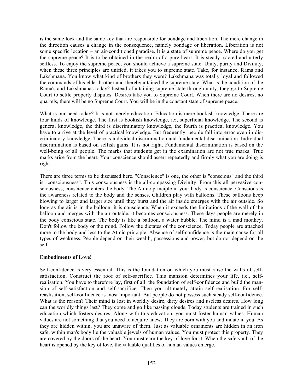is the same lock and the same key that are responsible for bondage and liberation. The mere change in the direction causes a change in the consequence, namely bondage or liberation. Liberation is not some specific location – an air-conditioned paradise. It is a state of supreme peace. Where do you get the supreme peace? It is to be obtained in the realm of a pure heart. It is steady, sacred and utterly selfless. To enjoy the supreme peace, you should achieve a supreme state. Unity, purity and Divinity, when these three principles are unified, it takes you to supreme state. Take, for instance, Rama and Lakshmana. You know what kind of brothers they were? Lakshmana was totally loyal and followed the commands of his elder brother and thereby attained the supreme state. What is the condition of the Rama's and Lakshmanas today? Instead of attaining supreme state through unity, they go to Supreme Court to settle property disputes. Desires take you to Supreme Court. When there are no desires, no quarrels, there will be no Supreme Court. You will be in the constant state of supreme peace.

What is our need today? It is not merely education. Education is mere bookish knowledge. There are four kinds of knowledge. The first is bookish knowledge, ie:, superficial knowledge. The second is general knowledge, the third is discriminatory knowledge, the fourth is practical knowledge. You have to arrive at the level of practical knowledge. But frequently, people fall into error even in discriminatory knowledge. There is individual discrimination and fundamental discrimination. Individual discrimination is based on selfish gains. It is not right. Fundamental discrimination is based on the well-being of all people. The marks that students get in the examination are not true marks. True marks arise from the heart. Your conscience should assert repeatedly and firmly what you are doing is right.

There are three terms to be discussed here. "Conscience" is one, the other is "conscious" and the third is "consciousness". This consciousness is the all-compassing Divinity. From this all pervasive consciousness, conscience enters the body. The Atmic principle in your body is conscience. Conscious is the awareness related to the body and the senses. Children play with balloons. These balloons keep blowing to larger and larger size until they burst and the air inside emerges with the air outside. So long as the air is in the balloon, it is conscience. When it exceeds the limitations of the wall of the balloon and merges with the air outside, it becomes consciousness. These days people are merely in the body conscious state. The body is like a balloon, a water bubble. The mind is a mad monkey. Don't follow the body or the mind. Follow the dictates of the conscience. Today people are attached more to the body and less to the Atmic principle. Absence of self-confidence is the main cause for all types of weakness. People depend on their wealth, possessions and power, but do not depend on the self.

### **Embodiments of Love!**

Self-confidence is very essential. This is the foundation on which you must raise the walls of selfsatisfaction. Construct the roof of self-sacrifice. This mansion determines your life, i.e., selfrealisation. You have to therefore lay, first of all, the foundation of self-confidence and build the mansion of self-satisfaction and self-sacrifice. Then you ultimately attain self-realisation. For selfreaslisation, self-confidence is most important. But people do not possess such steady self-confidence. What is the reason? Their mind is lost in worldly desire, dirty desires and useless desires. How long can the worldly things last? They come and go like passing clouds. Today students are trained in such education which fosters desires. Along with this education, you must foster human values. Human values are not something that you need to acquire anew. They are born with you and innate in you. As they are hidden within, you are unaware of them. Just as valuable ornaments are hidden in an iron safe, within man's body lie the valuable jewels of human values. You must protect this property. They are covered by the doors of the heart. You must earn the key of love for it. When the safe vault of the heart is opened by the key of love, the valuable qualities of human values emerge.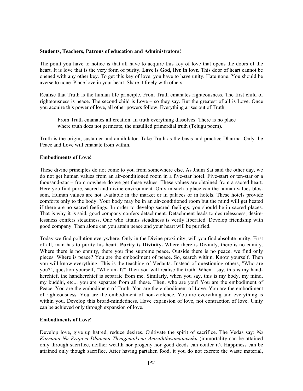### **Students, Teachers, Patrons of education and Administrators!**

The point you have to notice is that all have to acquire this key of love that opens the doors of the heart. It is love that is the very form of purity. **Love is God, live in love.** This door of heart cannot be opened with any other key. To get this key of love, you have to have unity. Hate none. You should be averse to none. Place love in your heart. Share it freely with others.

Realise that Truth is the human life principle. From Truth emanates righteousness. The first child of righteousness is peace. The second child is Love – so they say. But the greatest of all is Love. Once you acquire this power of love, all other powers follow. Everything arises out of Truth.

From Truth emanates all creation. In truth everything dissolves. There is no place where truth does not permeate, the unsullied primordial truth (Telugu poem).

Truth is the origin, sustainer and annihilator. Take Truth as the basis and practice Dharma. Only the Peace and Love will emanate from within.

## **Embodiments of Love!**

These divine principles do not come to you from somewhere else. As Jhum Sai said the other day, we do not get human values from an air-conditioned room in a five-star hotel. Five-start or ten-star or a thousand-star – from nowhere do we get these values. These values are obtained from a sacred heart. Here you find pure, sacred and divine environment. Only in such a place can the human values blossom. Human values are not available in the market or in palaces or in hotels. These hotels provide comforts only to the body. Your body may be in an air-conditioned room but the mind will get heated if there are no sacred feelings. In order to develop sacred feelings, you should be in sacred places. That is why it is said, good company confers detachment. Detachment leads to desirelessness, desirelessness confers steadiness. One who attains steadiness is verily liberated. Develop friendship with good company. Then alone can you attain peace and your heart will be purified.

Today we find pollution everywhere. Only in the Divine proximity, will you find absolute purity. First of all, man has to purity his heart. **Purity is Divinity.** Where there is Divinity, there is no enmity. Where there is no enmity, there you fine supreme peace. Outside there is no peace, we find only pieces. Where is peace? You are the embodiment of peace. So, search within. Know yourself. Then you will know everything. This is the teaching of Vedanta. Instead of questioning others, "Who are you?", question yourself, "Who am I?" Then you will realise the truth. When I say, this is my handkerchief, the handkerchief is separate from me. Similarly, when you say, this is my body, my mind, my buddhi, etc.., you are separate from all these. Then, who are you? You are the embodiment of Peace. You are the embodiment of Truth. You are the embodiment of Love. You are the embodiment of righteousness. You are the embodiment of non-violence. You are everything and everything is within you. Develop this broad-mindedness. Have expansion of love, not contraction of love. Unity can be achieved only through expansion of love.

### **Embodiments of Love!**

Develop love, give up hatred, reduce desires. Cultivate the spirit of sacrifice. The Vedas say: *Na Karmana Na Prajaya Dhanena Thyagenaikena Amruththwamanasuhu* (immortality can be attained only through sacrifice, neither wealth nor progeny nor good deeds can confer it). Happiness can be attained only though sacrifice. After having partaken food, it you do not excrete the waste material,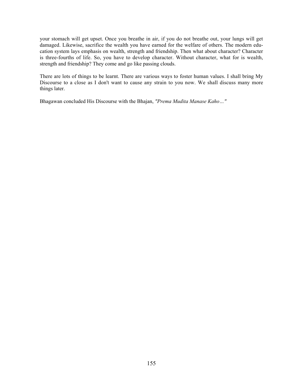your stomach will get upset. Once you breathe in air, if you do not breathe out, your lungs will get damaged. Likewise, sacrifice the wealth you have earned for the welfare of others. The modern education system lays emphasis on wealth, strength and friendship. Then what about character? Character is three-fourths of life. So, you have to develop character. Without character, what for is wealth, strength and friendship? They come and go like passing clouds.

There are lots of things to be learnt. There are various ways to foster human values. I shall bring My Discourse to a close as I don't want to cause any strain to you now. We shall discuss many more things later.

Bhagawan concluded His Discourse with the Bhajan, *"Prema Mudita Manase Kaho…"*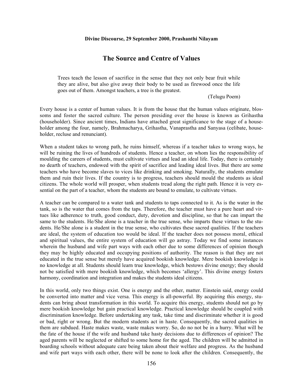#### **Divine Discourse, 29 September 2000, Prashanthi Nilayam**

## **The Source and Centre of Values**

Trees teach the lesson of sacrifice in the sense that they not only bear fruit while they are alive, but also give away their body to be used as firewood once the life goes out of them. Amongst teachers, a tree is the greatest.

(Telugu Poem)

Every house is a center of human values. It is from the house that the human values originate, blossoms and foster the sacred culture. The person presiding over the house is known as Grihastha (householder). Since ancient times, Indians have attached great significance to the stage of a householder among the four, namely, Brahmacharya, Grihastha, Vanaprastha and Sanyasa (celibate, householder, recluse and renunciant).

When a student takes to wrong path, he ruins himself, whereas if a teacher takes to wrong ways, he will be ruining the lives of hundreds of students. Hence a teacher, on whom lies the responsibility of moulding the careers of students, must cultivate virtues and lead an ideal life. Today, there is certainly no dearth of teachers, endowed with the spirit of sacrifice and leading ideal lives. But there are some teachers who have become slaves to vices like drinking and smoking. Naturally, the students emulate them and ruin their lives. If the country is to progress, teachers should mould the students as ideal citizens. The whole world will prosper, when students tread along the right path. Hence it is very essential on the part of a teacher, whom the students are bound to emulate, to cultivate virtues.

A teacher can be compared to a water tank and students to taps connected to it. As is the water in the tank, so is the water that comes from the taps. Therefore, the teacher must have a pure heart and virtues like adherence to truth, good conduct, duty, devotion and discipline, so that he can impart the same to the students. He/She alone is a teacher in the true sense, who imparts these virtues to the students. He/She alone is a student in the true sense, who cultivates these sacred qualities. If the teachers are ideal, the system of education too would be ideal. If the teacher does not possess moral, ethical and spiritual values, the entire system of education will go astray. Today we find some instances wherein the husband and wife part ways with each other due to some differences of opinion though they may be highly educated and occupying positions of authority. The reason is that they are not educated in the true sense but merely have acquired bookish knowledge. Mere bookish knowledge is no knowledge at all. Students should learn true knowledge, which bestows divine energy; they should not be satisfied with mere bookish knowledge, which becomes 'allergy'. This divine energy fosters harmony, coordination and integration and makes the students ideal citizens.

In this world, only two things exist. One is energy and the other, matter. Einstein said, energy could be converted into matter and vice versa. This energy is all-powerful. By acquiring this energy, students can bring about transformation in this world. To acquire this energy, students should not go by mere bookish knowledge but gain practical knowledge. Practical knowledge should be coupled with discrimination knowledge. Before undertaking any task, take time and discriminate whether it is good or bad, right or wrong. But the modern students act in haste. Consequently, the sacred qualities in them are subdued. Haste makes waste, waste makes worry. So, do no not be in a hurry. What will be the fate of the house if the wife and husband take hasty decisions due to differences of opinion? The aged parents will be neglected or shifted to some home for the aged. The children will be admitted in boarding schools without adequate care being taken about their welfare and progress. As the husband and wife part ways with each other, there will be none to look after the children. Consequently, the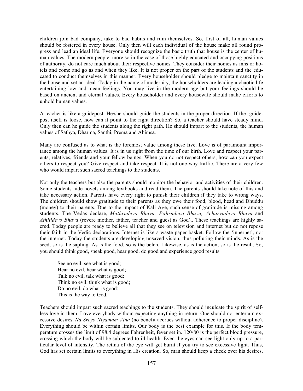children join bad company, take to bad habits and ruin themselves. So, first of all, human values should be fostered in every house. Only then will each individual of the house make all round progress and lead an ideal life. Everyone should recognize the basic truth that house is the center of human values. The modern people, more so in the case of those highly educated and occupying positions of authority, do not care much about their respective homes. They consider their homes as inns or hotels and come and go as and when they like. It is not proper on the part of the students and the educated to conduct themselves in this manner. Every householder should pledge to maintain sanctity in the house and set an ideal. Today in the name of modernity, the householders are leading a chaotic life entertaining low and mean feelings. You may live in the modern age but your feelings should be based on ancient and eternal values. Every householder and every housewife should make efforts to uphold human values.

A teacher is like a guidepost. He/she should guide the students in the proper direction. If the guidepost itself is loose, how can it point to the right direction? So, a teacher should have steady mind. Only then can he guide the students along the right path. He should impart to the students, the human values of Sathya, Dharma, Santhi, Prema and Ahimsa.

Many are confused as to what is the foremost value among these five. Love is of paramount importance among the human values. It is in us right from the time of our birth. Love and respect your parents, relatives, friends and your fellow beings. When you do not respect others, how can you expect others to respect you? Give respect and take respect. It is not one-way traffic. There are a very few who would impart such sacred teachings to the students.

Not only the teachers but also the parents should monitor the behavior and activities of their children. Some students hide novels among textbooks and read them. The parents should take note of this and take necessary action. Parents have every right to punish their children if they take to wrong ways. The children should show gratitude to their parents as they owe their food, blood, head and Dhuddu (money) to their parents. Due to the impact of Kali Age, such sense of gratitude is missing among students. The Vedas declare, *Mathrudevo Bhava, Pithrudevo Bhava, Acharyadevo Bhava* and *Athitidevo Bhava* (revere mother, father, teacher and guest as God).. These teachings are highly sacred. Today people are ready to believe all that they see on television and internet but do not repose their faith in the Vedic declarations. Internet is like a waste paper basket. Follow the 'innernet', not the internet. Today the students are developing unsaved vision, thus polluting their minds. As is the seed, so is the sapling. As is the food, so is the belch. Likewise, as is the action, so is the result. So, you should think good, speak good, hear good, do good and experience good results.

See no evil, see what is good; Hear no evil, hear what is good; Talk no evil, talk what is good; Think no evil, think what is good; Do no evil, do what is good: This is the way to God.

Teachers should impart such sacred teachings to the students. They should inculcate the spirit of selfless love in them. Love everybody without expecting anything in return. One should not entertain excessive desires. *Na Sreyo Niyamam Vina* (no benefit accrues without adherence to proper discipline). Everything should be within certain limits. Our body is the best example for this. If the body temperature crosses the limit of 98.4 degrees Fahrenheit, fever set in. 120/80 is the perfect blood pressure, crossing which the body will be subjected to ill-health. Even the eyes can see light only up to a particular level of intensity. The retina of the eye will get burnt if you try to see excessive light. Thus, God has set certain limits to everything in His creation. So, man should keep a check over his desires.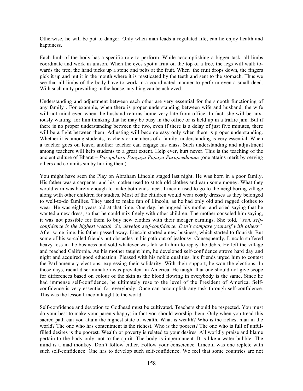Otherwise, he will be put to danger. Only when man leads a regulated life, can he enjoy health and happiness.

Each limb of the body has a specific role to perform. While accomplishing a bigger task, all limbs coordinate and work in unison. When the eyes spot a fruit on the top of a tree, the legs will walk towards the tree; the hand picks up a stone and pelts at the fruit. When the fruit drops down, the fingers pick it up and put it in the mouth where it is masticated by the teeth and sent to the stomach. Thus we see that all limbs of the body have to work in a coordinated manner to perform even a small deed. With such unity prevailing in the house, anything can be achieved.

Understanding and adjustment between each other are very essential for the smooth functioning of any family . For example, when there is proper understanding between wife and husband, the wife will not mind even when the husband returns home very late from office. In fact, she will be anxiously waiting for him thinking that he may be busy in the office or is held up in a traffic jam. But if there is no proper understanding between the two, even if there is a delay of just five minutes, there will be a fight between them. Adjusting will become easy only when there is proper understanding. Whether it is among students, teachers or members of a family, understanding is very essential. When a teacher goes on leave, another teacher can engage his class. Such understanding and adjustment among teachers will help students to a great extent. Help ever, hurt never. This is the teaching of the ancient culture of Bharat – *Paropakara Punyaya Papaya Parapeedanam* (one attains merit by serving others and commits sin by hurting them).

You might have seen the Play on Abraham Lincoln staged last night. He was born in a poor family. His father was a carpenter and his mother used to stitch old clothes and earn some money. What they would earn was barely enough to make both ends meet. Lincoln used to go to the neighboring village along with other children for studies. Most of the children would wear costly dresses as they belonged to well-to-do families. They used to make fun of Lincoln, as he had only old and ragged clothes to wear. He was eight years old at that time. One day, he hugged his mother and cried saying that he wanted a new dress, so that he could mix freely with other children. The mother consoled him saying, it was not possible for them to buy new clothes with their meager earnings. She told, *"son, selfconfidence is the highest wealth. So, develop self-confidence. Don't compare yourself with others".* After some time, his father passed away. Lincoln started a new business, which started to flourish. But some of his so-called friends put obstacles in his path out of jealousy. Consequently, Lincoln suffered heavy loss in the business and sold whatever was left with him to repay the debts. He left the village and reached California. As his mother taught him, he developed self-confidence strove hard day and night and acquired good education. Pleased with his noble qualities, his friends urged him to contest the Parliamentary elections, expressing their solidarity. With their support, he won the elections. In those days, racial discrimination was prevalent in America. He taught that one should not give scope for differences based on colour of the skin as the blood flowing in everybody is the same. Since he had immense self-confidence, he ultimately rose to the level of the President of America. Selfconfidence is very essential for everybody. Once can accomplish any task through self-confidence. This was the lesson Lincoln taught to the world.

Self-confidence and devotion to Godhead must be cultivated. Teachers should be respected. You must do your best to make your parents happy; in fact you should worship them. Only when you tread this sacred path can you attain the highest state of wealth. What is wealth? Who is the richest man in the world? The one who has contentment is the richest. Who is the poorest? The one who is full of unfulfilled desires is the poorest. Wealth or poverty is related to your desires. All worldly praise and blame pertain to the body only, not to the spirit. The body is impermanent. It is like a water bubble. The mind is a mad monkey. Don't follow either. Follow your conscience. Lincoln was one replete with such self-confidence. One has to develop such self-confidence. We feel that some countries are not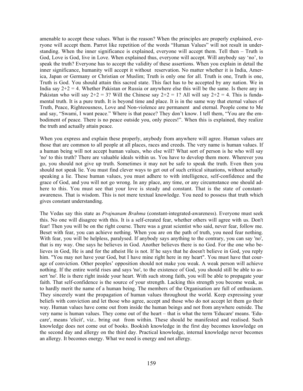amenable to accept these values. What is the reason? When the principles are properly explained, everyone will accept them. Parrot like repetition of the words "Human Values" will not result in understanding. When the inner significance is explained, everyone will accept them. Tell then – Truth is God, Love is God, live in Love. When explained thus, everyone will accept. Will anybody say 'no', to speak the truth? Everyone has to accept the validity of these assertions. When you explain in detail the inner significance, humanity will accept it without reservation. No matter whether it is India, America, Japan or Germany or Christian or Muslim; Truth is only one for all. Truth is one, Truth is one, Truth is God. You should attain this sacred state. This fact has to be accepted by any nation. We in India say  $2+2 = 4$ . Whether Pakistan or Russia or anywhere else this will be the same. Is there any in Pakistan who will say  $2+2 = 3$ ? Will the Chinese say  $2+2 = 1$ ? All will say  $2+2 = 4$ . This is fundamental truth. It is a pure truth. It is beyond time and place. It is in the same way that eternal values of Truth, Peace, Righteousness, Love and Non-violence are permanent and eternal. People come to Me and say, "Swami, I want peace." Where is that peace? They don't know. I tell them, "You are the embodiment of peace. There is no peace outside you, only pieces!". When this is explained, they realize the truth and actually attain peace.

When you express and explain these properly, anybody from anywhere will agree. Human values are those that are common to all people at all places, races and creeds. The very name is human values. If a human being will not accept human values, who else will? What sort of person is he who will say 'no' to this truth? There are valuable ideals within us. You have to develop them more. Wherever you go, you should not give up truth. Sometimes it may not be safe to speak the truth. Even then you should not speak lie. You must find clever ways to get out of such critical situations, without actually speaking a lie. These human values, you must adhere to with intelligence, self-confidence and the grace of God, and you will not go wrong. In any place, any time, or any circumstance one should adhere to this. You must see that your love is steady and constant. That is the state of constantawareness. That is wisdom. This is not mere textual knowledge. You need to possess that truth which gives constant understanding.

The Vedas say this state as *Prajnanam Brahma* (constant-integrated-awareness). Everyone must seek this. No one will disagree with this. It is a self-created fear, whether others will agree with us. Don't fear! Then you will be on the right course. There was a great scientist who said, never fear, follow me. Beset with fear, you can achieve nothing. When you are on the path of truth, you need fear nothing. With fear, you will be helpless, paralysed. If anybody says anything to the contrary, you can say 'no', that is my way. One says he believes in God. Another believes there is no God. For the one who believes in God, He is and for the atheist He is not. If he says that he doesn't believe in God, you reply him. "You may not have your God, but I have mine right here in my heart". You must have that courage of conviction. Other peoples' opposition should not make you weak. A weak person will achieve nothing. If the entire world rises and says 'no', to the existence of God, you should still be able to assert 'no'. He is there right inside your heart. With such strong faith, you will be able to propagate your faith. That self-confidence is the source of your strength. Lacking this strength you become weak, as to hardly merit the name of a human being. The members of the Organisation are full of enthusiasm. They sincerely want the propagation of human values throughout the world. Keep expressing your beliefs with conviction and let those who agree, accept and those who do not accept let them go their way. Human values have come out from inside the human beings and not from anywhere outside. The very name is human values. They come out of the heart – that is what the term 'Educare' means. 'Educare', means 'elicit', viz.. bring out from within. These should be manifested and realised. Such knowledge does not come out of books. Bookish knowledge in the first day becomes knowledge on the second day and allergy on the third day. Practical knowledge, internal knowledge never becomes an allergy. It becomes energy. What we need is energy and not allergy.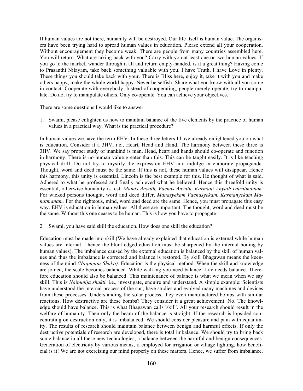If human values are not there, humanity will be destroyed. Our life itself is human value. The organisers have been trying hard to spread human values in education. Please extend all your cooperation. Without encouragement they become weak. There are people from many countries assembled here. You will return. What are taking back with you? Carry with you at least one or two human values. If you go to the market, wander through it all and return empty-handed, is it a great thing? Having come to Prasanthi Nilayam, take back something valuable with you. I have Truth, I have Love in plenty. These things you should take back with your. There is Bliss here, enjoy it, take it with you and make others happy, make the whole world happy. Never be selfish. Share what you know with all you come in contact. Cooperate with everybody. Instead of cooperating, people merely operate, try to manipulate. Do not try to manipulate others. Only co-operate. You can achieve your objectives.

There are some questions I would like to answer.

1. Swami, please enlighten us how to maintain balance of the five elements by the practice of human values in a practical way. What is the practical procedure?

In human values we have the term EHV. In these three letters I have already enlightened you on what is education. Consider it a 3HV, i.e., Heart, Head and Hand. The harmony between these three is 3HV. We say proper study of mankind is man. Head, heart and hands should co-operate and function in harmony. There is no human value greater than this. This can be taught easily. It is like teaching physical drill. Do not try to mystify the expression EHV and indulge in elaborate propaganda. Thought, word and deed must be the same. If this is not, these human values will disappear. Hence this harmony, this unity is essential. Lincoln is the best example for this. He thought of what is said. Adhered to what he professed and finally achieved what he believed. Hence this threefold unity is essential, otherwise humanity is lost. *Manas Anyath, Vachas Anyath, Karmani Anyath Duratmanam.* For wicked persons thought, word and deed differ. *Manasyekam Vachasyekam, Karmanyekam Mahatmanam*. For the righteous, mind, word and deed are the same. Hence, you must propagate this easy way. EHV is education in human values. All these are important. The thought, word and deed must be the same. Without this one ceases to be human. This is how you have to propagate

2. Swami, you have said skill the education. How does one skill the education?

Education must be made into skill.(We have already explained that education is external while human values are internal – hence the blunt edged education must be sharpened by the internal honing by human values). The imbalance caused by the external education is balanced by the skill of human values and thus the imbalance is corrected and balance is restored. By skill Bhagawan means the keenness of the mind *(Naipunija Shakti).* Education is the physical method. When the skill and knowledge are joined, the scale becomes balanced. While walking you need balance. Life needs balance. Therefore education should also be balanced. This maintenance of balance is what we mean when we say skill. This is *Naipunija shakti.* i.e., investigate, enquire and understand. A simple example: Scientists have understood the internal process of the sun, have studies and evolved many machines and devices from these processes. Understanding the solar process, they even manufactured bombs with similar reactions. How destructive are these bombs? They consider it a great achievement. No. The knowledge should have balance. This is what Bhagawan calls 'skill'. All your research should result in the welfare of humanity. Then only the beam of the balance is straight. If the research is lopsided concentrating on destruction only, it is imbalanced. We should consider pleasure and pain with equanimity. The results of research should maintain balance between benign and harmful effects. If only the destructive potentials of research are developed, there is total imbalance. We should try to bring back some balance in all these new technologies, a balance between the harmful and benign consequences. Generation of electricity by various means, if employed for irrigation or village lighting, how beneficial is it! We are not exercising our mind properly on these matters. Hence, we suffer from imbalance.